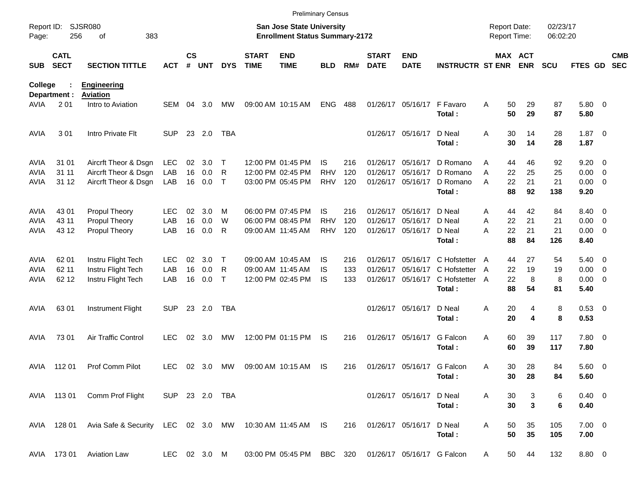|                     |                            |                                                         |                |                    |                |              |                             | <b>Preliminary Census</b>                                                 |            |     |                             |                            |                         |                                     |          |                       |                      |                     |                          |                          |
|---------------------|----------------------------|---------------------------------------------------------|----------------|--------------------|----------------|--------------|-----------------------------|---------------------------------------------------------------------------|------------|-----|-----------------------------|----------------------------|-------------------------|-------------------------------------|----------|-----------------------|----------------------|---------------------|--------------------------|--------------------------|
| Report ID:<br>Page: | 256                        | <b>SJSR080</b><br>383<br>οf                             |                |                    |                |              |                             | <b>San Jose State University</b><br><b>Enrollment Status Summary-2172</b> |            |     |                             |                            |                         | <b>Report Date:</b><br>Report Time: |          |                       | 02/23/17<br>06:02:20 |                     |                          |                          |
| <b>SUB</b>          | <b>CATL</b><br><b>SECT</b> | <b>SECTION TITTLE</b>                                   | <b>ACT</b>     | $\mathsf{cs}$<br># | <b>UNT</b>     | <b>DYS</b>   | <b>START</b><br><b>TIME</b> | <b>END</b><br><b>TIME</b>                                                 | <b>BLD</b> | RM# | <b>START</b><br><b>DATE</b> | <b>END</b><br><b>DATE</b>  | <b>INSTRUCTR ST ENR</b> |                                     |          | <b>MAX ACT</b><br>ENR | <b>SCU</b>           | <b>FTES GD</b>      |                          | <b>CMB</b><br><b>SEC</b> |
| College             |                            | <b>Engineering</b>                                      |                |                    |                |              |                             |                                                                           |            |     |                             |                            |                         |                                     |          |                       |                      |                     |                          |                          |
| AVIA                | Department :<br>201        | Aviation<br>Intro to Aviation                           | <b>SEM</b>     | 04                 | 3.0            | MW           |                             | 09:00 AM 10:15 AM                                                         | <b>ENG</b> | 488 |                             | 01/26/17 05/16/17          | F Favaro<br>Total:      | Α                                   | 50<br>50 | 29<br>29              | 87<br>87             | 5.80 0<br>5.80      |                          |                          |
| <b>AVIA</b>         | 301                        | Intro Private Flt                                       | <b>SUP</b>     |                    | 23 2.0         | <b>TBA</b>   |                             |                                                                           |            |     |                             | 01/26/17 05/16/17          | D Neal<br>Total:        | Α                                   | 30<br>30 | 14<br>14              | 28<br>28             | $1.87 \ 0$<br>1.87  |                          |                          |
| <b>AVIA</b>         | 31 01                      | Aircrft Theor & Dsgn                                    | <b>LEC</b>     | 02                 | 3.0            | $\mathsf T$  |                             | 12:00 PM 01:45 PM                                                         | <b>IS</b>  | 216 | 01/26/17                    | 05/16/17                   | D Romano                | Α                                   | 44       | 46                    | 92                   | $9.20 \ 0$          |                          |                          |
| <b>AVIA</b>         | 31 11                      | Aircrft Theor & Dsgn                                    | LAB            | 16                 | 0.0            | R            |                             | 12:00 PM 02:45 PM                                                         | <b>RHV</b> | 120 | 01/26/17                    | 05/16/17                   | D Romano                | A                                   | 22       | 25                    | 25                   | 0.00                | $\overline{\phantom{0}}$ |                          |
| <b>AVIA</b>         | 31 12                      | Aircrft Theor & Dsgn                                    | LAB            |                    | 16 0.0         | $\mathsf{T}$ |                             | 03:00 PM 05:45 PM                                                         | <b>RHV</b> | 120 | 01/26/17                    | 05/16/17                   | D Romano<br>Total:      | Α                                   | 22<br>88 | 21<br>92              | 21<br>138            | $0.00 \t 0$<br>9.20 |                          |                          |
| <b>AVIA</b>         | 43 01                      | Propul Theory                                           | <b>LEC</b>     | 02                 | 3.0            | M            |                             | 06:00 PM 07:45 PM                                                         | IS.        | 216 | 01/26/17                    | 05/16/17                   | D Neal                  | A                                   | 44       | 42                    | 84                   | 8.40 0              |                          |                          |
| <b>AVIA</b>         | 43 11                      | Propul Theory                                           | LAB            | 16                 | 0.0            | W            |                             | 06:00 PM 08:45 PM                                                         | <b>RHV</b> | 120 | 01/26/17                    | 05/16/17                   | D Neal                  | Α                                   | 22       | 21                    | 21                   | 0.00                | $\overline{\phantom{0}}$ |                          |
| AVIA                | 43 12                      | Propul Theory                                           | LAB            | 16                 | 0.0            | R            |                             | 09:00 AM 11:45 AM                                                         | <b>RHV</b> | 120 |                             | 01/26/17 05/16/17          | D Neal                  | Α                                   | 22       | 21                    | 21                   | $0.00 \t 0$         |                          |                          |
|                     |                            |                                                         |                |                    |                |              |                             |                                                                           |            |     |                             |                            | Total:                  |                                     | 88       | 84                    | 126                  | 8.40                |                          |                          |
| <b>AVIA</b>         | 62 01                      | Instru Flight Tech                                      | <b>LEC</b>     | 02                 | 3.0            | Т            |                             | 09:00 AM 10:45 AM                                                         | IS.        | 216 | 01/26/17                    | 05/16/17                   | C Hofstetter A          |                                     | 44       | 27                    | 54                   | $5.40 \ 0$          |                          |                          |
| <b>AVIA</b>         | 62 11                      | Instru Flight Tech                                      | LAB            | 16                 | 0.0            | R            |                             | 09:00 AM 11:45 AM                                                         | IS         | 133 | 01/26/17                    | 05/16/17                   | C Hofstetter            | A                                   | 22       | 19                    | 19                   | 0.00                | $\overline{\phantom{0}}$ |                          |
| <b>AVIA</b>         | 62 12                      | Instru Flight Tech                                      | LAB            | 16                 | 0.0            | $\mathsf{T}$ |                             | 12:00 PM 02:45 PM                                                         | IS         | 133 |                             | 01/26/17 05/16/17          | C Hofstetter A          |                                     | 22       | 8                     | 8                    | $0.00 \t 0$         |                          |                          |
|                     |                            |                                                         |                |                    |                |              |                             |                                                                           |            |     |                             |                            | Total:                  |                                     | 88       | 54                    | 81                   | 5.40                |                          |                          |
| AVIA                | 6301                       | Instrument Flight                                       | <b>SUP</b>     |                    | 23 2.0         | TBA          |                             |                                                                           |            |     |                             | 01/26/17 05/16/17          | D Neal<br>Total:        | Α                                   | 20<br>20 | 4<br>4                | 8<br>8               | 0.53 0<br>0.53      |                          |                          |
| <b>AVIA</b>         | 73 01                      | Air Traffic Control                                     | <b>LEC</b>     | 02                 | 3.0            | МW           |                             | 12:00 PM 01:15 PM                                                         | IS         | 216 |                             | 01/26/17 05/16/17          | G Falcon<br>Total:      | Α                                   | 60<br>60 | 39<br>39              | 117<br>117           | 7.80 0<br>7.80      |                          |                          |
| AVIA                | 11201                      | Prof Comm Pilot                                         | <b>LEC</b>     |                    | $02 \quad 3.0$ | МW           |                             | 09:00 AM 10:15 AM                                                         | IS         | 216 |                             | 01/26/17 05/16/17 G Falcon | Total:                  | Α                                   | 30<br>30 | 28<br>28              | 84<br>84             | 5.60 0<br>5.60      |                          |                          |
|                     | AVIA 113 01                | Comm Prof Flight                                        | SUP 23 2.0 TBA |                    |                |              |                             |                                                                           |            |     |                             | 01/26/17 05/16/17 D Neal   | Total:                  | Α                                   | 30<br>30 | 3<br>$\mathbf 3$      | 6<br>6               | $0.40 \ 0$<br>0.40  |                          |                          |
|                     | AVIA 128 01                | Avia Safe & Security LEC 02 3.0 MW 10:30 AM 11:45 AM IS |                |                    |                |              |                             |                                                                           |            | 216 |                             | 01/26/17 05/16/17          | D Neal<br>Total:        | Α                                   | 50<br>50 | 35<br>35              | 105<br>105           | $7.00 \t 0$<br>7.00 |                          |                          |
|                     | AVIA 173 01                | <b>Aviation Law</b>                                     | LEC 02 3.0 M   |                    |                |              |                             | 03:00 PM 05:45 PM                                                         | BBC 320    |     |                             | 01/26/17 05/16/17 G Falcon |                         | A                                   | 50       | 44                    | 132                  | 8.80 0              |                          |                          |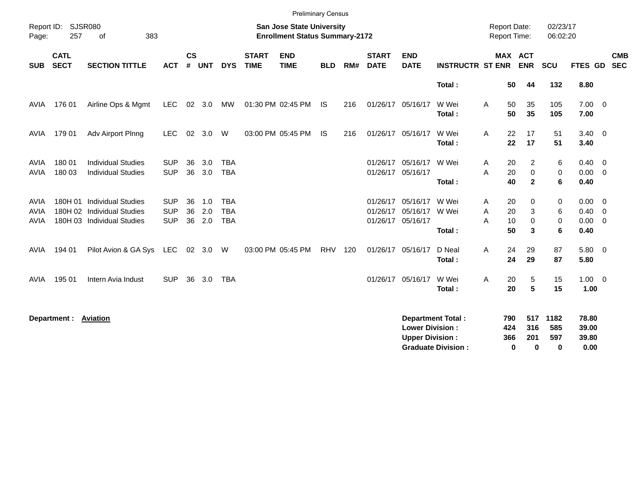|                                           |                            |                                                                                      |                                        |                    |                   |                                        |                             | <b>Preliminary Census</b>                                                 |            |     |                                           |                                                  |                                                       |                                     |                                  |                            |                                                  |                          |
|-------------------------------------------|----------------------------|--------------------------------------------------------------------------------------|----------------------------------------|--------------------|-------------------|----------------------------------------|-----------------------------|---------------------------------------------------------------------------|------------|-----|-------------------------------------------|--------------------------------------------------|-------------------------------------------------------|-------------------------------------|----------------------------------|----------------------------|--------------------------------------------------|--------------------------|
| Report ID:<br>Page:                       | 257                        | <b>SJSR080</b><br>οf<br>383                                                          |                                        |                    |                   |                                        |                             | <b>San Jose State University</b><br><b>Enrollment Status Summary-2172</b> |            |     |                                           |                                                  |                                                       | <b>Report Date:</b><br>Report Time: |                                  | 02/23/17<br>06:02:20       |                                                  |                          |
| <b>SUB</b>                                | <b>CATL</b><br><b>SECT</b> | <b>SECTION TITTLE</b>                                                                | <b>ACT</b>                             | $\mathsf{cs}$<br># | <b>UNT</b>        | <b>DYS</b>                             | <b>START</b><br><b>TIME</b> | <b>END</b><br><b>TIME</b>                                                 | <b>BLD</b> | RM# | <b>START</b><br><b>DATE</b>               | <b>END</b><br><b>DATE</b>                        | <b>INSTRUCTR ST ENR</b>                               | MAX ACT                             | <b>ENR</b>                       | <b>SCU</b>                 | <b>FTES GD</b>                                   | <b>CMB</b><br><b>SEC</b> |
|                                           |                            |                                                                                      |                                        |                    |                   |                                        |                             |                                                                           |            |     |                                           |                                                  | Total:                                                | 50                                  | 44                               | 132                        | 8.80                                             |                          |
| AVIA                                      | 176 01                     | Airline Ops & Mgmt                                                                   | <b>LEC</b>                             |                    | 02 3.0            | МW                                     |                             | 01:30 PM 02:45 PM                                                         | IS         | 216 |                                           | 01/26/17 05/16/17                                | W Wei<br>Total:                                       | 50<br>A<br>50                       | 35<br>35                         | 105<br>105                 | $7.00 \t 0$<br>7.00                              |                          |
| AVIA                                      | 179 01                     | Adv Airport Plnng                                                                    | <b>LEC</b>                             | 02                 | 3.0               | W                                      |                             | 03:00 PM 05:45 PM                                                         | IS         | 216 |                                           | 01/26/17 05/16/17                                | W Wei<br>Total:                                       | 22<br>Α<br>22                       | 17<br>17                         | 51<br>51                   | $3.40 \ 0$<br>3.40                               |                          |
| <b>AVIA</b><br><b>AVIA</b>                | 180 01<br>180 03           | <b>Individual Studies</b><br><b>Individual Studies</b>                               | <b>SUP</b><br><b>SUP</b>               | 36<br>36           | 3.0<br>3.0        | <b>TBA</b><br><b>TBA</b>               |                             |                                                                           |            |     | 01/26/17 05/16/17                         | 01/26/17 05/16/17                                | W Wei<br>Total:                                       | 20<br>A<br>A<br>20<br>40            | 2<br>$\mathbf 0$<br>$\mathbf{2}$ | 6<br>0<br>6                | $0.40 \quad 0$<br>$0.00 \t 0$<br>0.40            |                          |
| <b>AVIA</b><br><b>AVIA</b><br><b>AVIA</b> | 180H 01<br>180H 02         | <b>Individual Studies</b><br><b>Individual Studies</b><br>180H 03 Individual Studies | <b>SUP</b><br><b>SUP</b><br><b>SUP</b> | 36<br>36<br>36     | 1.0<br>2.0<br>2.0 | <b>TBA</b><br><b>TBA</b><br><b>TBA</b> |                             |                                                                           |            |     | 01/26/17<br>01/26/17<br>01/26/17 05/16/17 | 05/16/17<br>05/16/17                             | W Wei<br>W Wei<br>Total:                              | 20<br>Α<br>20<br>Α<br>10<br>Α<br>50 | 0<br>3<br>$\mathbf 0$<br>3       | 0<br>6<br>$\mathbf 0$<br>6 | $0.00 \t 0$<br>$0.40 \ 0$<br>$0.00 \t 0$<br>0.40 |                          |
| <b>AVIA</b>                               | 194 01                     | Pilot Avion & GA Sys                                                                 | LEC                                    | 02                 | 3.0               | W                                      |                             | 03:00 PM 05:45 PM                                                         | <b>RHV</b> | 120 | 01/26/17 05/16/17                         |                                                  | D Neal<br>Total:                                      | 24<br>A<br>24                       | 29<br>29                         | 87<br>87                   | 5.80 0<br>5.80                                   |                          |
| AVIA                                      | 195 01                     | Intern Avia Indust                                                                   | <b>SUP</b>                             | 36                 | 3.0               | <b>TBA</b>                             |                             |                                                                           |            |     |                                           | 01/26/17 05/16/17                                | W Wei<br>Total:                                       | A<br>20<br>20                       | 5<br>$5\phantom{1}$              | 15<br>15                   | $1.00 \t 0$<br>1.00                              |                          |
|                                           | Department :               | Aviation                                                                             |                                        |                    |                   |                                        |                             |                                                                           |            |     |                                           | <b>Lower Division:</b><br><b>Upper Division:</b> | <b>Department Total:</b><br><b>Graduate Division:</b> | 790<br>424<br>366<br>0              | 517<br>316<br>201<br>0           | 1182<br>585<br>597<br>0    | 78.80<br>39.00<br>39.80<br>0.00                  |                          |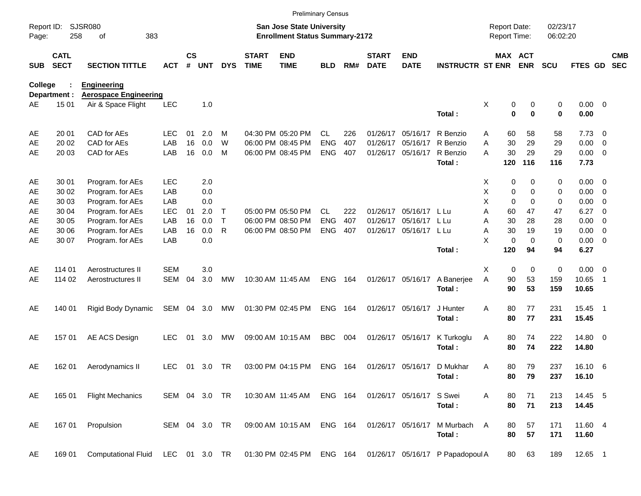|                     |                            |                                                                                              |               |                    |            |              |                             |                                                                           | <b>Preliminary Census</b> |       |                             |                           |                         |                                     |                              |                      |                     |                          |                          |
|---------------------|----------------------------|----------------------------------------------------------------------------------------------|---------------|--------------------|------------|--------------|-----------------------------|---------------------------------------------------------------------------|---------------------------|-------|-----------------------------|---------------------------|-------------------------|-------------------------------------|------------------------------|----------------------|---------------------|--------------------------|--------------------------|
| Report ID:<br>Page: | 258                        | <b>SJSR080</b><br>383<br>of                                                                  |               |                    |            |              |                             | <b>San Jose State University</b><br><b>Enrollment Status Summary-2172</b> |                           |       |                             |                           |                         | <b>Report Date:</b><br>Report Time: |                              | 02/23/17<br>06:02:20 |                     |                          |                          |
| <b>SUB</b>          | <b>CATL</b><br><b>SECT</b> | <b>SECTION TITTLE</b>                                                                        | <b>ACT</b>    | $\mathsf{cs}$<br># | <b>UNT</b> | <b>DYS</b>   | <b>START</b><br><b>TIME</b> | <b>END</b><br><b>TIME</b>                                                 | <b>BLD</b>                | RM#   | <b>START</b><br><b>DATE</b> | <b>END</b><br><b>DATE</b> | <b>INSTRUCTR ST ENR</b> |                                     | <b>MAX ACT</b><br><b>ENR</b> | <b>SCU</b>           | FTES GD             |                          | <b>CMB</b><br><b>SEC</b> |
| <b>College</b>      |                            | <b>Engineering</b>                                                                           |               |                    |            |              |                             |                                                                           |                           |       |                             |                           |                         |                                     |                              |                      |                     |                          |                          |
| AE                  | Department :<br>15 01      | <b>Aerospace Engineering</b><br>Air & Space Flight                                           | <b>LEC</b>    |                    | 1.0        |              |                             |                                                                           |                           |       |                             |                           |                         | Χ                                   | 0<br>0                       | 0                    | $0.00 \t 0$         |                          |                          |
|                     |                            |                                                                                              |               |                    |            |              |                             |                                                                           |                           |       |                             |                           | Total:                  |                                     | $\bf{0}$<br>$\mathbf 0$      | 0                    | 0.00                |                          |                          |
| AE                  | 20 01                      | CAD for AEs                                                                                  | <b>LEC</b>    | 01                 | 2.0        | м            |                             | 04:30 PM 05:20 PM                                                         | CL.                       | 226   |                             | 01/26/17 05/16/17         | R Benzio                | 60<br>A                             | 58                           | 58                   | $7.73 \t 0$         |                          |                          |
| AE                  | 20 02                      | CAD for AEs                                                                                  | LAB           | 16                 | 0.0        | W            |                             | 06:00 PM 08:45 PM                                                         | <b>ENG</b>                | 407   |                             | 01/26/17 05/16/17         | R Benzio                | 30<br>A                             | 29                           | 29                   | 0.00                | $\overline{\phantom{0}}$ |                          |
| AE                  | 20 03                      | CAD for AEs                                                                                  | LAB           | 16                 | 0.0        | M            |                             | 06:00 PM 08:45 PM                                                         | <b>ENG</b>                | 407   |                             | 01/26/17 05/16/17         | R Benzio<br>Total:      | 30<br>A<br>120                      | 29<br>116                    | 29<br>116            | $0.00 \t 0$<br>7.73 |                          |                          |
| AE                  | 30 01                      | Program. for AEs                                                                             | <b>LEC</b>    |                    | 2.0        |              |                             |                                                                           |                           |       |                             |                           |                         | X                                   | 0<br>0                       | 0                    | $0.00 \t 0$         |                          |                          |
| AE                  | 30 02                      | Program. for AEs                                                                             | LAB           |                    | 0.0        |              |                             |                                                                           |                           |       |                             |                           |                         | х                                   | 0<br>0                       | 0                    | $0.00 \t 0$         |                          |                          |
| AE                  | 30 03                      | Program. for AEs                                                                             | LAB           |                    | 0.0        |              |                             |                                                                           |                           |       |                             |                           |                         | X                                   | $\mathbf 0$<br>$\Omega$      | 0                    | 0.00                | $\overline{\mathbf{0}}$  |                          |
| AE                  | 30 04                      | Program. for AEs                                                                             | <b>LEC</b>    | 01                 | 2.0        | $\top$       |                             | 05:00 PM 05:50 PM                                                         | <b>CL</b>                 | 222   |                             | 01/26/17 05/16/17 L Lu    |                         | A<br>60                             | 47                           | 47                   | 6.27                | $\overline{\phantom{0}}$ |                          |
| AE                  | 30 05                      | Program. for AEs                                                                             | LAB           | 16                 | 0.0        | $\mathsf{T}$ |                             | 06:00 PM 08:50 PM                                                         | <b>ENG</b>                | 407   |                             | 01/26/17 05/16/17         | L Lu                    | A<br>30                             | 28                           | 28                   | 0.00                | $\overline{\phantom{0}}$ |                          |
| AE                  | 30 06                      | Program. for AEs                                                                             | LAB           | 16                 | 0.0        | R            |                             | 06:00 PM 08:50 PM                                                         | <b>ENG</b>                | 407   |                             | 01/26/17 05/16/17 L Lu    |                         | 30<br>Α                             | 19                           | 19                   | $0.00 \t 0$         |                          |                          |
| AE                  | 30 07                      | Program. for AEs                                                                             | LAB           |                    | 0.0        |              |                             |                                                                           |                           |       |                             |                           |                         | X                                   | $\mathbf 0$<br>$\Omega$      | 0                    | $0.00 \t 0$         |                          |                          |
|                     |                            |                                                                                              |               |                    |            |              |                             |                                                                           |                           |       |                             |                           | Total:                  | 120                                 | 94                           | 94                   | 6.27                |                          |                          |
| AE                  | 114 01                     | Aerostructures II                                                                            | <b>SEM</b>    |                    | 3.0        |              |                             |                                                                           |                           |       |                             |                           |                         | X                                   | $\mathbf 0$<br>0             | $\pmb{0}$            | $0.00 \t 0$         |                          |                          |
| AE                  | 114 02                     | Aerostructures II                                                                            | <b>SEM</b>    | 04                 | 3.0        | MW           |                             | 10:30 AM 11:45 AM                                                         | <b>ENG</b>                | 164   |                             | 01/26/17 05/16/17         | A Banerjee              | A<br>90                             | 53                           | 159                  | 10.65               | - 1                      |                          |
|                     |                            |                                                                                              |               |                    |            |              |                             |                                                                           |                           |       |                             |                           | Total:                  | 90                                  | 53                           | 159                  | 10.65               |                          |                          |
| AE                  | 140 01                     | Rigid Body Dynamic                                                                           | SEM           | 04                 | 3.0        | МW           |                             | 01:30 PM 02:45 PM                                                         | <b>ENG</b>                | - 164 |                             | 01/26/17 05/16/17         | J Hunter                | 80<br>Α                             | 77                           | 231                  | 15.45 1             |                          |                          |
|                     |                            |                                                                                              |               |                    |            |              |                             |                                                                           |                           |       |                             |                           | Total:                  | 80                                  | 77                           | 231                  | 15.45               |                          |                          |
| AE                  | 15701                      | AE ACS Design                                                                                | <b>LEC</b>    | 01                 | 3.0        | MW           |                             | 09:00 AM 10:15 AM                                                         | <b>BBC</b>                | 004   |                             | 01/26/17 05/16/17         | K Turkoglu              | Α<br>80                             | 74                           | 222                  | 14.80 0             |                          |                          |
|                     |                            |                                                                                              |               |                    |            |              |                             |                                                                           |                           |       |                             |                           | Total:                  | 80                                  | 74                           | 222                  | 14.80               |                          |                          |
| AE                  | 162 01                     | Aerodynamics II                                                                              | <b>LEC</b>    | 01                 | 3.0        | TR           |                             | 03:00 PM 04:15 PM                                                         | <b>ENG</b>                | 164   |                             | 01/26/17 05/16/17         | D Mukhar                | Α<br>80                             | 79                           | 237                  | 16.10 6             |                          |                          |
|                     |                            |                                                                                              |               |                    |            |              |                             |                                                                           |                           |       |                             |                           | Total:                  | 80                                  | 79                           | 237                  | 16.10               |                          |                          |
| AE                  | 165 01                     | <b>Flight Mechanics</b>                                                                      | SEM 04 3.0 TR |                    |            |              |                             | 10:30 AM 11:45 AM ENG 164                                                 |                           |       |                             | 01/26/17 05/16/17 S Swei  |                         | Α<br>80                             | 71                           | 213                  | 14.45 5             |                          |                          |
|                     |                            |                                                                                              |               |                    |            |              |                             |                                                                           |                           |       |                             |                           | Total:                  | 80                                  | 71                           | 213                  | 14.45               |                          |                          |
| AE                  | 167 01                     | Propulsion                                                                                   | SEM 04 3.0 TR |                    |            |              |                             | 09:00 AM 10:15 AM                                                         | ENG 164                   |       |                             | 01/26/17 05/16/17         | M Murbach               | 80<br>A                             | 57                           | 171                  | 11.60 4             |                          |                          |
|                     |                            |                                                                                              |               |                    |            |              |                             |                                                                           |                           |       |                             |                           | Total:                  | 80                                  | 57                           | 171                  | 11.60               |                          |                          |
| AE                  | 169 01                     | Computational Fluid LEC 01 3.0 TR 01:30 PM 02:45 PM ENG 164 01/26/17 05/16/17 P Papadopoul A |               |                    |            |              |                             |                                                                           |                           |       |                             |                           |                         |                                     | 63<br>80                     | 189                  | 12.65 1             |                          |                          |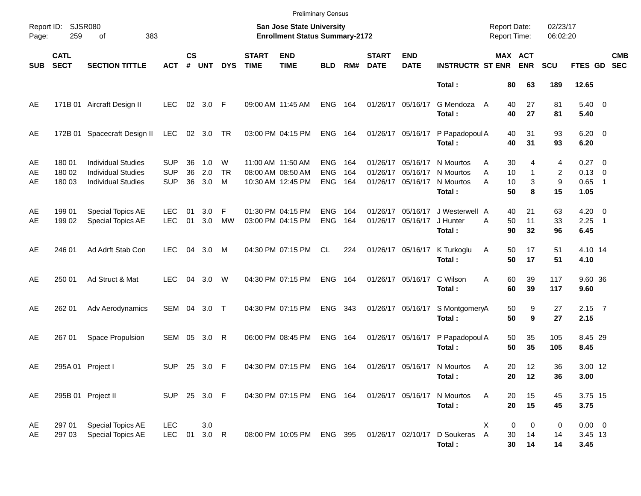|                |                            |                                                                                     |                                        |                    |                   |                     |                                                                    | <b>Preliminary Census</b>                                   |                                        |                   |                               |                               |                                               |             |                                                     |                   |                                               |                            |                          |
|----------------|----------------------------|-------------------------------------------------------------------------------------|----------------------------------------|--------------------|-------------------|---------------------|--------------------------------------------------------------------|-------------------------------------------------------------|----------------------------------------|-------------------|-------------------------------|-------------------------------|-----------------------------------------------|-------------|-----------------------------------------------------|-------------------|-----------------------------------------------|----------------------------|--------------------------|
| Page:          | Report ID: SJSR080<br>259  | 383                                                                                 |                                        |                    |                   |                     | San Jose State University<br><b>Enrollment Status Summary-2172</b> |                                                             |                                        |                   |                               |                               | <b>Report Date:</b><br><b>Report Time:</b>    |             | 02/23/17<br>06:02:20                                |                   |                                               |                            |                          |
| <b>SUB</b>     | <b>CATL</b><br><b>SECT</b> | <b>SECTION TITTLE</b>                                                               | <b>ACT</b>                             | $\mathsf{cs}$<br># | <b>UNT</b>        | <b>DYS</b>          | <b>START</b><br><b>TIME</b>                                        | <b>END</b><br><b>TIME</b>                                   | <b>BLD</b>                             | RM#               | <b>START</b><br><b>DATE</b>   | <b>END</b><br><b>DATE</b>     | <b>INSTRUCTR ST ENR</b>                       |             | MAX ACT<br><b>ENR</b>                               | <b>SCU</b>        | FTES GD                                       |                            | <b>CMB</b><br><b>SEC</b> |
|                |                            |                                                                                     |                                        |                    |                   |                     |                                                                    |                                                             |                                        |                   |                               |                               | Total:                                        |             | 80<br>63                                            | 189               | 12.65                                         |                            |                          |
| AE             |                            | 171B 01 Aircraft Design II                                                          | <b>LEC</b>                             |                    | 02 3.0 F          |                     |                                                                    | 09:00 AM 11:45 AM                                           | <b>ENG</b>                             | 164               | 01/26/17 05/16/17             |                               | G Mendoza<br>Total:                           | A           | 27<br>40<br>40<br>27                                | 81<br>81          | $5.40 \ 0$<br>5.40                            |                            |                          |
| AE             | 172B 01                    | Spacecraft Design II                                                                | LEC                                    |                    | 02 3.0 TR         |                     |                                                                    | 03:00 PM 04:15 PM                                           | <b>ENG</b>                             | 164               | 01/26/17 05/16/17             |                               | P Papadopoul A<br>Total:                      |             | 40<br>31<br>40<br>31                                | 93<br>93          | $6.20 \quad 0$<br>6.20                        |                            |                          |
| AE<br>AE<br>AE | 180 01<br>180 02<br>180 03 | <b>Individual Studies</b><br><b>Individual Studies</b><br><b>Individual Studies</b> | <b>SUP</b><br><b>SUP</b><br><b>SUP</b> | 36<br>36<br>36     | 1.0<br>2.0<br>3.0 | W<br><b>TR</b><br>M |                                                                    | 11:00 AM 11:50 AM<br>08:00 AM 08:50 AM<br>10:30 AM 12:45 PM | <b>ENG</b><br><b>ENG</b><br><b>ENG</b> | 164<br>164<br>164 | 01/26/17<br>01/26/17 05/16/17 | 01/26/17 05/16/17<br>05/16/17 | N Mourtos<br>N Mourtos<br>N Mourtos<br>Total: | A<br>A<br>A | 30<br>4<br>10<br>$\mathbf{1}$<br>10<br>3<br>8<br>50 | 4<br>2<br>9<br>15 | $0.27 \t 0$<br>$0.13 \quad 0$<br>0.65<br>1.05 | $\overline{\phantom{0}}$   |                          |
| AE<br>AE       | 199 01<br>199 02           | Special Topics AE<br>Special Topics AE                                              | <b>LEC</b><br><b>LEC</b>               | 01<br>01           | 3.0<br>3.0        | F<br>MW             |                                                                    | 01:30 PM 04:15 PM<br>03:00 PM 04:15 PM                      | <b>ENG</b><br><b>ENG</b>               | 164<br>164        | 01/26/17<br>01/26/17 05/16/17 | 05/16/17                      | J Westerwell A<br>J Hunter<br>Total:          | A           | 21<br>40<br>50<br>11<br>90<br>32                    | 63<br>33<br>96    | $4.20 \ 0$<br>2.25<br>6.45                    | $\overline{\phantom{0}}$ 1 |                          |
| AE             | 246 01                     | Ad Adrft Stab Con                                                                   | <b>LEC</b>                             | 04                 | 3.0               | M                   |                                                                    | 04:30 PM 07:15 PM                                           | CL.                                    | 224               | 01/26/17 05/16/17             |                               | K Turkoglu<br>Total:                          | Α           | 50<br>17<br>50<br>17                                | 51<br>51          | 4.10 14<br>4.10                               |                            |                          |
| AE             | 250 01                     | Ad Struct & Mat                                                                     | <b>LEC</b>                             | 04                 | 3.0               | W                   |                                                                    | 04:30 PM 07:15 PM                                           | <b>ENG</b>                             | 164               | 01/26/17 05/16/17             |                               | C Wilson<br>Total:                            | A           | 60<br>39<br>60<br>39                                | 117<br>117        | 9.60 36<br>9.60                               |                            |                          |
| AE             | 262 01                     | Adv Aerodynamics                                                                    | SEM 04 3.0                             |                    |                   | $\top$              |                                                                    | 04:30 PM 07:15 PM                                           | <b>ENG</b>                             | 343               | 01/26/17 05/16/17             |                               | S MontgomeryA<br>Total:                       |             | 50<br>9<br>50<br>9                                  | 27<br>27          | $2.15$ 7<br>2.15                              |                            |                          |
| AE             | 267 01                     | Space Propulsion                                                                    | SEM 05                                 |                    | 3.0               | R                   |                                                                    | 06:00 PM 08:45 PM                                           | <b>ENG</b>                             | 164               | 01/26/17 05/16/17             |                               | P Papadopoul A<br>Total:                      |             | 50<br>35<br>50<br>35                                | 105<br>105        | 8.45 29<br>8.45                               |                            |                          |
| AE             |                            | 295A 01 Project I                                                                   | <b>SUP</b>                             | 25                 | 3.0               | -F                  |                                                                    | 04:30 PM 07:15 PM                                           | <b>ENG</b>                             | 164               |                               |                               | 01/26/17 05/16/17 N Mourtos<br>Total:         | A           | 20<br>12<br>20<br>12                                | 36<br>36          | 3.00 12<br>3.00                               |                            |                          |
| AE             |                            | 295B 01 Project II                                                                  | SUP 25 3.0 F                           |                    |                   |                     |                                                                    | 04:30 PM 07:15 PM                                           | ENG 164                                |                   | 01/26/17 05/16/17             |                               | N Mourtos<br>Total:                           | Α           | 15<br>20<br>20<br>15                                | 45<br>45          | 3.75 15<br>3.75                               |                            |                          |
| AE<br>AE       | 297 01<br>297 03           | Special Topics AE<br>Special Topics AE                                              | <b>LEC</b><br><b>LEC</b>               | 01                 | 3.0<br>$3.0$ R    |                     |                                                                    | 08:00 PM 10:05 PM                                           | ENG 395                                |                   |                               | 01/26/17 02/10/17             | D Soukeras<br>Total:                          | Х<br>A      | 0<br>0<br>30<br>14<br>30<br>14                      | 0<br>14<br>14     | $0.00 \t 0$<br>3.45 13<br>3.45                |                            |                          |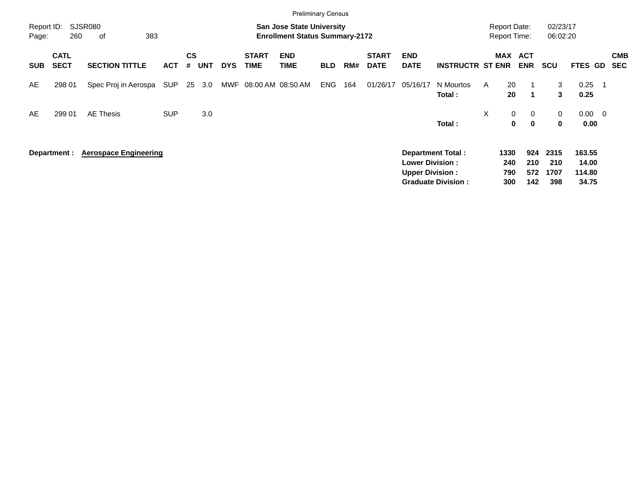|                     |                            |                              |            |                |            |            |                             | <b>Preliminary Census</b>                                                 |            |     |                             |                                                  |                                                |    |                                            |                             |                            |                                    |                          |
|---------------------|----------------------------|------------------------------|------------|----------------|------------|------------|-----------------------------|---------------------------------------------------------------------------|------------|-----|-----------------------------|--------------------------------------------------|------------------------------------------------|----|--------------------------------------------|-----------------------------|----------------------------|------------------------------------|--------------------------|
| Report ID:<br>Page: | 260                        | <b>SJSR080</b><br>383<br>οf  |            |                |            |            |                             | <b>San Jose State University</b><br><b>Enrollment Status Summary-2172</b> |            |     |                             |                                                  |                                                |    | <b>Report Date:</b><br><b>Report Time:</b> |                             | 02/23/17<br>06:02:20       |                                    |                          |
| <b>SUB</b>          | <b>CATL</b><br><b>SECT</b> | <b>SECTION TITTLE</b>        | <b>ACT</b> | <b>CS</b><br># | <b>UNT</b> | <b>DYS</b> | <b>START</b><br><b>TIME</b> | <b>END</b><br><b>TIME</b>                                                 | <b>BLD</b> | RM# | <b>START</b><br><b>DATE</b> | <b>END</b><br><b>DATE</b>                        | <b>INSTRUCTR ST ENR</b>                        |    | <b>MAX</b>                                 | <b>ACT</b><br><b>ENR</b>    | <b>SCU</b>                 | FTES GD                            | <b>CMB</b><br><b>SEC</b> |
| AE                  | 298 01                     | Spec Proj in Aerospa         | SUP        | 25             | 3.0        | MWF        |                             | 08:00 AM 08:50 AM                                                         | ENG        | 164 | 01/26/17                    | 05/16/17                                         | N Mourtos<br>Total:                            | A  | 20<br>20                                   | -1<br>$\mathbf 1$           | 3<br>3                     | 0.25<br>0.25                       |                          |
| AE                  | 299 01                     | <b>AE Thesis</b>             | <b>SUP</b> |                | 3.0        |            |                             |                                                                           |            |     |                             |                                                  | Total:                                         | X. | $\mathbf 0$<br>0                           | $\mathbf 0$<br>$\mathbf{0}$ | 0<br>0                     | $0.00 \t 0$<br>0.00                |                          |
|                     | Department :               | <b>Aerospace Engineering</b> |            |                |            |            |                             |                                                                           |            |     |                             | <b>Lower Division:</b><br><b>Upper Division:</b> | Department Total:<br><b>Graduate Division:</b> |    | 1330<br>240<br>790<br>300                  | 924<br>210<br>572<br>142    | 2315<br>210<br>1707<br>398 | 163.55<br>14.00<br>114.80<br>34.75 |                          |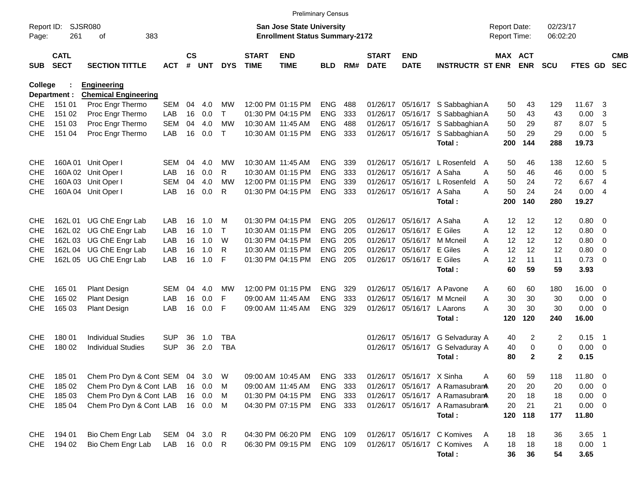|                          |                            |                                        |                            |                    |            |              |                             | <b>Preliminary Census</b>                                          |                    |       |                             |                           |                                  |                                     |              |                      |             |                          |                          |
|--------------------------|----------------------------|----------------------------------------|----------------------------|--------------------|------------|--------------|-----------------------------|--------------------------------------------------------------------|--------------------|-------|-----------------------------|---------------------------|----------------------------------|-------------------------------------|--------------|----------------------|-------------|--------------------------|--------------------------|
| Report ID:<br>Page:      | 261                        | <b>SJSR080</b><br>383<br>οf            |                            |                    |            |              |                             | San Jose State University<br><b>Enrollment Status Summary-2172</b> |                    |       |                             |                           |                                  | <b>Report Date:</b><br>Report Time: |              | 02/23/17<br>06:02:20 |             |                          |                          |
| <b>SUB</b>               | <b>CATL</b><br><b>SECT</b> | <b>SECTION TITTLE</b>                  | <b>ACT</b>                 | $\mathsf{cs}$<br># | <b>UNT</b> | <b>DYS</b>   | <b>START</b><br><b>TIME</b> | <b>END</b><br><b>TIME</b>                                          | <b>BLD</b>         | RM#   | <b>START</b><br><b>DATE</b> | <b>END</b><br><b>DATE</b> | <b>INSTRUCTR ST ENR</b>          | MAX ACT                             | <b>ENR</b>   | <b>SCU</b>           | FTES GD     |                          | <b>CMB</b><br><b>SEC</b> |
| College                  |                            | <b>Engineering</b>                     |                            |                    |            |              |                             |                                                                    |                    |       |                             |                           |                                  |                                     |              |                      |             |                          |                          |
|                          | Department :               | <b>Chemical Engineering</b>            |                            |                    |            |              |                             |                                                                    |                    |       |                             |                           |                                  |                                     |              |                      |             |                          |                          |
| <b>CHE</b>               | 151 01                     | Proc Engr Thermo                       | <b>SEM</b>                 | 04                 | 4.0        | MW           |                             | 12:00 PM 01:15 PM                                                  | <b>ENG</b>         | 488   |                             |                           | 01/26/17 05/16/17 S Sabbaghian A | 50                                  | 43           | 129                  | 11.67       | -3                       |                          |
| <b>CHE</b>               | 151 02                     | Proc Engr Thermo                       | LAB                        | 16                 | 0.0        | Τ            |                             | 01:30 PM 04:15 PM                                                  | <b>ENG</b>         | 333   |                             |                           | 01/26/17 05/16/17 S Sabbaghian A | 50                                  | 43           | 43                   | 0.00        | -3                       |                          |
| <b>CHE</b>               | 151 03                     | Proc Engr Thermo                       | <b>SEM</b>                 | 04                 | 4.0        | <b>MW</b>    | 10:30 AM 11:45 AM           |                                                                    | <b>ENG</b>         | 488   |                             |                           | 01/26/17 05/16/17 S Sabbaghian A | 50                                  | 29           | 87                   | 8.07        | - 5                      |                          |
| <b>CHE</b>               | 151 04                     | Proc Engr Thermo                       | LAB                        | 16                 | 0.0        | $\mathsf{T}$ |                             | 10:30 AM 01:15 PM                                                  | <b>ENG</b>         | 333   |                             | 01/26/17 05/16/17         | S Sabbaghian A                   | 50                                  | 29           | 29                   | 0.00        | - 5                      |                          |
|                          |                            |                                        |                            |                    |            |              |                             |                                                                    |                    |       |                             |                           | Total:                           | 200                                 | 144          | 288                  | 19.73       |                          |                          |
| <b>CHE</b>               | 160A 01                    | Unit Oper I                            | <b>SEM</b>                 | 04                 | 4.0        | <b>MW</b>    | 10:30 AM 11:45 AM           |                                                                    | ENG.               | 339   |                             | 01/26/17 05/16/17         | L Rosenfeld<br>A                 | 50                                  | 46           | 138                  | 12.60       | - 5                      |                          |
| <b>CHE</b>               |                            | 160A 02 Unit Oper I                    | LAB                        | 16                 | 0.0        | R            |                             | 10:30 AM 01:15 PM                                                  | <b>ENG</b>         | 333   |                             | 01/26/17 05/16/17 A Saha  |                                  | 50<br>А                             | 46           | 46                   | 0.00        | -5                       |                          |
| <b>CHE</b>               |                            | 160A 03 Unit Oper I                    | <b>SEM</b>                 | 04                 | 4.0        | <b>MW</b>    |                             | 12:00 PM 01:15 PM                                                  | <b>ENG</b>         | 339   |                             | 01/26/17 05/16/17         | L Rosenfeld                      | 50<br>A                             | 24           | 72                   | 6.67        | -4                       |                          |
| <b>CHE</b>               |                            | 160A 04 Unit Oper I                    | LAB                        | 16                 | 0.0        | R            |                             | 01:30 PM 04:15 PM                                                  | <b>ENG</b>         | 333   |                             | 01/26/17 05/16/17 A Saha  |                                  | 50<br>А                             | 24           | 24                   | 0.00        | -4                       |                          |
|                          |                            |                                        |                            |                    |            |              |                             |                                                                    |                    |       |                             |                           | Total:                           | 200                                 | 140          | 280                  | 19.27       |                          |                          |
| <b>CHE</b>               | 162L 01                    | UG ChE Engr Lab                        | LAB                        | 16                 | 1.0        | м            |                             | 01:30 PM 04:15 PM                                                  | ENG.               | 205   |                             | 01/26/17 05/16/17 A Saha  |                                  | 12<br>A                             | 12           | 12                   | 0.80        | - 0                      |                          |
| <b>CHE</b>               | 162L 02                    | UG ChE Engr Lab                        | LAB                        | 16                 | 1.0        | T            |                             | 10:30 AM 01:15 PM                                                  | <b>ENG</b>         | 205   |                             | 01/26/17 05/16/17         | E Giles                          | 12<br>Α                             | 12           | 12                   | 0.80        | 0                        |                          |
| <b>CHE</b>               | 162L 03                    | UG ChE Engr Lab                        | LAB                        | 16                 | 1.0        | W            |                             | 01:30 PM 04:15 PM                                                  | <b>ENG</b>         | 205   |                             | 01/26/17 05/16/17         | M Mcneil                         | 12<br>A                             | 12           | 12                   | 0.80        | $\overline{0}$           |                          |
| <b>CHE</b>               |                            | 162L 04 UG ChE Engr Lab                | <b>LAB</b>                 | 16                 | 1.0        | R            |                             | 10:30 AM 01:15 PM                                                  | <b>ENG</b>         | 205   |                             | 01/26/17 05/16/17         | E Giles                          | 12<br>А                             | 12           | 12                   | 0.80        | 0                        |                          |
| <b>CHE</b>               |                            | 162L 05 UG ChE Engr Lab                | LAB                        | 16                 | 1.0        | F            |                             | 01:30 PM 04:15 PM                                                  | <b>ENG</b>         | 205   |                             | 01/26/17 05/16/17         | E Giles                          | 12<br>А                             | 11           | 11                   | 0.73        | - 0                      |                          |
|                          |                            |                                        |                            |                    |            |              |                             |                                                                    |                    |       |                             |                           | Total:                           | 60                                  | 59           | 59                   | 3.93        |                          |                          |
|                          |                            |                                        |                            |                    |            |              |                             |                                                                    |                    |       |                             |                           |                                  |                                     |              |                      |             |                          |                          |
| <b>CHE</b>               | 165 01                     | <b>Plant Design</b>                    | <b>SEM</b>                 | 04                 | 4.0        | <b>MW</b>    |                             | 12:00 PM 01:15 PM                                                  | ENG.               | 329   |                             | 01/26/17 05/16/17         | A Pavone                         | 60<br>A                             | 60           | 180                  | 16.00       | $\overline{\phantom{0}}$ |                          |
| <b>CHE</b>               | 165 02                     | <b>Plant Design</b>                    | LAB                        | 16                 | 0.0        | F            | 09:00 AM 11:45 AM           |                                                                    | <b>ENG</b>         | 333   |                             | 01/26/17 05/16/17         | M Mcneil                         | 30<br>A                             | 30           | 30                   | 0.00        | $\overline{\mathbf{0}}$  |                          |
| <b>CHE</b>               | 165 03                     | <b>Plant Design</b>                    | LAB                        | 16                 | 0.0        | F            | 09:00 AM 11:45 AM           |                                                                    | <b>ENG</b>         | 329   |                             | 01/26/17 05/16/17         | L Aarons                         | 30<br>А                             | 30           | 30                   | 0.00        | $\overline{\phantom{0}}$ |                          |
|                          |                            |                                        |                            |                    |            |              |                             |                                                                    |                    |       |                             |                           | Total:                           | 120                                 | 120          | 240                  | 16.00       |                          |                          |
| <b>CHE</b>               | 180 01                     | <b>Individual Studies</b>              | <b>SUP</b>                 | 36                 | 1.0        | TBA          |                             |                                                                    |                    |       |                             | 01/26/17 05/16/17         | G Selvaduray A                   | 40                                  | 2            | 2                    | 0.15        | $\overline{\phantom{1}}$ |                          |
| <b>CHE</b>               | 180 02                     | <b>Individual Studies</b>              | <b>SUP</b>                 | 36                 | 2.0        | <b>TBA</b>   |                             |                                                                    |                    |       |                             | 01/26/17 05/16/17         | G Selvaduray A                   | 40                                  | 0            | 0                    | 0.00        | $\overline{\phantom{0}}$ |                          |
|                          |                            |                                        |                            |                    |            |              |                             |                                                                    |                    |       |                             |                           | Total:                           | 80                                  | $\mathbf{2}$ | $\mathbf{2}$         | 0.15        |                          |                          |
| <b>CHE</b>               | 18501                      | Chem Pro Dyn & Cont SEM                |                            | 04                 | 3.0        | W            |                             | 09:00 AM 10:45 AM                                                  | ENG                | 333   |                             | 01/26/17 05/16/17 X Sinha |                                  | Α<br>60                             | 59           | 118                  | 11.80       | $\overline{\phantom{0}}$ |                          |
| <b>CHE</b>               | 185 02                     | Chem Pro Dyn & Cont LAB                |                            |                    | 16 0.0     | M            |                             | 09:00 AM 11:45 AM                                                  | ENG                | - 333 |                             |                           | 01/26/17 05/16/17 A Ramasubran   | 20                                  | 20           | 20                   | $0.00 \t 0$ |                          |                          |
| <b>CHE</b>               | 185 03                     | Chem Pro Dyn & Cont LAB                |                            |                    | 16 0.0     | М            |                             | 01:30 PM 04:15 PM                                                  | ENG 333            |       |                             |                           | 01/26/17 05/16/17 A Ramasubran   | 20                                  | 18           | 18                   | $0.00 \t 0$ |                          |                          |
| <b>CHE</b>               | 185 04                     | Chem Pro Dyn & Cont LAB                |                            |                    | 16 0.0     | M            |                             | 04:30 PM 07:15 PM                                                  | ENG 333            |       |                             |                           | 01/26/17 05/16/17 A Ramasubran   | 20                                  | 21           | 21                   | $0.00 \t 0$ |                          |                          |
|                          |                            |                                        |                            |                    |            |              |                             |                                                                    |                    |       |                             |                           | Total:                           |                                     | 120 118      | 177                  | 11.80       |                          |                          |
|                          | 194 01                     |                                        |                            |                    |            |              |                             |                                                                    |                    |       |                             |                           | 01/26/17 05/16/17 C Komives      |                                     |              |                      | $3.65$ 1    |                          |                          |
| <b>CHE</b><br><b>CHE</b> | 194 02                     | Bio Chem Engr Lab<br>Bio Chem Engr Lab | SEM 04 3.0<br>LAB 16 0.0 R |                    |            | $\mathsf{R}$ |                             | 04:30 PM 06:20 PM<br>06:30 PM 09:15 PM                             | ENG 109<br>ENG 109 |       |                             |                           | 01/26/17 05/16/17 C Komives      | 18<br>A<br>18<br>A                  | 18<br>18     | 36<br>18             | $0.00$ 1    |                          |                          |
|                          |                            |                                        |                            |                    |            |              |                             |                                                                    |                    |       |                             |                           | Total:                           | 36                                  | 36           | 54                   | 3.65        |                          |                          |
|                          |                            |                                        |                            |                    |            |              |                             |                                                                    |                    |       |                             |                           |                                  |                                     |              |                      |             |                          |                          |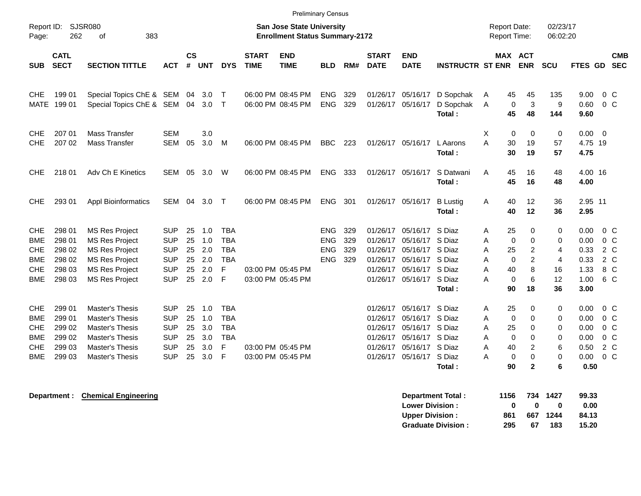| Report ID:<br>Page:                                                              | SJSR080<br>262                                           | 383<br>οf                                                                                                                                          |                                                                                  |                                  |                                        |                                                                |                             | <b>Preliminary Census</b><br><b>San Jose State University</b><br><b>Enrollment Status Summary-2172</b> |                                                      |                          |                                                          |                                                                                        |                                                                    | <b>Report Date:</b><br><b>Report Time:</b>                                            |                                                             | 02/23/17<br>06:02:20                      |                                                      |                                                                                               |
|----------------------------------------------------------------------------------|----------------------------------------------------------|----------------------------------------------------------------------------------------------------------------------------------------------------|----------------------------------------------------------------------------------|----------------------------------|----------------------------------------|----------------------------------------------------------------|-----------------------------|--------------------------------------------------------------------------------------------------------|------------------------------------------------------|--------------------------|----------------------------------------------------------|----------------------------------------------------------------------------------------|--------------------------------------------------------------------|---------------------------------------------------------------------------------------|-------------------------------------------------------------|-------------------------------------------|------------------------------------------------------|-----------------------------------------------------------------------------------------------|
| <b>SUB</b>                                                                       | <b>CATL</b><br><b>SECT</b>                               | <b>SECTION TITTLE</b>                                                                                                                              | <b>ACT</b>                                                                       | $\mathsf{cs}$<br>#               | <b>UNT</b>                             | <b>DYS</b>                                                     | <b>START</b><br><b>TIME</b> | <b>END</b><br><b>TIME</b>                                                                              | <b>BLD</b>                                           | RM#                      | <b>START</b><br><b>DATE</b>                              | <b>END</b><br><b>DATE</b>                                                              | <b>INSTRUCTR ST ENR</b>                                            |                                                                                       | MAX ACT<br><b>ENR</b>                                       | <b>SCU</b>                                | <b>FTES GD</b>                                       | <b>CMB</b><br><b>SEC</b>                                                                      |
| <b>CHE</b><br><b>MATE</b>                                                        | 199 01<br>199 01                                         | Special Topics ChE & SEM 04 3.0<br>Special Topics ChE & SEM 04                                                                                     |                                                                                  |                                  | $3.0$ T                                | $\top$                                                         |                             | 06:00 PM 08:45 PM<br>06:00 PM 08:45 PM                                                                 | <b>ENG</b><br><b>ENG</b>                             | 329<br>329               | 01/26/17 05/16/17                                        | 01/26/17 05/16/17                                                                      | D Sopchak<br>D Sopchak<br>Total:                                   | 45<br>A<br>$\mathbf 0$<br>A<br>45                                                     | 45<br>3<br>48                                               | 135<br>9<br>144                           | 9.00<br>0.60<br>9.60                                 | $0\,$ C<br>$0\,C$                                                                             |
| CHE.<br><b>CHE</b>                                                               | 207 01<br>207 02                                         | Mass Transfer<br>Mass Transfer                                                                                                                     | <b>SEM</b><br><b>SEM</b>                                                         | 05                               | 3.0<br>3.0                             | M                                                              |                             | 06:00 PM 08:45 PM                                                                                      | <b>BBC</b>                                           | 223                      |                                                          | 01/26/17 05/16/17                                                                      | L Aarons<br>Total:                                                 | $\mathbf 0$<br>X<br>A<br>30<br>30                                                     | 0<br>19<br>19                                               | 0<br>57<br>57                             | $0.00 \t 0$<br>4.75 19<br>4.75                       |                                                                                               |
| CHE.                                                                             | 218 01                                                   | Adv Ch E Kinetics                                                                                                                                  | SEM 05                                                                           |                                  | 3.0                                    | W                                                              |                             | 06:00 PM 08:45 PM                                                                                      | <b>ENG</b>                                           | 333                      |                                                          | 01/26/17 05/16/17                                                                      | S Datwani<br>Total:                                                | 45<br>A<br>45                                                                         | 16<br>16                                                    | 48<br>48                                  | 4.00 16<br>4.00                                      |                                                                                               |
| <b>CHE</b>                                                                       | 293 01                                                   | <b>Appl Bioinformatics</b>                                                                                                                         | SEM                                                                              | 04                               | 3.0                                    | $\mathsf{T}$                                                   |                             | 06:00 PM 08:45 PM                                                                                      | <b>ENG</b>                                           | 301                      |                                                          | 01/26/17 05/16/17                                                                      | <b>B</b> Lustig<br>Total:                                          | Α<br>40<br>40                                                                         | 12<br>12                                                    | 36<br>36                                  | 2.95 11<br>2.95                                      |                                                                                               |
| <b>CHE</b><br><b>BME</b><br><b>CHE</b><br><b>BME</b><br><b>CHE</b><br><b>BME</b> | 298 01<br>298 01<br>298 02<br>298 02<br>298 03<br>298 03 | <b>MS Res Project</b><br><b>MS Res Project</b><br><b>MS Res Project</b><br><b>MS Res Project</b><br><b>MS Res Project</b><br><b>MS Res Project</b> | <b>SUP</b><br><b>SUP</b><br><b>SUP</b><br><b>SUP</b><br><b>SUP</b><br><b>SUP</b> | 25<br>25<br>25<br>25<br>25<br>25 | 1.0<br>1.0<br>2.0<br>2.0<br>2.0<br>2.0 | <b>TBA</b><br><b>TBA</b><br><b>TBA</b><br><b>TBA</b><br>F<br>F |                             | 03:00 PM 05:45 PM<br>03:00 PM 05:45 PM                                                                 | <b>ENG</b><br><b>ENG</b><br><b>ENG</b><br><b>ENG</b> | 329<br>329<br>329<br>329 | 01/26/17<br>01/26/17<br>01/26/17<br>01/26/17             | 01/26/17 05/16/17<br>05/16/17<br>05/16/17<br>05/16/17<br>05/16/17<br>01/26/17 05/16/17 | S Diaz<br>S Diaz<br>S Diaz<br>S Diaz<br>S Diaz<br>S Diaz<br>Total: | 25<br>Α<br>$\mathbf 0$<br>A<br>25<br>A<br>$\mathbf 0$<br>A<br>40<br>A<br>0<br>А<br>90 | $\Omega$<br>$\Omega$<br>2<br>$\overline{2}$<br>8<br>6<br>18 | 0<br>$\Omega$<br>4<br>4<br>16<br>12<br>36 | 0.00<br>0.00<br>0.33<br>0.33<br>1.33<br>1.00<br>3.00 | $0\,$ C<br>$0\,$ C<br>2 C<br>2 C<br>8 C<br>6 C                                                |
| <b>CHE</b><br><b>BME</b><br><b>CHE</b><br><b>BME</b><br><b>CHE</b><br><b>BME</b> | 299 01<br>299 01<br>299 02<br>299 02<br>299 03<br>299 03 | Master's Thesis<br><b>Master's Thesis</b><br><b>Master's Thesis</b><br><b>Master's Thesis</b><br><b>Master's Thesis</b><br><b>Master's Thesis</b>  | <b>SUP</b><br><b>SUP</b><br><b>SUP</b><br><b>SUP</b><br><b>SUP</b><br><b>SUP</b> | 25<br>25<br>25<br>25<br>25<br>25 | 1.0<br>1.0<br>3.0<br>3.0<br>3.0<br>3.0 | <b>TBA</b><br><b>TBA</b><br><b>TBA</b><br><b>TBA</b><br>F<br>F |                             | 03:00 PM 05:45 PM<br>03:00 PM 05:45 PM                                                                 |                                                      |                          | 01/26/17<br>01/26/17<br>01/26/17<br>01/26/17<br>01/26/17 | 05/16/17<br>05/16/17<br>05/16/17<br>05/16/17<br>05/16/17<br>01/26/17 05/16/17 S Diaz   | S Diaz<br>S Diaz<br>S Diaz<br>S Diaz<br>S Diaz<br>Total:           | 25<br>A<br>$\mathbf 0$<br>A<br>25<br>Α<br>$\mathbf 0$<br>Α<br>40<br>A<br>0<br>Α<br>90 | 0<br>0<br>0<br>0<br>2<br>0<br>$\mathbf{2}$                  | 0<br>0<br>0<br>0<br>6<br>0<br>6           | 0.00<br>0.00<br>0.00<br>0.00<br>0.50<br>0.00<br>0.50 | 0 <sup>o</sup><br>0 <sup>o</sup><br>0 <sup>o</sup><br>0 <sup>o</sup><br>2 C<br>0 <sup>o</sup> |

**Department : Chemical Engineering** 

| <b>Department Total:</b>  | 1156 | 734 | 1427     | 99.33 |
|---------------------------|------|-----|----------|-------|
| <b>Lower Division:</b>    | n    | n   | o        | 0.00  |
| Upper Division:           | 861  |     | 667 1244 | 84.13 |
| <b>Graduate Division:</b> | 295  | 67  | 183      | 15.20 |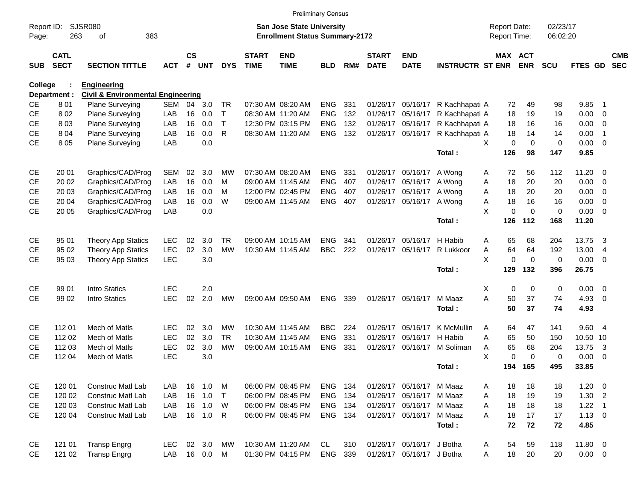|                     |                            |                                              |            |                |            |            |                             |                                                                    | <b>Preliminary Census</b> |     |                             |                           |                         |                                     |             |                      |                |                          |                          |
|---------------------|----------------------------|----------------------------------------------|------------|----------------|------------|------------|-----------------------------|--------------------------------------------------------------------|---------------------------|-----|-----------------------------|---------------------------|-------------------------|-------------------------------------|-------------|----------------------|----------------|--------------------------|--------------------------|
| Report ID:<br>Page: | 263                        | <b>SJSR080</b><br>383<br>of                  |            |                |            |            |                             | San Jose State University<br><b>Enrollment Status Summary-2172</b> |                           |     |                             |                           |                         | <b>Report Date:</b><br>Report Time: |             | 02/23/17<br>06:02:20 |                |                          |                          |
| <b>SUB</b>          | <b>CATL</b><br><b>SECT</b> | <b>SECTION TITTLE</b>                        | <b>ACT</b> | <b>CS</b><br># | <b>UNT</b> | <b>DYS</b> | <b>START</b><br><b>TIME</b> | <b>END</b><br><b>TIME</b>                                          | <b>BLD</b>                | RM# | <b>START</b><br><b>DATE</b> | <b>END</b><br><b>DATE</b> | <b>INSTRUCTR ST ENR</b> | MAX ACT                             | <b>ENR</b>  | <b>SCU</b>           | FTES GD        |                          | <b>CMB</b><br><b>SEC</b> |
| College             |                            | <b>Engineering</b>                           |            |                |            |            |                             |                                                                    |                           |     |                             |                           |                         |                                     |             |                      |                |                          |                          |
|                     | Department :               | <b>Civil &amp; Environmental Engineering</b> |            |                |            |            |                             |                                                                    |                           |     |                             |                           |                         |                                     |             |                      |                |                          |                          |
| CE                  | 801                        | <b>Plane Surveying</b>                       | SEM        | 04             | 3.0        | TR         |                             | 07:30 AM 08:20 AM                                                  | <b>ENG</b>                | 331 | 01/26/17                    | 05/16/17                  | R Kachhapati A          | 72                                  | 49          | 98                   | 9.85           | -1                       |                          |
| <b>CE</b>           | 802                        | <b>Plane Surveying</b>                       | LAB        | 16             | 0.0        | т          |                             | 08:30 AM 11:20 AM                                                  | <b>ENG</b>                | 132 | 01/26/17                    | 05/16/17                  | R Kachhapati A          | 18                                  | 19          | 19                   | 0.00           | 0                        |                          |
| <b>CE</b>           | 803                        | Plane Surveying                              | LAB        | 16             | 0.0        | T          |                             | 12:30 PM 03:15 PM                                                  | <b>ENG</b>                | 132 | 01/26/17                    | 05/16/17                  | R Kachhapati A          | 18                                  | 16          | 16                   | 0.00           | 0                        |                          |
| <b>CE</b>           | 804                        | Plane Surveying                              | LAB        | 16             | 0.0        | R          |                             | 08:30 AM 11:20 AM                                                  | <b>ENG</b>                | 132 |                             | 01/26/17 05/16/17         | R Kachhapati A          | 18                                  | 14          | 14                   | 0.00           | -1                       |                          |
| <b>CE</b>           | 805                        | <b>Plane Surveying</b>                       | LAB        |                | 0.0        |            |                             |                                                                    |                           |     |                             |                           |                         | X<br>$\mathbf 0$                    | $\mathbf 0$ | 0                    | 0.00           | $\overline{0}$           |                          |
|                     |                            |                                              |            |                |            |            |                             |                                                                    |                           |     |                             |                           | Total:                  | 126                                 | 98          | 147                  | 9.85           |                          |                          |
| <b>CE</b>           | 20 01                      | Graphics/CAD/Prog                            | <b>SEM</b> | 02             | 3.0        | МW         |                             | 07:30 AM 08:20 AM                                                  | <b>ENG</b>                | 331 | 01/26/17                    | 05/16/17                  | A Wong                  | 72<br>A                             | 56          | 112                  | 11.20          | - 0                      |                          |
| CE                  | 20 02                      | Graphics/CAD/Prog                            | LAB        | 16             | 0.0        | М          |                             | 09:00 AM 11:45 AM                                                  | <b>ENG</b>                | 407 | 01/26/17                    | 05/16/17                  | A Wong                  | 18<br>Α                             | 20          | 20                   | 0.00           | $\overline{0}$           |                          |
| <b>CE</b>           | 20 03                      | Graphics/CAD/Prog                            | LAB        | 16             | 0.0        | M          |                             | 12:00 PM 02:45 PM                                                  | <b>ENG</b>                | 407 | 01/26/17                    | 05/16/17                  | A Wong                  | 18<br>Α                             | 20          | 20                   | 0.00           | 0                        |                          |
| <b>CE</b>           | 20 04                      | Graphics/CAD/Prog                            | LAB        | 16             | 0.0        | W          |                             | 09:00 AM 11:45 AM                                                  | <b>ENG</b>                | 407 |                             | 01/26/17 05/16/17         | A Wong                  | 18<br>Α                             | 16          | 16                   | 0.00           | 0                        |                          |
| <b>CE</b>           | 20 05                      | Graphics/CAD/Prog                            | LAB        |                | 0.0        |            |                             |                                                                    |                           |     |                             |                           |                         | X<br>$\mathbf 0$                    | $\Omega$    | 0                    | 0.00           | - 0                      |                          |
|                     |                            |                                              |            |                |            |            |                             |                                                                    |                           |     |                             |                           | Total:                  | 126                                 | 112         | 168                  | 11.20          |                          |                          |
| CE                  | 95 01                      | <b>Theory App Statics</b>                    | <b>LEC</b> | 02             | 3.0        | TR         |                             | 09:00 AM 10:15 AM                                                  | <b>ENG</b>                | 341 | 01/26/17                    | 05/16/17                  | H Habib                 | 65<br>A                             | 68          | 204                  | 13.75          | 3                        |                          |
| <b>CE</b>           | 95 02                      | <b>Theory App Statics</b>                    | <b>LEC</b> | 02             | 3.0        | <b>MW</b>  |                             | 10:30 AM 11:45 AM                                                  | <b>BBC</b>                | 222 |                             | 01/26/17 05/16/17         | R Lukkoor               | 64<br>Α                             | 64          | 192                  | 13.00          | $\overline{4}$           |                          |
| <b>CE</b>           | 95 03                      | <b>Theory App Statics</b>                    | LEC        |                | 3.0        |            |                             |                                                                    |                           |     |                             |                           |                         | X<br>$\mathbf 0$                    | $\mathbf 0$ | 0                    | 0.00           | - 0                      |                          |
|                     |                            |                                              |            |                |            |            |                             |                                                                    |                           |     |                             |                           | Total:                  | 129                                 | 132         | 396                  | 26.75          |                          |                          |
| CE                  | 99 01                      | <b>Intro Statics</b>                         | <b>LEC</b> |                | 2.0        |            |                             |                                                                    |                           |     |                             |                           |                         | Χ<br>0                              | $\mathbf 0$ | 0                    | 0.00           | $\overline{\phantom{0}}$ |                          |
| <b>CE</b>           | 99 02                      | Intro Statics                                | <b>LEC</b> | 02             | 2.0        | MW         |                             | 09:00 AM 09:50 AM                                                  | <b>ENG</b>                | 339 |                             | 01/26/17 05/16/17         | M Maaz                  | A<br>50                             | 37          | 74                   | 4.93           | 0                        |                          |
|                     |                            |                                              |            |                |            |            |                             |                                                                    |                           |     |                             |                           | Total:                  | 50                                  | 37          | 74                   | 4.93           |                          |                          |
| CE                  | 112 01                     | Mech of Matls                                | <b>LEC</b> | 02             | 3.0        | MW         |                             | 10:30 AM 11:45 AM                                                  | <b>BBC</b>                | 224 | 01/26/17                    | 05/16/17                  | K McMullin              | 64<br>A                             | 47          | 141                  | 9.60 4         |                          |                          |
| <b>CE</b>           | 112 02                     | Mech of Matls                                | <b>LEC</b> | 02             | 3.0        | <b>TR</b>  |                             | 10:30 AM 11:45 AM                                                  | <b>ENG</b>                | 331 | 01/26/17                    | 05/16/17                  | H Habib                 | 65<br>Α                             | 50          | 150                  | 10.50 10       |                          |                          |
| CЕ                  | 112 03                     | Mech of Matls                                | <b>LEC</b> | 02             | 3.0        | <b>MW</b>  |                             | 09:00 AM 10:15 AM                                                  | <b>ENG</b>                | 331 |                             | 01/26/17 05/16/17         | M Soliman               | 65<br>Α                             | 68          | 204                  | 13.75          | -3                       |                          |
| <b>CE</b>           | 112 04                     | Mech of Matls                                | <b>LEC</b> |                | 3.0        |            |                             |                                                                    |                           |     |                             |                           |                         | X<br>$\mathbf 0$                    | $\mathbf 0$ | 0                    | 0.00           | - 0                      |                          |
|                     |                            |                                              |            |                |            |            |                             |                                                                    |                           |     |                             |                           | Total:                  | 194                                 | 165         | 495                  | 33.85          |                          |                          |
| CE                  | 120 01                     | <b>Construc Matl Lab</b>                     | LAB        | 16             | 1.0        | M          |                             | 06:00 PM 08:45 PM                                                  | ENG 134                   |     |                             | 01/26/17 05/16/17 M Maaz  |                         | 18<br>A                             | 18          | 18                   | $1.20 \t 0$    |                          |                          |
| CE                  | 120 02                     | <b>Construc Matl Lab</b>                     | LAB        | 16             | 1.0        | $\top$     |                             | 06:00 PM 08:45 PM                                                  | ENG 134                   |     |                             | 01/26/17 05/16/17 M Maaz  |                         | 18<br>Α                             | 19          | 19                   | 1.30 2         |                          |                          |
| CE                  | 120 03                     | <b>Construc Matl Lab</b>                     | LAB        | 16             | 1.0        | W          |                             | 06:00 PM 08:45 PM                                                  | ENG 134                   |     |                             | 01/26/17 05/16/17 M Maaz  |                         | 18<br>A                             | 18          | 18                   | $1.22 \quad 1$ |                          |                          |
| <b>CE</b>           | 120 04                     | Construc Matl Lab                            | LAB        |                | 16  1.0  R |            |                             | 06:00 PM 08:45 PM                                                  | ENG 134                   |     |                             | 01/26/17 05/16/17         | M Maaz                  | 18<br>A                             | 17          | 17                   | $1.13 \ 0$     |                          |                          |
|                     |                            |                                              |            |                |            |            |                             |                                                                    |                           |     |                             |                           | Total:                  | 72                                  | 72          | 72                   | 4.85           |                          |                          |
| CE                  | 121 01                     | <b>Transp Engrg</b>                          | <b>LEC</b> |                | 02 3.0     | MW         |                             | 10:30 AM 11:20 AM                                                  | CL                        | 310 |                             | 01/26/17 05/16/17 J Botha |                         | 54<br>A                             | 59          | 118                  | 11.80 0        |                          |                          |
| <b>CE</b>           | 121 02                     | <b>Transp Engrg</b>                          | LAB        |                | 16  0.0    | M          |                             | 01:30 PM 04:15 PM                                                  | ENG                       | 339 |                             | 01/26/17 05/16/17 J Botha |                         | 18<br>A                             | 20          | 20                   | $0.00 \t 0$    |                          |                          |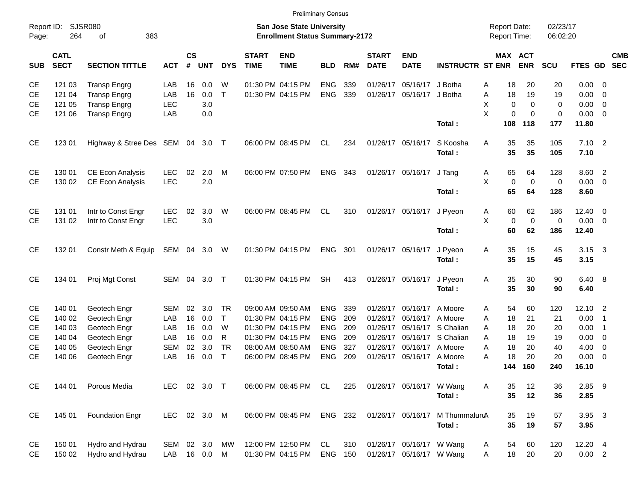| Report ID:<br>Page: | 264                        | <b>SJSR080</b><br>383<br>of      |               |                    |            |              |                             | <b>San Jose State University</b><br><b>Enrollment Status Summary-2172</b> |            |     |                             |                           |                         | <b>Report Date:</b><br><b>Report Time:</b> |             |                       | 02/23/17<br>06:02:20 |              |                            |            |
|---------------------|----------------------------|----------------------------------|---------------|--------------------|------------|--------------|-----------------------------|---------------------------------------------------------------------------|------------|-----|-----------------------------|---------------------------|-------------------------|--------------------------------------------|-------------|-----------------------|----------------------|--------------|----------------------------|------------|
| <b>SUB</b>          | <b>CATL</b><br><b>SECT</b> | <b>SECTION TITTLE</b>            | <b>ACT</b>    | $\mathsf{cs}$<br># | <b>UNT</b> | <b>DYS</b>   | <b>START</b><br><b>TIME</b> | <b>END</b><br><b>TIME</b>                                                 | <b>BLD</b> | RM# | <b>START</b><br><b>DATE</b> | <b>END</b><br><b>DATE</b> | <b>INSTRUCTR ST ENR</b> |                                            |             | MAX ACT<br><b>ENR</b> | SCU                  | FTES GD SEC  |                            | <b>CMB</b> |
| <b>CE</b>           | 121 03                     | <b>Transp Engrg</b>              | LAB           | 16                 | 0.0        | W            |                             | 01:30 PM 04:15 PM                                                         | <b>ENG</b> | 339 |                             | 01/26/17 05/16/17         | J Botha                 | Α                                          | 18          | 20                    | 20                   | $0.00 \t 0$  |                            |            |
| CE.                 | 121 04                     | <b>Transp Engrg</b>              | LAB           | 16                 | 0.0        | $\mathsf{T}$ |                             | 01:30 PM 04:15 PM                                                         | ENG        | 339 |                             | 01/26/17 05/16/17         | J Botha                 | Α                                          | 18          | 19                    | 19                   | 0.00         | $\overline{\phantom{0}}$   |            |
| <b>CE</b>           | 121 05                     | <b>Transp Engrg</b>              | <b>LEC</b>    |                    | 3.0        |              |                             |                                                                           |            |     |                             |                           |                         | X                                          | $\mathbf 0$ | $\mathbf 0$           | 0                    | $0.00 \t 0$  |                            |            |
| <b>CE</b>           | 121 06                     | <b>Transp Engrg</b>              | LAB           |                    | 0.0        |              |                             |                                                                           |            |     |                             |                           |                         | X                                          | $\mathbf 0$ | $\Omega$              | $\mathbf 0$          | $0.00 \t 0$  |                            |            |
|                     |                            |                                  |               |                    |            |              |                             |                                                                           |            |     |                             |                           | Total:                  |                                            | 108         | 118                   | 177                  | 11.80        |                            |            |
| <b>CE</b>           | 123 01                     | Highway & Stree Des SEM 04 3.0 T |               |                    |            |              |                             | 06:00 PM 08:45 PM                                                         | CL         | 234 |                             | 01/26/17 05/16/17         | S Koosha                | A                                          | 35          | 35                    | 105                  | $7.10$ 2     |                            |            |
|                     |                            |                                  |               |                    |            |              |                             |                                                                           |            |     |                             |                           | Total:                  |                                            | 35          | 35                    | 105                  | 7.10         |                            |            |
| CE                  | 130 01                     | <b>CE Econ Analysis</b>          | <b>LEC</b>    | 02                 | 2.0        | M            |                             | 06:00 PM 07:50 PM                                                         | <b>ENG</b> | 343 |                             | 01/26/17 05/16/17         | J Tang                  | Α                                          | 65          | 64                    | 128                  | 8.60 2       |                            |            |
| <b>CE</b>           | 130 02                     | CE Econ Analysis                 | LEC           |                    | 2.0        |              |                             |                                                                           |            |     |                             |                           |                         | X                                          | $\mathbf 0$ | $\mathbf 0$           | $\mathbf 0$          | $0.00 \t 0$  |                            |            |
|                     |                            |                                  |               |                    |            |              |                             |                                                                           |            |     |                             |                           | Total:                  |                                            | 65          | 64                    | 128                  | 8.60         |                            |            |
| <b>CE</b>           | 131 01                     | Intr to Const Engr               | <b>LEC</b>    | 02                 | 3.0        | W            |                             | 06:00 PM 08:45 PM                                                         | CL.        | 310 |                             | 01/26/17 05/16/17         | J Pyeon                 | Α                                          | 60          | 62                    | 186                  | $12.40 \t 0$ |                            |            |
| <b>CE</b>           | 131 02                     | Intr to Const Engr               | LEC           |                    | 3.0        |              |                             |                                                                           |            |     |                             |                           |                         | X                                          | $\mathbf 0$ | $\pmb{0}$             | $\mathbf 0$          | $0.00 \t 0$  |                            |            |
|                     |                            |                                  |               |                    |            |              |                             |                                                                           |            |     |                             |                           | Total:                  |                                            | 60          | 62                    | 186                  | 12.40        |                            |            |
| <b>CE</b>           | 132 01                     | Constr Meth & Equip              | SEM 04 3.0 W  |                    |            |              |                             | 01:30 PM 04:15 PM                                                         | <b>ENG</b> | 301 |                             | 01/26/17 05/16/17         | J Pyeon                 | A                                          | 35          | 15                    | 45                   | 3.15         | $\overline{\mathbf{3}}$    |            |
|                     |                            |                                  |               |                    |            |              |                             |                                                                           |            |     |                             |                           | Total:                  |                                            | 35          | 15                    | 45                   | 3.15         |                            |            |
| <b>CE</b>           | 134 01                     | Proj Mgt Const                   | SEM 04        |                    | 3.0 T      |              |                             | 01:30 PM 04:15 PM                                                         | <b>SH</b>  | 413 |                             | 01/26/17 05/16/17         | J Pyeon                 | A                                          | 35          | 30                    | 90                   | 6.40 8       |                            |            |
|                     |                            |                                  |               |                    |            |              |                             |                                                                           |            |     |                             |                           | Total:                  |                                            | 35          | 30                    | 90                   | 6.40         |                            |            |
| CE                  | 140 01                     | Geotech Engr                     | <b>SEM</b>    | 02                 | 3.0        | <b>TR</b>    |                             | 09:00 AM 09:50 AM                                                         | <b>ENG</b> | 339 |                             | 01/26/17 05/16/17         | A Moore                 | Α                                          | 54          | 60                    | 120                  | 12.10 2      |                            |            |
| <b>CE</b>           | 140 02                     | Geotech Engr                     | LAB           | 16                 | 0.0        | $\mathsf{T}$ |                             | 01:30 PM 04:15 PM                                                         | <b>ENG</b> | 209 | 01/26/17                    | 05/16/17                  | A Moore                 | A                                          | 18          | 21                    | 21                   | 0.00         | $\overline{\phantom{0}}$ 1 |            |
| <b>CE</b>           | 140 03                     | Geotech Engr                     | LAB           | 16                 | 0.0        | W            |                             | 01:30 PM 04:15 PM                                                         | <b>ENG</b> | 209 | 01/26/17                    |                           | 05/16/17 S Chalian      | A                                          | 18          | 20                    | 20                   | 0.00         | $\overline{\phantom{0}}$ 1 |            |
| <b>CE</b>           | 140 04                     | Geotech Engr                     | LAB           | 16                 | 0.0        | R            |                             | 01:30 PM 04:15 PM                                                         | <b>ENG</b> | 209 | 01/26/17                    |                           | 05/16/17 S Chalian      | A                                          | 18          | 19                    | 19                   | $0.00 \t 0$  |                            |            |
| <b>CE</b>           | 140 05                     | Geotech Engr                     | <b>SEM</b>    | 02                 | 3.0        | <b>TR</b>    |                             | 08:00 AM 08:50 AM                                                         | <b>ENG</b> | 327 | 01/26/17                    | 05/16/17 A Moore          |                         | A                                          | 18          | 20                    | 40                   | $4.00 \ 0$   |                            |            |
| <b>CE</b>           | 140 06                     | Geotech Engr                     | LAB           | 16                 | 0.0        | $\mathsf{T}$ |                             | 06:00 PM 08:45 PM                                                         | <b>ENG</b> | 209 |                             | 01/26/17 05/16/17 A Moore |                         | A                                          | 18          | 20                    | 20                   | $0.00 \t 0$  |                            |            |
|                     |                            |                                  |               |                    |            |              |                             |                                                                           |            |     |                             |                           | Total:                  |                                            | 144         | 160                   | 240                  | 16.10        |                            |            |
| CE                  | 144 01                     | Porous Media                     | <b>LEC</b>    |                    | 02 3.0 T   |              |                             | 06:00 PM 08:45 PM CL                                                      |            | 225 |                             | 01/26/17 05/16/17 W Wang  |                         | A                                          | 35          | 12                    | 36                   | $2.85$ 9     |                            |            |
|                     |                            |                                  |               |                    |            |              |                             |                                                                           |            |     |                             |                           | Total:                  |                                            | 35          | 12                    | 36                   | 2.85         |                            |            |
| <b>CE</b>           | 145 01                     | <b>Foundation Engr</b>           | LEC 02 3.0 M  |                    |            |              |                             | 06:00 PM 08:45 PM ENG 232                                                 |            |     |                             | 01/26/17 05/16/17         | M ThummaluruA           |                                            | 35          | 19                    | 57                   | 3.95 3       |                            |            |
|                     |                            |                                  |               |                    |            |              |                             |                                                                           |            |     |                             |                           | Total:                  |                                            | 35          | 19                    | 57                   | 3.95         |                            |            |
| CE                  | 150 01                     | Hydro and Hydrau                 | SEM 02 3.0 MW |                    |            |              |                             | 12:00 PM 12:50 PM                                                         | CL         | 310 |                             | 01/26/17 05/16/17 W Wang  |                         | A                                          | 54          | 60                    | 120                  | 12.20 4      |                            |            |
| <b>CE</b>           | 150 02                     | Hydro and Hydrau                 | LAB 16 0.0 M  |                    |            |              |                             | 01:30 PM 04:15 PM ENG 150                                                 |            |     |                             | 01/26/17 05/16/17 W Wang  |                         | Α                                          | 18          | 20                    | 20                   | 0.00 2       |                            |            |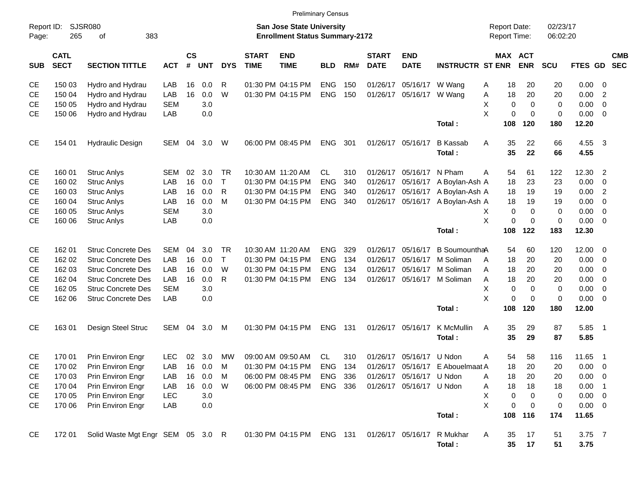CE 150 03 Hydro and Hydrau LAB 16 0.0 R 01:30 PM 04:15 PM ENG 150 01/26/17 05/16/17 W Wang A 18 20 20 0.00 0 CE 150 04 Hydro and Hydrau LAB 16 0.0 W 01:30 PM 04:15 PM ENG 150 01/26/17 05/16/17 W Wang A 18 20 20 0.00 2  $\hbox{CE}$   $\hbox{--}$  150 05  $\hbox{--}$  Hydro and Hydrau  $\hbox{--}$  SEM  $\hbox{--}$  3.0  $\hbox{--}$   $\hbox{--}$   $\hbox{--}$   $\hbox{--}$   $\hbox{--}$   $\hbox{--}$   $\hbox{--}$   $\hbox{--}$   $\hbox{--}$   $\hbox{--}$   $\hbox{--}$   $\hbox{--}$   $\hbox{--}$   $\hbox{--}$   $\hbox{--}$   $\hbox{--}$   $\hbox{CE}$   $\hbox{--}$  150 06  $\hbox{--}$  Hydro and Hydrau  $\hbox{--}$  LAB  $\hbox{--}$  0.00  $\hbox{--}$  0.00  $\hbox{--}$  0.00  $\hbox{--}$  0.00  $\hbox{--}$  0.00  $\hbox{--}$  0.00  $\hbox{--}$  0.00  $\hbox{--}$ **Total : 108 120 180 12.20** CE 154 01 Hydraulic Design SEM 04 3.0 W 06:00 PM 08:45 PM ENG 301 01/26/17 05/16/17 B Kassab A 35 22 66 4.55 3 **Total : 35 22 66 4.55** CE 160 01 Struc Anlys SEM 02 3.0 TR 10:30 AM 11:20 AM CL 310 01/26/17 05/16/17 N Pham A 54 61 122 12.30 2 CE 160 02 Struc Anlys LAB 16 0.0 T 01:30 PM 04:15 PM ENG 340 01/26/17 05/16/17 A Boylan-Ash A 18 23 23 0.00 0 CE 160 03 Struc Anlys LAB 16 0.0 R 01:30 PM 04:15 PM ENG 340 01/26/17 05/16/17 A Boylan-Ash A 18 19 19 0.00 2 CE 160 04 Struc Anlys LAB 16 0.0 M 01:30 PM 04:15 PM ENG 340 01/26/17 05/16/17 A Boylan-Ash A 18 19 19 0.00 0 CE 160 05 Struc Anlys SEM 3.0 X 0 0 0 0.00 0 CE 160 06 Struc Anlys LAB 0.0 X 0 0 0 0.00 0 **Total : 108 122 183 12.30** CE 162 01 Struc Concrete Des SEM 04 3.0 TR 10:30 AM 11:20 AM ENG 329 01/26/17 05/16/17 B SoumounthaA 54 60 120 12.00 0 CE 162 02 Struc Concrete Des LAB 16 0.0 T 01:30 PM 04:15 PM ENG 134 01/26/17 05/16/17 M Soliman A 18 20 20 0.00 0 CE 162 03 Struc Concrete Des LAB 16 0.0 W 01:30 PM 04:15 PM ENG 134 01/26/17 05/16/17 M Soliman A 18 20 20 0.00 0 CE 162 04 Struc Concrete Des LAB 16 0.0 R 01:30 PM 04:15 PM ENG 134 01/26/17 05/16/17 M Soliman A 18 20 20 0.00 0 CE 162 05 Struc Concrete Des SEM 3.0 X 0 0 0 0.00 0 CE 162 06 Struc Concrete Des LAB 0.0 X 0 0 0 0.00 0 **Total : 108 120 180 12.00** CE 163 01 Design Steel Struc SEM 04 3.0 M 01:30 PM 04:15 PM ENG 131 01/26/17 05/16/17 K McMullin A 35 29 87 5.85 1 **Total : 35 29 87 5.85** CE 170 01 Prin Environ Engr LEC 02 3.0 MW 09:00 AM 09:50 AM CL 310 01/26/17 05/16/17 U Ndon A 54 58 116 11.65 1 CE 170 02 Prin Environ Engr LAB 16 0.0 M 01:30 PM 04:15 PM ENG 134 01/26/17 05/16/17 E Abouelmaat A 18 20 20 0.00 0 CE 170 03 Prin Environ Engr LAB 16 0.0 M 06:00 PM 08:45 PM ENG 336 01/26/17 05/16/17 U Ndon A 18 20 20 0.00 0 CE 170 04 Prin Environ Engr LAB 16 0.0 W 06:00 PM 08:45 PM ENG 336 01/26/17 05/16/17 U Ndon A 18 18 18 0.00 1 CE 170 05 Prin Environ Engr LEC 3.0 X 0 0 0 0.00 0 CE 170 06 Prin Environ Engr LAB 0.0 X 0 0 0 0.00 0 **Total : 108 116 174 11.65** CE 172 01 Solid Waste Mgt Engr SEM 05 3.0 R 01:30 PM 04:15 PM ENG 131 01/26/17 05/16/17 R Mukhar A 35 17 51 3.75 7 **Total : 35 17 51 3.75** Report ID: SJSR080 **San Jose State University San Jose State University San Jose State University Report Date:** 02/23/17 Page: 265 of 383 **Enrollment Status Summary-2172** Report Time: 06:02:20 **CATL CS START END START END MAX ACT CMB** SUB SECT SECTION TITTLE ACT # UNT DYS TIME TIME BLD RM# DATE DATE INSTRUCTR STENR ENR SCU FTES GD SEC Preliminary Census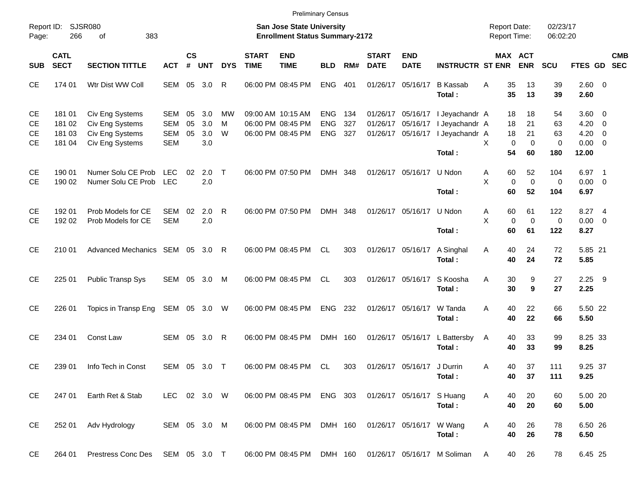| Report ID:<br>Page: | 266                        | <b>SJSR080</b><br>383<br>οf     |              |                    |            |            |                             | <b>San Jose State University</b><br><b>Enrollment Status Summary-2172</b> |            |       |                             |                           |                                                         |    | <b>Report Date:</b><br>Report Time: |                       | 02/23/17<br>06:02:20 |                |                  |            |
|---------------------|----------------------------|---------------------------------|--------------|--------------------|------------|------------|-----------------------------|---------------------------------------------------------------------------|------------|-------|-----------------------------|---------------------------|---------------------------------------------------------|----|-------------------------------------|-----------------------|----------------------|----------------|------------------|------------|
| <b>SUB</b>          | <b>CATL</b><br><b>SECT</b> | <b>SECTION TITTLE</b>           | <b>ACT</b>   | $\mathsf{cs}$<br># | <b>UNT</b> | <b>DYS</b> | <b>START</b><br><b>TIME</b> | <b>END</b><br><b>TIME</b>                                                 | <b>BLD</b> | RM#   | <b>START</b><br><b>DATE</b> | <b>END</b><br><b>DATE</b> | <b>INSTRUCTR ST ENR</b>                                 |    |                                     | MAX ACT<br><b>ENR</b> | SCU                  | FTES GD SEC    |                  | <b>CMB</b> |
| <b>CE</b>           | 174 01                     | Wtr Dist WW Coll                | SEM          | 05                 | 3.0        | R          |                             | 06:00 PM 08:45 PM                                                         | <b>ENG</b> | 401   |                             | 01/26/17 05/16/17         | <b>B</b> Kassab<br>Total:                               | Α  | 35<br>35                            | 13<br>13              | 39<br>39             | 2.60 0<br>2.60 |                  |            |
| <b>CE</b>           | 181 01                     | Civ Eng Systems                 | SEM          | 05                 | 3.0        | МW         |                             | 09:00 AM 10:15 AM                                                         | <b>ENG</b> | - 134 |                             | 01/26/17 05/16/17         | I Jeyachandr A                                          |    | 18                                  | 18                    | 54                   | $3.60 \ 0$     |                  |            |
| CЕ                  | 181 02                     | Civ Eng Systems                 | <b>SEM</b>   | 05                 | 3.0        | м          |                             | 06:00 PM 08:45 PM                                                         | <b>ENG</b> | 327   |                             | 01/26/17 05/16/17         | I Jeyachandr A                                          |    | 18                                  | 21                    | 63                   | $4.20 \ 0$     |                  |            |
| CЕ                  | 181 03                     | Civ Eng Systems                 | SEM          | 05                 | 3.0        | W          |                             | 06:00 PM 08:45 PM                                                         | <b>ENG</b> | 327   |                             | 01/26/17 05/16/17         | I Jeyachandr A                                          |    | 18                                  | 21                    | 63                   | $4.20 \ 0$     |                  |            |
| CЕ                  | 181 04                     | Civ Eng Systems                 | <b>SEM</b>   |                    | 3.0        |            |                             |                                                                           |            |       |                             |                           |                                                         | X. | $\mathbf 0$                         | $\mathbf 0$           | 0                    | $0.00 \t 0$    |                  |            |
|                     |                            |                                 |              |                    |            |            |                             |                                                                           |            |       |                             |                           | Total :                                                 |    | 54                                  | 60                    | 180                  | 12.00          |                  |            |
| <b>CE</b>           | 190 01                     | Numer Solu CE Prob              | LEC.         | 02                 | 2.0        | $\top$     |                             | 06:00 PM 07:50 PM                                                         | DMH 348    |       |                             | 01/26/17 05/16/17         | U Ndon                                                  | Α  | 60                                  | 52                    | 104                  | 6.97           | $\blacksquare$ 1 |            |
| <b>CE</b>           | 190 02                     | Numer Solu CE Prob              | <b>LEC</b>   |                    | 2.0        |            |                             |                                                                           |            |       |                             |                           |                                                         | X  | $\mathbf 0$                         | $\mathbf 0$           | 0                    | $0.00 \t 0$    |                  |            |
|                     |                            |                                 |              |                    |            |            |                             |                                                                           |            |       |                             |                           | Total :                                                 |    | 60                                  | 52                    | 104                  | 6.97           |                  |            |
| <b>CE</b>           | 192 01                     | Prob Models for CE              | SEM          | 02                 | 2.0        | R          |                             | 06:00 PM 07:50 PM                                                         | DMH 348    |       |                             | 01/26/17 05/16/17 U Ndon  |                                                         | A  | 60                                  | 61                    | 122                  | 8.27 4         |                  |            |
| CE.                 | 192 02                     | Prob Models for CE              | <b>SEM</b>   |                    | 2.0        |            |                             |                                                                           |            |       |                             |                           |                                                         | X  | $\mathbf 0$                         | $\mathbf 0$           | 0                    | $0.00 \t 0$    |                  |            |
|                     |                            |                                 |              |                    |            |            |                             |                                                                           |            |       |                             |                           | Total:                                                  |    | 60                                  | 61                    | 122                  | 8.27           |                  |            |
| <b>CE</b>           | 210 01                     | Advanced Mechanics SEM 05 3.0   |              |                    |            | R          |                             | 06:00 PM 08:45 PM                                                         | CL         | 303   |                             | 01/26/17 05/16/17         | A Singhal                                               | A  | 40                                  | 24                    | 72                   | 5.85 21        |                  |            |
|                     |                            |                                 |              |                    |            |            |                             |                                                                           |            |       |                             |                           | Total:                                                  |    | 40                                  | 24                    | 72                   | 5.85           |                  |            |
| <b>CE</b>           | 225 01                     | Public Transp Sys               | SEM 05       |                    | 3.0        | M          |                             | 06:00 PM 08:45 PM                                                         | CL.        | 303   |                             | 01/26/17 05/16/17         | S Koosha                                                | Α  | 30                                  | 9                     | 27                   | $2.25$ 9       |                  |            |
|                     |                            |                                 |              |                    |            |            |                             |                                                                           |            |       |                             |                           | Total:                                                  |    | 30                                  | 9                     | 27                   | 2.25           |                  |            |
| <b>CE</b>           | 226 01                     | Topics in Transp Eng            | SEM 05 3.0   |                    |            | W          |                             | 06:00 PM 08:45 PM                                                         | ENG        | 232   |                             | 01/26/17 05/16/17         | W Tanda                                                 | Α  | 40                                  | 22                    | 66                   | 5.50 22        |                  |            |
|                     |                            |                                 |              |                    |            |            |                             |                                                                           |            |       |                             |                           | Total:                                                  |    | 40                                  | 22                    | 66                   | 5.50           |                  |            |
| <b>CE</b>           | 234 01                     | Const Law                       | SEM          | 05                 | 3.0        | R          |                             | 06:00 PM 08:45 PM                                                         | DMH 160    |       |                             | 01/26/17 05/16/17         | L Battersby                                             | A  | 40                                  | 33                    | 99                   | 8.25 33        |                  |            |
|                     |                            |                                 |              |                    |            |            |                             |                                                                           |            |       |                             |                           | Total:                                                  |    | 40                                  | 33                    | 99                   | 8.25           |                  |            |
| <b>CE</b>           | 239 01                     | Info Tech in Const              | SEM          | 05                 | 3.0        | Т          |                             | 06:00 PM 08:45 PM                                                         | CL.        | 303   |                             | 01/26/17 05/16/17         | J Durrin                                                | Α  | 40                                  | 37                    | 111                  | 9.25 37        |                  |            |
|                     |                            |                                 |              |                    |            |            |                             |                                                                           |            |       |                             |                           | Total:                                                  |    | 40                                  | 37                    | 111                  | 9.25           |                  |            |
| <b>CE</b>           | 247 01                     | Earth Ret & Stab                | LEC 02 3.0 W |                    |            |            |                             | 06:00 PM 08:45 PM ENG 303                                                 |            |       |                             | 01/26/17 05/16/17 S Huang |                                                         | A  | 40                                  | 20                    | 60                   | 5.00 20        |                  |            |
|                     |                            |                                 |              |                    |            |            |                             |                                                                           |            |       |                             |                           | Total:                                                  |    | 40                                  | 20                    | 60                   | 5.00           |                  |            |
| <b>CE</b>           | 252 01                     | Adv Hydrology                   | SEM 05 3.0 M |                    |            |            |                             | 06:00 PM 08:45 PM                                                         | DMH 160    |       |                             | 01/26/17 05/16/17 W Wang  |                                                         | Α  | 40                                  | 26                    | 78                   | 6.50 26        |                  |            |
|                     |                            |                                 |              |                    |            |            |                             |                                                                           |            |       |                             |                           | Total:                                                  |    | 40                                  | 26                    | 78                   | 6.50           |                  |            |
| CE                  | 264 01                     | Prestress Conc Des SEM 05 3.0 T |              |                    |            |            |                             |                                                                           |            |       |                             |                           | 06:00 PM 08:45 PM DMH 160 01/26/17 05/16/17 M Soliman A |    |                                     | 40 26                 | 78                   | 6.45 25        |                  |            |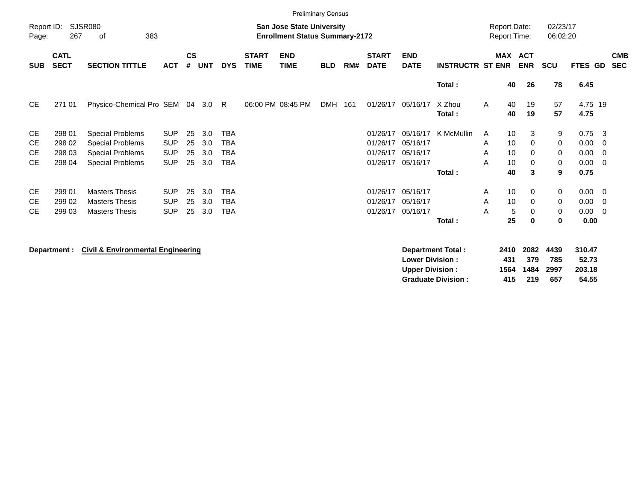|                     |                            |                                                                                                          |            |                    |            |            |                             |                           | <b>Preliminary Census</b> |     |                             |                                                  |                         |                     |                     |                      |                           |                         |                          |
|---------------------|----------------------------|----------------------------------------------------------------------------------------------------------|------------|--------------------|------------|------------|-----------------------------|---------------------------|---------------------------|-----|-----------------------------|--------------------------------------------------|-------------------------|---------------------|---------------------|----------------------|---------------------------|-------------------------|--------------------------|
| Report ID:<br>Page: | 267                        | <b>SJSR080</b><br><b>San Jose State University</b><br>383<br><b>Enrollment Status Summary-2172</b><br>of |            |                    |            |            |                             |                           |                           |     |                             |                                                  |                         |                     |                     | 02/23/17<br>06:02:20 |                           |                         |                          |
| <b>SUB</b>          | <b>CATL</b><br><b>SECT</b> | <b>SECTION TITTLE</b>                                                                                    | <b>ACT</b> | $\mathsf{cs}$<br># | <b>UNT</b> | <b>DYS</b> | <b>START</b><br><b>TIME</b> | <b>END</b><br><b>TIME</b> | <b>BLD</b>                | RM# | <b>START</b><br><b>DATE</b> | <b>END</b><br><b>DATE</b>                        | <b>INSTRUCTR ST ENR</b> | MAX ACT             | <b>ENR</b>          | <b>SCU</b>           | FTES GD                   |                         | <b>CMB</b><br><b>SEC</b> |
|                     |                            |                                                                                                          |            |                    |            |            |                             |                           |                           |     |                             |                                                  | Total:                  | 40                  | 26                  | 78                   | 6.45                      |                         |                          |
| <b>CE</b>           | 271 01                     | Physico-Chemical Pro SEM 04                                                                              |            |                    | 3.0        | R          |                             | 06:00 PM 08:45 PM         | <b>DMH</b>                | 161 | 01/26/17                    | 05/16/17                                         | X Zhou<br>Total:        | 40<br>A<br>40       | 19<br>19            | 57<br>57             | 4.75 19<br>4.75           |                         |                          |
| <b>CE</b>           | 298 01                     | <b>Special Problems</b>                                                                                  | <b>SUP</b> | 25                 | 3.0        | <b>TBA</b> |                             |                           |                           |     | 01/26/17                    | 05/16/17                                         | K McMullin              | 10<br>A             | 3                   | 9                    | 0.75                      | $\overline{\mathbf{3}}$ |                          |
| <b>CE</b>           | 298 02                     | <b>Special Problems</b>                                                                                  | <b>SUP</b> | 25                 | 3.0        | <b>TBA</b> |                             |                           |                           |     | 01/26/17                    | 05/16/17                                         |                         | 10<br>A             | 0                   | 0                    | 0.00                      | - 0                     |                          |
| <b>CE</b>           | 298 03                     | <b>Special Problems</b>                                                                                  | <b>SUP</b> | 25                 | 3.0        | <b>TBA</b> |                             |                           |                           |     | 01/26/17                    | 05/16/17                                         |                         | 10<br>A             | 0                   | 0                    | 0.00                      | $\overline{\mathbf{0}}$ |                          |
| CE.                 | 298 04                     | <b>Special Problems</b>                                                                                  | <b>SUP</b> | 25                 | 3.0        | <b>TBA</b> |                             |                           |                           |     | 01/26/17                    | 05/16/17                                         |                         | 10<br>A             | 0                   | 0                    | 0.00                      | $\overline{0}$          |                          |
|                     |                            |                                                                                                          |            |                    |            |            |                             |                           |                           |     |                             |                                                  | Total:                  | 40                  | 3                   | 9                    | 0.75                      |                         |                          |
| CE                  | 299 01                     | <b>Masters Thesis</b>                                                                                    | <b>SUP</b> | 25                 | 3.0        | <b>TBA</b> |                             |                           |                           |     | 01/26/17                    | 05/16/17                                         |                         | 10<br>Α             | 0                   | 0                    | 0.00                      | $\overline{\mathbf{0}}$ |                          |
| <b>CE</b>           | 299 02                     | <b>Masters Thesis</b>                                                                                    | <b>SUP</b> | 25                 | 3.0        | <b>TBA</b> |                             |                           |                           |     | 01/26/17                    | 05/16/17                                         |                         | 10<br>A             | 0                   | 0                    | 0.00                      | $\overline{0}$          |                          |
| <b>CE</b>           | 299 03                     | <b>Masters Thesis</b>                                                                                    | <b>SUP</b> | 25                 | 3.0        | <b>TBA</b> |                             |                           |                           |     | 01/26/17                    | 05/16/17                                         |                         | Α<br>5              | 0                   | 0                    | 0.00                      | $\overline{\mathbf{0}}$ |                          |
|                     |                            |                                                                                                          |            |                    |            |            |                             |                           |                           |     |                             |                                                  | Total:                  | 25                  | $\bf{0}$            | $\bf{0}$             | 0.00                      |                         |                          |
|                     | Department :               | <b>Civil &amp; Environmental Engineering</b>                                                             |            |                    |            |            |                             |                           |                           |     |                             | <b>Lower Division:</b><br><b>Upper Division:</b> | Department Total:       | 2410<br>431<br>1564 | 2082<br>379<br>1484 | 4439<br>785<br>2997  | 310.47<br>52.73<br>203.18 |                         |                          |

**Graduate Division : 415 219 657 54.55**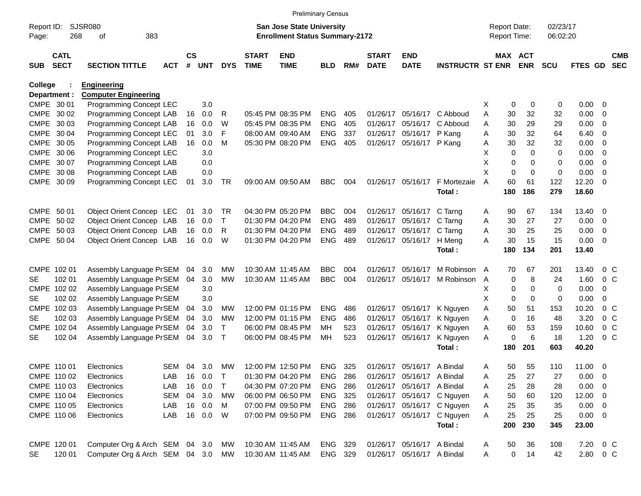|            |                            |                                   |            |                    |            |            |                             | <b>Preliminary Census</b>             |                |     |                             |                            |                            |                     |             |                       |             |                |                          |                          |
|------------|----------------------------|-----------------------------------|------------|--------------------|------------|------------|-----------------------------|---------------------------------------|----------------|-----|-----------------------------|----------------------------|----------------------------|---------------------|-------------|-----------------------|-------------|----------------|--------------------------|--------------------------|
| Report ID: |                            | SJSR080                           |            |                    |            |            |                             | San Jose State University             |                |     |                             |                            |                            | <b>Report Date:</b> |             |                       | 02/23/17    |                |                          |                          |
| Page:      | 268                        | 383<br>оf                         |            |                    |            |            |                             | <b>Enrollment Status Summary-2172</b> |                |     |                             |                            |                            | Report Time:        |             |                       | 06:02:20    |                |                          |                          |
| <b>SUB</b> | <b>CATL</b><br><b>SECT</b> | <b>SECTION TITTLE</b>             | <b>ACT</b> | $\mathsf{cs}$<br># | <b>UNT</b> | <b>DYS</b> | <b>START</b><br><b>TIME</b> | <b>END</b><br><b>TIME</b>             | <b>BLD</b>     | RM# | <b>START</b><br><b>DATE</b> | <b>END</b><br><b>DATE</b>  | <b>INSTRUCTR ST ENR</b>    |                     |             | MAX ACT<br><b>ENR</b> | <b>SCU</b>  | <b>FTES GD</b> |                          | <b>CMB</b><br><b>SEC</b> |
| College    |                            | <b>Engineering</b>                |            |                    |            |            |                             |                                       |                |     |                             |                            |                            |                     |             |                       |             |                |                          |                          |
|            | Department :               | <b>Computer Engineering</b>       |            |                    |            |            |                             |                                       |                |     |                             |                            |                            |                     |             |                       |             |                |                          |                          |
|            | CMPE 30 01                 | Programming Concept LEC           |            |                    | 3.0        |            |                             |                                       |                |     |                             |                            |                            | х                   | 0           | 0                     | 0           | 0.00           | $\overline{0}$           |                          |
|            | CMPE 30 02                 | Programming Concept LAB           |            | 16                 | 0.0        | R          |                             | 05:45 PM 08:35 PM                     | <b>ENG</b>     | 405 |                             |                            | 01/26/17 05/16/17 C Abboud | Α                   | 30          | 32                    | 32          | 0.00           | 0                        |                          |
|            | CMPE 30 03                 | Programming Concept LAB           |            | 16                 | 0.0        | W          |                             | 05:45 PM 08:35 PM                     | <b>ENG</b>     | 405 |                             | 01/26/17 05/16/17          | C Abboud                   | A                   | 30          | 29                    | 29          | 0.00           | 0                        |                          |
|            | CMPE 30 04                 | Programming Concept LEC           |            | 01                 | 3.0        | F          |                             | 08:00 AM 09:40 AM                     | <b>ENG</b>     | 337 |                             | 01/26/17 05/16/17          | P Kang                     | Α                   | 30          | 32                    | 64          | 6.40           | 0                        |                          |
|            | CMPE 30 05                 | <b>Programming Concept LAB</b>    |            | 16                 | 0.0        | M          |                             | 05:30 PM 08:20 PM                     | <b>ENG</b>     | 405 |                             | 01/26/17 05/16/17 P Kang   |                            | Α                   | 30          | 32                    | 32          | 0.00           | 0                        |                          |
|            | CMPE 30 06                 | Programming Concept LEC           |            |                    | 3.0        |            |                             |                                       |                |     |                             |                            |                            | X                   | $\mathbf 0$ | $\Omega$              | 0           | 0.00           | 0                        |                          |
|            | CMPE 30 07                 | <b>Programming Concept LAB</b>    |            |                    | 0.0        |            |                             |                                       |                |     |                             |                            |                            | Χ                   | 0           | 0                     | 0           | 0.00           | 0                        |                          |
|            | CMPE 30 08                 | <b>Programming Concept LAB</b>    |            |                    | 0.0        |            |                             |                                       |                |     |                             |                            |                            | X                   | 0           | $\mathbf 0$           | $\mathbf 0$ | 0.00           | 0                        |                          |
|            | CMPE 30 09                 | Programming Concept LEC           |            | 01                 | 3.0        | <b>TR</b>  |                             | 09:00 AM 09:50 AM                     | <b>BBC</b>     | 004 |                             | 01/26/17 05/16/17          | F Mortezaie                | A                   | 60          | 61                    | 122         | 12.20          | $\overline{0}$           |                          |
|            |                            |                                   |            |                    |            |            |                             |                                       |                |     |                             |                            | Total:                     |                     | 180         | 186                   | 279         | 18.60          |                          |                          |
|            | CMPE 50 01                 | Object Orient Concep LEC          |            | 01                 | 3.0        | <b>TR</b>  |                             | 04:30 PM 05:20 PM                     | <b>BBC</b>     | 004 |                             | 01/26/17 05/16/17          | C Tarng                    | A                   | 90          | 67                    | 134         | 13.40          | 0                        |                          |
|            | CMPE 50 02                 | Object Orient Concep LAB          |            | 16                 | 0.0        | Τ          |                             | 01:30 PM 04:20 PM                     | <b>ENG</b>     | 489 |                             | 01/26/17 05/16/17          | C Tarng                    | A                   | 30          | 27                    | 27          | 0.00           | $\overline{0}$           |                          |
|            | CMPE 50 03                 | Object Orient Concep LAB          |            | 16                 | 0.0        | R          |                             | 01:30 PM 04:20 PM                     | <b>ENG</b>     | 489 |                             | 01/26/17 05/16/17          | C Tarng                    | Α                   | 30          | 25                    | 25          | 0.00           | 0                        |                          |
|            | CMPE 50 04                 | Object Orient Concep LAB          |            | 16                 | 0.0        | W          |                             | 01:30 PM 04:20 PM                     | <b>ENG</b>     | 489 |                             | 01/26/17 05/16/17          | H Meng                     | А                   | 30          | 15                    | 15          | 0.00           | - 0                      |                          |
|            |                            |                                   |            |                    |            |            |                             |                                       |                |     |                             |                            | Total:                     |                     | 180         | 134                   | 201         | 13.40          |                          |                          |
|            | CMPE 102 01                | Assembly Language PrSEM           |            | 04                 | 3.0        | МW         |                             | 10:30 AM 11:45 AM                     | <b>BBC</b>     | 004 | 01/26/17                    | 05/16/17                   | M Robinson                 | A                   | 70          | 67                    | 201         | 13.40          | $0\,$ C                  |                          |
| SE.        | 102 01                     | Assembly Language PrSEM           |            | 04                 | 3.0        | <b>MW</b>  |                             | 10:30 AM 11:45 AM                     | <b>BBC</b>     | 004 |                             | 01/26/17 05/16/17          | M Robinson                 | A                   | 0           | 8                     | 24          | 1.60           | 0 <sup>C</sup>           |                          |
|            | CMPE 102 02                | Assembly Language PrSEM           |            |                    | 3.0        |            |                             |                                       |                |     |                             |                            |                            | х                   | 0           | 0                     | 0           | 0.00           | 0                        |                          |
| SE.        | 102 02                     | Assembly Language PrSEM           |            |                    | 3.0        |            |                             |                                       |                |     |                             |                            |                            | X                   | 0           | $\mathbf 0$           | 0           | 0.00           | 0                        |                          |
|            | CMPE 102 03                | Assembly Language PrSEM           |            | 04                 | 3.0        | MW         |                             | 12:00 PM 01:15 PM                     | <b>ENG</b>     | 486 |                             | 01/26/17 05/16/17          | K Nguyen                   | Α                   | 50          | 51                    | 153         | 10.20          | $0\,$ C                  |                          |
| SE.        | 102 03                     | Assembly Language PrSEM           |            | 04                 | 3.0        | МW         |                             | 12:00 PM 01:15 PM                     | <b>ENG</b>     | 486 |                             | 01/26/17 05/16/17          | K Nguyen                   | Α                   | 0           | 16                    | 48          | 3.20           | 0 <sup>o</sup>           |                          |
|            | CMPE 102 04                | Assembly Language PrSEM           |            | 04                 | 3.0        | T          |                             | 06:00 PM 08:45 PM                     | МH             | 523 |                             | 01/26/17 05/16/17          | K Nguyen                   | Α                   | 60          | 53                    | 159         | 10.60          | 0 <sup>o</sup>           |                          |
| SE         | 102 04                     | Assembly Language PrSEM           |            | 04                 | 3.0        | Τ          |                             | 06:00 PM 08:45 PM                     | МH             | 523 |                             | 01/26/17 05/16/17          | K Nguyen                   | A                   | 0           | 6                     | 18          | 1.20           | $0\,C$                   |                          |
|            |                            |                                   |            |                    |            |            |                             |                                       |                |     |                             |                            | Total:                     |                     | 180         | 201                   | 603         | 40.20          |                          |                          |
|            | CMPE 110 01                | Electronics                       | <b>SEM</b> | 04                 | 3.0        | <b>MW</b>  |                             | 12:00 PM 12:50 PM                     | <b>ENG</b>     | 325 |                             | 01/26/17 05/16/17          | A Bindal                   | Α                   | 50          | 55                    | 110         | $11.00 \t 0$   |                          |                          |
|            | CMPE 110 02                | Electronics                       | LAB        |                    | 16 0.0     |            |                             | 01:30 PM 04:20 PM                     | ENG            | 286 |                             | 01/26/17 05/16/17 A Bindal |                            | A                   | 25          | 27                    | 27          | 0.00           | $\overline{\phantom{0}}$ |                          |
|            | CMPE 110 03                | Electronics                       | LAB        |                    | 16 0.0     | Τ          |                             | 04:30 PM 07:20 PM                     | <b>ENG 286</b> |     |                             | 01/26/17 05/16/17 A Bindal |                            | A                   | 25          | 28                    | 28          | 0.00           | $\overline{\phantom{0}}$ |                          |
|            | CMPE 110 04                | Electronics                       | <b>SEM</b> |                    | 04 3.0     | МW         |                             | 06:00 PM 06:50 PM                     | ENG 325        |     |                             |                            | 01/26/17 05/16/17 C Nguyen | A                   | 50          | 60                    | 120         | 12.00 0        |                          |                          |
|            | CMPE 110 05                | Electronics                       | LAB        |                    | 16 0.0     | M          |                             | 07:00 PM 09:50 PM                     | <b>ENG 286</b> |     |                             |                            | 01/26/17 05/16/17 C Nguyen | Α                   | 25          | 35                    | 35          | $0.00 \t 0$    |                          |                          |
|            | CMPE 110 06                | Electronics                       | LAB        |                    | 16 0.0     | W          |                             | 07:00 PM 09:50 PM                     | ENG 286        |     |                             | 01/26/17 05/16/17          | C Nguyen                   | A                   | 25          | 25                    | 25          | $0.00 \t 0$    |                          |                          |
|            |                            |                                   |            |                    |            |            |                             |                                       |                |     |                             |                            | Total:                     |                     | 200         | 230                   | 345         | 23.00          |                          |                          |
|            | CMPE 120 01                | Computer Org & Arch SEM 04 3.0    |            |                    |            | МW         |                             | 10:30 AM 11:45 AM                     | ENG 329        |     |                             | 01/26/17 05/16/17 A Bindal |                            | A                   | 50          | 36                    | 108         | 7.20 0 C       |                          |                          |
| SE         | 120 01                     | Computer Org & Arch SEM 04 3.0 MW |            |                    |            |            |                             | 10:30 AM 11:45 AM                     | ENG 329        |     |                             | 01/26/17 05/16/17 A Bindal |                            | A                   | 0           | 14                    | 42          | 2.80 0 C       |                          |                          |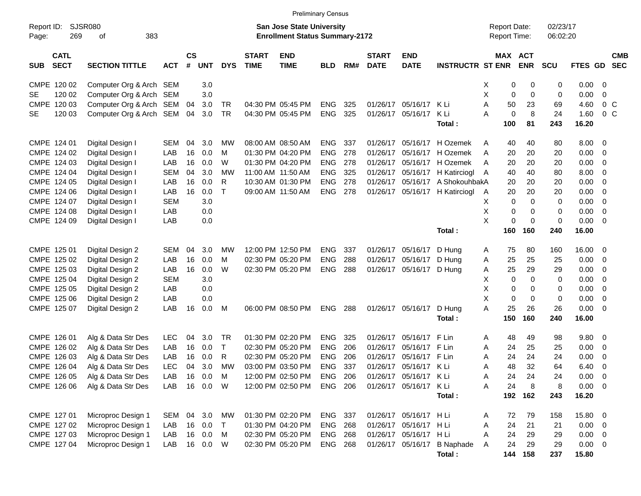|                                          |                             |            |                |            |            |                             | <b>Preliminary Census</b>                                                 |            |     |                             |                           |                             |                                            |            |                      |             |                          |                          |
|------------------------------------------|-----------------------------|------------|----------------|------------|------------|-----------------------------|---------------------------------------------------------------------------|------------|-----|-----------------------------|---------------------------|-----------------------------|--------------------------------------------|------------|----------------------|-------------|--------------------------|--------------------------|
| Report ID:<br>269<br>Page:               | <b>SJSR080</b><br>383<br>οf |            |                |            |            |                             | <b>San Jose State University</b><br><b>Enrollment Status Summary-2172</b> |            |     |                             |                           |                             | <b>Report Date:</b><br><b>Report Time:</b> |            | 02/23/17<br>06:02:20 |             |                          |                          |
| <b>CATL</b><br><b>SECT</b><br><b>SUB</b> | <b>SECTION TITTLE</b>       | <b>ACT</b> | <b>CS</b><br># | <b>UNT</b> | <b>DYS</b> | <b>START</b><br><b>TIME</b> | <b>END</b><br><b>TIME</b>                                                 | <b>BLD</b> | RM# | <b>START</b><br><b>DATE</b> | <b>END</b><br><b>DATE</b> | <b>INSTRUCTR ST ENR</b>     | MAX ACT                                    | <b>ENR</b> | <b>SCU</b>           | FTES GD     |                          | <b>CMB</b><br><b>SEC</b> |
| CMPE 120 02                              | Computer Org & Arch SEM     |            |                | 3.0        |            |                             |                                                                           |            |     |                             |                           |                             | 0<br>Х                                     | 0          | 0                    | $0.00 \t 0$ |                          |                          |
| 120 02<br><b>SE</b>                      | Computer Org & Arch SEM     |            |                | 3.0        |            |                             |                                                                           |            |     |                             |                           |                             | X<br>0                                     | 0          | 0                    | 0.00        | $\overline{0}$           |                          |
| CMPE 120 03                              | Computer Org & Arch SEM     |            | 04             | 3.0        | TR         |                             | 04:30 PM 05:45 PM                                                         | <b>ENG</b> | 325 | 01/26/17                    | 05/16/17 K Li             |                             | A<br>50                                    | 23         | 69                   | 4.60        | $0\,$ C                  |                          |
| 120 03<br><b>SE</b>                      | Computer Org & Arch SEM     |            | 04             | 3.0        | TR         |                             | 04:30 PM 05:45 PM                                                         | <b>ENG</b> | 325 | 01/26/17                    | 05/16/17                  | K Li                        | $\pmb{0}$<br>A                             | 8          | 24                   | 1.60        | $0\,$ C                  |                          |
|                                          |                             |            |                |            |            |                             |                                                                           |            |     |                             |                           | Total:                      | 100                                        | 81         | 243                  | 16.20       |                          |                          |
| CMPE 124 01                              | Digital Design I            | <b>SEM</b> | 04             | 3.0        | МW         |                             | 08:00 AM 08:50 AM                                                         | <b>ENG</b> | 337 | 01/26/17                    |                           | 05/16/17 H Ozemek           | 40<br>A                                    | 40         | 80                   | $8.00 \t 0$ |                          |                          |
| CMPE 124 02                              | Digital Design I            | LAB        | 16             | 0.0        | м          |                             | 01:30 PM 04:20 PM                                                         | <b>ENG</b> | 278 | 01/26/17                    |                           | 05/16/17 H Ozemek           | 20<br>A                                    | 20         | 20                   | 0.00        | $\overline{\phantom{0}}$ |                          |
| CMPE 124 03                              | Digital Design I            | LAB        | 16             | 0.0        | W          |                             | 01:30 PM 04:20 PM                                                         | <b>ENG</b> | 278 | 01/26/17                    |                           | 05/16/17 H Ozemek           | 20<br>A                                    | 20         | 20                   | 0.00        | $\overline{\phantom{0}}$ |                          |
| CMPE 124 04                              | Digital Design I            | <b>SEM</b> | 04             | 3.0        | MW         |                             | 11:00 AM 11:50 AM                                                         | <b>ENG</b> | 325 | 01/26/17                    |                           | 05/16/17 H Katirciogl       | 40<br>A                                    | 40         | 80                   | 8.00        | $\overline{\phantom{0}}$ |                          |
| CMPE 124 05                              | Digital Design I            | LAB        | 16             | 0.0        | R          |                             | 10:30 AM 01:30 PM                                                         | <b>ENG</b> | 278 | 01/26/17                    |                           | 05/16/17 A ShokouhbakA      | 20                                         | 20         | 20                   | 0.00        | $\overline{\phantom{0}}$ |                          |
| CMPE 124 06                              | Digital Design I            | LAB        | 16             | 0.0        | T          |                             | 09:00 AM 11:50 AM                                                         | <b>ENG</b> | 278 | 01/26/17                    |                           | 05/16/17 H Katirciogl       | 20<br>A                                    | 20         | 20                   | 0.00        | $\overline{\phantom{0}}$ |                          |
| CMPE 124 07                              | Digital Design I            | <b>SEM</b> |                | 3.0        |            |                             |                                                                           |            |     |                             |                           |                             | х<br>0                                     | 0          | 0                    | 0.00        | $\overline{\phantom{0}}$ |                          |
| CMPE 124 08                              | Digital Design I            | LAB        |                | 0.0        |            |                             |                                                                           |            |     |                             |                           |                             | Χ<br>0                                     | 0          | 0                    | 0.00        | $\overline{\phantom{0}}$ |                          |
| CMPE 124 09                              | Digital Design I            | LAB        |                | 0.0        |            |                             |                                                                           |            |     |                             |                           |                             | X<br>0                                     | 0          | 0                    | $0.00 \t 0$ |                          |                          |
|                                          |                             |            |                |            |            |                             |                                                                           |            |     |                             |                           | Total:                      | 160                                        | 160        | 240                  | 16.00       |                          |                          |
| CMPE 125 01                              | Digital Design 2            | <b>SEM</b> | 04             | 3.0        | МW         |                             | 12:00 PM 12:50 PM                                                         | <b>ENG</b> | 337 | 01/26/17                    | 05/16/17 D Hung           |                             | 75<br>A                                    | 80         | 160                  | 16.00 0     |                          |                          |
| CMPE 125 02                              | Digital Design 2            | LAB        | 16             | 0.0        | M          |                             | 02:30 PM 05:20 PM                                                         | <b>ENG</b> | 288 | 01/26/17                    | 05/16/17 D Hung           |                             | 25<br>A                                    | 25         | 25                   | 0.00        | $\overline{\phantom{0}}$ |                          |
| CMPE 125 03                              | Digital Design 2            | LAB        | 16             | 0.0        | W          |                             | 02:30 PM 05:20 PM                                                         | <b>ENG</b> | 288 |                             | 01/26/17 05/16/17 D Hung  |                             | 25<br>Α                                    | 29         | 29                   | 0.00        | $\overline{\phantom{0}}$ |                          |
| CMPE 125 04                              | Digital Design 2            | <b>SEM</b> |                | 3.0        |            |                             |                                                                           |            |     |                             |                           |                             | Χ<br>0                                     | 0          | 0                    | 0.00        | - 0                      |                          |
| CMPE 125 05                              | Digital Design 2            | LAB        |                | 0.0        |            |                             |                                                                           |            |     |                             |                           |                             | X<br>0                                     | 0          | 0                    | 0.00        | $\overline{\mathbf{0}}$  |                          |
| CMPE 125 06                              | Digital Design 2            | LAB        |                | 0.0        |            |                             |                                                                           |            |     |                             |                           |                             | X<br>0                                     | 0          | 0                    | 0.00        | $\overline{\mathbf{0}}$  |                          |
| CMPE 125 07                              | Digital Design 2            | LAB        | 16             | 0.0        | M          |                             | 06:00 PM 08:50 PM                                                         | <b>ENG</b> | 288 |                             | 01/26/17 05/16/17         | D Hung                      | A<br>25                                    | 26         | 26                   | $0.00 \t 0$ |                          |                          |
|                                          |                             |            |                |            |            |                             |                                                                           |            |     |                             |                           | Total:                      | 150                                        | 160        | 240                  | 16.00       |                          |                          |
| CMPE 126 01                              | Alg & Data Str Des          | <b>LEC</b> | 04             | 3.0        | TR         |                             | 01:30 PM 02:20 PM                                                         | <b>ENG</b> | 325 | 01/26/17                    | 05/16/17 F Lin            |                             | 48<br>Α                                    | 49         | 98                   | 9.80 0      |                          |                          |
| CMPE 126 02                              | Alg & Data Str Des          | LAB        | 16             | 0.0        | $\top$     |                             | 02:30 PM 05:20 PM                                                         | <b>ENG</b> | 206 | 01/26/17                    | 05/16/17 F Lin            |                             | Α<br>24                                    | 25         | 25                   | 0.00        | $\overline{\mathbf{0}}$  |                          |
| CMPE 126 03                              | Alg & Data Str Des          | LAB        | 16             | 0.0        | R          |                             | 02:30 PM 05:20 PM                                                         | <b>ENG</b> | 206 | 01/26/17                    | 05/16/17 F Lin            |                             | Α<br>24                                    | 24         | 24                   | 0.00        | $\overline{\mathbf{0}}$  |                          |
| CMPE 126 04                              | Alg & Data Str Des          | <b>LEC</b> | 04             | 3.0        | MW         |                             | 03:00 PM 03:50 PM                                                         | <b>ENG</b> | 337 |                             | 01/26/17 05/16/17 K Li    |                             | 48<br>Α                                    | 32         | 64                   | 6.40        | - 0                      |                          |
| CMPE 126 05                              | Alg & Data Str Des          | LAB        | 16             | 0.0        | M          |                             | 12:00 PM 02:50 PM                                                         | ENG        | 206 |                             | 01/26/17 05/16/17 KLi     |                             | 24<br>Α                                    | 24         | 24                   | 0.00        | $\overline{\phantom{0}}$ |                          |
| CMPE 126 06                              | Alg & Data Str Des          | LAB        | 16             | $0.0$ W    |            |                             | 12:00 PM 02:50 PM                                                         | <b>ENG</b> | 206 |                             | 01/26/17 05/16/17 KLi     |                             | 24<br>Α                                    | 8          | 8                    | $0.00 \t 0$ |                          |                          |
|                                          |                             |            |                |            |            |                             |                                                                           |            |     |                             |                           | Total:                      | 192                                        | 162        | 243                  | 16.20       |                          |                          |
| CMPE 127 01                              | Microproc Design 1          | SEM        |                | 04 3.0     | MW         |                             | 01:30 PM 02:20 PM                                                         | <b>ENG</b> | 337 |                             | 01/26/17 05/16/17 H Li    |                             | 72<br>Α                                    | 79         | 158                  | 15.80 0     |                          |                          |
| CMPE 127 02                              | Microproc Design 1          | LAB        |                | 16 0.0     | $\top$     |                             | 01:30 PM 04:20 PM                                                         | <b>ENG</b> | 268 |                             | 01/26/17 05/16/17 H Li    |                             | 24<br>Α                                    | 21         | 21                   | $0.00 \t 0$ |                          |                          |
| CMPE 127 03                              | Microproc Design 1          | LAB        |                | 16 0.0     | M          |                             | 02:30 PM 05:20 PM                                                         | <b>ENG</b> | 268 |                             | 01/26/17 05/16/17 H Li    |                             | 24<br>Α                                    | 29         | 29                   | $0.00 \t 0$ |                          |                          |
| CMPE 127 04                              | Microproc Design 1          | LAB        |                | 16  0.0  W |            |                             | 02:30 PM 05:20 PM                                                         | ENG        | 268 |                             |                           | 01/26/17 05/16/17 B Naphade | 24<br>A                                    | 29         | 29                   | $0.00 \t 0$ |                          |                          |
|                                          |                             |            |                |            |            |                             |                                                                           |            |     |                             |                           | Total:                      | 144                                        | 158        | 237                  | 15.80       |                          |                          |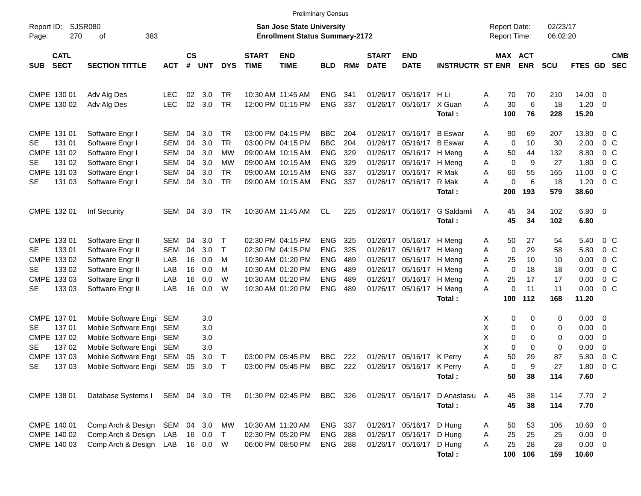|                     |                            |                                  |            |                    |            |                        |                             |                                                                    | <b>Preliminary Census</b> |     |                             |                           |                         |                                            |                              |                |                      |                          |                          |
|---------------------|----------------------------|----------------------------------|------------|--------------------|------------|------------------------|-----------------------------|--------------------------------------------------------------------|---------------------------|-----|-----------------------------|---------------------------|-------------------------|--------------------------------------------|------------------------------|----------------|----------------------|--------------------------|--------------------------|
| Report ID:<br>Page: | <b>SJSR080</b><br>270      | 383<br>οf                        |            |                    |            |                        |                             | San Jose State University<br><b>Enrollment Status Summary-2172</b> |                           |     |                             |                           |                         | <b>Report Date:</b><br><b>Report Time:</b> |                              |                | 02/23/17<br>06:02:20 |                          |                          |
| SUB                 | <b>CATL</b><br><b>SECT</b> | <b>SECTION TITTLE</b>            | <b>ACT</b> | $\mathsf{cs}$<br># | <b>UNT</b> | <b>DYS</b>             | <b>START</b><br><b>TIME</b> | <b>END</b><br><b>TIME</b>                                          | <b>BLD</b>                | RM# | <b>START</b><br><b>DATE</b> | <b>END</b><br><b>DATE</b> | <b>INSTRUCTR ST ENR</b> |                                            | <b>MAX ACT</b><br><b>ENR</b> | <b>SCU</b>     | FTES GD              |                          | <b>CMB</b><br><b>SEC</b> |
| CMPE 130 01         |                            | Adv Alg Des                      | <b>LEC</b> | 02                 | 3.0        | <b>TR</b><br><b>TR</b> | 10:30 AM 11:45 AM           |                                                                    | <b>ENG</b>                | 341 | 01/26/17                    | 05/16/17 H Li             | X Guan                  | Α<br>A                                     | 70<br>70<br>30               | 210            | 14.00                | $\overline{\phantom{0}}$ |                          |
| CMPE 130 02         |                            | Adv Alg Des                      | <b>LEC</b> | 02                 | 3.0        |                        |                             | 12:00 PM 01:15 PM                                                  | <b>ENG</b>                | 337 | 01/26/17                    | 05/16/17                  | Total:                  | 100                                        | 76                           | 6<br>18<br>228 | 1.20<br>15.20        | $\overline{\phantom{0}}$ |                          |
| CMPE 131 01         |                            | Software Engr I                  | SEM        | 04                 | 3.0        | <b>TR</b>              |                             | 03:00 PM 04:15 PM                                                  | <b>BBC</b>                | 204 |                             | 01/26/17 05/16/17         | <b>B</b> Eswar          | A                                          | 69<br>90                     | 207            | 13.80                |                          | $0\,$ C                  |
| <b>SE</b>           | 131 01                     | Software Engr I                  | <b>SEM</b> | 04                 | 3.0        | <b>TR</b>              |                             | 03:00 PM 04:15 PM                                                  | <b>BBC</b>                | 204 | 01/26/17                    | 05/16/17                  | <b>B</b> Eswar          | A                                          | 0<br>10                      | 30             | 2.00                 |                          | $0\,$ C                  |
| CMPE 131 02         |                            | Software Engr I                  | <b>SEM</b> | 04                 | 3.0        | МW                     |                             | 09:00 AM 10:15 AM                                                  | <b>ENG</b>                | 329 | 01/26/17                    | 05/16/17                  | H Meng                  | A                                          | 44<br>50                     | 132            | 8.80                 |                          | $0\,$ C                  |
| <b>SE</b>           | 131 02                     | Software Engr I                  | <b>SEM</b> | 04                 | 3.0        | МW                     |                             | 09:00 AM 10:15 AM                                                  | <b>ENG</b>                | 329 |                             | 01/26/17 05/16/17         | H Meng                  | Α                                          | $\mathbf 0$                  | 9<br>27        | 1.80                 |                          | $0\,$ C                  |
| CMPE 131 03         |                            | Software Engr I                  | <b>SEM</b> | 04                 | 3.0        | <b>TR</b>              |                             | 09:00 AM 10:15 AM                                                  | <b>ENG</b>                | 337 | 01/26/17                    | 05/16/17                  | R Mak                   | A                                          | 60<br>55                     | 165            | 11.00                |                          | $0\,$ C                  |
| <b>SE</b>           | 131 03                     | Software Engr I                  | <b>SEM</b> | 04                 | 3.0        | <b>TR</b>              |                             | 09:00 AM 10:15 AM                                                  | <b>ENG</b>                | 337 |                             | 01/26/17 05/16/17         | R Mak<br>Total:         | A<br>200                                   | 0<br>193                     | 6<br>18<br>579 | 1.20<br>38.60        |                          | $0\,$ C                  |
| CMPE 132 01         |                            | Inf Security                     | SEM        | 04                 | 3.0        | TR                     |                             | 10:30 AM 11:45 AM                                                  | CL.                       | 225 |                             | 01/26/17 05/16/17         | G Saldamli              | A                                          | 45<br>34                     | 102            | $6.80$ 0             |                          |                          |
|                     |                            |                                  |            |                    |            |                        |                             |                                                                    |                           |     |                             |                           | Total:                  |                                            | 45<br>34                     | 102            | 6.80                 |                          |                          |
| CMPE 133 01         |                            | Software Engr II                 | SEM        | 04                 | 3.0        | $\top$                 |                             | 02:30 PM 04:15 PM                                                  | <b>ENG</b>                | 325 |                             | 01/26/17 05/16/17         | H Meng                  | A                                          | 50<br>27                     | 54             | 5.40                 |                          | 0 <sup>o</sup>           |
| <b>SE</b>           | 133 01                     | Software Engr II                 | <b>SEM</b> | 04                 | 3.0        | $\top$                 |                             | 02:30 PM 04:15 PM                                                  | <b>ENG</b>                | 325 | 01/26/17                    | 05/16/17                  | H Meng                  | A                                          | 0<br>29                      | 58             | 5.80                 |                          | 0 <sup>o</sup>           |
| CMPE 133 02         |                            | Software Engr II                 | LAB        | 16                 | 0.0        | M                      |                             | 10:30 AM 01:20 PM                                                  | <b>ENG</b>                | 489 |                             | 01/26/17 05/16/17         | H Meng                  | Α                                          | 10<br>25                     | 10             | 0.00                 |                          | 0 <sup>o</sup>           |
| SE                  | 133 02                     | Software Engr II                 | LAB        | 16                 | 0.0        | M                      |                             | 10:30 AM 01:20 PM                                                  | <b>ENG</b>                | 489 |                             | 01/26/17 05/16/17         | H Meng                  | A                                          | $\mathbf 0$<br>18            | 18             | 0.00                 |                          | $0\,$ C                  |
| CMPE 133 03         |                            | Software Engr II                 | LAB        | 16                 | 0.0        | W                      |                             | 10:30 AM 01:20 PM                                                  | <b>ENG</b>                | 489 | 01/26/17                    | 05/16/17                  | H Meng                  | Α                                          | 25<br>17                     | 17             | 0.00                 |                          | 0 <sup>o</sup>           |
| <b>SE</b>           | 133 03                     | Software Engr II                 | LAB        | 16                 | 0.0        | W                      |                             | 10:30 AM 01:20 PM                                                  | <b>ENG</b>                | 489 |                             | 01/26/17 05/16/17         | H Meng                  | A                                          | $\pmb{0}$<br>11              | 11             | 0.00                 |                          | 0 <sup>o</sup>           |
|                     |                            |                                  |            |                    |            |                        |                             |                                                                    |                           |     |                             |                           | Total:                  | 100                                        | 112                          | 168            | 11.20                |                          |                          |
| CMPE 137 01         |                            | Mobile Software Engi             | SEM        |                    | 3.0        |                        |                             |                                                                    |                           |     |                             |                           |                         | X                                          | 0                            | 0<br>0         | $0.00 \t 0$          |                          |                          |
| SE.                 | 137 01                     | Mobile Software Engi             | <b>SEM</b> |                    | 3.0        |                        |                             |                                                                    |                           |     |                             |                           |                         | Х                                          | 0                            | 0<br>0         | 0.00                 | $\overline{\phantom{0}}$ |                          |
| CMPE 137 02         |                            | Mobile Software Engi             | <b>SEM</b> |                    | 3.0        |                        |                             |                                                                    |                           |     |                             |                           |                         | Х                                          | 0                            | 0<br>0         | 0.00                 | 0                        |                          |
| <b>SE</b>           | 137 02                     | Mobile Software Engi             | SEM        |                    | 3.0        |                        |                             |                                                                    |                           |     |                             |                           |                         | X                                          | 0                            | 0<br>0         | 0.00                 | $\mathbf 0$              |                          |
| CMPE 137 03         |                            | Mobile Software Engi             | SEM        | 05                 | 3.0        | $\top$                 |                             | 03:00 PM 05:45 PM                                                  | <b>BBC</b>                | 222 | 01/26/17                    | 05/16/17                  | K Perry                 | A                                          | 50<br>29                     | 87             | 5.80                 |                          | $0\,C$                   |
| <b>SE</b>           | 137 03                     | Mobile Software Engi SEM         |            | 05                 | 3.0        | $\mathsf{T}$           |                             | 03:00 PM 05:45 PM                                                  | <b>BBC</b>                | 222 |                             | 01/26/17 05/16/17 K Perry |                         | Α                                          | 0                            | 9<br>27        | 1.80                 |                          | 0 <sup>o</sup>           |
|                     |                            |                                  |            |                    |            |                        |                             |                                                                    |                           |     |                             |                           | Total:                  |                                            | 50<br>38                     | 114            | 7.60                 |                          |                          |
| CMPE 138 01         |                            | Database Systems I SEM 04 3.0 TR |            |                    |            |                        |                             | 01:30 PM 02:45 PM                                                  | BBC 326                   |     |                             | 01/26/17 05/16/17         | D Anastasiu A           |                                            | 45<br>38                     | 114            | 7.702                |                          |                          |
|                     |                            |                                  |            |                    |            |                        |                             |                                                                    |                           |     |                             |                           | Total:                  |                                            | 45<br>38                     | 114            | 7.70                 |                          |                          |
| CMPE 140 01         |                            | Comp Arch & Design SEM 04 3.0 MW |            |                    |            |                        |                             | 10:30 AM 11:20 AM                                                  | ENG 337                   |     |                             | 01/26/17 05/16/17 D Hung  |                         | A                                          | 50<br>53                     | 106            | 10.60 0              |                          |                          |
| CMPE 140 02         |                            | Comp Arch & Design LAB           |            |                    | 16  0.0  T |                        |                             | 02:30 PM 05:20 PM                                                  | <b>ENG 288</b>            |     |                             | 01/26/17 05/16/17 D Hung  |                         | Α                                          | 25<br>25                     | 25             | $0.00 \t 0$          |                          |                          |
| CMPE 140 03         |                            | Comp Arch & Design LAB           |            |                    | 16  0.0  W |                        |                             | 06:00 PM 08:50 PM                                                  | <b>ENG 288</b>            |     |                             | 01/26/17 05/16/17 D Hung  |                         | A                                          | 25<br>28                     | 28             | $0.00 \t 0$          |                          |                          |
|                     |                            |                                  |            |                    |            |                        |                             |                                                                    |                           |     |                             |                           | Total:                  |                                            | 100<br>106                   | 159            | 10.60                |                          |                          |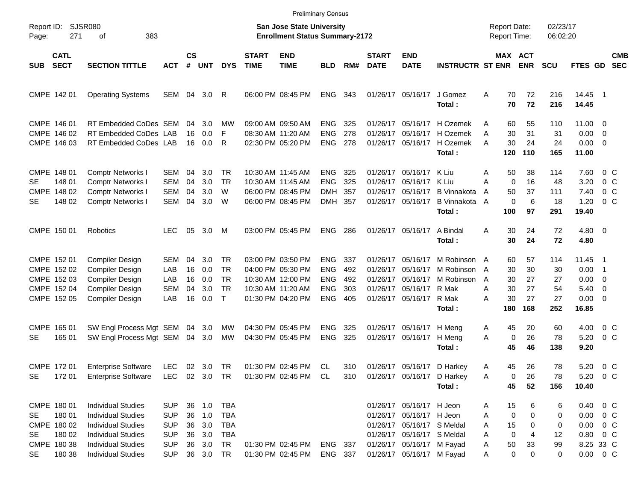|                     |                                                                         |                                                                                                                                                                            |                                                                                  |                            |                                                           |                                                           |                             |                                                                                                       | <b>Preliminary Census</b>                                          |                                 |                                              |                                                                                                                                                                            |                                                                      |                            |                                            |                                   |                                    |                                                                                                    |                                                                                                      |                          |
|---------------------|-------------------------------------------------------------------------|----------------------------------------------------------------------------------------------------------------------------------------------------------------------------|----------------------------------------------------------------------------------|----------------------------|-----------------------------------------------------------|-----------------------------------------------------------|-----------------------------|-------------------------------------------------------------------------------------------------------|--------------------------------------------------------------------|---------------------------------|----------------------------------------------|----------------------------------------------------------------------------------------------------------------------------------------------------------------------------|----------------------------------------------------------------------|----------------------------|--------------------------------------------|-----------------------------------|------------------------------------|----------------------------------------------------------------------------------------------------|------------------------------------------------------------------------------------------------------|--------------------------|
| Report ID:<br>Page: | 271                                                                     | <b>SJSR080</b><br>383<br>οf                                                                                                                                                |                                                                                  |                            |                                                           |                                                           |                             | San Jose State University<br><b>Enrollment Status Summary-2172</b>                                    |                                                                    |                                 |                                              |                                                                                                                                                                            |                                                                      |                            | <b>Report Date:</b><br><b>Report Time:</b> |                                   | 02/23/17<br>06:02:20               |                                                                                                    |                                                                                                      |                          |
| SUB                 | <b>CATL</b><br><b>SECT</b>                                              | <b>SECTION TITTLE</b>                                                                                                                                                      | <b>ACT</b>                                                                       | $\mathsf{cs}$<br>#         | <b>UNT</b>                                                | <b>DYS</b>                                                | <b>START</b><br><b>TIME</b> | <b>END</b><br><b>TIME</b>                                                                             | <b>BLD</b>                                                         | RM#                             | <b>START</b><br><b>DATE</b>                  | <b>END</b><br><b>DATE</b>                                                                                                                                                  | <b>INSTRUCTR ST ENR</b>                                              |                            |                                            | MAX ACT<br><b>ENR</b>             | <b>SCU</b>                         | FTES GD                                                                                            |                                                                                                      | <b>CMB</b><br><b>SEC</b> |
|                     | CMPE 142 01                                                             | <b>Operating Systems</b>                                                                                                                                                   | SEM 04 3.0                                                                       |                            |                                                           | R                                                         |                             | 06:00 PM 08:45 PM                                                                                     | <b>ENG</b>                                                         | 343                             |                                              | 01/26/17 05/16/17                                                                                                                                                          | J Gomez<br>Total:                                                    | A                          | 70<br>70                                   | 72<br>72                          | 216<br>216                         | 14.45<br>14.45                                                                                     | - 1                                                                                                  |                          |
|                     | CMPE 146 01<br>CMPE 146 02<br>CMPE 146 03                               | RT Embedded CoDes SEM<br>RT Embedded CoDes LAB<br>RT Embedded CoDes LAB                                                                                                    |                                                                                  | 04<br>16<br>16             | 3.0<br>0.0<br>0.0                                         | МW<br>F<br>R                                              |                             | 09:00 AM 09:50 AM<br>08:30 AM 11:20 AM<br>02:30 PM 05:20 PM                                           | <b>ENG</b><br><b>ENG</b><br><b>ENG</b>                             | 325<br>278<br>278               | 01/26/17<br>01/26/17                         | 05/16/17<br>05/16/17<br>01/26/17 05/16/17                                                                                                                                  | H Ozemek<br>H Ozemek<br>H Ozemek<br>Total:                           | A<br>A<br>A                | 60<br>30<br>30<br>120                      | 55<br>31<br>24<br>110             | 110<br>31<br>24<br>165             | $11.00 \t 0$<br>$0.00 \t 0$<br>$0.00 \t 0$<br>11.00                                                |                                                                                                      |                          |
| SE.<br><b>SE</b>    | CMPE 148 01<br>148 01<br>CMPE 148 02<br>148 02                          | <b>Comptr Networks I</b><br>Comptr Networks I<br>Comptr Networks I<br>Comptr Networks I                                                                                    | SEM<br><b>SEM</b><br><b>SEM</b><br><b>SEM</b>                                    | 04<br>04<br>04<br>04       | 3.0<br>3.0<br>3.0<br>3.0                                  | TR<br><b>TR</b><br>W<br>W                                 |                             | 10:30 AM 11:45 AM<br>10:30 AM 11:45 AM<br>06:00 PM 08:45 PM<br>06:00 PM 08:45 PM                      | <b>ENG</b><br><b>ENG</b><br>DMH<br>DMH                             | 325<br>325<br>357<br>357        | 01/26/17<br>01/26/17<br>01/26/17             | 05/16/17<br>05/16/17<br>05/16/17<br>01/26/17 05/16/17                                                                                                                      | K Liu<br>K Liu<br><b>B</b> Vinnakota<br><b>B</b> Vinnakota<br>Total: | A<br>A<br>A<br>A           | 50<br>$\mathbf 0$<br>50<br>0<br>100        | 38<br>16<br>37<br>6<br>97         | 114<br>48<br>111<br>18<br>291      | 7.60<br>3.20<br>7.40<br>1.20<br>19.40                                                              | $0\,$ C<br>$0\,$ C<br>0 <sup>o</sup><br>$0\,$ C                                                      |                          |
|                     | CMPE 150 01                                                             | Robotics                                                                                                                                                                   | LEC.                                                                             | 05                         | 3.0                                                       | M                                                         |                             | 03:00 PM 05:45 PM                                                                                     | <b>ENG</b>                                                         | 286                             |                                              | 01/26/17 05/16/17                                                                                                                                                          | A Bindal<br>Total:                                                   | Α                          | 30<br>30                                   | 24<br>24                          | 72<br>72                           | $4.80$ 0<br>4.80                                                                                   |                                                                                                      |                          |
|                     | CMPE 152 01<br>CMPE 152 02<br>CMPE 152 03<br>CMPE 152 04<br>CMPE 152 05 | Compiler Design<br>Compiler Design<br>Compiler Design<br>Compiler Design<br>Compiler Design                                                                                | <b>SEM</b><br>LAB<br>LAB<br><b>SEM</b><br>LAB                                    | 04<br>16<br>16<br>04<br>16 | 3.0<br>0.0<br>0.0<br>3.0<br>0.0                           | TR<br><b>TR</b><br><b>TR</b><br><b>TR</b><br>$\mathsf{T}$ |                             | 03:00 PM 03:50 PM<br>04:00 PM 05:30 PM<br>10:30 AM 12:00 PM<br>10:30 AM 11:20 AM<br>01:30 PM 04:20 PM | <b>ENG</b><br><b>ENG</b><br><b>ENG</b><br><b>ENG</b><br><b>ENG</b> | 337<br>492<br>492<br>303<br>405 | 01/26/17<br>01/26/17<br>01/26/17<br>01/26/17 | 05/16/17<br>05/16/17<br>05/16/17<br>05/16/17<br>01/26/17 05/16/17                                                                                                          | M Robinson A<br>M Robinson<br>M Robinson<br>R Mak<br>R Mak<br>Total: | A<br>A<br>Α<br>A           | 60<br>30<br>30<br>30<br>30<br>180          | 57<br>30<br>27<br>27<br>27<br>168 | 114<br>30<br>27<br>54<br>27<br>252 | 11.45<br>0.00<br>0.00<br>5.40<br>$0.00 \t 0$<br>16.85                                              | $\blacksquare$ 1<br>$\overline{\phantom{1}}$<br>$\overline{\phantom{0}}$<br>$\overline{\phantom{0}}$ |                          |
| <b>SE</b>           | CMPE 165 01<br>165 01                                                   | SW Engl Process Mgt SEM 04<br>SW Engl Process Mgt SEM                                                                                                                      |                                                                                  | 04                         | 3.0<br>3.0                                                | MW<br>MW                                                  |                             | 04:30 PM 05:45 PM<br>04:30 PM 05:45 PM                                                                | <b>ENG</b><br><b>ENG</b>                                           | 325<br>325                      | 01/26/17<br>01/26/17                         | 05/16/17<br>05/16/17                                                                                                                                                       | H Meng<br>H Meng<br>Total:                                           | A<br>A                     | 45<br>0<br>45                              | 20<br>26<br>46                    | 60<br>78<br>138                    | 4.00<br>5.20<br>9.20                                                                               | $0\,$ C<br>0 <sup>o</sup>                                                                            |                          |
| <b>SE</b>           | CMPE 172 01<br>172 01                                                   | <b>Enterprise Software</b><br><b>Enterprise Software</b>                                                                                                                   | LEC<br>LEC 02 3.0 TR                                                             |                            | 02 3.0 TR                                                 |                                                           |                             | 01:30 PM 02:45 PM<br>01:30 PM 02:45 PM CL                                                             | CL                                                                 | 310<br>310                      |                                              |                                                                                                                                                                            | 01/26/17 05/16/17 D Harkey<br>01/26/17 05/16/17 D Harkey<br>Total:   | A<br>A                     | 45<br>0<br>45                              | 26<br>26<br>52                    | 78<br>78<br>156                    | 5.20<br>5.20 0 C<br>10.40                                                                          | 0 <sup>o</sup>                                                                                       |                          |
| SE<br>SE<br>SE      | CMPE 180 01<br>180 01<br>CMPE 180 02<br>180 02<br>CMPE 180 38<br>180 38 | <b>Individual Studies</b><br><b>Individual Studies</b><br><b>Individual Studies</b><br><b>Individual Studies</b><br><b>Individual Studies</b><br><b>Individual Studies</b> | <b>SUP</b><br><b>SUP</b><br><b>SUP</b><br><b>SUP</b><br><b>SUP</b><br><b>SUP</b> | 36<br>36                   | 36 1.0 TBA<br>36 1.0<br>3.0<br>3.0<br>36 3.0<br>36 3.0 TR | TBA<br>TBA<br>TBA<br>TR                                   |                             | 01:30 PM 02:45 PM<br>01:30 PM 02:45 PM                                                                | ENG 337<br>ENG 337                                                 |                                 |                                              | 01/26/17 05/16/17 H Jeon<br>01/26/17 05/16/17 H Jeon<br>01/26/17 05/16/17 S Meldal<br>01/26/17 05/16/17 S Meldal<br>01/26/17 05/16/17 M Fayad<br>01/26/17 05/16/17 M Fayad |                                                                      | A<br>A<br>Α<br>Α<br>A<br>A | 15<br>0<br>15<br>0<br>50<br>0              | 6<br>0<br>0<br>4<br>33<br>0       | 6<br>0<br>0<br>12<br>99<br>0       | $0.40 \quad 0 \quad C$<br>$0.00 \t 0 C$<br>$0.00 \t 0 C$<br>0.80 0 C<br>8.25 33 C<br>$0.00 \t 0 C$ |                                                                                                      |                          |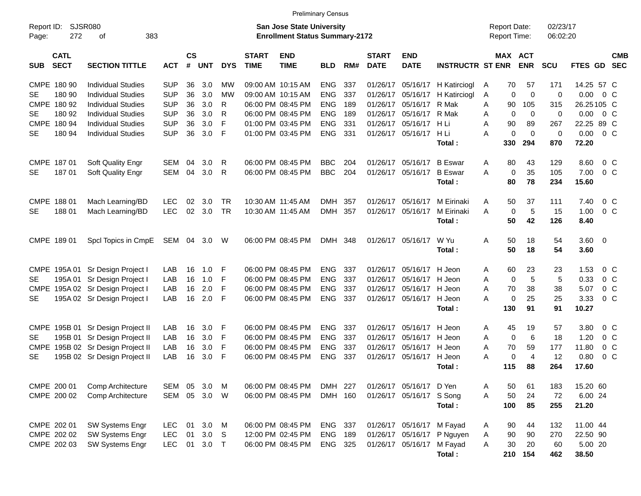|                                          |                                   |            |                    |                  |            |                             |                                                                           | <b>Preliminary Census</b> |     |                             |                           |                         |                                            |             |                              |                      |                |                          |
|------------------------------------------|-----------------------------------|------------|--------------------|------------------|------------|-----------------------------|---------------------------------------------------------------------------|---------------------------|-----|-----------------------------|---------------------------|-------------------------|--------------------------------------------|-------------|------------------------------|----------------------|----------------|--------------------------|
| Report ID:<br>272<br>Page:               | SJSR080<br>383<br>оf              |            |                    |                  |            |                             | <b>San Jose State University</b><br><b>Enrollment Status Summary-2172</b> |                           |     |                             |                           |                         | <b>Report Date:</b><br><b>Report Time:</b> |             |                              | 02/23/17<br>06:02:20 |                |                          |
| <b>CATL</b><br><b>SECT</b><br><b>SUB</b> | <b>SECTION TITTLE</b>             | <b>ACT</b> | $\mathsf{cs}$<br># | <b>UNT</b>       | <b>DYS</b> | <b>START</b><br><b>TIME</b> | <b>END</b><br><b>TIME</b>                                                 | <b>BLD</b>                | RM# | <b>START</b><br><b>DATE</b> | <b>END</b><br><b>DATE</b> | <b>INSTRUCTR ST ENR</b> |                                            |             | <b>MAX ACT</b><br><b>ENR</b> | <b>SCU</b>           | <b>FTES GD</b> | <b>CMB</b><br><b>SEC</b> |
| CMPE 180 90                              | <b>Individual Studies</b>         | <b>SUP</b> | 36                 | 3.0              | МW         |                             | 09:00 AM 10:15 AM                                                         | <b>ENG</b>                | 337 | 01/26/17                    | 05/16/17                  | H Katirciogl            | Α                                          | 70          | 57                           | 171                  | 14.25 57 C     |                          |
| 180 90<br>SE.                            | <b>Individual Studies</b>         | <b>SUP</b> | 36                 | 3.0              | <b>MW</b>  |                             | 09:00 AM 10:15 AM                                                         | <b>ENG</b>                | 337 | 01/26/17                    | 05/16/17                  | H Katirciogl            | Α                                          | 0           | $\mathbf 0$                  | $\mathbf 0$          | $0.00 \t 0 C$  |                          |
| CMPE 180 92                              | <b>Individual Studies</b>         | <b>SUP</b> | 36                 | 3.0              | R          |                             | 06:00 PM 08:45 PM                                                         | <b>ENG</b>                | 189 | 01/26/17                    | 05/16/17 R Mak            |                         | A                                          | 90          | 105                          | 315                  | 26.25105 C     |                          |
| SE.<br>180 92                            | <b>Individual Studies</b>         | <b>SUP</b> | 36                 | 3.0              | R          |                             | 06:00 PM 08:45 PM                                                         | <b>ENG</b>                | 189 | 01/26/17                    | 05/16/17 R Mak            |                         | A                                          | $\mathbf 0$ | 0                            | $\mathbf 0$          | $0.00 \t 0 C$  |                          |
| CMPE 180 94                              | <b>Individual Studies</b>         | <b>SUP</b> | 36                 | 3.0              | F          |                             | 01:00 PM 03:45 PM                                                         | <b>ENG</b>                | 331 | 01/26/17                    | 05/16/17                  | H Li                    | A                                          | 90          | 89                           | 267                  | 22.25 89 C     |                          |
| 180 94<br><b>SE</b>                      | <b>Individual Studies</b>         | <b>SUP</b> | 36                 | 3.0              | F          |                             | 01:00 PM 03:45 PM                                                         | <b>ENG</b>                | 331 | 01/26/17                    | 05/16/17                  | H Li                    | A                                          | 0           | $\mathbf 0$                  | $\mathbf 0$          | $0.00 \t 0 C$  |                          |
|                                          |                                   |            |                    |                  |            |                             |                                                                           |                           |     |                             |                           | Total :                 |                                            | 330         | 294                          | 870                  | 72.20          |                          |
| CMPE 187 01                              | Soft Quality Engr                 | SEM        | 04                 | 3.0              | R          |                             | 06:00 PM 08:45 PM                                                         | <b>BBC</b>                | 204 | 01/26/17                    | 05/16/17                  | <b>B</b> Eswar          | Α                                          | 80          | 43                           | 129                  | 8.60           | $0\,C$                   |
| 18701<br><b>SE</b>                       | Soft Quality Engr                 | SEM        | 04                 | 3.0              | R          |                             | 06:00 PM 08:45 PM                                                         | <b>BBC</b>                | 204 | 01/26/17                    | 05/16/17                  | <b>B</b> Eswar          | A                                          | $\mathbf 0$ | 35                           | 105                  | 7.00           | 0 <sup>o</sup>           |
|                                          |                                   |            |                    |                  |            |                             |                                                                           |                           |     |                             |                           | Total:                  |                                            | 80          | 78                           | 234                  | 15.60          |                          |
|                                          |                                   |            |                    |                  |            |                             |                                                                           |                           |     |                             |                           |                         |                                            |             |                              |                      |                |                          |
| CMPE 188 01                              | Mach Learning/BD                  | <b>LEC</b> | 02                 | 3.0              | TR         |                             | 10:30 AM 11:45 AM                                                         | DMH                       | 357 | 01/26/17                    | 05/16/17                  | M Eirinaki              | Α                                          | 50          | 37                           | 111                  | 7.40           | $0\,$ C                  |
| 18801<br><b>SE</b>                       | Mach Learning/BD                  | <b>LEC</b> | 02 <sub>2</sub>    | 3.0              | TR         |                             | 10:30 AM 11:45 AM                                                         | <b>DMH</b>                | 357 | 01/26/17                    | 05/16/17                  | M Eirinaki              | A                                          | $\mathbf 0$ | 5                            | 15                   | 1.00           | 0 <sup>o</sup>           |
|                                          |                                   |            |                    |                  |            |                             |                                                                           |                           |     |                             |                           | Total :                 |                                            | 50          | 42                           | 126                  | 8.40           |                          |
| CMPE 189 01                              | Spcl Topics in CmpE               | SEM 04     |                    | 3.0              | W          |                             | 06:00 PM 08:45 PM                                                         | DMH 348                   |     |                             | 01/26/17 05/16/17 W Yu    |                         | Α                                          | 50          | 18                           | 54                   | $3.60 \ 0$     |                          |
|                                          |                                   |            |                    |                  |            |                             |                                                                           |                           |     |                             |                           | Total :                 |                                            | 50          | 18                           | 54                   | 3.60           |                          |
|                                          |                                   |            |                    |                  |            |                             |                                                                           |                           |     |                             |                           |                         |                                            |             |                              |                      |                |                          |
|                                          | CMPE 195A 01 Sr Design Project I  | LAB        | 16                 | 1.0              | -F         |                             | 06:00 PM 08:45 PM                                                         | <b>ENG</b>                | 337 | 01/26/17                    | 05/16/17                  | H Jeon                  | A                                          | 60          | 23                           | 23                   | 1.53           | 0 <sup>o</sup>           |
| SE.                                      | 195A 01 Sr Design Project I       | LAB        | 16                 | 1.0              | -F         |                             | 06:00 PM 08:45 PM                                                         | <b>ENG</b>                | 337 | 01/26/17                    | 05/16/17                  | H Jeon                  | A                                          | $\mathbf 0$ | 5                            | 5                    | 0.33           | 0 <sup>o</sup>           |
|                                          | CMPE 195A 02 Sr Design Project I  | LAB        | 16                 | 2.0              | -F         |                             | 06:00 PM 08:45 PM                                                         | <b>ENG</b>                | 337 | 01/26/17                    | 05/16/17                  | H Jeon                  | A                                          | 70          | 38                           | 38                   | 5.07           | 0 <sup>o</sup>           |
| <b>SE</b>                                | 195A 02 Sr Design Project I       | LAB        | 16                 | 2.0              | -F         |                             | 06:00 PM 08:45 PM                                                         | <b>ENG</b>                | 337 | 01/26/17                    | 05/16/17                  | H Jeon                  | A                                          | $\mathbf 0$ | 25                           | 25                   | 3.33           | $0\,C$                   |
|                                          |                                   |            |                    |                  |            |                             |                                                                           |                           |     |                             |                           | Total:                  |                                            | 130         | 91                           | 91                   | 10.27          |                          |
| CMPE 195B 01                             | Sr Design Project II              | LAB        | 16                 | 3.0              | -F         |                             | 06:00 PM 08:45 PM                                                         | <b>ENG</b>                | 337 | 01/26/17                    | 05/16/17                  | H Jeon                  | Α                                          | 45          | 19                           | 57                   | 3.80           | 0 <sup>o</sup>           |
| 195B 01<br>SE                            | Sr Design Project II              | LAB        | 16                 | 3.0              | -F         |                             | 06:00 PM 08:45 PM                                                         | <b>ENG</b>                | 337 | 01/26/17                    | 05/16/17                  | H Jeon                  | A                                          | $\mathbf 0$ | 6                            | 18                   | 1.20           | 0 <sup>o</sup>           |
|                                          | CMPE 195B 02 Sr Design Project II | LAB        | 16                 | 3.0              | -F         |                             | 06:00 PM 08:45 PM                                                         | <b>ENG</b>                | 337 | 01/26/17                    | 05/16/17                  | H Jeon                  | A                                          | 70          | 59                           | 177                  | 11.80          | $0\,$ C                  |
| <b>SE</b>                                | 195B 02 Sr Design Project II      | LAB        | 16                 | 3.0              | F          |                             | 06:00 PM 08:45 PM                                                         | <b>ENG</b>                | 337 | 01/26/17                    | 05/16/17                  | H Jeon                  | A                                          | $\mathbf 0$ | $\overline{4}$               | 12                   | 0.80           | 0 <sup>o</sup>           |
|                                          |                                   |            |                    |                  |            |                             |                                                                           |                           |     |                             |                           | Total :                 |                                            | 115         | 88                           | 264                  | 17.60          |                          |
| CMPE 200 01                              | Comp Architecture                 | SEM        | 05                 | 3.0              | M          |                             | 06:00 PM 08:45 PM                                                         | DMH 227                   |     | 01/26/17                    | 05/16/17 D Yen            |                         | Α                                          | 50          | 61                           | 183                  | 15.20 60       |                          |
| CMPE 200 02                              | Comp Architecture                 | SEM 05     |                    | 3.0              | W          |                             | 06:00 PM 08:45 PM                                                         | DMH 160                   |     | 01/26/17                    | 05/16/17 S Song           |                         | A                                          | 50          | 24                           | 72                   | 6.00 24        |                          |
|                                          |                                   |            |                    |                  |            |                             |                                                                           |                           |     |                             |                           | Total:                  |                                            | 100         | 85                           | 255                  | 21.20          |                          |
|                                          |                                   |            |                    |                  |            |                             |                                                                           |                           |     |                             |                           |                         |                                            |             |                              |                      |                |                          |
| CMPE 202 01                              | <b>SW Systems Engr</b>            | <b>LEC</b> | 01                 | 3.0              | M          |                             | 06:00 PM 08:45 PM                                                         | ENG 337                   |     |                             | 01/26/17 05/16/17 M Fayad |                         | A                                          | 90          | 44                           | 132                  | 11.00 44       |                          |
| CMPE 202 02                              | SW Systems Engr                   | <b>LEC</b> | 01                 | 3.0 <sub>S</sub> |            |                             | 12:00 PM 02:45 PM                                                         | ENG 189                   |     | 01/26/17                    | 05/16/17                  | P Nguyen                | A                                          | 90          | 90                           | 270                  | 22.50 90       |                          |
| CMPE 202 03                              | SW Systems Engr                   | <b>LEC</b> | 01                 | $3.0$ T          |            |                             | 06:00 PM 08:45 PM                                                         | ENG 325                   |     | 01/26/17                    | 05/16/17 M Fayad          |                         | Α                                          | 30          | 20                           | 60                   | 5.00 20        |                          |
|                                          |                                   |            |                    |                  |            |                             |                                                                           |                           |     |                             |                           | Total:                  |                                            |             | 210 154                      | 462                  | 38.50          |                          |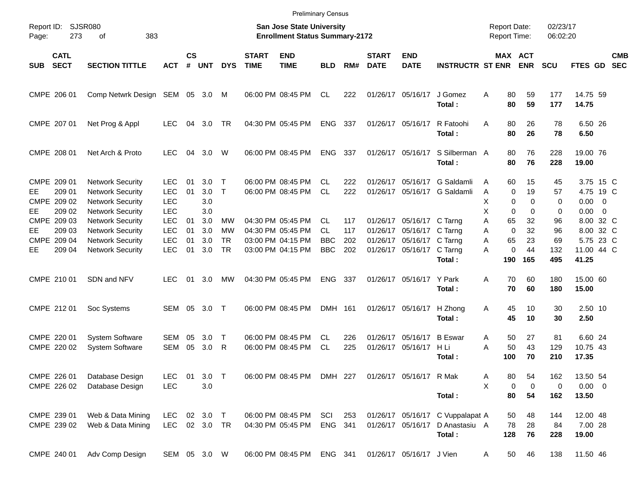|            |                                                |                                                                                                          |                                                      |                    |                          |                              |                             | <b>Preliminary Census</b>                                          |                                |                   |                             |                                                                            |                                                             |                                                           |                                  |                      |                                                     |                          |
|------------|------------------------------------------------|----------------------------------------------------------------------------------------------------------|------------------------------------------------------|--------------------|--------------------------|------------------------------|-----------------------------|--------------------------------------------------------------------|--------------------------------|-------------------|-----------------------------|----------------------------------------------------------------------------|-------------------------------------------------------------|-----------------------------------------------------------|----------------------------------|----------------------|-----------------------------------------------------|--------------------------|
| Page:      | Report ID: SJSR080<br>273                      | 383<br>оf                                                                                                |                                                      |                    |                          |                              |                             | San Jose State University<br><b>Enrollment Status Summary-2172</b> |                                |                   |                             |                                                                            |                                                             | <b>Report Date:</b><br><b>Report Time:</b>                |                                  | 02/23/17<br>06:02:20 |                                                     |                          |
| <b>SUB</b> | <b>CATL</b><br><b>SECT</b>                     | <b>SECTION TITTLE</b>                                                                                    | <b>ACT</b>                                           | $\mathsf{cs}$<br># | <b>UNT</b>               | <b>DYS</b>                   | <b>START</b><br><b>TIME</b> | <b>END</b><br><b>TIME</b>                                          | <b>BLD</b>                     | RM#               | <b>START</b><br><b>DATE</b> | <b>END</b><br><b>DATE</b>                                                  | <b>INSTRUCTR ST ENR</b>                                     | MAX ACT                                                   | <b>ENR</b>                       | <b>SCU</b>           | FTES GD                                             | <b>CMB</b><br><b>SEC</b> |
|            | CMPE 206 01                                    | Comp Netwrk Design SEM 05 3.0 M                                                                          |                                                      |                    |                          |                              |                             | 06:00 PM 08:45 PM                                                  | CL.                            | 222               |                             | 01/26/17 05/16/17                                                          | J Gomez<br>Total:                                           | 80<br>Α<br>80                                             | 59<br>59                         | 177<br>177           | 14.75 59<br>14.75                                   |                          |
|            | CMPE 207 01                                    | Net Prog & Appl                                                                                          | <b>LEC</b>                                           | 04                 | 3.0                      | <b>TR</b>                    |                             | 04:30 PM 05:45 PM                                                  | <b>ENG</b>                     | 337               |                             | 01/26/17 05/16/17                                                          | R Fatoohi<br>Total:                                         | 80<br>A<br>80                                             | 26<br>26                         | 78<br>78             | 6.50 26<br>6.50                                     |                          |
|            | CMPE 208 01                                    | Net Arch & Proto                                                                                         | <b>LEC</b>                                           | 04                 | 3.0                      | W                            |                             | 06:00 PM 08:45 PM                                                  | <b>ENG</b>                     | 337               |                             | 01/26/17 05/16/17                                                          | S Silberman A<br>Total:                                     | 80<br>80                                                  | 76<br>76                         | 228<br>228           | 19.00 76<br>19.00                                   |                          |
| EE.<br>EE. | CMPE 209 01<br>209 01<br>CMPE 209 02<br>209 02 | <b>Network Security</b><br><b>Network Security</b><br><b>Network Security</b><br><b>Network Security</b> | <b>LEC</b><br><b>LEC</b><br><b>LEC</b><br><b>LEC</b> | 01<br>01           | 3.0<br>3.0<br>3.0<br>3.0 | $\mathsf{T}$<br>$\mathsf{T}$ |                             | 06:00 PM 08:45 PM<br>06:00 PM 08:45 PM                             | CL<br><b>CL</b>                | 222<br>222        | 01/26/17                    | 05/16/17                                                                   | G Saldamli<br>01/26/17 05/16/17 G Saldamli                  | 60<br>A<br>$\mathbf 0$<br>A<br>X<br>0<br>X<br>$\mathbf 0$ | 15<br>19<br>$\Omega$<br>$\Omega$ | 45<br>57<br>0<br>0   | 3.75 15 C<br>4.75 19 C<br>$0.00 \t 0$<br>$0.00 \ 0$ |                          |
| EE.        | CMPE 209 03<br>209 03<br>CMPE 209 04           | <b>Network Security</b><br><b>Network Security</b><br><b>Network Security</b>                            | <b>LEC</b><br><b>LEC</b><br><b>LEC</b>               | 01<br>01<br>01     | 3.0<br>3.0<br>3.0        | MW<br><b>MW</b><br><b>TR</b> |                             | 04:30 PM 05:45 PM<br>04:30 PM 05:45 PM<br>03:00 PM 04:15 PM        | CL.<br><b>CL</b><br><b>BBC</b> | 117<br>117<br>202 | 01/26/17                    | 01/26/17 05/16/17 C Tarng<br>05/16/17 C Tarng<br>01/26/17 05/16/17 C Tarng |                                                             | 65<br>Α<br>$\Omega$<br>A<br>A<br>65                       | 32<br>32<br>23                   | 96<br>96<br>69       | 8.00 32 C<br>8.00 32 C<br>5.75 23 C                 |                          |
| EE         | 209 04                                         | <b>Network Security</b>                                                                                  | <b>LEC</b>                                           | 01                 | 3.0                      | <b>TR</b>                    |                             | 03:00 PM 04:15 PM                                                  | <b>BBC</b>                     | 202               |                             | 01/26/17 05/16/17                                                          | C Tarng<br>Total:                                           | $\mathbf 0$<br>A<br>190                                   | 44<br>165                        | 132<br>495           | 11.00 44 C<br>41.25                                 |                          |
|            | CMPE 210 01                                    | SDN and NFV                                                                                              | LEC.                                                 | 01                 | 3.0                      | МW                           |                             | 04:30 PM 05:45 PM                                                  | <b>ENG</b>                     | 337               |                             | 01/26/17 05/16/17                                                          | Y Park<br>Total:                                            | 70<br>A<br>70                                             | 60<br>60                         | 180<br>180           | 15.00 60<br>15.00                                   |                          |
|            | CMPE 212 01                                    | Soc Systems                                                                                              | SEM                                                  | 05                 | 3.0                      | $\top$                       |                             | 06:00 PM 08:45 PM                                                  | DMH 161                        |                   |                             | 01/26/17 05/16/17                                                          | H Zhong<br>Total:                                           | 45<br>Α<br>45                                             | 10<br>10                         | 30<br>30             | 2.50 10<br>2.50                                     |                          |
|            | CMPE 220 01<br>CMPE 220 02                     | <b>System Software</b><br><b>System Software</b>                                                         | <b>SEM</b><br><b>SEM</b>                             | 05<br>05           | 3.0<br>3.0               | Т<br>R                       |                             | 06:00 PM 08:45 PM<br>06:00 PM 08:45 PM                             | CL.<br><b>CL</b>               | 226<br>225        |                             | 01/26/17 05/16/17<br>01/26/17 05/16/17                                     | <b>B</b> Eswar<br>H Li<br>Total:                            | Α<br>50<br>50<br>A<br>100                                 | 27<br>43<br>70                   | 81<br>129<br>210     | 6.60 24<br>10.75 43<br>17.35                        |                          |
|            | CMPE 226 01<br>CMPE 226 02                     | Database Design<br>Database Design                                                                       | LEC<br><b>LEC</b>                                    | 01                 | $3.0$ T<br>3.0           |                              |                             | 06:00 PM 08:45 PM DMH 227                                          |                                |                   |                             | 01/26/17 05/16/17 R Mak                                                    | Total:                                                      | 80<br>A<br>X<br>0<br>80                                   | 54<br>0<br>54                    | 162<br>0<br>162      | 13.50 54<br>$0.00 \t 0$<br>13.50                    |                          |
|            | CMPE 239 01<br>CMPE 239 02                     | Web & Data Mining<br>Web & Data Mining                                                                   | LEC.<br>LEC                                          |                    | 02 3.0 T<br>02 3.0 TR    |                              |                             | 06:00 PM 08:45 PM<br>04:30 PM 05:45 PM                             | SCI<br>ENG 341                 | 253               |                             | 01/26/17 05/16/17                                                          | 01/26/17 05/16/17 C Vuppalapat A<br>D Anastasiu A<br>Total: | 50<br>78<br>128                                           | 48<br>28<br>76                   | 144<br>84<br>228     | 12.00 48<br>7.00 28<br>19.00                        |                          |
|            | CMPE 240 01                                    | Adv Comp Design                                                                                          | SEM 05 3.0 W                                         |                    |                          |                              |                             | 06:00 PM 08:45 PM                                                  | ENG 341                        |                   |                             | 01/26/17 05/16/17 J Vien                                                   |                                                             | 50<br>A                                                   | 46                               | 138                  | 11.50 46                                            |                          |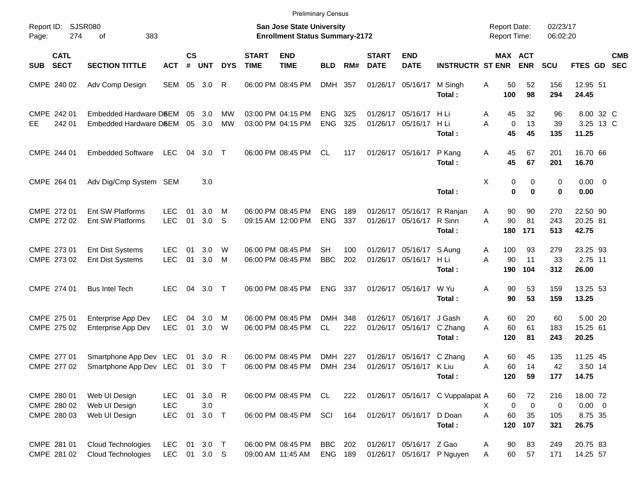|            |                                           |                                                  |                                  |                    |                           |                   |                             | <b>Preliminary Census</b>                                          |                          |            |                             |                                              |                                                      |                                            |                                   |                        |                                             |                          |
|------------|-------------------------------------------|--------------------------------------------------|----------------------------------|--------------------|---------------------------|-------------------|-----------------------------|--------------------------------------------------------------------|--------------------------|------------|-----------------------------|----------------------------------------------|------------------------------------------------------|--------------------------------------------|-----------------------------------|------------------------|---------------------------------------------|--------------------------|
| Page:      | Report ID: SJSR080<br>274                 | 383<br>of                                        |                                  |                    |                           |                   |                             | San Jose State University<br><b>Enrollment Status Summary-2172</b> |                          |            |                             |                                              |                                                      | <b>Report Date:</b><br><b>Report Time:</b> |                                   | 02/23/17<br>06:02:20   |                                             |                          |
| <b>SUB</b> | <b>CATL</b><br><b>SECT</b>                | <b>SECTION TITTLE</b>                            | <b>ACT</b>                       | $\mathsf{cs}$<br># | <b>UNT</b>                | <b>DYS</b>        | <b>START</b><br><b>TIME</b> | <b>END</b><br><b>TIME</b>                                          | <b>BLD</b>               | RM#        | <b>START</b><br><b>DATE</b> | <b>END</b><br><b>DATE</b>                    | <b>INSTRUCTR ST ENR</b>                              | MAX ACT                                    | <b>ENR</b>                        | <b>SCU</b>             | <b>FTES GD</b>                              | <b>CMB</b><br><b>SEC</b> |
|            | CMPE 240 02                               | Adv Comp Design                                  | SEM                              |                    | 05 3.0                    | R                 |                             | 06:00 PM 08:45 PM                                                  | DMH 357                  |            |                             | 01/26/17 05/16/17                            | M Singh<br>Total:                                    | 50<br>Α<br>100                             | 52<br>98                          | 156<br>294             | 12.95 51<br>24.45                           |                          |
| EE         | CMPE 242 01<br>242 01                     | Embedded Hardware D8EM<br>Embedded Hardware D8EM |                                  | 05<br>05           | 3.0<br>3.0                | MW<br><b>MW</b>   |                             | 03:00 PM 04:15 PM<br>03:00 PM 04:15 PM                             | <b>ENG</b><br><b>ENG</b> | 325<br>325 |                             | 01/26/17 05/16/17<br>01/26/17 05/16/17       | H Li<br>H Li<br>Total:                               | 45<br>Α<br>A<br>$\mathbf 0$<br>45          | 32<br>13<br>45                    | 96<br>39<br>135        | 8.00 32 C<br>3.25 13 C<br>11.25             |                          |
|            | CMPE 244 01                               | <b>Embedded Software</b>                         | <b>LEC</b>                       | 04                 | $3.0$ T                   |                   |                             | 06:00 PM 08:45 PM                                                  | <b>CL</b>                | 117        |                             | 01/26/17 05/16/17                            | P Kang<br>Total:                                     | 45<br>Α<br>45                              | 67<br>67                          | 201<br>201             | 16.70 66<br>16.70                           |                          |
|            | CMPE 264 01                               | Adv Dig/Cmp System SEM                           |                                  |                    | 3.0                       |                   |                             |                                                                    |                          |            |                             |                                              | Total:                                               | Χ<br>0<br>$\bf{0}$                         | 0<br>$\bf{0}$                     | 0<br>0                 | $0.00 \t 0$<br>0.00                         |                          |
|            | CMPE 272 01<br>CMPE 272 02                | <b>Ent SW Platforms</b><br>Ent SW Platforms      | <b>LEC</b><br><b>LEC</b>         | 01<br>01           | 3.0<br>3.0                | M<br><sub>S</sub> |                             | 06:00 PM 08:45 PM<br>09:15 AM 12:00 PM                             | <b>ENG</b><br><b>ENG</b> | 189<br>337 |                             | 01/26/17 05/16/17<br>01/26/17 05/16/17       | R Ranjan<br>R Sinn<br>Total:                         | 90<br>A<br>90<br>A<br>180                  | 90<br>81<br>171                   | 270<br>243<br>513      | 22.50 90<br>20.25 81<br>42.75               |                          |
|            | CMPE 273 01<br>CMPE 273 02                | Ent Dist Systems<br>Ent Dist Systems             | LEC.<br><b>LEC</b>               | 01<br>01           | 3.0 <sub>2</sub><br>3.0   | W<br>M            |                             | 06:00 PM 08:45 PM<br>06:00 PM 08:45 PM                             | SН<br><b>BBC</b>         | 100<br>202 |                             | 01/26/17 05/16/17<br>01/26/17 05/16/17       | S Aung<br>H Li<br>Total:                             | 100<br>Α<br>A<br>90<br>190                 | 93<br>11<br>104                   | 279<br>33<br>312       | 23.25 93<br>2.75 11<br>26.00                |                          |
|            | CMPE 274 01                               | <b>Bus Intel Tech</b>                            | <b>LEC</b>                       | 04                 | 3.0                       | $\top$            |                             | 06:00 PM 08:45 PM                                                  | <b>ENG</b>               | 337        |                             | 01/26/17 05/16/17                            | W Yu<br>Total:                                       | 90<br>Α<br>90                              | 53<br>53                          | 159<br>159             | 13.25 53<br>13.25                           |                          |
|            | CMPE 275 01<br>CMPE 275 02                | Enterprise App Dev<br>Enterprise App Dev         | <b>LEC</b><br><b>LEC</b>         | 04<br>01           | 3.0<br>3.0                | м<br>W            |                             | 06:00 PM 08:45 PM<br>06:00 PM 08:45 PM                             | <b>DMH</b><br><b>CL</b>  | 348<br>222 |                             | 01/26/17 05/16/17<br>01/26/17 05/16/17       | J Gash<br>C Zhang<br>Total:                          | 60<br>Α<br>A<br>60<br>120                  | 20<br>61<br>81                    | 60<br>183<br>243       | 5.00 20<br>15.25 61<br>20.25                |                          |
|            | CMPE 277 01<br>CMPE 277 02                | Smartphone App Dev LEC<br>Smartphone App Dev LEC |                                  | 01<br>01           | 3.0<br>3.0                | R<br>$\top$       |                             | 06:00 PM 08:45 PM<br>06:00 PM 08:45 PM                             | DMH<br>DMH 234           | 227        |                             | 01/26/17 05/16/17<br>01/26/17 05/16/17 K Liu | C Zhang<br>Total:                                    | 60<br>Α<br>60<br>A<br>120                  | 45<br>14<br>59                    | 135<br>42<br>177       | 11.25 45<br>3.50 14<br>14.75                |                          |
|            | CMPE 280 01<br>CMPE 280 02<br>CMPE 280 03 | Web UI Design<br>Web UI Design<br>Web UI Design  | LEC.<br><b>LEC</b><br><b>LEC</b> | 01<br>01           | $3.0$ R<br>3.0<br>$3.0$ T |                   |                             | 06:00 PM 08:45 PM CL<br>06:00 PM 08:45 PM                          | SCI                      | 222<br>164 |                             | 01/26/17 05/16/17                            | 01/26/17 05/16/17 C Vuppalapat A<br>D Doan<br>Total: | 60<br>$\mathbf 0$<br>X.<br>A<br>60<br>120  | 72<br>$\overline{0}$<br>35<br>107 | 216<br>0<br>105<br>321 | 18.00 72<br>$0.00 \t 0$<br>8.75 35<br>26.75 |                          |
|            | CMPE 281 01<br>CMPE 281 02                | Cloud Technologies<br>Cloud Technologies         | <b>LEC</b><br>LEC 01 3.0 S       |                    | 01 3.0 T                  |                   |                             | 06:00 PM 08:45 PM<br>09:00 AM 11:45 AM                             | BBC<br>ENG 189           | 202        |                             | 01/26/17 05/16/17 Z Gao                      | 01/26/17 05/16/17 P Nguyen                           | 90<br>A<br>60<br>Α                         | 83<br>57                          | 249<br>171             | 20.75 83<br>14.25 57                        |                          |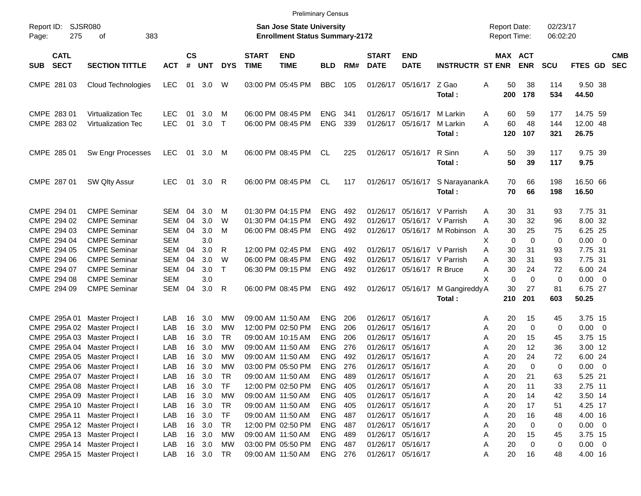| Report ID:<br>275<br>Page:               | SJSR080<br>383<br>оf                                   |                          |                         |            |              |                             | <b>San Jose State University</b><br><b>Enrollment Status Summary-2172</b> |                          |            |                             |                                        |                                | <b>Report Date:</b><br>Report Time: |                 | 02/23/17<br>06:02:20 |                                  |                          |
|------------------------------------------|--------------------------------------------------------|--------------------------|-------------------------|------------|--------------|-----------------------------|---------------------------------------------------------------------------|--------------------------|------------|-----------------------------|----------------------------------------|--------------------------------|-------------------------------------|-----------------|----------------------|----------------------------------|--------------------------|
| <b>CATL</b><br><b>SECT</b><br><b>SUB</b> | <b>SECTION TITTLE</b>                                  | <b>ACT</b>               | <b>CS</b><br>$\pmb{\#}$ | <b>UNT</b> | <b>DYS</b>   | <b>START</b><br><b>TIME</b> | <b>END</b><br><b>TIME</b>                                                 | <b>BLD</b>               | RM#        | <b>START</b><br><b>DATE</b> | <b>END</b><br><b>DATE</b>              | <b>INSTRUCTR ST ENR</b>        | MAX ACT                             | <b>ENR</b>      | <b>SCU</b>           | FTES GD                          | <b>CMB</b><br><b>SEC</b> |
| CMPE 281 03                              | Cloud Technologies                                     | <b>LEC</b>               | 01                      | 3.0        | W            |                             | 03:00 PM 05:45 PM                                                         | <b>BBC</b>               | 105        |                             | 01/26/17 05/16/17                      | Z Gao<br>Total:                | 50<br>Α<br>200                      | 38<br>178       | 114<br>534           | 9.50 38<br>44.50                 |                          |
| CMPE 283 01<br>CMPE 283 02               | <b>Virtualization Tec</b><br><b>Virtualization Tec</b> | <b>LEC</b><br><b>LEC</b> | 01<br>01                | 3.0<br>3.0 | м<br>$\top$  |                             | 06:00 PM 08:45 PM<br>06:00 PM 08:45 PM                                    | <b>ENG</b><br><b>ENG</b> | 341<br>339 |                             | 01/26/17 05/16/17<br>01/26/17 05/16/17 | M Larkin<br>M Larkin<br>Total: | 60<br>A<br>60<br>A<br>120           | 59<br>48<br>107 | 177<br>144<br>321    | 14.75 59<br>12.00 48<br>26.75    |                          |
| CMPE 285 01                              | Sw Engr Processes                                      | <b>LEC</b>               | 01                      | 3.0        | M            |                             | 06:00 PM 08:45 PM                                                         | CL                       | 225        |                             | 01/26/17 05/16/17                      | R Sinn<br>Total:               | A<br>50<br>50                       | 39<br>39        | 117<br>117           | 9.75 39<br>9.75                  |                          |
| CMPE 287 01                              | SW Qlty Assur                                          | <b>LEC</b>               | 01                      | 3.0        | R            |                             | 06:00 PM 08:45 PM                                                         | CL                       | 117        |                             | 01/26/17 05/16/17                      | S NarayanankA<br>Total:        | 70<br>70                            | 66<br>66        | 198<br>198           | 16.50 66<br>16.50                |                          |
| CMPE 294 01                              | <b>CMPE Seminar</b>                                    | <b>SEM</b>               | 04                      | 3.0        | м            |                             | 01:30 PM 04:15 PM                                                         | <b>ENG</b>               | 492        |                             | 01/26/17 05/16/17                      | V Parrish                      | 30<br>A                             | 31              | 93                   | 7.75 31                          |                          |
| CMPE 294 02                              | <b>CMPE Seminar</b>                                    | <b>SEM</b>               | 04                      | 3.0        | W            |                             | 01:30 PM 04:15 PM                                                         | <b>ENG</b>               | 492        | 01/26/17                    | 05/16/17                               | V Parrish                      | 30<br>Α                             | 32              | 96                   | 8.00 32                          |                          |
| CMPE 294 03                              | <b>CMPE Seminar</b>                                    | SEM                      | 04                      | 3.0        | M            |                             | 06:00 PM 08:45 PM                                                         | <b>ENG</b>               | 492        |                             | 01/26/17 05/16/17                      | M Robinson                     | 30<br>A                             | 25              | 75                   | 6.25 25                          |                          |
| CMPE 294 04                              | <b>CMPE Seminar</b>                                    | <b>SEM</b>               |                         | 3.0        |              |                             |                                                                           |                          |            |                             |                                        |                                | X<br>$\mathbf 0$                    | 0               | $\mathbf 0$          | 0.00<br>$\overline{\phantom{0}}$ |                          |
| CMPE 294 05                              | <b>CMPE Seminar</b>                                    | <b>SEM</b>               | 04                      | 3.0        | R            |                             | 12:00 PM 02:45 PM                                                         | <b>ENG</b>               | 492        |                             | 01/26/17 05/16/17 V Parrish            |                                | 30<br>Α                             | 31              | 93                   | 7.75 31                          |                          |
| CMPE 294 06                              | <b>CMPE Seminar</b>                                    | <b>SEM</b>               | 04                      | 3.0        | W            |                             | 06:00 PM 08:45 PM                                                         | <b>ENG</b>               | 492        | 01/26/17                    | 05/16/17                               | V Parrish                      | 30<br>Α                             | 31              | 93                   | 7.75 31                          |                          |
| CMPE 294 07                              | <b>CMPE Seminar</b>                                    | SEM                      | 04                      | 3.0        | $\mathsf{T}$ |                             | 06:30 PM 09:15 PM                                                         | <b>ENG</b>               | 492        |                             | 01/26/17 05/16/17 R Bruce              |                                | A<br>30                             | 24              | 72                   | 6.00 24                          |                          |
| CMPE 294 08                              | <b>CMPE Seminar</b>                                    | <b>SEM</b>               |                         | 3.0        |              |                             |                                                                           |                          |            |                             |                                        |                                | X<br>0                              | 0               | $\mathbf 0$          | 0.00<br>$\overline{\phantom{0}}$ |                          |
| CMPE 294 09                              | <b>CMPE Seminar</b>                                    | SEM                      | 04                      | 3.0        | R            |                             | 06:00 PM 08:45 PM                                                         | <b>ENG</b>               | 492        |                             | 01/26/17 05/16/17                      | M Gangireddy A                 | 30                                  | 27              | 81                   | 6.75 27                          |                          |
|                                          |                                                        |                          |                         |            |              |                             |                                                                           |                          |            |                             |                                        | Total:                         | 210                                 | 201             | 603                  | 50.25                            |                          |
| CMPE 295A 01                             | Master Project I                                       | LAB                      | 16                      | 3.0        | МW           |                             | 09:00 AM 11:50 AM                                                         | <b>ENG</b>               | 206        |                             | 01/26/17 05/16/17                      |                                | 20<br>Α                             | 15              | 45                   | 3.75 15                          |                          |
| CMPE 295A 02                             | Master Project I                                       | LAB                      | 16                      | 3.0        | MW           |                             | 12:00 PM 02:50 PM                                                         | <b>ENG</b>               | 206        | 01/26/17                    | 05/16/17                               |                                | 20<br>Α                             | 0               | $\mathbf 0$          | 0.00<br>$\overline{\phantom{0}}$ |                          |
| CMPE 295A 03 Master Project I            |                                                        | LAB                      | 16                      | 3.0        | <b>TR</b>    |                             | 09:00 AM 10:15 AM                                                         | <b>ENG</b>               | 206        |                             | 01/26/17 05/16/17                      |                                | Α<br>20                             | 15              | 45                   | 3.75 15                          |                          |
| CMPE 295A 04 Master Project I            |                                                        | LAB                      | 16                      | 3.0        | <b>MW</b>    |                             | 09:00 AM 11:50 AM                                                         | <b>ENG</b>               | 276        |                             | 01/26/17 05/16/17                      |                                | Α<br>20                             | 12              | 36                   | 3.00 12                          |                          |
| CMPE 295A 05 Master Project I            |                                                        | LAB                      | 16                      | 3.0        | MW           |                             | 09:00 AM 11:50 AM                                                         | <b>ENG</b>               | 492        |                             | 01/26/17 05/16/17                      |                                | 20<br>Α                             | 24              | 72                   | 6.00 24                          |                          |
| CMPE 295A 06 Master Project I            |                                                        | LAB                      | 16                      | 3.0        | <b>MW</b>    |                             | 03:00 PM 05:50 PM                                                         | <b>ENG</b>               | 276        | 01/26/17                    | 05/16/17                               |                                | 20<br>Α                             | $\mathbf 0$     | 0                    | 0.00<br>$\overline{\mathbf{0}}$  |                          |
| CMPE 295A 07 Master Project I            |                                                        | LAB                      | 16                      | 3.0        | <b>TR</b>    |                             | 09:00 AM 11:50 AM                                                         | <b>ENG</b>               | 489        |                             | 01/26/17 05/16/17                      |                                | 20<br>Α                             | 21              | 63                   | 5.25 21                          |                          |
| CMPE 295A 08 Master Project I            |                                                        | LAB                      | 16                      | 3.0        | TF           |                             | 12:00 PM 02:50 PM                                                         | ENG                      | 405        |                             | 01/26/17 05/16/17                      |                                | 20<br>Α                             | 11              | 33                   | 2.75 11                          |                          |
| CMPE 295A 09 Master Project I            |                                                        | LAB                      | 16                      | 3.0        | <b>MW</b>    |                             | 09:00 AM 11:50 AM                                                         | ENG                      | 405        |                             | 01/26/17 05/16/17                      |                                | 20<br>Α                             | 14              | 42                   | 3.50 14                          |                          |
| CMPE 295A 10 Master Project I            |                                                        | LAB                      |                         | 16 3.0     | TR           |                             | 09:00 AM 11:50 AM                                                         | ENG 405                  |            |                             | 01/26/17 05/16/17                      |                                | 20<br>Α                             | 17              | 51                   | 4.25 17                          |                          |
| CMPE 295A 11 Master Project I            |                                                        | LAB                      | 16                      | 3.0        | <b>TF</b>    |                             | 09:00 AM 11:50 AM                                                         | ENG 487                  |            |                             | 01/26/17 05/16/17                      |                                | 20<br>Α                             | 16              | 48                   | 4.00 16                          |                          |
| CMPE 295A 12 Master Project I            |                                                        | LAB                      | 16                      | 3.0        | TR           |                             | 12:00 PM 02:50 PM                                                         | ENG 487                  |            |                             | 01/26/17 05/16/17                      |                                | 20<br>Α                             | 0               | 0                    | $0.00 \t 0$                      |                          |
| CMPE 295A 13 Master Project I            |                                                        | LAB                      | 16                      | 3.0        | МW           |                             | 09:00 AM 11:50 AM                                                         | ENG 489                  |            |                             | 01/26/17 05/16/17                      |                                | 20<br>Α                             | 15              | 45                   | 3.75 15                          |                          |
| CMPE 295A 14 Master Project I            |                                                        | LAB                      | 16                      | 3.0        | МW           |                             | 03:00 PM 05:50 PM                                                         | ENG 487                  |            |                             | 01/26/17 05/16/17                      |                                | 20<br>Α                             | 0               | 0                    | $0.00 \t 0$                      |                          |
| CMPE 295A 15 Master Project I            |                                                        | LAB                      |                         | 16 3.0     | <b>TR</b>    |                             | 09:00 AM 11:50 AM                                                         | ENG 276                  |            |                             | 01/26/17 05/16/17                      |                                | 20<br>Α                             | 16              | 48                   | 4.00 16                          |                          |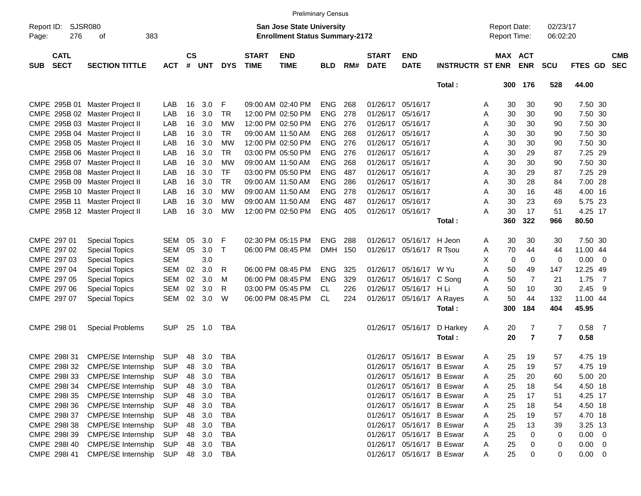|                     |                            |                                |            |                |            |            |                             |                                                                    | <b>Preliminary Census</b> |     |                             |                           |                         |                                     |                       |                      |             |                          |
|---------------------|----------------------------|--------------------------------|------------|----------------|------------|------------|-----------------------------|--------------------------------------------------------------------|---------------------------|-----|-----------------------------|---------------------------|-------------------------|-------------------------------------|-----------------------|----------------------|-------------|--------------------------|
| Report ID:<br>Page: | <b>SJSR080</b><br>276      | 383<br>оf                      |            |                |            |            |                             | San Jose State University<br><b>Enrollment Status Summary-2172</b> |                           |     |                             |                           |                         | <b>Report Date:</b><br>Report Time: |                       | 02/23/17<br>06:02:20 |             |                          |
| <b>SUB</b>          | <b>CATL</b><br><b>SECT</b> | <b>SECTION TITTLE</b>          | <b>ACT</b> | <b>CS</b><br># | <b>UNT</b> | <b>DYS</b> | <b>START</b><br><b>TIME</b> | <b>END</b><br><b>TIME</b>                                          | <b>BLD</b>                | RM# | <b>START</b><br><b>DATE</b> | <b>END</b><br><b>DATE</b> | <b>INSTRUCTR ST ENR</b> |                                     | MAX ACT<br><b>ENR</b> | <b>SCU</b>           | FTES GD     | <b>CMB</b><br><b>SEC</b> |
|                     |                            |                                |            |                |            |            |                             |                                                                    |                           |     |                             |                           | Total:                  | 300                                 | 176                   | 528                  | 44.00       |                          |
|                     |                            | CMPE 295B 01 Master Project II | LAB        | 16             | 3.0        | F          |                             | 09:00 AM 02:40 PM                                                  | <b>ENG</b>                | 268 |                             | 01/26/17 05/16/17         |                         | A                                   | 30<br>30              | 90                   | 7.50 30     |                          |
|                     |                            | CMPE 295B 02 Master Project II | LAB        | 16             | 3.0        | <b>TR</b>  |                             | 12:00 PM 02:50 PM                                                  | <b>ENG</b>                | 278 | 01/26/17                    | 05/16/17                  |                         | Α                                   | 30<br>30              | 90                   | 7.50 30     |                          |
|                     |                            | CMPE 295B 03 Master Project II | LAB        | 16             | 3.0        | МW         |                             | 12:00 PM 02:50 PM                                                  | <b>ENG</b>                | 276 | 01/26/17                    | 05/16/17                  |                         | Α                                   | 30<br>30              | 90                   | 7.50 30     |                          |
|                     |                            | CMPE 295B 04 Master Project II | LAB        | 16             | 3.0        | <b>TR</b>  |                             | 09:00 AM 11:50 AM                                                  | <b>ENG</b>                | 268 | 01/26/17                    | 05/16/17                  |                         | Α                                   | 30<br>30              | 90                   | 7.50 30     |                          |
|                     |                            | CMPE 295B 05 Master Project II | LAB        | 16             | 3.0        | <b>MW</b>  |                             | 12:00 PM 02:50 PM                                                  | <b>ENG</b>                | 276 | 01/26/17                    | 05/16/17                  |                         | Α                                   | 30<br>30              | 90                   | 7.50 30     |                          |
|                     |                            | CMPE 295B 06 Master Project II | LAB        | 16             | 3.0        | <b>TR</b>  |                             | 03:00 PM 05:50 PM                                                  | <b>ENG</b>                | 276 | 01/26/17                    | 05/16/17                  |                         | Α                                   | 30<br>29              | 87                   | 7.25 29     |                          |
|                     |                            | CMPE 295B 07 Master Project II | LAB        | 16             | 3.0        | <b>MW</b>  |                             | 09:00 AM 11:50 AM                                                  | <b>ENG</b>                | 268 | 01/26/17                    | 05/16/17                  |                         | Α                                   | 30<br>30              | 90                   | 7.50 30     |                          |
|                     |                            | CMPE 295B 08 Master Project II | LAB        | 16             | 3.0        | <b>TF</b>  |                             | 03:00 PM 05:50 PM                                                  | <b>ENG</b>                | 487 | 01/26/17                    | 05/16/17                  |                         | Α                                   | 30<br>29              | 87                   | 7.25 29     |                          |
|                     |                            | CMPE 295B 09 Master Project II | LAB        | 16             | 3.0        | <b>TR</b>  |                             | 09:00 AM 11:50 AM                                                  | <b>ENG</b>                | 286 | 01/26/17                    | 05/16/17                  |                         | Α                                   | 30<br>28              | 84                   | 7.00 28     |                          |
|                     |                            | CMPE 295B 10 Master Project II | LAB        | 16             | 3.0        | МW         |                             | 09:00 AM 11:50 AM                                                  | <b>ENG</b>                | 278 | 01/26/17                    | 05/16/17                  |                         | Α                                   | 30<br>16              | 48                   | 4.00 16     |                          |
|                     |                            | CMPE 295B 11 Master Project II | LAB        | 16             | 3.0        | MW         |                             | 09:00 AM 11:50 AM                                                  | <b>ENG</b>                | 487 | 01/26/17                    | 05/16/17                  |                         | Α                                   | 30<br>23              | 69                   | 5.75 23     |                          |
|                     |                            | CMPE 295B 12 Master Project II | LAB        | 16             | 3.0        | MW         |                             | 12:00 PM 02:50 PM                                                  | <b>ENG</b>                | 405 | 01/26/17 05/16/17           |                           |                         | A                                   | 30<br>17              | 51                   | 4.25 17     |                          |
|                     |                            |                                |            |                |            |            |                             |                                                                    |                           |     |                             |                           | Total:                  | 360                                 | 322                   | 966                  | 80.50       |                          |
|                     | CMPE 297 01                | <b>Special Topics</b>          | SEM        | 05             | 3.0        | F          |                             | 02:30 PM 05:15 PM                                                  | <b>ENG</b>                | 288 | 01/26/17                    | 05/16/17                  | H Jeon                  | A                                   | 30<br>30              | 30                   | 7.50 30     |                          |
|                     | CMPE 297 02                | <b>Special Topics</b>          | SEM        | 05             | 3.0        | Т          |                             | 06:00 PM 08:45 PM                                                  | <b>DMH</b>                | 150 | 01/26/17                    | 05/16/17                  | R Tsou                  | A                                   | 70<br>44              | 44                   | 11.00 44    |                          |
|                     | CMPE 297 03                | <b>Special Topics</b>          | <b>SEM</b> |                | 3.0        |            |                             |                                                                    |                           |     |                             |                           |                         | X                                   | 0<br>$\mathbf 0$      | 0                    | 0.00        | $\overline{\mathbf{0}}$  |
|                     | CMPE 297 04                | <b>Special Topics</b>          | <b>SEM</b> | 02             | 3.0        | R          |                             | 06:00 PM 08:45 PM                                                  | <b>ENG</b>                | 325 | 01/26/17                    | 05/16/17                  | W Yu                    | Α                                   | 50<br>49              | 147                  | 12.25 49    |                          |
|                     | CMPE 297 05                | <b>Special Topics</b>          | <b>SEM</b> | 02             | 3.0        | м          |                             | 06:00 PM 08:45 PM                                                  | <b>ENG</b>                | 329 | 01/26/17                    | 05/16/17                  | C Song                  | Α                                   | 50<br>7               | 21                   | 1.75        | $\overline{7}$           |
|                     | CMPE 297 06                | <b>Special Topics</b>          | <b>SEM</b> | 02             | 3.0        | R          |                             | 03:00 PM 05:45 PM                                                  | CL.                       | 226 | 01/26/17                    | 05/16/17                  | H Li                    | Α                                   | 50<br>10              | 30                   | 2.45        | - 9                      |
|                     | CMPE 297 07                | <b>Special Topics</b>          | <b>SEM</b> | 02             | 3.0        | W          |                             | 06:00 PM 08:45 PM                                                  | <b>CL</b>                 | 224 |                             | 01/26/17 05/16/17         | A Rayes                 | A                                   | 50<br>44              | 132                  | 11.00 44    |                          |
|                     |                            |                                |            |                |            |            |                             |                                                                    |                           |     |                             |                           | Total:                  | 300                                 | 184                   | 404                  | 45.95       |                          |
|                     | CMPE 298 01                | <b>Special Problems</b>        | <b>SUP</b> | 25             | 1.0        | TBA        |                             |                                                                    |                           |     |                             | 01/26/17 05/16/17         | D Harkey                | Α                                   | 7<br>20               | 7                    | 0.58        | $\overline{7}$           |
|                     |                            |                                |            |                |            |            |                             |                                                                    |                           |     |                             |                           | Total:                  |                                     | 20<br>$\overline{7}$  | $\overline{7}$       | 0.58        |                          |
|                     | CMPE 298I 31               | <b>CMPE/SE Internship</b>      | <b>SUP</b> | 48             | 3.0        | <b>TBA</b> |                             |                                                                    |                           |     | 01/26/17                    | 05/16/17                  | <b>B</b> Eswar          | A                                   | 25<br>19              | 57                   | 4.75 19     |                          |
|                     | CMPE 298132                | <b>CMPE/SE Internship</b>      | <b>SUP</b> | 48             | 3.0        | <b>TBA</b> |                             |                                                                    |                           |     |                             | 01/26/17 05/16/17         | <b>B</b> Eswar          | Α                                   | 25<br>19              | 57                   | 4.75 19     |                          |
|                     | CMPE 298133                | <b>CMPE/SE Internship</b>      | <b>SUP</b> | 48             | 3.0        | TBA        |                             |                                                                    |                           |     |                             | 01/26/17 05/16/17 B Eswar |                         | A                                   | 25<br>20              | 60                   | 5.00 20     |                          |
|                     | CMPE 298I 34               | <b>CMPE/SE Internship</b>      | <b>SUP</b> | 48             | 3.0        | <b>TBA</b> |                             |                                                                    |                           |     |                             | 01/26/17 05/16/17 B Eswar |                         | A                                   | 25<br>18              | 54                   | 4.50 18     |                          |
|                     | CMPE 2981 35               | <b>CMPE/SE Internship</b>      | <b>SUP</b> |                | 48 3.0     | <b>TBA</b> |                             |                                                                    |                           |     |                             | 01/26/17 05/16/17 B Eswar |                         | A                                   | 25<br>17              | 51                   | 4.25 17     |                          |
|                     | CMPE 298136                | CMPE/SE Internship             | <b>SUP</b> |                | 48 3.0     | <b>TBA</b> |                             |                                                                    |                           |     |                             | 01/26/17 05/16/17 B Eswar |                         | Α                                   | 25<br>18              | 54                   | 4.50 18     |                          |
|                     | CMPE 298137                | <b>CMPE/SE Internship</b>      | <b>SUP</b> | 48             | 3.0        | <b>TBA</b> |                             |                                                                    |                           |     |                             | 01/26/17 05/16/17 B Eswar |                         | A                                   | 25<br>19              | 57                   | 4.70 18     |                          |
|                     | CMPE 2981 38               | <b>CMPE/SE Internship</b>      | <b>SUP</b> |                | 48 3.0     | <b>TBA</b> |                             |                                                                    |                           |     |                             | 01/26/17 05/16/17 B Eswar |                         | A                                   | 25<br>13              | 39                   | 3.25 13     |                          |
|                     | CMPE 298I 39               | <b>CMPE/SE Internship</b>      | <b>SUP</b> |                | 48 3.0     | <b>TBA</b> |                             |                                                                    |                           |     |                             | 01/26/17 05/16/17 B Eswar |                         | Α                                   | 25<br>0               | 0                    | $0.00 \t 0$ |                          |
|                     | CMPE 2981 40               | <b>CMPE/SE Internship</b>      | <b>SUP</b> | 48             | 3.0        | TBA        |                             |                                                                    |                           |     |                             | 01/26/17 05/16/17 B Eswar |                         | A                                   | 25<br>0               | 0                    | $0.00 \t 0$ |                          |
|                     | CMPE 298I 41               | CMPE/SE Internship             | <b>SUP</b> |                | 48 3.0     | TBA        |                             |                                                                    |                           |     |                             | 01/26/17 05/16/17 B Eswar |                         | A                                   | 25<br>0               | 0                    | $0.00 \t 0$ |                          |
|                     |                            |                                |            |                |            |            |                             |                                                                    |                           |     |                             |                           |                         |                                     |                       |                      |             |                          |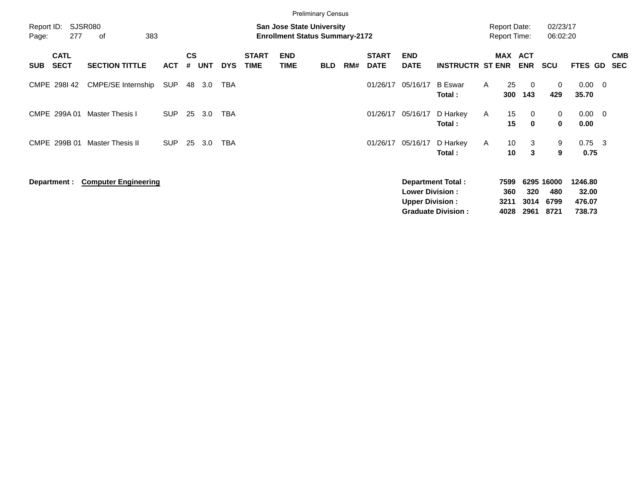|                                          |                             |            |                    |            |            |                             |                                                                           | <b>Preliminary Census</b> |     |                             |                           |                           |              |              |                                            |                      |                         |                          |                          |
|------------------------------------------|-----------------------------|------------|--------------------|------------|------------|-----------------------------|---------------------------------------------------------------------------|---------------------------|-----|-----------------------------|---------------------------|---------------------------|--------------|--------------|--------------------------------------------|----------------------|-------------------------|--------------------------|--------------------------|
| Report ID:<br>277<br>Page:               | <b>SJSR080</b><br>383<br>οf |            |                    |            |            |                             | <b>San Jose State University</b><br><b>Enrollment Status Summary-2172</b> |                           |     |                             |                           |                           |              |              | <b>Report Date:</b><br><b>Report Time:</b> | 02/23/17<br>06:02:20 |                         |                          |                          |
| <b>CATL</b><br><b>SECT</b><br><b>SUB</b> | <b>SECTION TITTLE</b>       | <b>ACT</b> | $\mathsf{cs}$<br># | <b>UNT</b> | <b>DYS</b> | <b>START</b><br><b>TIME</b> | <b>END</b><br><b>TIME</b>                                                 | <b>BLD</b>                | RM# | <b>START</b><br><b>DATE</b> | <b>END</b><br><b>DATE</b> | <b>INSTRUCTR ST ENR</b>   |              |              | MAX ACT<br><b>ENR</b>                      | <b>SCU</b>           | FTES GD                 |                          | <b>CMB</b><br><b>SEC</b> |
| CMPE 298142                              | <b>CMPE/SE Internship</b>   | SUP        | 48                 | 3.0        | TBA        |                             |                                                                           |                           |     | 01/26/17                    | 05/16/17                  | <b>B</b> Eswar<br>Total:  | A            | 25<br>300    | - 0<br>143                                 | 0<br>429             | $0.00 \quad 0$<br>35.70 |                          |                          |
| CMPE 299A 01                             | <b>Master Thesis I</b>      | <b>SUP</b> | 25                 | 3.0        | <b>TBA</b> |                             |                                                                           |                           |     | 01/26/17                    | 05/16/17                  | D Harkey<br>Total:        | $\mathsf{A}$ | 15<br>15     | 0<br>$\mathbf 0$                           | 0<br>0               | 0.00<br>0.00            | $\overline{\phantom{0}}$ |                          |
| CMPE 299B 01                             | <b>Master Thesis II</b>     | <b>SUP</b> | 25                 | 3.0        | <b>TBA</b> |                             |                                                                           |                           |     | 01/26/17                    | 05/16/17                  | D Harkey<br>Total:        | $\mathsf{A}$ | 10<br>10     | 3<br>3                                     | 9<br>9               | $0.75 \quad 3$<br>0.75  |                          |                          |
| Department :                             | <b>Computer Engineering</b> |            |                    |            |            |                             |                                                                           |                           |     |                             | <b>Lower Division:</b>    | <b>Department Total:</b>  |              | 7599<br>360  | 320                                        | 6295 16000<br>480    | 1246.80<br>32.00        |                          |                          |
|                                          |                             |            |                    |            |            |                             |                                                                           |                           |     |                             | <b>Upper Division:</b>    | <b>Graduate Division:</b> |              | 3211<br>4028 | 3014<br>2961                               | 6799<br>8721         | 476.07<br>738.73        |                          |                          |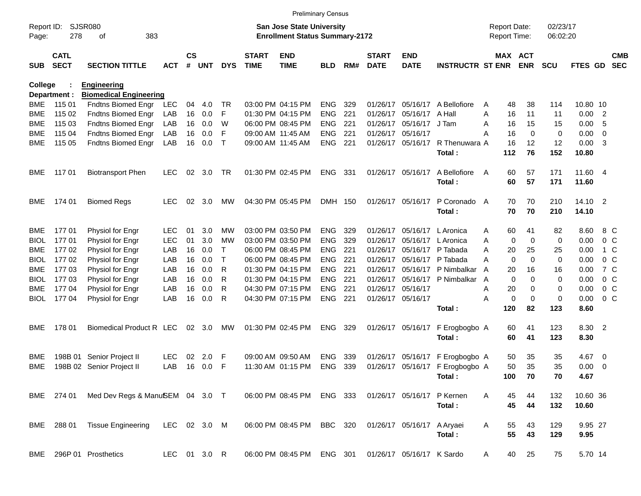|                     |                            |                                 |              |                    |            |            |                             | <b>Preliminary Census</b>                                          |            |     |                             |                            |                                 |   |                                     |                |                      |                  |                         |                          |
|---------------------|----------------------------|---------------------------------|--------------|--------------------|------------|------------|-----------------------------|--------------------------------------------------------------------|------------|-----|-----------------------------|----------------------------|---------------------------------|---|-------------------------------------|----------------|----------------------|------------------|-------------------------|--------------------------|
| Report ID:<br>Page: | 278                        | SJSR080<br>383<br>οf            |              |                    |            |            |                             | San Jose State University<br><b>Enrollment Status Summary-2172</b> |            |     |                             |                            |                                 |   | <b>Report Date:</b><br>Report Time: |                | 02/23/17<br>06:02:20 |                  |                         |                          |
| <b>SUB</b>          | <b>CATL</b><br><b>SECT</b> | <b>SECTION TITTLE</b>           | <b>ACT</b>   | $\mathsf{cs}$<br># | <b>UNT</b> | <b>DYS</b> | <b>START</b><br><b>TIME</b> | <b>END</b><br><b>TIME</b>                                          | <b>BLD</b> | RM# | <b>START</b><br><b>DATE</b> | <b>END</b><br><b>DATE</b>  | <b>INSTRUCTR ST ENR</b>         |   | MAX ACT                             | <b>ENR</b>     | <b>SCU</b>           | FTES GD          |                         | <b>CMB</b><br><b>SEC</b> |
| <b>College</b>      |                            | <b>Engineering</b>              |              |                    |            |            |                             |                                                                    |            |     |                             |                            |                                 |   |                                     |                |                      |                  |                         |                          |
|                     | Department :               | <b>Biomedical Engineering</b>   |              |                    |            |            |                             |                                                                    |            |     |                             |                            |                                 |   |                                     |                |                      |                  |                         |                          |
| BME                 | 115 01                     | Fndtns Biomed Engr              | LEC          | 04                 | 4.0        | TR         |                             | 03:00 PM 04:15 PM                                                  | <b>ENG</b> | 329 | 01/26/17                    | 05/16/17                   | A Bellofiore                    | A | 48                                  | 38             | 114                  | 10.80 10         |                         |                          |
| <b>BME</b>          | 115 02                     | Fndtns Biomed Engr              | LAB          | 16                 | 0.0        | F          |                             | 01:30 PM 04:15 PM                                                  | ENG        | 221 | 01/26/17                    | 05/16/17                   | A Hall                          | A | 16                                  | 11             | 11                   | 0.00             | $\overline{2}$          |                          |
| <b>BME</b>          | 115 03                     | Fndtns Biomed Engr              | LAB          | 16                 | 0.0        | W          |                             | 06:00 PM 08:45 PM                                                  | <b>ENG</b> | 221 | 01/26/17                    | 05/16/17                   | J Tam                           | A | 16                                  | 15             | 15                   | 0.00             | -5                      |                          |
| <b>BME</b>          | 115 04                     | Fndtns Biomed Engr              | LAB          | 16                 | 0.0        | F          |                             | 09:00 AM 11:45 AM                                                  | <b>ENG</b> | 221 | 01/26/17                    | 05/16/17                   |                                 | Α | 16                                  | $\mathbf 0$    | 0                    | 0.00             | 0                       |                          |
| <b>BME</b>          | 115 05                     | Fndtns Biomed Engr              | LAB          | 16                 | 0.0        | $\top$     |                             | 09:00 AM 11:45 AM                                                  | ENG        | 221 | 01/26/17                    | 05/16/17                   | R Thenuwara A                   |   | 16                                  | 12             | 12                   | 0.00             | $\overline{\mathbf{3}}$ |                          |
|                     |                            |                                 |              |                    |            |            |                             |                                                                    |            |     |                             |                            | Total:                          |   | 112                                 | 76             | 152                  | 10.80            |                         |                          |
| BME                 | 117 01                     | <b>Biotransport Phen</b>        | <b>LEC</b>   | 02                 | 3.0        | <b>TR</b>  |                             | 01:30 PM 02:45 PM                                                  | ENG        | 331 |                             | 01/26/17 05/16/17          | A Bellofiore<br>Total:          | A | 60<br>60                            | 57<br>57       | 171<br>171           | 11.60 4<br>11.60 |                         |                          |
|                     |                            |                                 |              |                    |            |            |                             |                                                                    |            |     |                             |                            |                                 |   |                                     |                |                      |                  |                         |                          |
| BME                 | 174 01                     | <b>Biomed Regs</b>              | <b>LEC</b>   | 02                 | 3.0        | MW         |                             | 04:30 PM 05:45 PM                                                  | DMH 150    |     |                             | 01/26/17 05/16/17          | P Coronado A                    |   | 70                                  | 70             | 210                  | $14.10 \quad 2$  |                         |                          |
|                     |                            |                                 |              |                    |            |            |                             |                                                                    |            |     |                             |                            | Total:                          |   | 70                                  | 70             | 210                  | 14.10            |                         |                          |
| BME                 | 17701                      | Physiol for Engr                | <b>LEC</b>   | 01                 | 3.0        | МW         |                             | 03:00 PM 03:50 PM                                                  | <b>ENG</b> | 329 | 01/26/17                    | 05/16/17                   | L Aronica                       | A | 60                                  | 41             | 82                   | 8.60             |                         | 8 C                      |
| <b>BIOL</b>         | 17701                      | Physiol for Engr                | <b>LEC</b>   | 01                 | 3.0        | <b>MW</b>  |                             | 03:00 PM 03:50 PM                                                  | ENG        | 329 | 01/26/17                    | 05/16/17                   | L Aronica                       | A | $\mathbf 0$                         | $\overline{0}$ | 0                    | 0.00             |                         | 0 <sup>o</sup>           |
| <b>BME</b>          | 17702                      | Physiol for Engr                | LAB          | 16                 | 0.0        | T          |                             | 06:00 PM 08:45 PM                                                  | <b>ENG</b> | 221 | 01/26/17                    | 05/16/17                   | P Tabada                        | A | 20                                  | 25             | 25                   | 0.00             |                         | 1 C                      |
| <b>BIOL</b>         | 17702                      | Physiol for Engr                | LAB          | 16                 | 0.0        | Т          |                             | 06:00 PM 08:45 PM                                                  | <b>ENG</b> | 221 | 01/26/17                    | 05/16/17                   | P Tabada                        | Α | $\mathbf 0$                         | $\mathbf 0$    | 0                    | 0.00             |                         | 0 <sup>o</sup>           |
| <b>BME</b>          | 177 03                     | Physiol for Engr                | LAB          | 16                 | 0.0        | R          |                             | 01:30 PM 04:15 PM                                                  | <b>ENG</b> | 221 | 01/26/17                    | 05/16/17                   | P Nimbalkar                     | A | 20                                  | 16             | 16                   | 0.00             |                         | 7 C                      |
| <b>BIOL</b>         | 17703                      | Physiol for Engr                | LAB          | 16                 | 0.0        | R          |                             | 01:30 PM 04:15 PM                                                  | <b>ENG</b> | 221 | 01/26/17                    | 05/16/17                   | P Nimbalkar                     | A | $\mathbf 0$                         | $\mathbf 0$    | 0                    | 0.00             |                         | 0 <sup>o</sup>           |
| BME                 | 17704                      | Physiol for Engr                | LAB          | 16                 | 0.0        | R          |                             | 04:30 PM 07:15 PM                                                  | <b>ENG</b> | 221 | 01/26/17                    | 05/16/17                   |                                 | A | 20                                  | 0              | 0                    | 0.00             |                         | 0 <sup>o</sup>           |
| <b>BIOL</b>         | 17704                      | Physiol for Engr                | LAB          | 16                 | 0.0        | R          |                             | 04:30 PM 07:15 PM                                                  | ENG        | 221 |                             | 01/26/17 05/16/17          |                                 | Α | $\mathbf 0$                         | $\mathbf 0$    | 0                    | 0.00             |                         | 0 <sup>o</sup>           |
|                     |                            |                                 |              |                    |            |            |                             |                                                                    |            |     |                             |                            | Total:                          |   | 120                                 | 82             | 123                  | 8.60             |                         |                          |
| BME                 | 178 01                     | Biomedical Product R LEC        |              | 02                 | 3.0        | MW         |                             | 01:30 PM 02:45 PM                                                  | <b>ENG</b> | 329 |                             | 01/26/17 05/16/17          | F Erogbogbo A                   |   | 60                                  | 41             | 123                  | 8.30             | $\overline{2}$          |                          |
|                     |                            |                                 |              |                    |            |            |                             |                                                                    |            |     |                             |                            | Total:                          |   | 60                                  | 41             | 123                  | 8.30             |                         |                          |
|                     |                            |                                 |              |                    |            |            |                             |                                                                    |            |     |                             |                            |                                 |   |                                     |                |                      |                  |                         |                          |
| <b>BME</b>          | 198B 01                    | Senior Project II               | <b>LEC</b>   | 02                 | 2.0        | F          |                             | 09:00 AM 09:50 AM                                                  | <b>ENG</b> | 339 | 01/26/17                    | 05/16/17                   | F Erogbogbo A                   |   | 50                                  | 35             | 35                   | 4.67             | $\overline{\mathbf{0}}$ |                          |
| <b>BME</b>          |                            | 198B 02 Senior Project II       | LAB          | 16                 | 0.0        | F          |                             | 11:30 AM 01:15 PM                                                  | <b>ENG</b> | 339 |                             |                            | 01/26/17 05/16/17 F Erogbogbo A |   | 50                                  | 35             | 35                   | 0.00             | $\overline{\mathbf{0}}$ |                          |
|                     |                            |                                 |              |                    |            |            |                             |                                                                    |            |     |                             |                            | Total:                          |   | 100                                 | 70             | 70                   | 4.67             |                         |                          |
|                     | BME 274 01                 | Med Dev Regs & ManuSEM 04 3.0 T |              |                    |            |            |                             | 06:00 PM 08:45 PM                                                  | ENG 333    |     |                             | 01/26/17 05/16/17          | P Kernen                        | A | 45                                  | 44             | 132                  | 10.60 36         |                         |                          |
|                     |                            |                                 |              |                    |            |            |                             |                                                                    |            |     |                             |                            | Total:                          |   | 45                                  | 44             | 132                  | 10.60            |                         |                          |
|                     |                            | <b>Tissue Engineering</b>       |              |                    |            |            |                             |                                                                    | BBC 320    |     |                             |                            |                                 |   |                                     |                |                      |                  |                         |                          |
|                     | BME 288 01                 |                                 | LEC 02 3.0 M |                    |            |            |                             | 06:00 PM 08:45 PM                                                  |            |     |                             | 01/26/17 05/16/17 A Aryaei |                                 | A | 55<br>55                            | 43             | 129                  | 9.95 27          |                         |                          |
|                     |                            |                                 |              |                    |            |            |                             |                                                                    |            |     |                             |                            | Total:                          |   |                                     | 43             | 129                  | 9.95             |                         |                          |
|                     |                            | BME 296P 01 Prosthetics         | LEC 01 3.0 R |                    |            |            |                             | 06:00 PM 08:45 PM ENG 301 01/26/17 05/16/17 K Sardo                |            |     |                             |                            |                                 | A | 40                                  | 25             | 75                   | 5.70 14          |                         |                          |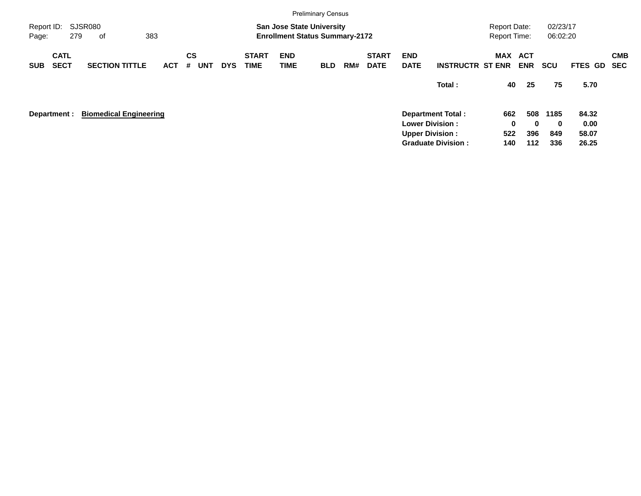|                     |                            |     |                               |            |                |            |            |                             |                           | <b>Preliminary Census</b>                                                 |     |                             |                           |                                                                              |                                            |                             |                      |                        |            |
|---------------------|----------------------------|-----|-------------------------------|------------|----------------|------------|------------|-----------------------------|---------------------------|---------------------------------------------------------------------------|-----|-----------------------------|---------------------------|------------------------------------------------------------------------------|--------------------------------------------|-----------------------------|----------------------|------------------------|------------|
| Report ID:<br>Page: |                            | 279 | SJSR080<br>of                 | 383        |                |            |            |                             |                           | <b>San Jose State University</b><br><b>Enrollment Status Summary-2172</b> |     |                             |                           |                                                                              | <b>Report Date:</b><br><b>Report Time:</b> |                             | 02/23/17<br>06:02:20 |                        |            |
| <b>SUB</b>          | <b>CATL</b><br><b>SECT</b> |     | <b>SECTION TITTLE</b>         | <b>ACT</b> | <b>CS</b><br># | <b>UNT</b> | <b>DYS</b> | <b>START</b><br><b>TIME</b> | <b>END</b><br><b>TIME</b> | <b>BLD</b>                                                                | RM# | <b>START</b><br><b>DATE</b> | <b>END</b><br><b>DATE</b> | <b>INSTRUCTR ST ENR</b>                                                      | MAX                                        | <b>ACT</b><br><b>ENR</b>    | <b>SCU</b>           | FTES GD SEC            | <b>CMB</b> |
|                     |                            |     |                               |            |                |            |            |                             |                           |                                                                           |     |                             |                           | Total:                                                                       |                                            | 40<br>25                    | 75                   | 5.70                   |            |
|                     | Department :               |     | <b>Biomedical Engineering</b> |            |                |            |            |                             |                           |                                                                           |     |                             |                           | <b>Department Total:</b><br><b>Lower Division:</b><br><b>Upper Division:</b> | 662<br>522                                 | 508<br>$\bf{0}$<br>0<br>396 | 1185<br>0<br>849     | 84.32<br>0.00<br>58.07 |            |
|                     |                            |     |                               |            |                |            |            |                             |                           |                                                                           |     |                             |                           | <b>Graduate Division:</b>                                                    | 140                                        | $112$                       | 336                  | 26.25                  |            |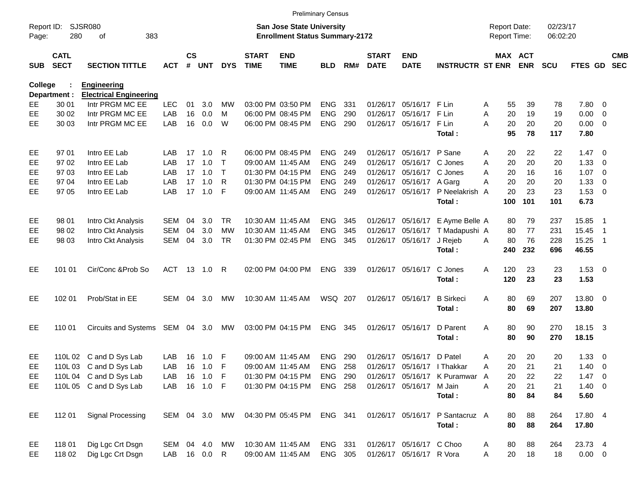|                     |                            |                                 |               |               |                |            |                             |                                                                           | <b>Preliminary Census</b> |     |                             |                             |                                  |                                            |            |                      |                |                            |            |
|---------------------|----------------------------|---------------------------------|---------------|---------------|----------------|------------|-----------------------------|---------------------------------------------------------------------------|---------------------------|-----|-----------------------------|-----------------------------|----------------------------------|--------------------------------------------|------------|----------------------|----------------|----------------------------|------------|
| Report ID:<br>Page: | 280                        | SJSR080<br>383<br>οf            |               |               |                |            |                             | <b>San Jose State University</b><br><b>Enrollment Status Summary-2172</b> |                           |     |                             |                             |                                  | <b>Report Date:</b><br><b>Report Time:</b> |            | 02/23/17<br>06:02:20 |                |                            |            |
| <b>SUB</b>          | <b>CATL</b><br><b>SECT</b> | <b>SECTION TITTLE</b>           | <b>ACT</b>    | $\mathsf{cs}$ | # UNT          | <b>DYS</b> | <b>START</b><br><b>TIME</b> | <b>END</b><br><b>TIME</b>                                                 | <b>BLD</b>                | RM# | <b>START</b><br><b>DATE</b> | <b>END</b><br><b>DATE</b>   | <b>INSTRUCTR ST ENR</b>          | MAX ACT                                    | <b>ENR</b> | <b>SCU</b>           | FTES GD SEC    |                            | <b>CMB</b> |
| College             |                            | <b>Engineering</b>              |               |               |                |            |                             |                                                                           |                           |     |                             |                             |                                  |                                            |            |                      |                |                            |            |
|                     | Department :               | <b>Electrical Engineering</b>   |               |               |                |            |                             |                                                                           |                           |     |                             |                             |                                  |                                            |            |                      |                |                            |            |
| EE                  | 30 01                      | Intr PRGM MC EE                 | <b>LEC</b>    | 01            | 3.0            | <b>MW</b>  |                             | 03:00 PM 03:50 PM                                                         | <b>ENG</b>                | 331 | 01/26/17                    | 05/16/17 F Lin              |                                  | 55<br>A                                    | 39         | 78                   | 7.80           | $\overline{\mathbf{0}}$    |            |
| EE                  | 30 02                      | Intr PRGM MC EE                 | LAB           | 16            | 0.0            | м          |                             | 06:00 PM 08:45 PM                                                         | <b>ENG</b>                | 290 | 01/26/17                    | 05/16/17 F Lin              |                                  | A<br>20                                    | 19         | 19                   | 0.00           | $\overline{\mathbf{0}}$    |            |
| EE                  | 30 03                      | Intr PRGM MC EE                 | LAB           | 16            | 0.0            | W          |                             | 06:00 PM 08:45 PM                                                         | ENG                       | 290 |                             | 01/26/17 05/16/17 F Lin     |                                  | A<br>20                                    | 20         | 20                   | $0.00 \t 0$    |                            |            |
|                     |                            |                                 |               |               |                |            |                             |                                                                           |                           |     |                             |                             | Total:                           | 95                                         | 78         | 117                  | 7.80           |                            |            |
| EE                  | 97 01                      | Intro EE Lab                    | LAB           | 17            | 1.0            | R          |                             | 06:00 PM 08:45 PM                                                         | <b>ENG</b>                | 249 |                             | 01/26/17 05/16/17 P Sane    |                                  | 20<br>A                                    | 22         | 22                   | $1.47 \quad 0$ |                            |            |
| EE                  | 97 02                      | Intro EE Lab                    | LAB           | 17            | 1.0            | Т          |                             | 09:00 AM 11:45 AM                                                         | <b>ENG</b>                | 249 | 01/26/17                    | 05/16/17 C Jones            |                                  | 20<br>A                                    | 20         | 20                   | 1.33           | $\overline{\mathbf{0}}$    |            |
| EE                  | 97 03                      | Intro EE Lab                    | LAB           |               | 17 1.0         | Т          |                             | 01:30 PM 04:15 PM                                                         | <b>ENG</b>                | 249 |                             | 01/26/17 05/16/17 C Jones   |                                  | A<br>20                                    | 16         | 16                   | $1.07 \t 0$    |                            |            |
| EE                  | 97 04                      | Intro EE Lab                    | LAB           | 17            | 1.0            | R          |                             | 01:30 PM 04:15 PM                                                         | <b>ENG</b>                | 249 |                             | 01/26/17 05/16/17 A Garg    |                                  | 20<br>A                                    | 20         | 20                   | 1.33           | $\overline{\phantom{0}}$   |            |
| EE                  | 97 05                      | Intro EE Lab                    | <b>LAB</b>    |               | $17 \quad 1.0$ | -F         |                             | 09:00 AM 11:45 AM                                                         | ENG                       | 249 |                             |                             | 01/26/17 05/16/17 P Neelakrish A | 20                                         | 23         | 23                   | $1.53 \t 0$    |                            |            |
|                     |                            |                                 |               |               |                |            |                             |                                                                           |                           |     |                             |                             | Total:                           | 100                                        | 101        | 101                  | 6.73           |                            |            |
| EE                  | 98 01                      | Intro Ckt Analysis              | SEM           | 04            | 3.0            | TR.        |                             | 10:30 AM 11:45 AM                                                         | <b>ENG</b>                | 345 |                             | 01/26/17 05/16/17           | E Ayme Belle A                   | 80                                         | 79         | 237                  | 15.85          | - 1                        |            |
| EE                  | 98 02                      | Intro Ckt Analysis              | SEM           | 04            | 3.0            | <b>MW</b>  |                             | 10:30 AM 11:45 AM                                                         | <b>ENG</b>                | 345 | 01/26/17                    |                             | 05/16/17 T Madapushi A           | 80                                         | 77         | 231                  | 15.45          | - 1                        |            |
| EE                  | 98 03                      | Intro Ckt Analysis              | SEM           | 04            | 3.0            | TR.        |                             | 01:30 PM 02:45 PM                                                         | ENG                       | 345 |                             | 01/26/17 05/16/17           | J Rejeb                          | 80<br>A                                    | 76         | 228                  | 15.25          | $\overline{\phantom{0}}$ 1 |            |
|                     |                            |                                 |               |               |                |            |                             |                                                                           |                           |     |                             |                             | Total:                           | 240                                        | 232        | 696                  | 46.55          |                            |            |
| <b>EE</b>           | 101 01                     | Cir/Conc & Prob So              | <b>ACT</b>    |               |                |            |                             | 02:00 PM 04:00 PM                                                         | ENG 339                   |     |                             | 01/26/17 05/16/17           | C Jones                          | 120<br>A                                   | 23         | 23                   | $1.53 \t 0$    |                            |            |
|                     |                            |                                 |               |               |                |            |                             |                                                                           |                           |     |                             |                             | Total:                           | 120                                        | 23         | 23                   | 1.53           |                            |            |
| EE                  | 102 01                     | Prob/Stat in EE                 | SEM 04        |               | 3.0            | MW         |                             | 10:30 AM 11:45 AM                                                         | WSQ 207                   |     |                             | 01/26/17 05/16/17           | <b>B</b> Sirkeci                 | 80<br>A                                    | 69         | 207                  | 13.80 0        |                            |            |
|                     |                            |                                 |               |               |                |            |                             |                                                                           |                           |     |                             |                             | Total:                           | 80                                         | 69         | 207                  | 13.80          |                            |            |
| EE                  | 110 01                     | Circuits and Systems SEM 04 3.0 |               |               |                | MW         |                             | 03:00 PM 04:15 PM                                                         | ENG 345                   |     |                             | 01/26/17 05/16/17           | D Parent                         | 80<br>A                                    | 90         | 270                  | 18.15 3        |                            |            |
|                     |                            |                                 |               |               |                |            |                             |                                                                           |                           |     |                             |                             | Total:                           | 80                                         | 90         | 270                  | 18.15          |                            |            |
| EE                  |                            | 110L 02 C and D Sys Lab         | LAB           | 16            | 1.0            | F          |                             | 09:00 AM 11:45 AM                                                         | <b>ENG</b>                | 290 | 01/26/17                    | 05/16/17                    | D Patel                          | 20<br>A                                    | 20         | 20                   | 1.33           | $\overline{\phantom{0}}$   |            |
| EE.                 |                            | 110L 03 C and D Sys Lab         | LAB           | 16            | 1.0            | F          |                             | 09:00 AM 11:45 AM                                                         | <b>ENG</b>                | 258 |                             | 01/26/17 05/16/17   Thakkar |                                  | 20<br>A                                    | 21         | 21                   | 1.40           | $\overline{\phantom{0}}$   |            |
| EE                  |                            | 110L 04 C and D Sys Lab         | LAB           |               | 16  1.0  F     |            |                             | 01:30 PM 04:15 PM                                                         | <b>ENG 290</b>            |     |                             |                             | 01/26/17 05/16/17 K Puramwar A   | 20                                         | 22         | 22                   | $1.47 \quad 0$ |                            |            |
| EE                  |                            | 110L 05 C and D Sys Lab         | LAB           |               | 16 1.0 F       |            |                             | 01:30 PM 04:15 PM                                                         | <b>ENG 258</b>            |     |                             | 01/26/17 05/16/17 M Jain    |                                  | A<br>20                                    | 21         | 21                   | $1.40 \ 0$     |                            |            |
|                     |                            |                                 |               |               |                |            |                             |                                                                           |                           |     |                             |                             | Total:                           | 80                                         | 84         | 84                   | 5.60           |                            |            |
| EE                  | 112 01                     | <b>Signal Processing</b>        | SEM 04 3.0 MW |               |                |            |                             | 04:30 PM 05:45 PM ENG 341                                                 |                           |     |                             |                             | 01/26/17 05/16/17 P Santacruz A  | 80                                         | 88         | 264                  | 17.80 4        |                            |            |
|                     |                            |                                 |               |               |                |            |                             |                                                                           |                           |     |                             |                             | Total:                           | 80                                         | 88         | 264                  | 17.80          |                            |            |
| EE                  | 118 01                     | Dig Lgc Crt Dsgn                | SEM 04 4.0    |               |                | MW         |                             | 10:30 AM 11:45 AM                                                         | ENG 331                   |     |                             | 01/26/17 05/16/17 C Choo    |                                  | 80<br>A                                    | 88         | 264                  | 23.73 4        |                            |            |
| EE                  | 118 02                     | Dig Lgc Crt Dsgn                | LAB 16 0.0 R  |               |                |            |                             | 09:00 AM 11:45 AM                                                         | ENG 305                   |     |                             | 01/26/17 05/16/17 R Vora    |                                  | 20<br>A                                    | 18         | 18                   | $0.00 \t 0$    |                            |            |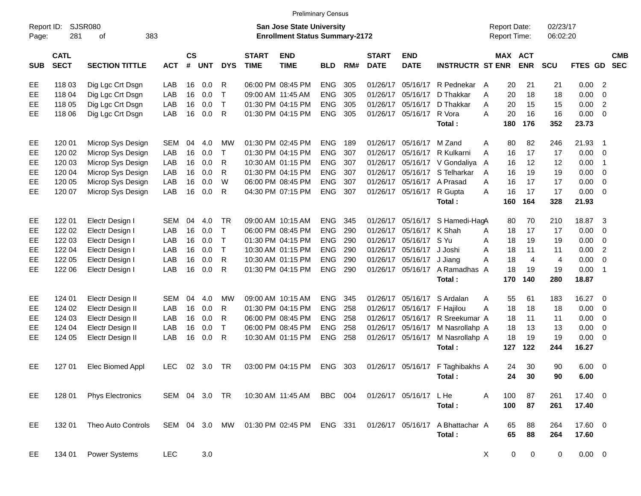|                     |                            |                             |               |                             |            |              |                             |                                                                           | <b>Preliminary Census</b> |     |                             |                            |                                  |                                     |                |                      |                |                          |                          |
|---------------------|----------------------------|-----------------------------|---------------|-----------------------------|------------|--------------|-----------------------------|---------------------------------------------------------------------------|---------------------------|-----|-----------------------------|----------------------------|----------------------------------|-------------------------------------|----------------|----------------------|----------------|--------------------------|--------------------------|
| Report ID:<br>Page: | 281                        | <b>SJSR080</b><br>383<br>of |               |                             |            |              |                             | <b>San Jose State University</b><br><b>Enrollment Status Summary-2172</b> |                           |     |                             |                            |                                  | <b>Report Date:</b><br>Report Time: |                | 02/23/17<br>06:02:20 |                |                          |                          |
| <b>SUB</b>          | <b>CATL</b><br><b>SECT</b> | <b>SECTION TITTLE</b>       | <b>ACT</b>    | $\mathsf{cs}$<br>$\pmb{\#}$ | <b>UNT</b> | <b>DYS</b>   | <b>START</b><br><b>TIME</b> | <b>END</b><br><b>TIME</b>                                                 | <b>BLD</b>                | RM# | <b>START</b><br><b>DATE</b> | <b>END</b><br><b>DATE</b>  | <b>INSTRUCTR ST ENR</b>          | <b>MAX ACT</b>                      | <b>ENR</b>     | <b>SCU</b>           | <b>FTES GD</b> |                          | <b>CMB</b><br><b>SEC</b> |
| EE                  | 118 03                     | Dig Lgc Crt Dsgn            | LAB           | 16                          | 0.0        | R            |                             | 06:00 PM 08:45 PM                                                         | <b>ENG</b>                | 305 |                             | 01/26/17 05/16/17          | R Pednekar                       | 20<br>A                             | 21             | 21                   | 0.00 2         |                          |                          |
| EE                  | 118 04                     | Dig Lgc Crt Dsgn            | LAB           | 16                          | 0.0        | $\top$       |                             | 09:00 AM 11:45 AM                                                         | <b>ENG</b>                | 305 |                             | 01/26/17 05/16/17          | D Thakkar                        | 20<br>A                             | 18             | 18                   | 0.00           | - 0                      |                          |
| EЕ                  | 118 05                     | Dig Lgc Crt Dsgn            | LAB           | 16                          | 0.0        | $\mathsf{T}$ |                             | 01:30 PM 04:15 PM                                                         | <b>ENG</b>                | 305 |                             | 01/26/17 05/16/17          | D Thakkar                        | A<br>20                             | 15             | 15                   | 0.00           | $\overline{2}$           |                          |
| EE.                 | 118 06                     | Dig Lgc Crt Dsgn            | LAB           | 16                          | 0.0        | R            |                             | 01:30 PM 04:15 PM                                                         | <b>ENG</b>                | 305 |                             | 01/26/17 05/16/17          | R Vora                           | A<br>20                             | 16             | 16                   | $0.00 \t 0$    |                          |                          |
|                     |                            |                             |               |                             |            |              |                             |                                                                           |                           |     |                             |                            | Total:                           | 180                                 | 176            | 352                  | 23.73          |                          |                          |
| EE                  | 120 01                     | Microp Sys Design           | <b>SEM</b>    | 04                          | 4.0        | МW           |                             | 01:30 PM 02:45 PM                                                         | <b>ENG</b>                | 189 |                             | 01/26/17 05/16/17 M Zand   |                                  | 80<br>Α                             | 82             | 246                  | 21.93          | - 1                      |                          |
| EE                  | 120 02                     | Microp Sys Design           | LAB           | 16                          | 0.0        | т            |                             | 01:30 PM 04:15 PM                                                         | <b>ENG</b>                | 307 |                             | 01/26/17 05/16/17          | R Kulkarni                       | 16<br>A                             | 17             | 17                   | $0.00 \t 0$    |                          |                          |
| EE                  | 120 03                     | Microp Sys Design           | LAB           | 16                          | 0.0        | R            |                             | 10:30 AM 01:15 PM                                                         | <b>ENG</b>                | 307 |                             |                            | 01/26/17 05/16/17 V Gondaliya    | 16<br>A                             | 12             | 12                   | 0.00           | $\overline{1}$           |                          |
| EE                  | 120 04                     | Microp Sys Design           | LAB           | 16                          | 0.0        | R            |                             | 01:30 PM 04:15 PM                                                         | <b>ENG</b>                | 307 |                             |                            | 01/26/17 05/16/17 S Telharkar    | A<br>16                             | 19             | 19                   | 0.00           | $\overline{\mathbf{0}}$  |                          |
| EE                  | 120 05                     | Microp Sys Design           | LAB           | 16                          | 0.0        | W            |                             | 06:00 PM 08:45 PM                                                         | <b>ENG</b>                | 307 |                             | 01/26/17 05/16/17 A Prasad |                                  | A<br>16                             | 17             | 17                   | 0.00           | - 0                      |                          |
| EE.                 | 120 07                     | Microp Sys Design           | LAB           | 16                          | 0.0        | R            |                             | 04:30 PM 07:15 PM                                                         | ENG                       | 307 |                             | 01/26/17 05/16/17          | R Gupta                          | A<br>16                             | 17             | 17                   | $0.00 \t 0$    |                          |                          |
|                     |                            |                             |               |                             |            |              |                             |                                                                           |                           |     |                             |                            | Total:                           | 160                                 | 164            | 328                  | 21.93          |                          |                          |
| EE                  | 122 01                     | Electr Design I             | <b>SEM</b>    | 04                          | 4.0        | TR           |                             | 09:00 AM 10:15 AM                                                         | <b>ENG</b>                | 345 |                             | 01/26/17 05/16/17          | S Hamedi-HagA                    | 80                                  | 70             | 210                  | 18.87          | -3                       |                          |
| EE                  | 122 02                     | Electr Design I             | LAB           | 16                          | 0.0        | $\top$       |                             | 06:00 PM 08:45 PM                                                         | <b>ENG</b>                | 290 |                             | 01/26/17 05/16/17 K Shah   |                                  | 18<br>A                             | 17             | 17                   | 0.00           | $\overline{0}$           |                          |
| EЕ                  | 122 03                     | Electr Design I             | LAB           | 16                          | 0.0        | $\mathsf{T}$ |                             | 01:30 PM 04:15 PM                                                         | <b>ENG</b>                | 290 |                             | 01/26/17 05/16/17 S Yu     |                                  | A<br>18                             | 19             | 19                   | 0.00           | $\overline{\mathbf{0}}$  |                          |
| EЕ                  | 122 04                     | Electr Design I             | LAB           | 16                          | 0.0        | $\mathsf{T}$ |                             | 10:30 AM 01:15 PM                                                         | <b>ENG</b>                | 290 |                             | 01/26/17 05/16/17          | J Joshi                          | Α<br>18                             | 11             | 11                   | 0.00           | $\overline{2}$           |                          |
| EЕ                  | 122 05                     | Electr Design I             | LAB           | 16                          | 0.0        | R            |                             | 10:30 AM 01:15 PM                                                         | <b>ENG</b>                | 290 |                             | 01/26/17 05/16/17          | J Jiang                          | A<br>18                             | $\overline{4}$ | $\overline{4}$       | 0.00           | $\overline{0}$           |                          |
| EE.                 | 122 06                     | Electr Design I             | LAB           | 16                          | 0.0        | R            |                             | 01:30 PM 04:15 PM                                                         | <b>ENG</b>                | 290 |                             | 01/26/17 05/16/17          | A Ramadhas A                     | 18                                  | 19             | 19                   | 0.00           | $\overline{\phantom{1}}$ |                          |
|                     |                            |                             |               |                             |            |              |                             |                                                                           |                           |     |                             |                            | Total:                           | 170                                 | 140            | 280                  | 18.87          |                          |                          |
| EE                  | 124 01                     | Electr Design II            | <b>SEM</b>    | 04                          | 4.0        | MW           |                             | 09:00 AM 10:15 AM                                                         | <b>ENG</b>                | 345 |                             | 01/26/17 05/16/17          | S Ardalan                        | 55<br>A                             | 61             | 183                  | 16.27          | $\overline{\phantom{0}}$ |                          |
| EЕ                  | 124 02                     | Electr Design II            | LAB           | 16                          | 0.0        | R            |                             | 01:30 PM 04:15 PM                                                         | <b>ENG</b>                | 258 |                             | 01/26/17 05/16/17          | F Hajilou                        | 18<br>Α                             | 18             | 18                   | 0.00           | $\overline{\mathbf{0}}$  |                          |
| EE                  | 124 03                     | Electr Design II            | LAB           | 16                          | 0.0        | R            |                             | 06:00 PM 08:45 PM                                                         | <b>ENG</b>                | 258 |                             |                            | 01/26/17 05/16/17 R Sreekumar A  | 18                                  | 11             | 11                   | 0.00           | $\overline{\mathbf{0}}$  |                          |
| EЕ                  | 124 04                     | Electr Design II            | LAB           | 16                          | 0.0        | T            |                             | 06:00 PM 08:45 PM                                                         | <b>ENG</b>                | 258 |                             | 01/26/17 05/16/17          | M Nasrollahp A                   | 18                                  | 13             | 13                   | 0.00           | $\overline{\mathbf{0}}$  |                          |
| <b>EE</b>           | 124 05                     | Electr Design II            | LAB           | 16                          | 0.0        | R            |                             | 10:30 AM 01:15 PM                                                         | <b>ENG</b>                | 258 |                             | 01/26/17 05/16/17          | M Nasrollahp A                   | 18                                  | 19             | 19                   | $0.00 \t 0$    |                          |                          |
|                     |                            |                             |               |                             |            |              |                             |                                                                           |                           |     |                             |                            | Total:                           | 127                                 | 122            | 244                  | 16.27          |                          |                          |
| EE.                 | 127 01                     | Elec Biomed Appl            | <b>LEC</b>    | 02                          | 3.0        | TR           |                             | 03:00 PM 04:15 PM                                                         | <b>ENG</b>                | 303 |                             |                            | 01/26/17 05/16/17 F Taghibakhs A | 24                                  | 30             | 90                   | $6.00 \quad 0$ |                          |                          |
|                     |                            |                             |               |                             |            |              |                             |                                                                           |                           |     |                             |                            | Total:                           | 24                                  | 30             | 90                   | 6.00           |                          |                          |
| EE                  | 128 01                     | <b>Phys Electronics</b>     | SEM 04 3.0 TR |                             |            |              |                             | 10:30 AM 11:45 AM                                                         | BBC 004                   |     |                             | 01/26/17 05/16/17 LHe      |                                  | 100<br>Α                            | 87             | 261                  | 17.40 0        |                          |                          |
|                     |                            |                             |               |                             |            |              |                             |                                                                           |                           |     |                             |                            | Total:                           | 100                                 | 87             | 261                  | 17.40          |                          |                          |
| EE                  | 132 01                     | Theo Auto Controls          | SEM 04 3.0 MW |                             |            |              |                             | 01:30 PM 02:45 PM ENG 331                                                 |                           |     |                             | 01/26/17 05/16/17          | A Bhattachar A                   | 65                                  | 88             | 264                  | 17.60 0        |                          |                          |
|                     |                            |                             |               |                             |            |              |                             |                                                                           |                           |     |                             |                            | Total:                           | 65                                  | 88             | 264                  | 17.60          |                          |                          |
| EE                  | 134 01                     | Power Systems               | <b>LEC</b>    |                             | 3.0        |              |                             |                                                                           |                           |     |                             |                            |                                  | $\mathbf 0$<br>X                    | $\mathbf 0$    | 0                    | $0.00 \t 0$    |                          |                          |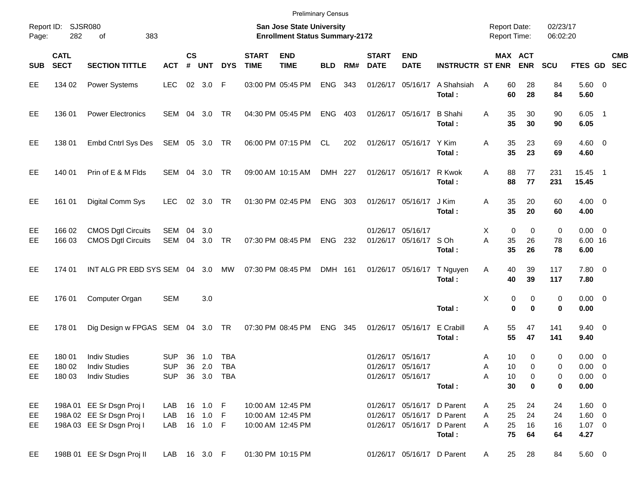| Page:          | Report ID:<br>SJSR080<br>282<br>383<br>οf |                                                                                     |                                        |                    |                                    |                                 |                             | <b>San Jose State University</b><br><b>Enrollment Status Summary-2172</b> |            |     |                             |                                                                                        |                          | <b>Report Date:</b><br><b>Report Time:</b> |                         | 02/23/17<br>06:02:20 |                                              |                              |            |
|----------------|-------------------------------------------|-------------------------------------------------------------------------------------|----------------------------------------|--------------------|------------------------------------|---------------------------------|-----------------------------|---------------------------------------------------------------------------|------------|-----|-----------------------------|----------------------------------------------------------------------------------------|--------------------------|--------------------------------------------|-------------------------|----------------------|----------------------------------------------|------------------------------|------------|
| <b>SUB</b>     | <b>CATL</b><br><b>SECT</b>                | <b>SECTION TITTLE</b>                                                               | <b>ACT</b>                             | $\mathsf{cs}$<br># | <b>UNT</b>                         | <b>DYS</b>                      | <b>START</b><br><b>TIME</b> | <b>END</b><br><b>TIME</b>                                                 | <b>BLD</b> | RM# | <b>START</b><br><b>DATE</b> | <b>END</b><br><b>DATE</b>                                                              | <b>INSTRUCTR ST ENR</b>  |                                            | MAX ACT<br><b>ENR</b>   | <b>SCU</b>           | FTES GD SEC                                  |                              | <b>CMB</b> |
| EЕ             | 134 02                                    | Power Systems                                                                       | <b>LEC</b>                             | 02                 | 3.0                                | $\mathsf{F}$                    |                             | 03:00 PM 05:45 PM                                                         | <b>ENG</b> | 343 |                             | 01/26/17 05/16/17                                                                      | A Shahsiah<br>Total:     | 60<br>A<br>60                              | 28<br>28                | 84<br>84             | 5.60 0<br>5.60                               |                              |            |
| EE             | 136 01                                    | <b>Power Electronics</b>                                                            | SEM                                    | 04                 | 3.0                                | TR                              |                             | 04:30 PM 05:45 PM                                                         | <b>ENG</b> | 403 |                             | 01/26/17 05/16/17                                                                      | <b>B</b> Shahi<br>Total: | 35<br>A<br>35                              | 30<br>30                | 90<br>90             | $6.05$ 1<br>6.05                             |                              |            |
| EE             | 138 01                                    | <b>Embd Cntrl Sys Des</b>                                                           | SEM 05 3.0                             |                    |                                    | TR                              |                             | 06:00 PM 07:15 PM                                                         | CL         | 202 |                             | 01/26/17 05/16/17                                                                      | Y Kim<br>Total:          | 35<br>Α<br>35                              | 23<br>23                | 69<br>69             | $4.60 \ 0$<br>4.60                           |                              |            |
| EE             | 140 01                                    | Prin of E & M Flds                                                                  | <b>SEM</b>                             | 04                 | 3.0                                | <b>TR</b>                       |                             | 09:00 AM 10:15 AM                                                         | DMH 227    |     |                             | 01/26/17 05/16/17                                                                      | R Kwok<br>Total:         | 88<br>A<br>88                              | 77<br>77                | 231<br>231           | 15.45 1<br>15.45                             |                              |            |
| EE             | 161 01                                    | Digital Comm Sys                                                                    | <b>LEC</b>                             | 02                 | 3.0                                | <b>TR</b>                       |                             | 01:30 PM 02:45 PM                                                         | ENG        | 303 |                             | 01/26/17 05/16/17                                                                      | J Kim<br>Total:          | 35<br>Α<br>35                              | 20<br>20                | 60<br>60             | $4.00 \ 0$<br>4.00                           |                              |            |
| EE<br>EЕ       | 166 02<br>166 03                          | <b>CMOS Dgtl Circuits</b><br><b>CMOS Dgtl Circuits</b>                              | SEM<br><b>SEM</b>                      | 04<br>04           | 3.0<br>3.0                         | TR                              |                             | 07:30 PM 08:45 PM                                                         | <b>ENG</b> | 232 |                             | 01/26/17 05/16/17<br>01/26/17 05/16/17                                                 | S Oh<br>Total:           | 0<br>Χ<br>Α<br>35<br>35                    | 0<br>26<br>26           | 0<br>78<br>78        | $0.00 \t 0$<br>6.00 16<br>6.00               |                              |            |
| EЕ             | 174 01                                    | INT ALG PR EBD SYS SEM                                                              |                                        |                    | 04 3.0                             | <b>MW</b>                       |                             | 07:30 PM 08:45 PM                                                         | DMH 161    |     |                             | 01/26/17 05/16/17                                                                      | T Nguyen<br>Total:       | 40<br>Α<br>40                              | 39<br>39                | 117<br>117           | 7.80 0<br>7.80                               |                              |            |
| EE             | 176 01                                    | Computer Organ                                                                      | <b>SEM</b>                             |                    | 3.0                                |                                 |                             |                                                                           |            |     |                             |                                                                                        | Total:                   | Χ                                          | 0<br>0<br>$\bf{0}$<br>0 | 0<br>$\mathbf 0$     | $0.00 \t 0$<br>0.00                          |                              |            |
| EE             | 178 01                                    | Dig Design w FPGAS SEM                                                              |                                        | 04                 | 3.0                                | TR                              |                             | 07:30 PM 08:45 PM                                                         | <b>ENG</b> | 345 |                             | 01/26/17 05/16/17                                                                      | E Crabill<br>Total:      | 55<br>Α<br>55                              | 47<br>47                | 141<br>141           | $9.40 \quad 0$<br>9.40                       |                              |            |
| EЕ<br>EЕ<br>EE | 180 01<br>180 02<br>180 03                | <b>Indiv Studies</b><br><b>Indiv Studies</b><br><b>Indiv Studies</b>                | <b>SUP</b><br><b>SUP</b><br><b>SUP</b> | 36<br>36<br>36     | 1.0<br>2.0<br>3.0                  | TBA<br><b>TBA</b><br><b>TBA</b> |                             |                                                                           |            |     | 01/26/17                    | 01/26/17 05/16/17<br>05/16/17<br>01/26/17 05/16/17                                     | Total:                   | 10<br>A<br>10<br>Α<br>10<br>Α<br>30        | 0<br>0<br>0<br>$\bf{0}$ | 0<br>0<br>0<br>0     | $0.00 \quad 0$<br>0.00<br>0.00<br>0.00       | 0<br>$\overline{\mathbf{0}}$ |            |
| EE<br>EE<br>EE |                                           | 198A 01 EE Sr Dsgn Proj I<br>198A 02 EE Sr Dsgn Proj I<br>198A 03 EE Sr Dsgn Proj I | LAB<br>LAB<br>LAB                      |                    | 16 1.0 F<br>16  1.0  F<br>16 1.0 F |                                 |                             | 10:00 AM 12:45 PM<br>10:00 AM 12:45 PM<br>10:00 AM 12:45 PM               |            |     |                             | 01/26/17 05/16/17 D Parent<br>01/26/17 05/16/17 D Parent<br>01/26/17 05/16/17 D Parent | Total:                   | 25<br>A<br>25<br>A<br>25<br>A<br>75        | 24<br>24<br>16<br>64    | 24<br>24<br>16<br>64 | 1.60 0<br>$1.60 \t 0$<br>$1.07 \t 0$<br>4.27 |                              |            |
| EE             |                                           | 198B 01 EE Sr Dsgn Proj II                                                          | LAB 16 3.0 F                           |                    |                                    |                                 |                             | 01:30 PM 10:15 PM                                                         |            |     |                             | 01/26/17 05/16/17 D Parent                                                             |                          | 25<br>$\mathsf{A}$                         | 28                      | 84                   | 5.60 0                                       |                              |            |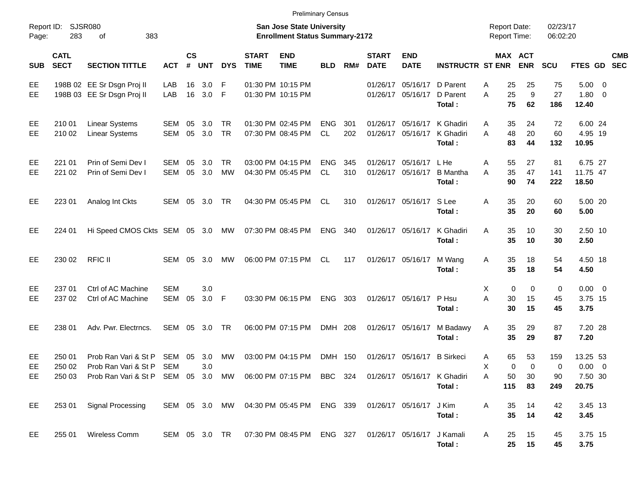|                     |                            |                                                                                                 |                   |                |                |                  |                             | <b>Preliminary Census</b>                                                 |                   |            |                             |                             |                                                    |                                            |                       |                      |                                    |            |
|---------------------|----------------------------|-------------------------------------------------------------------------------------------------|-------------------|----------------|----------------|------------------|-----------------------------|---------------------------------------------------------------------------|-------------------|------------|-----------------------------|-----------------------------|----------------------------------------------------|--------------------------------------------|-----------------------|----------------------|------------------------------------|------------|
| Report ID:<br>Page: | 283                        | <b>SJSR080</b><br>383<br>of                                                                     |                   |                |                |                  |                             | <b>San Jose State University</b><br><b>Enrollment Status Summary-2172</b> |                   |            |                             |                             |                                                    | <b>Report Date:</b><br><b>Report Time:</b> |                       | 02/23/17<br>06:02:20 |                                    |            |
| <b>SUB</b>          | <b>CATL</b><br><b>SECT</b> | <b>SECTION TITTLE</b>                                                                           | <b>ACT</b>        | <b>CS</b><br># | <b>UNT</b>     | <b>DYS</b>       | <b>START</b><br><b>TIME</b> | <b>END</b><br><b>TIME</b>                                                 | <b>BLD</b>        | RM#        | <b>START</b><br><b>DATE</b> | <b>END</b><br><b>DATE</b>   | <b>INSTRUCTR ST ENR</b>                            |                                            | MAX ACT<br><b>ENR</b> | <b>SCU</b>           | FTES GD SEC                        | <b>CMB</b> |
| EE<br>EE            |                            | 198B 02 EE Sr Dsgn Proj II<br>198B 03 EE Sr Dsgn Proj II                                        | LAB<br>LAB        | 16<br>16       | 3.0<br>$3.0$ F | -F               |                             | 01:30 PM 10:15 PM<br>01:30 PM 10:15 PM                                    |                   |            | 01/26/17                    | 01/26/17 05/16/17 D Parent  | 05/16/17 D Parent<br>Total:                        | 25<br>Α<br>25<br>A<br>75                   | 25<br>9<br>62         | 75<br>27<br>186      | $5.00 \t 0$<br>$1.80 \ 0$<br>12.40 |            |
| EE<br>EE            | 210 01<br>210 02           | <b>Linear Systems</b><br>Linear Systems                                                         | SEM<br><b>SEM</b> | 05<br>05       | 3.0<br>3.0     | TR<br><b>TR</b>  |                             | 01:30 PM 02:45 PM<br>07:30 PM 08:45 PM                                    | <b>ENG</b><br>CL. | 301<br>202 | 01/26/17<br>01/26/17        |                             | 05/16/17 K Ghadiri<br>05/16/17 K Ghadiri<br>Total: | 35<br>A<br>48<br>A<br>83                   | 24<br>20<br>44        | 72<br>60<br>132      | 6.00 24<br>4.95 19<br>10.95        |            |
| EE<br>EE            | 221 01<br>221 02           | Prin of Semi Dev I<br>Prin of Semi Dev I                                                        | SEM<br><b>SEM</b> | 05<br>05       | 3.0<br>3.0     | TR.<br><b>MW</b> |                             | 03:00 PM 04:15 PM<br>04:30 PM 05:45 PM                                    | <b>ENG</b><br>CL. | 345<br>310 | 01/26/17<br>01/26/17        | 05/16/17 LHe<br>05/16/17    | <b>B</b> Mantha<br>Total:                          | 55<br>Α<br>35<br>A<br>90                   | 27<br>47<br>74        | 81<br>141<br>222     | 6.75 27<br>11.75 47<br>18.50       |            |
| EE                  | 223 01                     | Analog Int Ckts                                                                                 | <b>SEM</b>        | 05             | 3.0            | TR               |                             | 04:30 PM 05:45 PM                                                         | CL.               | 310        |                             | 01/26/17 05/16/17 S Lee     | Total:                                             | 35<br>Α<br>35                              | 20<br>20              | 60<br>60             | 5.00 20<br>5.00                    |            |
| EE                  | 224 01                     | Hi Speed CMOS Ckts SEM 05 3.0                                                                   |                   |                |                | MW               |                             | 07:30 PM 08:45 PM                                                         | <b>ENG</b>        | 340        |                             | 01/26/17 05/16/17           | K Ghadiri<br>Total:                                | 35<br>A<br>35                              | 10<br>10              | 30<br>30             | 2.50 10<br>2.50                    |            |
| EE                  | 230 02                     | <b>RFIC II</b>                                                                                  | SEM               | 05             | 3.0            | MW               |                             | 06:00 PM 07:15 PM                                                         | CL.               | 117        |                             | 01/26/17 05/16/17           | M Wang<br>Total:                                   | 35<br>Α<br>35                              | 18<br>18              | 54<br>54             | 4.50 18<br>4.50                    |            |
| EE<br>EЕ            | 237 01<br>237 02           | Ctrl of AC Machine<br>Ctrl of AC Machine                                                        | <b>SEM</b><br>SEM | 05             | 3.0<br>$3.0$ F |                  |                             | 03:30 PM 06:15 PM                                                         | <b>ENG</b>        | 303        |                             | 01/26/17 05/16/17           | P Hsu<br>Total:                                    | Χ<br>A<br>30<br>30                         | 0<br>0<br>15<br>15    | 0<br>45<br>45        | $0.00 \t 0$<br>3.75 15<br>3.75     |            |
| EE                  | 238 01                     | Adv. Pwr. Electrncs.                                                                            | <b>SEM</b>        | 05             | 3.0            | TR               |                             | 06:00 PM 07:15 PM                                                         | DMH 208           |            |                             | 01/26/17 05/16/17           | M Badawy<br>Total:                                 | 35<br>A<br>35                              | 29<br>29              | 87<br>87             | 7.20 28<br>7.20                    |            |
| EE<br>EЕ            | 250 01<br>250 02           | Prob Ran Vari & St P<br>Prob Ran Vari & St P                                                    | SEM<br><b>SEM</b> | 05             | 3.0<br>3.0     | MW               |                             | 03:00 PM 04:15 PM                                                         | DMH 150           |            |                             | 01/26/17 05/16/17 B Sirkeci |                                                    | 65<br>A<br>Χ                               | 53<br>0<br>0          | 159<br>0             | 13.25 53<br>$0.00 \t 0$            |            |
| EE                  |                            | 250 03 Prob Ran Vari & St P SEM 05 3.0 MW 06:00 PM 07:15 PM BBC 324 01/26/17 05/16/17 K Ghadiri |                   |                |                |                  |                             |                                                                           |                   |            |                             |                             | Total:                                             | Α<br>50<br>115                             | 30<br>83              | 90<br>249            | 7.50 30<br>20.75                   |            |
| EE.                 | 253 01                     | <b>Signal Processing</b>                                                                        |                   |                |                |                  |                             | SEM 05 3.0 MW 04:30 PM 05:45 PM ENG 339                                   |                   |            | 01/26/17 05/16/17 J Kim     |                             | Total:                                             | 35<br>Α<br>35                              | 14<br>14              | 42<br>42             | 3.45 13<br>3.45                    |            |
| EE.                 | 255 01                     | Wireless Comm                                                                                   |                   |                |                |                  |                             | SEM 05 3.0 TR  07:30 PM 08:45 PM  ENG  327  01/26/17  05/16/17  J Kamali  |                   |            |                             |                             | Total:                                             | 25<br>A<br>25                              | 15<br>15              | 45<br>45             | 3.75 15<br>3.75                    |            |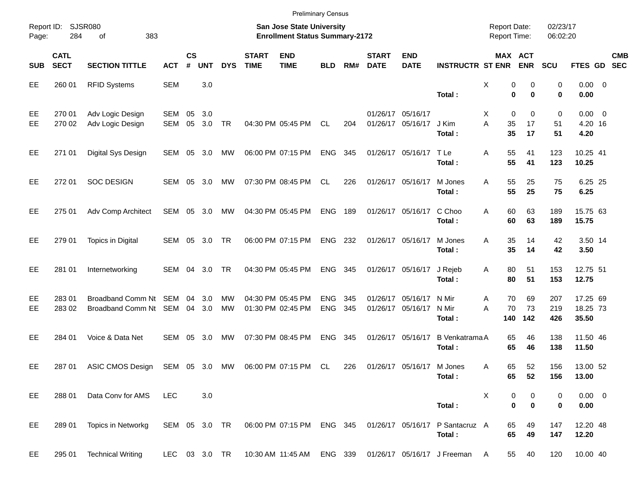|                     |                            |                                                |               |                |            |            |                             | <b>Preliminary Census</b>                                          |                          |            |                             |                                              |                                                       |                                            |                  |                         |                                |            |
|---------------------|----------------------------|------------------------------------------------|---------------|----------------|------------|------------|-----------------------------|--------------------------------------------------------------------|--------------------------|------------|-----------------------------|----------------------------------------------|-------------------------------------------------------|--------------------------------------------|------------------|-------------------------|--------------------------------|------------|
| Report ID:<br>Page: | 284                        | SJSR080<br>383<br>οf                           |               |                |            |            |                             | San Jose State University<br><b>Enrollment Status Summary-2172</b> |                          |            |                             |                                              |                                                       | <b>Report Date:</b><br><b>Report Time:</b> |                  | 02/23/17<br>06:02:20    |                                |            |
| <b>SUB</b>          | <b>CATL</b><br><b>SECT</b> | <b>SECTION TITTLE</b>                          | <b>ACT</b>    | <b>CS</b><br># | <b>UNT</b> | <b>DYS</b> | <b>START</b><br><b>TIME</b> | <b>END</b><br><b>TIME</b>                                          | <b>BLD</b>               | RM#        | <b>START</b><br><b>DATE</b> | <b>END</b><br><b>DATE</b>                    | <b>INSTRUCTR ST ENR</b>                               | MAX ACT                                    | <b>ENR</b>       | <b>SCU</b>              | FTES GD SEC                    | <b>CMB</b> |
| EE                  | 260 01                     | <b>RFID Systems</b>                            | <b>SEM</b>    |                | 3.0        |            |                             |                                                                    |                          |            |                             |                                              | Total:                                                | X<br>0<br>0                                | 0<br>$\bf{0}$    | 0<br>$\mathbf 0$        | $0.00 \t 0$<br>0.00            |            |
| EE<br>EE            | 270 01<br>270 02           | Adv Logic Design<br>Adv Logic Design           | SEM<br>SEM    | 05<br>05       | 3.0<br>3.0 | TR         |                             | 04:30 PM 05:45 PM                                                  | CL                       | 204        |                             | 01/26/17 05/16/17<br>01/26/17 05/16/17 J Kim | Total:                                                | 0<br>Х<br>A<br>35<br>35                    | 0<br>17<br>17    | $\mathbf 0$<br>51<br>51 | $0.00 \t 0$<br>4.20 16<br>4.20 |            |
| EE                  | 271 01                     | Digital Sys Design                             | SEM 05 3.0    |                |            | MW         |                             | 06:00 PM 07:15 PM                                                  | <b>ENG</b>               | 345        |                             | 01/26/17 05/16/17 TLe                        | Total:                                                | 55<br>Α<br>55                              | 41<br>41         | 123<br>123              | 10.25 41<br>10.25              |            |
| EE                  | 272 01                     | <b>SOC DESIGN</b>                              | SEM 05 3.0    |                |            | МW         |                             | 07:30 PM 08:45 PM                                                  | CL                       | 226        |                             | 01/26/17 05/16/17                            | M Jones<br>Total:                                     | 55<br>A<br>55                              | 25<br>25         | 75<br>75                | 6.25 25<br>6.25                |            |
| EE                  | 275 01                     | Adv Comp Architect                             | SEM           |                | 05 3.0     | MW         |                             | 04:30 PM 05:45 PM                                                  | <b>ENG</b>               | 189        |                             | 01/26/17 05/16/17                            | C Choo<br>Total:                                      | 60<br>Α<br>60                              | 63<br>63         | 189<br>189              | 15.75 63<br>15.75              |            |
| EE                  | 279 01                     | <b>Topics in Digital</b>                       | SEM 05 3.0    |                |            | TR         |                             | 06:00 PM 07:15 PM                                                  | <b>ENG</b>               | 232        |                             | 01/26/17 05/16/17                            | M Jones<br>Total:                                     | 35<br>A<br>35                              | 14<br>14         | 42<br>42                | 3.50 14<br>3.50                |            |
| EE                  | 281 01                     | Internetworking                                | SEM           | 04             | -3.0       | TR         |                             | 04:30 PM 05:45 PM                                                  | <b>ENG</b>               | 345        |                             | 01/26/17 05/16/17                            | J Rejeb<br>Total:                                     | 80<br>Α<br>80                              | 51<br>51         | 153<br>153              | 12.75 51<br>12.75              |            |
| EE<br>EE            | 28301<br>283 02            | Broadband Comm Nt SEM<br>Broadband Comm Nt SEM |               | 04<br>04       | 3.0<br>3.0 | MW<br>MW   |                             | 04:30 PM 05:45 PM<br>01:30 PM 02:45 PM                             | <b>ENG</b><br><b>ENG</b> | 345<br>345 | 01/26/17<br>01/26/17        | 05/16/17<br>05/16/17                         | N Mir<br>N Mir<br>Total:                              | 70<br>A<br>70<br>A<br>140                  | 69<br>73<br>142  | 207<br>219<br>426       | 17.25 69<br>18.25 73<br>35.50  |            |
| EE                  | 284 01                     | Voice & Data Net                               | SEM           | 05             | - 3.0      | МW         |                             | 07:30 PM 08:45 PM                                                  | <b>ENG</b>               | 345        |                             | 01/26/17 05/16/17                            | <b>B</b> Venkatrama A<br>Total:                       | 65<br>65                                   | 46<br>46         | 138<br>138              | 11.50 46<br>11.50              |            |
| EE                  | 287 01                     | ASIC CMOS Design                               | SEM 05 3.0 MW |                |            |            |                             | 06:00 PM 07:15 PM                                                  | CL                       | 226        |                             | 01/26/17 05/16/17 M Jones                    | Total:                                                | 65<br>Α<br>65                              | 52<br>52         | 156<br>156              | 13.00 52<br>13.00              |            |
| EE                  | 288 01                     | Data Conv for AMS                              | <b>LEC</b>    |                | 3.0        |            |                             |                                                                    |                          |            |                             |                                              | Total:                                                | х<br>0<br>$\bf{0}$                         | 0<br>$\mathbf 0$ | 0<br>0                  | $0.00 \t 0$<br>0.00            |            |
| EE                  | 289 01                     | Topics in Networkg                             | SEM 05 3.0 TR |                |            |            |                             | 06:00 PM 07:15 PM ENG 345                                          |                          |            |                             |                                              | 01/26/17 05/16/17 P Santacruz A<br>Total:             | 65<br>65                                   | 49<br>49         | 147<br>147              | 12.20 48<br>12.20              |            |
| EE                  | 295 01                     | <b>Technical Writing</b>                       | LEC 03 3.0 TR |                |            |            |                             |                                                                    |                          |            |                             |                                              | 10:30 AM 11:45 AM ENG 339 01/26/17 05/16/17 J Freeman | 55<br><b>A</b>                             | 40               | 120                     | 10.00 40                       |            |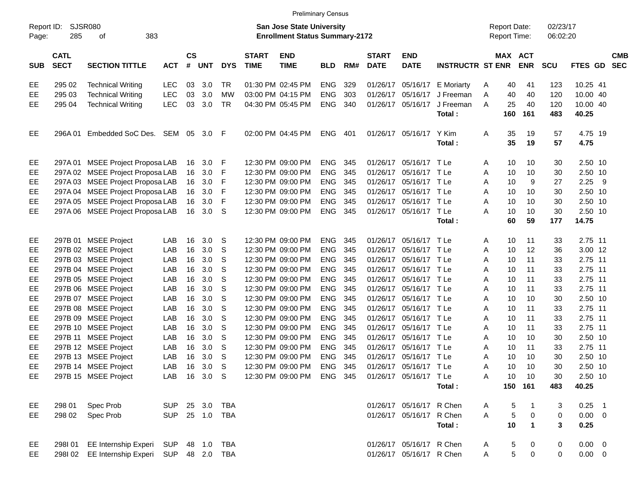|  | <b>Preliminary Census</b> |
|--|---------------------------|
|  |                           |

|                     |                            |                                             |                |                    |            |            |                                                                           |                           | <b>Preliminary Census</b> |     |                             |                           |                                            |              |                 |                         |              |             |            |
|---------------------|----------------------------|---------------------------------------------|----------------|--------------------|------------|------------|---------------------------------------------------------------------------|---------------------------|---------------------------|-----|-----------------------------|---------------------------|--------------------------------------------|--------------|-----------------|-------------------------|--------------|-------------|------------|
| Report ID:<br>Page: | SJSR080<br>285             | 383                                         |                |                    |            |            | <b>San Jose State University</b><br><b>Enrollment Status Summary-2172</b> |                           |                           |     |                             |                           | <b>Report Date:</b><br><b>Report Time:</b> |              |                 | 02/23/17<br>06:02:20    |              |             |            |
| <b>SUB</b>          | <b>CATL</b><br><b>SECT</b> | <b>SECTION TITTLE</b>                       | <b>ACT</b>     | $\mathsf{cs}$<br># | <b>UNT</b> | <b>DYS</b> | <b>START</b><br><b>TIME</b>                                               | <b>END</b><br><b>TIME</b> | <b>BLD</b>                | RM# | <b>START</b><br><b>DATE</b> | <b>END</b><br><b>DATE</b> | <b>INSTRUCTR ST ENR ENR</b>                |              |                 | MAX ACT                 | <b>SCU</b>   | FTES GD SEC | <b>CMB</b> |
| EE                  | 295 02                     | <b>Technical Writing</b>                    | <b>LEC</b>     | 03                 | 3.0        | TR         |                                                                           | 01:30 PM 02:45 PM         | <b>ENG</b>                | 329 |                             | 01/26/17 05/16/17         | E Moriarty                                 | A            | 40              | 41                      | 123          | 10.25 41    |            |
| EE                  | 295 03                     | <b>Technical Writing</b>                    | <b>LEC</b>     | 03                 | 3.0        | <b>MW</b>  |                                                                           | 03:00 PM 04:15 PM         | <b>ENG</b>                | 303 |                             | 01/26/17 05/16/17         | J Freeman                                  | A            | 40              | 40                      | 120          | 10.00 40    |            |
| EE                  | 295 04                     | <b>Technical Writing</b>                    | <b>LEC</b>     | 03                 | 3.0        | <b>TR</b>  |                                                                           | 04:30 PM 05:45 PM         | <b>ENG</b>                | 340 | 01/26/17                    | 05/16/17                  | J Freeman                                  | A            | 25              | 40                      | 120          | 10.00 40    |            |
|                     |                            |                                             |                |                    |            |            |                                                                           |                           |                           |     |                             |                           | Total:                                     |              | 160             | 161                     | 483          | 40.25       |            |
| EE                  | 296A 01                    | Embedded SoC Des. SEM 05                    |                |                    | $3.0$ F    |            |                                                                           | 02:00 PM 04:45 PM         | <b>ENG</b>                | 401 |                             | 01/26/17 05/16/17         | Y Kim                                      | Α            | 35              | 19                      | 57           | 4.75 19     |            |
|                     |                            |                                             |                |                    |            |            |                                                                           |                           |                           |     |                             |                           | Total:                                     |              | 35              | 19                      | 57           | 4.75        |            |
| EE                  |                            | 297A 01 MSEE Project Proposa LAB            |                | 16                 | 3.0        | F          |                                                                           | 12:30 PM 09:00 PM         | <b>ENG</b>                | 345 |                             | 01/26/17 05/16/17 TLe     |                                            | Α            | 10              | 10                      | 30           | 2.50 10     |            |
| EE                  |                            | 297A 02 MSEE Project Proposa LAB            |                | 16                 | 3.0        | F          |                                                                           | 12:30 PM 09:00 PM         | <b>ENG</b>                | 345 |                             | 01/26/17 05/16/17 TLe     |                                            | Α            | 10              | 10                      | 30           | 2.50 10     |            |
| EE                  |                            | 297A 03 MSEE Project Proposa LAB            |                | 16                 | 3.0        | F          |                                                                           | 12:30 PM 09:00 PM         | <b>ENG</b>                | 345 |                             | 01/26/17 05/16/17 TLe     |                                            | Α            | 10              | 9                       | 27           | $2.25$ 9    |            |
| EE                  |                            | 297A 04 MSEE Project Proposa LAB            |                | 16                 | 3.0        | F          |                                                                           | 12:30 PM 09:00 PM         | <b>ENG</b>                | 345 |                             | 01/26/17 05/16/17 TLe     |                                            | Α            | 10              | 10                      | 30           | 2.50 10     |            |
| EE                  |                            | 297A 05 MSEE Project Proposa LAB            |                | 16                 | 3.0        | F          |                                                                           | 12:30 PM 09:00 PM         | <b>ENG</b>                | 345 | 01/26/17                    | 05/16/17 TLe              |                                            | Α            | 10              | 10                      | 30           | 2.50 10     |            |
| EE                  |                            | 297A 06 MSEE Project Proposa LAB            |                |                    | 16 3.0     | S          |                                                                           | 12:30 PM 09:00 PM         | ENG 345                   |     |                             | 01/26/17 05/16/17 TLe     |                                            | Α            | 10              | 10                      | 30           | 2.50 10     |            |
|                     |                            |                                             |                |                    |            |            |                                                                           |                           |                           |     |                             |                           | Total:                                     |              | 60              | 59                      | 177          | 14.75       |            |
| EE                  |                            | 297B 01 MSEE Project                        | LAB            | 16                 | 3.0        | S          |                                                                           | 12:30 PM 09:00 PM         | <b>ENG</b>                | 345 |                             | 01/26/17 05/16/17 TLe     |                                            | A            | 10              | 11                      | 33           | 2.75 11     |            |
| EE                  |                            | 297B 02 MSEE Project                        | LAB            | 16                 | 3.0        | S          |                                                                           | 12:30 PM 09:00 PM         | <b>ENG</b>                | 345 |                             | 01/26/17 05/16/17 TLe     |                                            | Α            | 10              | 12                      | 36           | 3.00 12     |            |
| EE                  |                            | 297B 03 MSEE Project                        | LAB            | 16                 | 3.0        | S          |                                                                           | 12:30 PM 09:00 PM         | <b>ENG</b>                | 345 |                             | 01/26/17 05/16/17 TLe     |                                            | Α            | 10              | 11                      | 33           | 2.75 11     |            |
| EE                  |                            | 297B 04 MSEE Project                        | LAB            | 16                 | 3.0        | S          |                                                                           | 12:30 PM 09:00 PM         | <b>ENG</b>                | 345 |                             | 01/26/17 05/16/17 TLe     |                                            | Α            | 10              | 11                      | 33           | 2.75 11     |            |
| EE                  |                            | 297B 05 MSEE Project                        | LAB            | 16                 | 3.0        | S          |                                                                           | 12:30 PM 09:00 PM         | <b>ENG</b>                | 345 |                             | 01/26/17 05/16/17 TLe     |                                            | Α            | 10              | 11                      | 33           | 2.75 11     |            |
| EE                  |                            | 297B 06 MSEE Project                        | LAB            | 16                 | 3.0        | S          |                                                                           | 12:30 PM 09:00 PM         | <b>ENG</b>                | 345 | 01/26/17                    | 05/16/17 TLe              |                                            | Α            | 10              | 11                      | 33           | 2.75 11     |            |
| EE                  |                            | 297B 07 MSEE Project                        | LAB            | 16                 | 3.0        | S          |                                                                           | 12:30 PM 09:00 PM         | <b>ENG</b>                | 345 |                             | 01/26/17 05/16/17 TLe     |                                            | Α            | 10              | 10                      | 30           | 2.50 10     |            |
| EE                  |                            | 297B 08 MSEE Project                        | LAB            | 16                 | 3.0        | S          |                                                                           | 12:30 PM 09:00 PM         | <b>ENG</b>                | 345 | 01/26/17                    | 05/16/17 TLe              |                                            | Α            | 10              | 11                      | 33           | 2.75 11     |            |
| EE                  |                            | 297B 09 MSEE Project                        | LAB            | 16                 | 3.0        | S          |                                                                           | 12:30 PM 09:00 PM         | <b>ENG</b>                | 345 | 01/26/17                    | 05/16/17 TLe              |                                            | Α            | 10              | 11                      | 33           | 2.75 11     |            |
| EE                  |                            | 297B 10 MSEE Project                        | LAB            | 16                 | 3.0        | S          |                                                                           | 12:30 PM 09:00 PM         | <b>ENG</b>                | 345 | 01/26/17                    | 05/16/17 TLe              |                                            | Α            | 10              | 11                      | 33           | 2.75 11     |            |
| EE                  |                            | 297B 11 MSEE Project                        | LAB            | 16                 | 3.0        | S          |                                                                           | 12:30 PM 09:00 PM         | <b>ENG</b>                | 345 | 01/26/17                    | 05/16/17 TLe              |                                            | Α            | 10              | 10                      | 30           | 2.50 10     |            |
| EE                  |                            | 297B 12 MSEE Project                        | LAB            | 16                 | 3.0        | S          |                                                                           | 12:30 PM 09:00 PM         | <b>ENG</b>                | 345 | 01/26/17                    | 05/16/17 TLe              |                                            | Α            | 10              | 11                      | 33           | 2.75 11     |            |
| EE                  |                            | 297B 13 MSEE Project                        | LAB            | 16                 | 3.0        | S          |                                                                           | 12:30 PM 09:00 PM         | <b>ENG</b>                | 345 | 01/26/17                    | 05/16/17 TLe              |                                            | Α            | 10              | 10                      | 30           | 2.50 10     |            |
| EE                  |                            | 297B 14 MSEE Project                        | LAB            | 16                 | 3.0        | S          |                                                                           | 12:30 PM 09:00 PM         | <b>ENG</b>                | 345 |                             | 01/26/17 05/16/17 TLe     |                                            | Α            | 10              | 10                      | 30           | 2.50 10     |            |
| EE                  |                            | 297B 15 MSEE Project                        | LAB 16 3.0 S   |                    |            |            |                                                                           | 12:30 PM 09:00 PM ENG 345 |                           |     |                             | 01/26/17 05/16/17 TLe     |                                            | $\mathsf{A}$ | 10 <sub>1</sub> | 10                      | 30           | 2.50 10     |            |
|                     |                            |                                             |                |                    |            |            |                                                                           |                           |                           |     |                             |                           | Total :                                    |              |                 | 150 161                 | 483          | 40.25       |            |
| EE                  | 298 01                     | Spec Prob                                   | SUP 25 3.0 TBA |                    |            |            |                                                                           |                           |                           |     |                             | 01/26/17 05/16/17 R Chen  |                                            | A            | 5               |                         | 3            | $0.25$ 1    |            |
| EE                  | 298 02                     | Spec Prob                                   | <b>SUP</b>     |                    |            | 25 1.0 TBA |                                                                           |                           |                           |     |                             | 01/26/17 05/16/17 R Chen  |                                            | A            | $\mathbf 5$     | $\mathbf 0$             | $\mathbf 0$  | $0.00 \t 0$ |            |
|                     |                            |                                             |                |                    |            |            |                                                                           |                           |                           |     |                             |                           | Total:                                     |              | 10              | $\overline{\mathbf{1}}$ | $\mathbf{3}$ | 0.25        |            |
| EE                  |                            | 298I 01 EE Internship Experi SUP 48 1.0 TBA |                |                    |            |            |                                                                           |                           |                           |     |                             | 01/26/17 05/16/17 R Chen  |                                            | A            | 5               | 0                       | 0            | $0.00 \t 0$ |            |
| EE                  |                            | 298I 02 EE Internship Experi SUP 48 2.0 TBA |                |                    |            |            |                                                                           |                           |                           |     |                             | 01/26/17 05/16/17 R Chen  |                                            | $\mathsf{A}$ | 5               | $\mathbf 0$             | $\mathbf 0$  | $0.00 \t 0$ |            |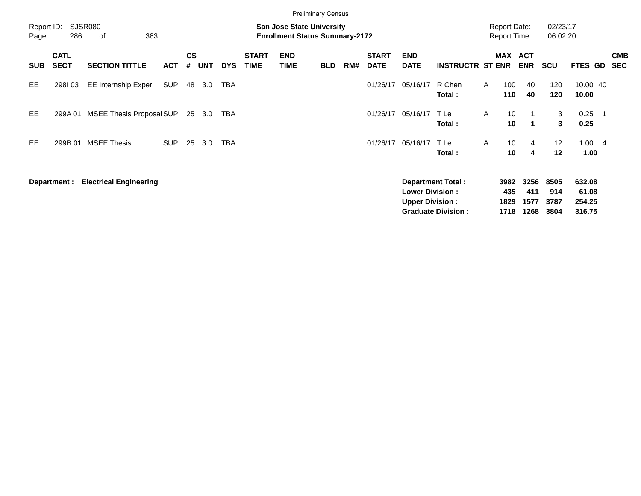|                     |                            |                                 |            |                |            |            |                             |                                                                           | <b>Preliminary Census</b> |     |                             |                           |                           |              |              |                                            |                      |                   |                          |                          |
|---------------------|----------------------------|---------------------------------|------------|----------------|------------|------------|-----------------------------|---------------------------------------------------------------------------|---------------------------|-----|-----------------------------|---------------------------|---------------------------|--------------|--------------|--------------------------------------------|----------------------|-------------------|--------------------------|--------------------------|
| Report ID:<br>Page: | 286                        | <b>SJSR080</b><br>383<br>of     |            |                |            |            |                             | <b>San Jose State University</b><br><b>Enrollment Status Summary-2172</b> |                           |     |                             |                           |                           |              |              | <b>Report Date:</b><br><b>Report Time:</b> | 02/23/17<br>06:02:20 |                   |                          |                          |
| <b>SUB</b>          | <b>CATL</b><br><b>SECT</b> | <b>SECTION TITTLE</b>           | <b>ACT</b> | <b>CS</b><br># | <b>UNT</b> | <b>DYS</b> | <b>START</b><br><b>TIME</b> | <b>END</b><br><b>TIME</b>                                                 | <b>BLD</b>                | RM# | <b>START</b><br><b>DATE</b> | <b>END</b><br><b>DATE</b> | <b>INSTRUCTR ST ENR</b>   |              |              | MAX ACT<br><b>ENR</b>                      | <b>SCU</b>           | <b>FTES GD</b>    |                          | <b>CMB</b><br><b>SEC</b> |
| EE.                 | 298103                     | EE Internship Experi            | SUP        | 48             | 3.0        | <b>TBA</b> |                             |                                                                           |                           |     | 01/26/17                    | 05/16/17                  | R Chen<br>Total:          | $\mathsf{A}$ | 100<br>110   | 40<br>40                                   | 120<br>120           | 10.00 40<br>10.00 |                          |                          |
| EE.                 | 299A 01                    | <b>MSEE Thesis Proposal SUP</b> |            | 25             | 3.0        | TBA        |                             |                                                                           |                           |     | 01/26/17                    | 05/16/17                  | T Le<br>Total:            | A            | 10<br>10     | $\mathbf 1$                                | 3<br>3               | 0.25<br>0.25      | $\overline{\phantom{1}}$ |                          |
| EE.                 | 299B 01                    | <b>MSEE Thesis</b>              | <b>SUP</b> | 25             | 3.0        | <b>TBA</b> |                             |                                                                           |                           |     | 01/26/17                    | 05/16/17                  | T Le<br>Total:            | A            | 10<br>10     | 4<br>4                                     | 12<br>12             | 1.004<br>1.00     |                          |                          |
|                     | Department :               | <b>Electrical Engineering</b>   |            |                |            |            |                             |                                                                           |                           |     |                             | <b>Lower Division:</b>    | <b>Department Total:</b>  |              | 3982<br>435  | 3256<br>411                                | 8505<br>914          | 632.08<br>61.08   |                          |                          |
|                     |                            |                                 |            |                |            |            |                             |                                                                           |                           |     |                             | <b>Upper Division:</b>    | <b>Graduate Division:</b> |              | 1829<br>1718 | 1577<br>1268                               | 3787<br>3804         | 254.25<br>316.75  |                          |                          |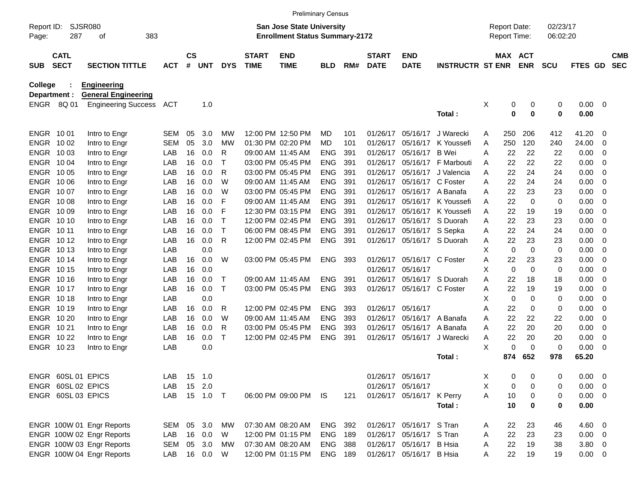|                     |                            |                            |            |               |            |             |                             | <b>Preliminary Census</b>                                                 |                |     |                             |                           |                         |   |                                            |               |                      |              |                |                          |
|---------------------|----------------------------|----------------------------|------------|---------------|------------|-------------|-----------------------------|---------------------------------------------------------------------------|----------------|-----|-----------------------------|---------------------------|-------------------------|---|--------------------------------------------|---------------|----------------------|--------------|----------------|--------------------------|
| Report ID:<br>Page: | 287                        | SJSR080<br>οf<br>383       |            |               |            |             |                             | <b>San Jose State University</b><br><b>Enrollment Status Summary-2172</b> |                |     |                             |                           |                         |   | <b>Report Date:</b><br><b>Report Time:</b> |               | 02/23/17<br>06:02:20 |              |                |                          |
| <b>SUB</b>          | <b>CATL</b><br><b>SECT</b> | <b>SECTION TITTLE</b>      | <b>ACT</b> | $\mathsf{cs}$ | # UNT      | <b>DYS</b>  | <b>START</b><br><b>TIME</b> | <b>END</b><br><b>TIME</b>                                                 | <b>BLD</b>     | RM# | <b>START</b><br><b>DATE</b> | <b>END</b><br><b>DATE</b> | <b>INSTRUCTR ST ENR</b> |   | MAX ACT                                    | <b>ENR</b>    | <b>SCU</b>           | FTES GD      |                | <b>CMB</b><br><b>SEC</b> |
| <b>College</b>      |                            | <b>Engineering</b>         |            |               |            |             |                             |                                                                           |                |     |                             |                           |                         |   |                                            |               |                      |              |                |                          |
| Department :        |                            | <b>General Engineering</b> |            |               |            |             |                             |                                                                           |                |     |                             |                           |                         |   |                                            |               |                      |              |                |                          |
|                     | ENGR 8Q 01                 | <b>Engineering Success</b> | ACT        |               | 1.0        |             |                             |                                                                           |                |     |                             |                           |                         | X | 0<br>0                                     | 0<br>$\bf{0}$ | 0<br>0               | 0.00<br>0.00 | $\overline{0}$ |                          |
|                     |                            |                            |            |               |            |             |                             |                                                                           |                |     |                             |                           | Total:                  |   |                                            |               |                      |              |                |                          |
| ENGR 1001           |                            | Intro to Engr              | <b>SEM</b> | 05            | 3.0        | МW          |                             | 12:00 PM 12:50 PM                                                         | MD             | 101 | 01/26/17                    | 05/16/17                  | J Warecki               | A | 250                                        | 206           | 412                  | 41.20        | -0             |                          |
| ENGR 1002           |                            | Intro to Engr              | <b>SEM</b> | 05            | 3.0        | МW          |                             | 01:30 PM 02:20 PM                                                         | MD             | 101 | 01/26/17                    | 05/16/17                  | K Youssefi              | A | 250                                        | 120           | 240                  | 24.00        | -0             |                          |
| ENGR 1003           |                            | Intro to Engr              | LAB        | 16            | 0.0        | R           |                             | 09:00 AM 11:45 AM                                                         | <b>ENG</b>     | 391 | 01/26/17                    | 05/16/17                  | <b>B</b> Wei            | A | 22                                         | 22            | 22                   | 0.00         | 0              |                          |
| ENGR 1004           |                            | Intro to Engr              | LAB        | 16            | 0.0        | Т           |                             | 03:00 PM 05:45 PM                                                         | <b>ENG</b>     | 391 | 01/26/17                    |                           | 05/16/17 F Marbouti     | A | 22                                         | 22            | 22                   | 0.00         | -0             |                          |
| ENGR 1005           |                            | Intro to Engr              | LAB        | 16            | 0.0        | R           |                             | 03:00 PM 05:45 PM                                                         | <b>ENG</b>     | 391 | 01/26/17                    | 05/16/17                  | J Valencia              | A | 22                                         | 24            | 24                   | 0.00         | 0              |                          |
| ENGR 1006           |                            | Intro to Engr              | LAB        | 16            | 0.0        | W           |                             | 09:00 AM 11:45 AM                                                         | <b>ENG</b>     | 391 | 01/26/17                    | 05/16/17 C Foster         |                         | A | 22                                         | 24            | 24                   | 0.00         | 0              |                          |
| ENGR 1007           |                            | Intro to Engr              | LAB        | 16            | 0.0        | W           |                             | 03:00 PM 05:45 PM                                                         | <b>ENG</b>     | 391 | 01/26/17                    |                           | 05/16/17 A Banafa       | A | 22                                         | 23            | 23                   | 0.00         | -0             |                          |
| ENGR 1008           |                            | Intro to Engr              | LAB        | 16            | 0.0        | F           |                             | 09:00 AM 11:45 AM                                                         | <b>ENG</b>     | 391 | 01/26/17                    | 05/16/17                  | K Youssefi              | A | 22                                         | 0             | 0                    | 0.00         | 0              |                          |
| ENGR 10 09          |                            | Intro to Engr              | LAB        | 16            | 0.0        | F           |                             | 12:30 PM 03:15 PM                                                         | <b>ENG</b>     | 391 | 01/26/17                    | 05/16/17                  | K Youssefi              | A | 22                                         | 19            | 19                   | 0.00         | 0              |                          |
| <b>ENGR 1010</b>    |                            | Intro to Engr              | LAB        | 16            | 0.0        | $\mathsf T$ |                             | 12:00 PM 02:45 PM                                                         | <b>ENG</b>     | 391 | 01/26/17                    |                           | 05/16/17 S Duorah       | A | 22                                         | 23            | 23                   | 0.00         | 0              |                          |
| <b>ENGR 1011</b>    |                            | Intro to Engr              | LAB        | 16            | 0.0        | $\mathsf T$ |                             | 06:00 PM 08:45 PM                                                         | <b>ENG</b>     | 391 | 01/26/17                    | 05/16/17 S Sepka          |                         | A | 22                                         | 24            | 24                   | 0.00         | -0             |                          |
| ENGR 1012           |                            | Intro to Engr              | LAB        | 16            | 0.0        | R           |                             | 12:00 PM 02:45 PM                                                         | <b>ENG</b>     | 391 | 01/26/17                    |                           | 05/16/17 S Duorah       | A | 22                                         | 23            | 23                   | 0.00         | 0              |                          |
| ENGR 1013           |                            | Intro to Engr              | LAB        |               | 0.0        |             |                             |                                                                           |                |     |                             |                           |                         | X | $\mathbf 0$                                | $\mathbf 0$   | 0                    | 0.00         | -0             |                          |
| ENGR 1014           |                            | Intro to Engr              | LAB        | 16            | 0.0        | W           |                             | 03:00 PM 05:45 PM                                                         | <b>ENG</b>     | 393 | 01/26/17                    | 05/16/17 C Foster         |                         | A | 22                                         | 23            | 23                   | 0.00         | 0              |                          |
| <b>ENGR 1015</b>    |                            | Intro to Engr              | LAB        | 16            | 0.0        |             |                             |                                                                           |                |     | 01/26/17                    | 05/16/17                  |                         | X | 0                                          | $\mathbf 0$   | 0                    | 0.00         | 0              |                          |
| <b>ENGR 1016</b>    |                            | Intro to Engr              | LAB        | 16            | 0.0        | Т           |                             | 09:00 AM 11:45 AM                                                         | <b>ENG</b>     | 391 | 01/26/17                    |                           | 05/16/17 S Duorah       | A | 22                                         | 18            | 18                   | 0.00         | 0              |                          |
| ENGR 1017           |                            | Intro to Engr              | LAB        | 16            | 0.0        | $\top$      |                             | 03:00 PM 05:45 PM                                                         | <b>ENG</b>     | 393 | 01/26/17                    | 05/16/17 C Foster         |                         | A | 22                                         | 19            | 19                   | 0.00         | -0             |                          |
| <b>ENGR 1018</b>    |                            | Intro to Engr              | LAB        |               | 0.0        |             |                             |                                                                           |                |     |                             |                           |                         | X | 0                                          | 0             | 0                    | 0.00         | 0              |                          |
| ENGR 1019           |                            | Intro to Engr              | LAB        | 16            | 0.0        | R           |                             | 12:00 PM 02:45 PM                                                         | <b>ENG</b>     | 393 | 01/26/17                    | 05/16/17                  |                         | Α | 22                                         | 0             | 0                    | 0.00         | 0              |                          |
| ENGR 10 20          |                            | Intro to Engr              | LAB        | 16            | 0.0        | W           |                             | 09:00 AM 11:45 AM                                                         | <b>ENG</b>     | 393 | 01/26/17                    |                           | 05/16/17 A Banafa       | A | 22                                         | 22            | 22                   | 0.00         | 0              |                          |
| ENGR 1021           |                            | Intro to Engr              | LAB        | 16            | 0.0        | R           |                             | 03:00 PM 05:45 PM                                                         | <b>ENG</b>     | 393 | 01/26/17                    |                           | 05/16/17 A Banafa       | A | 22                                         | 20            | 20                   | 0.00         | 0              |                          |
| <b>ENGR 1022</b>    |                            | Intro to Engr              | LAB        | 16            | 0.0        | $\mathsf T$ |                             | 12:00 PM 02:45 PM                                                         | <b>ENG</b>     | 391 | 01/26/17                    | 05/16/17                  | J Warecki               | A | 22                                         | 20            | 20                   | 0.00         | 0              |                          |
|                     | ENGR 1023                  | Intro to Engr              | LAB        |               | 0.0        |             |                             |                                                                           |                |     |                             |                           |                         | X | 0                                          | 0             | 0                    | 0.00         | - 0            |                          |
|                     |                            |                            |            |               |            |             |                             |                                                                           |                |     |                             |                           | Total:                  |   | 874                                        | 652           | 978                  | 65.20        |                |                          |
|                     | ENGR 60SL 01 EPICS         |                            | LAB        |               | 15 1.0     |             |                             |                                                                           |                |     |                             | 01/26/17 05/16/17         |                         | Х | 0                                          | 0             | 0                    | $0.00 \t 0$  |                |                          |
|                     | ENGR 60SL 02 EPICS         |                            | LAB        |               | 15 2.0     |             |                             |                                                                           |                |     |                             | 01/26/17 05/16/17         |                         | X | 0                                          | 0             | 0                    | $0.00 \t 0$  |                |                          |
|                     | ENGR 60SL 03 EPICS         |                            | LAB        |               | 15  1.0  T |             |                             | 06:00 PM 09:00 PM IS                                                      |                | 121 |                             | 01/26/17 05/16/17 K Perry |                         | A | 10                                         | 0             | 0                    | $0.00 \t 0$  |                |                          |
|                     |                            |                            |            |               |            |             |                             |                                                                           |                |     |                             |                           | Total:                  |   | 10                                         | $\bf{0}$      | 0                    | 0.00         |                |                          |
|                     |                            | ENGR 100W 01 Engr Reports  | SEM 05 3.0 |               |            | МW          |                             | 07:30 AM 08:20 AM                                                         | ENG 392        |     |                             | 01/26/17 05/16/17 S Tran  |                         | A | 22                                         | 23            | 46                   | $4.60$ 0     |                |                          |
|                     |                            | ENGR 100W 02 Engr Reports  | LAB        |               | 16 0.0     | W           |                             | 12:00 PM 01:15 PM                                                         | ENG 189        |     |                             | 01/26/17 05/16/17 S Tran  |                         | A | 22                                         | 23            | 23                   | $0.00 \t 0$  |                |                          |
|                     |                            | ENGR 100W 03 Engr Reports  | SEM 05 3.0 |               |            | МW          |                             | 07:30 AM 08:20 AM                                                         | <b>ENG 388</b> |     |                             | 01/26/17 05/16/17 B Hsia  |                         | A | 22                                         | 19            | 38                   | $3.80\ 0$    |                |                          |
|                     |                            | ENGR 100W 04 Engr Reports  | LAB        |               | 16 0.0     | W           |                             | 12:00 PM 01:15 PM                                                         | ENG 189        |     |                             | 01/26/17 05/16/17 B Hsia  |                         | A | 22                                         | 19            | 19                   | $0.00 \t 0$  |                |                          |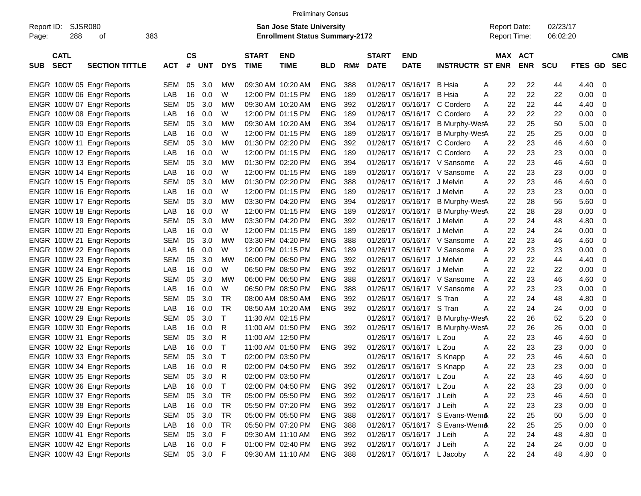|                     |                            |                           |              |               |        |              |                             | <b>Preliminary Census</b>                                                 |                |     |                             |                            |                                |                                     |            |                      |             |                          |  |
|---------------------|----------------------------|---------------------------|--------------|---------------|--------|--------------|-----------------------------|---------------------------------------------------------------------------|----------------|-----|-----------------------------|----------------------------|--------------------------------|-------------------------------------|------------|----------------------|-------------|--------------------------|--|
| Report ID:<br>Page: | SJSR080<br>288             | of                        | 383          |               |        |              |                             | <b>San Jose State University</b><br><b>Enrollment Status Summary-2172</b> |                |     |                             |                            |                                | <b>Report Date:</b><br>Report Time: |            | 02/23/17<br>06:02:20 |             |                          |  |
| <b>SUB</b>          | <b>CATL</b><br><b>SECT</b> | <b>SECTION TITTLE</b>     | <b>ACT</b>   | $\mathsf{cs}$ | # UNT  | <b>DYS</b>   | <b>START</b><br><b>TIME</b> | <b>END</b><br><b>TIME</b>                                                 | <b>BLD</b>     | RM# | <b>START</b><br><b>DATE</b> | <b>END</b><br><b>DATE</b>  | <b>INSTRUCTR ST ENR</b>        | MAX ACT                             | <b>ENR</b> | <b>SCU</b>           | FTES GD     | <b>CMB</b><br><b>SEC</b> |  |
|                     |                            | ENGR 100W 05 Engr Reports | SEM          | 05            | 3.0    | MW           |                             | 09:30 AM 10:20 AM                                                         | <b>ENG</b>     | 388 | 01/26/17                    | 05/16/17                   | B Hsia                         | 22<br>Α                             | 22         | 44                   | 4.40        | $\overline{\phantom{0}}$ |  |
|                     |                            | ENGR 100W 06 Engr Reports | LAB          | 16            | 0.0    | W            |                             | 12:00 PM 01:15 PM                                                         | <b>ENG</b>     | 189 | 01/26/17                    | 05/16/17                   | B Hsia                         | 22<br>Α                             | 22         | 22                   | 0.00        | 0                        |  |
|                     |                            | ENGR 100W 07 Engr Reports | <b>SEM</b>   | 05            | 3.0    | MW           |                             | 09:30 AM 10:20 AM                                                         | <b>ENG</b>     | 392 | 01/26/17                    | 05/16/17                   | C Cordero                      | 22<br>A                             | 22         | 44                   | 4.40        | 0                        |  |
|                     |                            | ENGR 100W 08 Engr Reports | LAB          | 16            | 0.0    | W            |                             | 12:00 PM 01:15 PM                                                         | <b>ENG</b>     | 189 | 01/26/17                    |                            | 05/16/17 C Cordero             | 22<br>A                             | 22         | 22                   | 0.00        | 0                        |  |
|                     |                            | ENGR 100W 09 Engr Reports | <b>SEM</b>   | 05            | 3.0    | MW           |                             | 09:30 AM 10:20 AM                                                         | <b>ENG</b>     | 394 | 01/26/17                    | 05/16/17                   | <b>B Murphy-WesA</b>           | 22                                  | 25         | 50                   | 5.00        | - 0                      |  |
|                     |                            | ENGR 100W 10 Engr Reports | LAB          | 16            | 0.0    | W            |                             | 12:00 PM 01:15 PM                                                         | <b>ENG</b>     | 189 | 01/26/17                    | 05/16/17                   | <b>B Murphy-WesA</b>           | 22                                  | 25         | 25                   | 0.00        | 0                        |  |
|                     |                            | ENGR 100W 11 Engr Reports | <b>SEM</b>   | 05            | 3.0    | MW           |                             | 01:30 PM 02:20 PM                                                         | <b>ENG</b>     | 392 | 01/26/17                    |                            | 05/16/17 C Cordero             | 22<br>A                             | 23         | 46                   | 4.60        | 0                        |  |
|                     |                            | ENGR 100W 12 Engr Reports | LAB          | 16            | 0.0    | W            |                             | 12:00 PM 01:15 PM                                                         | <b>ENG</b>     | 189 | 01/26/17                    |                            | 05/16/17 C Cordero             | 22<br>A                             | 23         | 23                   | 0.00        | 0                        |  |
|                     |                            | ENGR 100W 13 Engr Reports | <b>SEM</b>   | 05            | 3.0    | MW           |                             | 01:30 PM 02:20 PM                                                         | <b>ENG</b>     | 394 | 01/26/17                    |                            | 05/16/17 V Sansome             | 22<br>A                             | 23         | 46                   | 4.60        | 0                        |  |
|                     |                            | ENGR 100W 14 Engr Reports | LAB          | 16            | 0.0    | W            |                             | 12:00 PM 01:15 PM                                                         | <b>ENG</b>     | 189 | 01/26/17                    |                            | 05/16/17 V Sansome             | 22<br>A                             | 23         | 23                   | 0.00        | 0                        |  |
|                     |                            | ENGR 100W 15 Engr Reports | <b>SEM</b>   | 05            | 3.0    | MW           |                             | 01:30 PM 02:20 PM                                                         | <b>ENG</b>     | 388 | 01/26/17                    | 05/16/17 J Melvin          |                                | 22<br>Α                             | 23         | 46                   | 4.60        | 0                        |  |
|                     |                            | ENGR 100W 16 Engr Reports | LAB          | 16            | 0.0    | W            |                             | 12:00 PM 01:15 PM                                                         | <b>ENG</b>     | 189 | 01/26/17                    | 05/16/17 J Melvin          |                                | 22<br>Α                             | 23         | 23                   | 0.00        | 0                        |  |
|                     |                            | ENGR 100W 17 Engr Reports | <b>SEM</b>   | 05            | 3.0    | MW           |                             | 03:30 PM 04:20 PM                                                         | <b>ENG</b>     | 394 | 01/26/17                    | 05/16/17                   | B Murphy-WesA                  | 22                                  | 28         | 56                   | 5.60        | - 0                      |  |
|                     |                            | ENGR 100W 18 Engr Reports | LAB          | 16            | 0.0    | W            |                             | 12:00 PM 01:15 PM                                                         | <b>ENG</b>     | 189 | 01/26/17                    | 05/16/17                   | <b>B Murphy-WesA</b>           | 22                                  | 28         | 28                   | 0.00        | 0                        |  |
|                     |                            | ENGR 100W 19 Engr Reports | <b>SEM</b>   | 05            | 3.0    | MW           |                             | 03:30 PM 04:20 PM                                                         | <b>ENG</b>     | 392 | 01/26/17                    | 05/16/17 J Melvin          |                                | 22<br>A                             | 24         | 48                   | 4.80        | 0                        |  |
|                     |                            | ENGR 100W 20 Engr Reports | LAB          | 16            | 0.0    | W            |                             | 12:00 PM 01:15 PM                                                         | <b>ENG</b>     | 189 | 01/26/17                    | 05/16/17 J Melvin          |                                | 22<br>Α                             | 24         | 24                   | 0.00        | 0                        |  |
|                     |                            | ENGR 100W 21 Engr Reports | <b>SEM</b>   | 05            | 3.0    | MW           |                             | 03:30 PM 04:20 PM                                                         | <b>ENG</b>     | 388 | 01/26/17                    |                            | 05/16/17 V Sansome             | 22<br>A                             | 23         | 46                   | 4.60        | 0                        |  |
|                     |                            | ENGR 100W 22 Engr Reports | LAB          | 16            | 0.0    | W            |                             | 12:00 PM 01:15 PM                                                         | <b>ENG</b>     | 189 | 01/26/17                    |                            | 05/16/17 V Sansome             | 22<br>A                             | 23         | 23                   | 0.00        | 0                        |  |
|                     |                            | ENGR 100W 23 Engr Reports | <b>SEM</b>   | 05            | 3.0    | MW           |                             | 06:00 PM 06:50 PM                                                         | <b>ENG</b>     | 392 | 01/26/17                    | 05/16/17 J Melvin          |                                | 22<br>A                             | 22         | 44                   | 4.40        | 0                        |  |
|                     |                            | ENGR 100W 24 Engr Reports | LAB          | 16            | 0.0    | W            |                             | 06:50 PM 08:50 PM                                                         | <b>ENG</b>     | 392 | 01/26/17                    | 05/16/17 J Melvin          |                                | 22<br>A                             | 22         | 22                   | 0.00        | 0                        |  |
|                     |                            | ENGR 100W 25 Engr Reports | <b>SEM</b>   | 05            | 3.0    | MW           |                             | 06:00 PM 06:50 PM                                                         | <b>ENG</b>     | 388 | 01/26/17                    |                            | 05/16/17 V Sansome             | 22<br>A                             | 23         | 46                   | 4.60        | 0                        |  |
|                     |                            | ENGR 100W 26 Engr Reports | LAB          | 16            | 0.0    | W            |                             | 06:50 PM 08:50 PM                                                         | <b>ENG</b>     | 388 | 01/26/17                    |                            | 05/16/17 V Sansome             | 22<br>A                             | 23         | 23                   | 0.00        | 0                        |  |
|                     |                            | ENGR 100W 27 Engr Reports | <b>SEM</b>   | 05            | 3.0    | TR           |                             | 08:00 AM 08:50 AM                                                         | <b>ENG</b>     | 392 | 01/26/17                    | 05/16/17 S Tran            |                                | 22<br>Α                             | 24         | 48                   | 4.80        | 0                        |  |
|                     |                            | ENGR 100W 28 Engr Reports | LAB          | 16            | 0.0    | TR           |                             | 08:50 AM 10:20 AM                                                         | <b>ENG</b>     | 392 | 01/26/17                    | 05/16/17 S Tran            |                                | 22<br>Α                             | 24         | 24                   | 0.00        | 0                        |  |
|                     |                            | ENGR 100W 29 Engr Reports | <b>SEM</b>   | 05            | 3.0    | Τ            |                             | 11:30 AM 02:15 PM                                                         |                |     | 01/26/17                    | 05/16/17                   | B Murphy-WesA                  | 22                                  | 26         | 52                   | 5.20        | 0                        |  |
|                     |                            | ENGR 100W 30 Engr Reports | LAB          | 16            | 0.0    | R            |                             | 11:00 AM 01:50 PM                                                         | <b>ENG</b>     | 392 | 01/26/17                    | 05/16/17                   | <b>B Murphy-WesA</b>           | 22                                  | 26         | 26                   | 0.00        | 0                        |  |
|                     |                            | ENGR 100W 31 Engr Reports | <b>SEM</b>   | 05            | 3.0    | R            |                             | 11:00 AM 12:50 PM                                                         |                |     | 01/26/17                    | 05/16/17                   | L Zou                          | 22<br>A                             | 23         | 46                   | 4.60        | 0                        |  |
|                     |                            | ENGR 100W 32 Engr Reports | LAB          | 16            | 0.0    | Т            |                             | 11:00 AM 01:50 PM                                                         | <b>ENG</b>     | 392 | 01/26/17                    | 05/16/17                   | L Zou                          | 22<br>Α                             | 23         | 23                   | 0.00        | 0                        |  |
|                     |                            | ENGR 100W 33 Engr Reports | <b>SEM</b>   | 05            | 3.0    | $\mathsf{T}$ |                             | 02:00 PM 03:50 PM                                                         |                |     | 01/26/17                    | 05/16/17 S Knapp           |                                | 22<br>Α                             | 23         | 46                   | 4.60        | 0                        |  |
|                     |                            | ENGR 100W 34 Engr Reports | LAB          | 16            | 0.0    | R            |                             | 02:00 PM 04:50 PM                                                         | ENG            | 392 |                             | 01/26/17 05/16/17 S Knapp  |                                | 22.<br>Α                            | 23         | 23                   | 0.00        | - 0                      |  |
|                     |                            | ENGR 100W 35 Engr Reports | SEM 05 3.0   |               |        | R            |                             | 02:00 PM 03:50 PM                                                         |                |     |                             | 01/26/17 05/16/17 L Zou    |                                | 22<br>A                             | 23         | 46                   | 4.60 0      |                          |  |
|                     |                            | ENGR 100W 36 Engr Reports | LAB          |               | 16 0.0 | Τ            |                             | 02:00 PM 04:50 PM                                                         | ENG 392        |     |                             | 01/26/17 05/16/17 L Zou    |                                | 22<br>A                             | 23         | 23                   | $0.00 \t 0$ |                          |  |
|                     |                            | ENGR 100W 37 Engr Reports | SEM          |               | 05 3.0 | TR           |                             | 05:00 PM 05:50 PM                                                         | ENG 392        |     |                             | 01/26/17 05/16/17 J Leih   |                                | 22<br>A                             | 23         | 46                   | $4.60$ 0    |                          |  |
|                     |                            | ENGR 100W 38 Engr Reports | LAB          |               | 16 0.0 | TR           |                             | 05:50 PM 07:20 PM                                                         | ENG 392        |     |                             | 01/26/17 05/16/17 J Leih   |                                | 22<br>Α                             | 23         | 23                   | $0.00 \t 0$ |                          |  |
|                     |                            | ENGR 100W 39 Engr Reports | SEM          |               | 05 3.0 | TR           |                             | 05:00 PM 05:50 PM                                                         | <b>ENG 388</b> |     |                             |                            | 01/26/17 05/16/17 S Evans-WemA | 22                                  | 25         | 50                   | $5.00 \t 0$ |                          |  |
|                     |                            | ENGR 100W 40 Engr Reports | LAB          |               | 16 0.0 | TR           |                             | 05:50 PM 07:20 PM                                                         | <b>ENG 388</b> |     |                             |                            | 01/26/17 05/16/17 S Evans-WemA | 22                                  | 25         | 25                   | $0.00 \t 0$ |                          |  |
|                     |                            | ENGR 100W 41 Engr Reports | SEM 05 3.0   |               |        | F            |                             | 09:30 AM 11:10 AM                                                         | ENG 392        |     |                             | 01/26/17 05/16/17 J Leih   |                                | 22<br>Α                             | 24         | 48                   | 4.80 0      |                          |  |
|                     |                            | ENGR 100W 42 Engr Reports | LAB          |               | 16 0.0 | F            |                             | 01:00 PM 02:40 PM                                                         | ENG 392        |     |                             | 01/26/17 05/16/17 J Leih   |                                | 22<br>A                             | 24         | 24                   | $0.00 \t 0$ |                          |  |
|                     |                            | ENGR 100W 43 Engr Reports | SEM 05 3.0 F |               |        |              |                             | 09:30 AM 11:10 AM                                                         | ENG 388        |     |                             | 01/26/17 05/16/17 L Jacoby |                                | 22<br>A                             | 24         | 48                   | 4.80 0      |                          |  |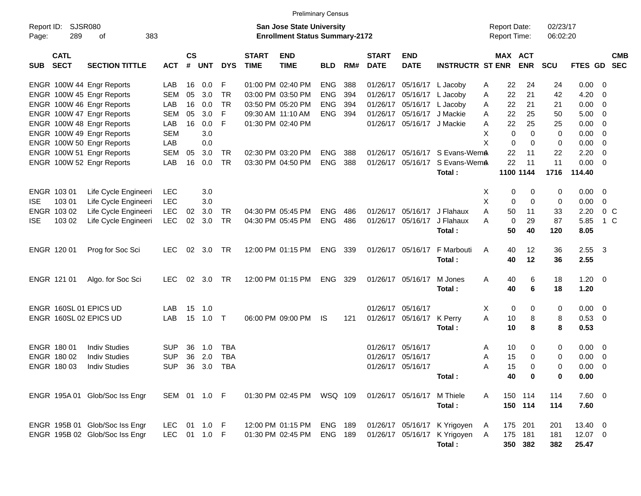|                     |                            |                                                                  |                     |                    |            |            |                             | <b>Preliminary Census</b>                                          |                |     |                             |                            |                                                              |                                     |                       |             |                      |                |                         |                          |
|---------------------|----------------------------|------------------------------------------------------------------|---------------------|--------------------|------------|------------|-----------------------------|--------------------------------------------------------------------|----------------|-----|-----------------------------|----------------------------|--------------------------------------------------------------|-------------------------------------|-----------------------|-------------|----------------------|----------------|-------------------------|--------------------------|
| Report ID:<br>Page: | <b>SJSR080</b><br>289      | 383<br>оf                                                        |                     |                    |            |            |                             | San Jose State University<br><b>Enrollment Status Summary-2172</b> |                |     |                             |                            |                                                              | <b>Report Date:</b><br>Report Time: |                       |             | 02/23/17<br>06:02:20 |                |                         |                          |
| SUB                 | <b>CATL</b><br><b>SECT</b> | <b>SECTION TITTLE</b>                                            | <b>ACT</b>          | $\mathsf{cs}$<br># | <b>UNT</b> | <b>DYS</b> | <b>START</b><br><b>TIME</b> | <b>END</b><br><b>TIME</b>                                          | <b>BLD</b>     | RM# | <b>START</b><br><b>DATE</b> | <b>END</b><br><b>DATE</b>  | <b>INSTRUCTR ST ENR</b>                                      |                                     | MAX ACT<br><b>ENR</b> |             | <b>SCU</b>           | <b>FTES GD</b> |                         | <b>CMB</b><br><b>SEC</b> |
|                     |                            | ENGR 100W 44 Engr Reports                                        | LAB                 | 16                 | 0.0        | F          |                             | 01:00 PM 02:40 PM                                                  | <b>ENG</b>     | 388 |                             | 01/26/17 05/16/17 L Jacoby |                                                              | Α                                   | 22                    | 24          | 24                   | 0.00           | - 0                     |                          |
|                     |                            | ENGR 100W 45 Engr Reports                                        | <b>SEM</b>          | 05                 | 3.0        | <b>TR</b>  |                             | 03:00 PM 03:50 PM                                                  | <b>ENG</b>     | 394 |                             | 01/26/17 05/16/17          | L Jacoby                                                     | A                                   | 22                    | 21          | 42                   | 4.20           | $\overline{0}$          |                          |
|                     |                            | ENGR 100W 46 Engr Reports                                        | LAB                 | 16                 | 0.0        | <b>TR</b>  |                             | 03:50 PM 05:20 PM                                                  | <b>ENG</b>     | 394 |                             | 01/26/17 05/16/17          | L Jacoby                                                     | A                                   | 22                    | 21          | 21                   | 0.00           | 0                       |                          |
|                     |                            | ENGR 100W 47 Engr Reports                                        | <b>SEM</b>          | 05                 | 3.0        | F          |                             | 09:30 AM 11:10 AM                                                  | <b>ENG</b>     | 394 |                             | 01/26/17 05/16/17          | J Mackie                                                     | A                                   | 22                    | 25          | 50                   | 5.00           | 0                       |                          |
|                     |                            | ENGR 100W 48 Engr Reports                                        | LAB                 | 16                 | 0.0        | F          |                             | 01:30 PM 02:40 PM                                                  |                |     |                             | 01/26/17 05/16/17 J Mackie |                                                              | Α                                   | 22                    | 25          | 25                   | 0.00           | 0                       |                          |
|                     |                            | ENGR 100W 49 Engr Reports                                        | <b>SEM</b>          |                    | 3.0        |            |                             |                                                                    |                |     |                             |                            |                                                              | X                                   | $\Omega$              | $\Omega$    | $\mathbf 0$          | 0.00           | $\overline{0}$          |                          |
|                     |                            | ENGR 100W 50 Engr Reports                                        | LAB                 |                    | 0.0        |            |                             |                                                                    |                |     |                             |                            |                                                              | X                                   | 0                     | $\Omega$    | 0                    | 0.00           | $\overline{0}$          |                          |
|                     |                            | ENGR 100W 51 Engr Reports                                        | <b>SEM</b>          | 05                 | 3.0        | TR         |                             | 02:30 PM 03:20 PM                                                  | <b>ENG</b>     | 388 |                             |                            | 01/26/17 05/16/17 S Evans-WemA                               |                                     | 22                    | 11          | 22                   | 2.20           | 0                       |                          |
|                     |                            | ENGR 100W 52 Engr Reports                                        | LAB                 | 16                 | 0.0        | <b>TR</b>  |                             | 03:30 PM 04:50 PM                                                  | <b>ENG</b>     | 388 |                             | 01/26/17 05/16/17          | S Evans-WemA                                                 |                                     | 22                    | 11          | 11                   | 0.00           | $\overline{0}$          |                          |
|                     |                            |                                                                  |                     |                    |            |            |                             |                                                                    |                |     |                             |                            | Total:                                                       |                                     | 1100 1144             |             | 1716                 | 114.40         |                         |                          |
|                     | ENGR 103 01                | Life Cycle Engineeri                                             | <b>LEC</b>          |                    | 3.0        |            |                             |                                                                    |                |     |                             |                            |                                                              | х                                   | 0                     | 0           | 0                    | 0.00           | $\overline{0}$          |                          |
| <b>ISE</b>          | 103 01                     | Life Cycle Engineeri                                             | <b>LEC</b>          |                    | 3.0        |            |                             |                                                                    |                |     |                             |                            |                                                              | X                                   | 0                     | $\Omega$    | 0                    | 0.00           | 0                       |                          |
|                     | ENGR 103 02                | Life Cycle Engineeri                                             | <b>LEC</b>          | 02                 | 3.0        | TR         |                             | 04:30 PM 05:45 PM                                                  | <b>ENG</b>     | 486 |                             | 01/26/17 05/16/17          | J Flahaux                                                    | Α                                   | 50                    | 11          | 33                   | 2.20           | 0 <sup>o</sup>          |                          |
| <b>ISE</b>          | 103 02                     | Life Cycle Engineeri                                             | <b>LEC</b>          | 02                 | 3.0        | <b>TR</b>  |                             | 04:30 PM 05:45 PM                                                  | <b>ENG</b>     | 486 |                             | 01/26/17 05/16/17          | J Flahaux                                                    | A                                   | 0                     | 29          | 87                   | 5.85           | 1 C                     |                          |
|                     |                            |                                                                  |                     |                    |            |            |                             |                                                                    |                |     |                             |                            | Total:                                                       |                                     | 50                    | 40          | 120                  | 8.05           |                         |                          |
|                     |                            |                                                                  | LEC.                | 02                 | 3.0        | TR         |                             | 12:00 PM 01:15 PM                                                  | <b>ENG</b>     | 339 |                             | 01/26/17 05/16/17          | F Marbouti                                                   | Α                                   | 40                    | 12          | 36                   | $2.55 \quad 3$ |                         |                          |
|                     | ENGR 120 01                | Prog for Soc Sci                                                 |                     |                    |            |            |                             |                                                                    |                |     |                             |                            | Total:                                                       |                                     | 40                    | 12          | 36                   | 2.55           |                         |                          |
|                     |                            |                                                                  |                     |                    |            |            |                             |                                                                    |                |     |                             |                            |                                                              |                                     |                       |             |                      |                |                         |                          |
|                     | ENGR 121 01                | Algo. for Soc Sci                                                | <b>LEC</b>          | 02                 | 3.0        | TR         |                             | 12:00 PM 01:15 PM                                                  | <b>ENG</b>     | 329 |                             | 01/26/17 05/16/17          | M Jones                                                      | Α                                   | 40                    | 6           | 18                   | $1.20 \t 0$    |                         |                          |
|                     |                            |                                                                  |                     |                    |            |            |                             |                                                                    |                |     |                             |                            | Total:                                                       |                                     | 40                    | 6           | 18                   | 1.20           |                         |                          |
|                     |                            | ENGR 160SL 01 EPICS UD                                           | LAB                 | 15                 | 1.0        |            |                             |                                                                    |                |     |                             | 01/26/17 05/16/17          |                                                              | X.                                  | 0                     | 0           | 0                    | 0.00           | $\overline{\mathbf{0}}$ |                          |
|                     |                            | ENGR 160SL 02 EPICS UD                                           | LAB                 | 15                 | 1.0        | $\top$     |                             | 06:00 PM 09:00 PM                                                  | IS             | 121 |                             | 01/26/17 05/16/17          | K Perry                                                      | A                                   | 10                    | 8           | 8                    | 0.53           | $\overline{0}$          |                          |
|                     |                            |                                                                  |                     |                    |            |            |                             |                                                                    |                |     |                             |                            | Total:                                                       |                                     | 10                    | 8           | 8                    | 0.53           |                         |                          |
|                     |                            |                                                                  |                     |                    |            |            |                             |                                                                    |                |     |                             |                            |                                                              |                                     |                       |             |                      |                |                         |                          |
|                     | ENGR 180 01                | <b>Indiv Studies</b>                                             | <b>SUP</b>          | 36                 | 1.0        | TBA        |                             |                                                                    |                |     |                             | 01/26/17 05/16/17          |                                                              | Α                                   | 10                    | 0           | 0                    | 0.00           | $\overline{\mathbf{0}}$ |                          |
|                     | ENGR 180 02                | <b>Indiv Studies</b>                                             | <b>SUP</b>          | 36                 | 2.0        | <b>TBA</b> |                             |                                                                    |                |     |                             | 01/26/17 05/16/17          |                                                              | Α                                   | 15                    | $\mathbf 0$ | 0                    | 0.00           | 0                       |                          |
|                     | ENGR 180 03                | <b>Indiv Studies</b>                                             | <b>SUP</b>          | 36                 | 3.0        | <b>TBA</b> |                             |                                                                    |                |     |                             | 01/26/17 05/16/17          |                                                              | A                                   | 15                    | $\Omega$    | 0                    | 0.00           | $\overline{0}$          |                          |
|                     |                            |                                                                  |                     |                    |            |            |                             |                                                                    |                |     |                             |                            | Total:                                                       |                                     | 40                    | 0           | 0                    | 0.00           |                         |                          |
|                     |                            | ENGR 195A 01 Glob/Soc Iss Engr                                   | SEM 01 1.0 F        |                    |            |            |                             | 01:30 PM 02:45 PM WSQ 109                                          |                |     |                             | 01/26/17 05/16/17 M Thiele |                                                              | A                                   | 150 114               |             | 114                  | $7.60$ 0       |                         |                          |
|                     |                            |                                                                  |                     |                    |            |            |                             |                                                                    |                |     |                             |                            | Total:                                                       |                                     | 150 114               |             | 114                  | 7.60           |                         |                          |
|                     |                            |                                                                  |                     |                    | 01 1.0 F   |            |                             |                                                                    | <b>ENG 189</b> |     |                             |                            |                                                              |                                     | 175 201               |             |                      | 13.40 0        |                         |                          |
|                     |                            | ENGR 195B 01 Glob/Soc Iss Engr<br>ENGR 195B 02 Glob/Soc Iss Engr | LEC<br>LEC 01 1.0 F |                    |            |            |                             | 12:00 PM 01:15 PM<br>01:30 PM 02:45 PM                             | <b>ENG 189</b> |     |                             |                            | 01/26/17 05/16/17 K Yrigoyen<br>01/26/17 05/16/17 K Yrigoyen | A<br>A                              | 175 181               |             | 201<br>181           | 12.07 0        |                         |                          |
|                     |                            |                                                                  |                     |                    |            |            |                             |                                                                    |                |     |                             |                            | Total:                                                       |                                     | 350 382               |             | 382                  | 25.47          |                         |                          |
|                     |                            |                                                                  |                     |                    |            |            |                             |                                                                    |                |     |                             |                            |                                                              |                                     |                       |             |                      |                |                         |                          |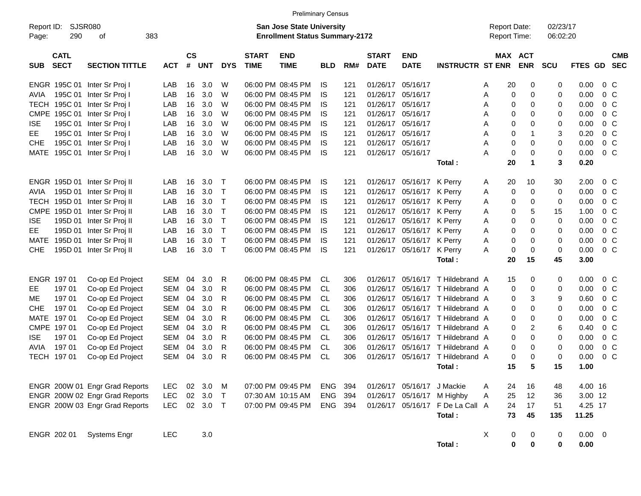|                     |                            |                                |            |                |            |              |                             | <b>Preliminary Census</b>                                          |            |     |                             |                            |                                  |   |                                     |                      |                      |                     |                |
|---------------------|----------------------------|--------------------------------|------------|----------------|------------|--------------|-----------------------------|--------------------------------------------------------------------|------------|-----|-----------------------------|----------------------------|----------------------------------|---|-------------------------------------|----------------------|----------------------|---------------------|----------------|
| Report ID:<br>Page: | SJSR080<br>290             | οf                             | 383        |                |            |              |                             | San Jose State University<br><b>Enrollment Status Summary-2172</b> |            |     |                             |                            |                                  |   | <b>Report Date:</b><br>Report Time: |                      | 02/23/17<br>06:02:20 |                     |                |
| <b>SUB</b>          | <b>CATL</b><br><b>SECT</b> | <b>SECTION TITTLE</b>          | <b>ACT</b> | <b>CS</b><br># | <b>UNT</b> | <b>DYS</b>   | <b>START</b><br><b>TIME</b> | <b>END</b><br><b>TIME</b>                                          | <b>BLD</b> | RM# | <b>START</b><br><b>DATE</b> | <b>END</b><br><b>DATE</b>  | <b>INSTRUCTR ST ENR</b>          |   | MAX ACT                             | <b>ENR</b>           | <b>SCU</b>           | FTES GD SEC         | <b>CMB</b>     |
|                     | ENGR 195C 01               | Inter Sr Proj I                | LAB        | 16             | 3.0        | W            |                             | 06:00 PM 08:45 PM                                                  | IS.        | 121 | 01/26/17                    | 05/16/17                   |                                  | Α | 20                                  | 0                    | 0                    | 0.00                | $0\,C$         |
| <b>AVIA</b>         | 195C 01                    | Inter Sr Proj I                | LAB        | 16             | 3.0        | W            |                             | 06:00 PM 08:45 PM                                                  | IS         | 121 | 01/26/17                    | 05/16/17                   |                                  | Α | 0                                   | 0                    | 0                    | 0.00                | 0 <sup>C</sup> |
| <b>TECH</b>         | 195C 01                    | Inter Sr Proj I                | LAB        | 16             | 3.0        | W            |                             | 06:00 PM 08:45 PM                                                  | IS         | 121 | 01/26/17                    | 05/16/17                   |                                  | Α | 0                                   | 0                    | 0                    | 0.00                | 0 <sup>C</sup> |
| <b>CMPE</b>         | 195C 01                    | Inter Sr Proj I                | LAB        | 16             | 3.0        | W            |                             | 06:00 PM 08:45 PM                                                  | IS         | 121 | 01/26/17                    | 05/16/17                   |                                  | A | 0                                   | 0                    | 0                    | 0.00                | $0\,C$         |
| <b>ISE</b>          | 195C 01                    | Inter Sr Proj I                | LAB        | 16             | 3.0        | W            |                             | 06:00 PM 08:45 PM                                                  | IS         | 121 | 01/26/17                    | 05/16/17                   |                                  | A | 0                                   | 0                    | 0                    | 0.00                | 0 <sup>C</sup> |
| EE                  | 195C 01                    | Inter Sr Proj I                | LAB        | 16             | 3.0        | W            |                             | 06:00 PM 08:45 PM                                                  | IS         | 121 | 01/26/17                    | 05/16/17                   |                                  | A | 0                                   | $\mathbf{1}$         | 3                    | 0.20                | 0 <sup>C</sup> |
| <b>CHE</b>          | 195C 01                    | Inter Sr Proj I                | LAB        | 16             | 3.0        | W            |                             | 06:00 PM 08:45 PM                                                  | IS         | 121 | 01/26/17                    | 05/16/17                   |                                  | A | $\pmb{0}$                           | 0                    | 0                    | 0.00                | $0\,C$         |
| <b>MATE</b>         | 195C 01                    | Inter Sr Proj I                | LAB        | 16             | 3.0        | W            |                             | 06:00 PM 08:45 PM                                                  | IS         | 121 | 01/26/17                    | 05/16/17                   |                                  | А | $\mathbf 0$                         | $\mathbf 0$          | 0                    | 0.00                | 0 <sup>C</sup> |
|                     |                            |                                |            |                |            |              |                             |                                                                    |            |     |                             |                            | Total:                           |   | 20                                  | $\blacktriangleleft$ | 3                    | 0.20                |                |
|                     |                            | ENGR 195D 01 Inter Sr Proj II  | LAB        | 16             | 3.0        | Т            |                             | 06:00 PM 08:45 PM                                                  | IS         | 121 | 01/26/17                    | 05/16/17                   | K Perrv                          | A | 20                                  | 10                   | 30                   | 2.00                | $0\,C$         |
| AVIA                | 195D 01                    | Inter Sr Proj II               | LAB        | 16             | 3.0        | $\mathsf{T}$ |                             | 06:00 PM 08:45 PM                                                  | IS         | 121 | 01/26/17                    | 05/16/17                   | K Perry                          | Α | 0                                   | 0                    | 0                    | 0.00                | 0 <sup>C</sup> |
| <b>TECH</b>         | 195D 01                    | Inter Sr Proj II               | LAB        | 16             | 3.0        | $\mathsf{T}$ |                             | 06:00 PM 08:45 PM                                                  | IS         | 121 | 01/26/17                    | 05/16/17                   | K Perry                          | Α | 0                                   | 0                    | 0                    | 0.00                | 0 <sup>C</sup> |
| <b>CMPE</b>         | 195D 01                    | Inter Sr Proj II               | LAB        | 16             | 3.0        | $\mathsf{T}$ |                             | 06:00 PM 08:45 PM                                                  | IS         | 121 | 01/26/17                    | 05/16/17                   | K Perry                          | Α | 0                                   | 5                    | 15                   | 1.00                | 0 <sup>C</sup> |
| <b>ISE</b>          | 195D 01                    | Inter Sr Proj II               | LAB        | 16             | 3.0        | $\mathsf{T}$ |                             | 06:00 PM 08:45 PM                                                  | IS         | 121 | 01/26/17                    | 05/16/17                   | K Perry                          | Α | 0                                   | 0                    | 0                    | 0.00                | $0\,C$         |
| EE                  | 195D 01                    | Inter Sr Proj II               | LAB        | 16             | 3.0        | $\mathsf{T}$ |                             | 06:00 PM 08:45 PM                                                  | IS         | 121 | 01/26/17                    | 05/16/17                   | K Perry                          | A | 0                                   | 0                    | 0                    | 0.00                | 0 <sup>C</sup> |
| <b>MATE</b>         | 195D 01                    | Inter Sr Proj II               | LAB        | 16             | 3.0        | $\mathsf{T}$ |                             | 06:00 PM 08:45 PM                                                  | IS         | 121 | 01/26/17                    | 05/16/17                   | K Perry                          | Α | 0                                   | 0                    | 0                    | 0.00                | $0\,C$         |
| <b>CHE</b>          | 195D 01                    | Inter Sr Proj II               | LAB        | 16             | 3.0        | $\top$       |                             | 06:00 PM 08:45 PM                                                  | IS         | 121 | 01/26/17                    | 05/16/17                   | K Perry                          | A | 0                                   | 0                    | 0                    | 0.00                | 0 <sup>C</sup> |
|                     |                            |                                |            |                |            |              |                             |                                                                    |            |     |                             |                            | Total:                           |   | 20                                  | 15                   | 45                   | 3.00                |                |
|                     | ENGR 197 01                | Co-op Ed Project               | SEM        | 04             | 3.0        | R            |                             | 06:00 PM 08:45 PM                                                  | CL         | 306 | 01/26/17                    | 05/16/17                   | T Hildebrand A                   |   | 15                                  | 0                    | 0                    | 0.00                | $0\,C$         |
| EE                  | 197 01                     | Co-op Ed Project               | <b>SEM</b> | 04             | 3.0        | R            |                             | 06:00 PM 08:45 PM                                                  | CL         | 306 | 01/26/17                    | 05/16/17                   | T Hildebrand A                   |   | 0                                   | 0                    | 0                    | 0.00                | 0 <sup>C</sup> |
| МE                  | 197 01                     | Co-op Ed Project               | <b>SEM</b> | 04             | 3.0        | R            |                             | 06:00 PM 08:45 PM                                                  | CL         | 306 | 01/26/17                    | 05/16/17                   | T Hildebrand A                   |   | 0                                   | 3                    | 9                    | 0.60                | 0 <sup>C</sup> |
| <b>CHE</b>          | 197 01                     | Co-op Ed Project               | <b>SEM</b> | 04             | 3.0        | R            |                             | 06:00 PM 08:45 PM                                                  | CL         | 306 | 01/26/17                    | 05/16/17                   | T Hildebrand A                   |   | 0                                   | 0                    | 0                    | 0.00                | 0 <sup>C</sup> |
| <b>MATE</b>         | 19701                      | Co-op Ed Project               | <b>SEM</b> | 04             | 3.0        | R            |                             | 06:00 PM 08:45 PM                                                  | <b>CL</b>  | 306 | 01/26/17                    | 05/16/17                   | T Hildebrand A                   |   | 0                                   | 0                    | 0                    | 0.00                | $0\,C$         |
|                     | CMPE 197 01                | Co-op Ed Project               | <b>SEM</b> | 04             | 3.0        | R            |                             | 06:00 PM 08:45 PM                                                  | <b>CL</b>  | 306 | 01/26/17                    | 05/16/17                   | T Hildebrand A                   |   | 0                                   | 2                    | 6                    | 0.40                | 0 <sup>C</sup> |
| <b>ISE</b>          | 197 01                     | Co-op Ed Project               | <b>SEM</b> | 04             | 3.0        | R            |                             | 06:00 PM 08:45 PM                                                  | <b>CL</b>  | 306 | 01/26/17                    | 05/16/17                   | T Hildebrand A                   |   | 0                                   | 0                    | 0                    | 0.00                | 0 <sup>C</sup> |
| <b>AVIA</b>         | 197 01                     | Co-op Ed Project               | <b>SEM</b> | 04             | 3.0        | R            |                             | 06:00 PM 08:45 PM                                                  | CL         | 306 | 01/26/17                    | 05/16/17                   | T Hildebrand A                   |   | 0                                   | 0                    | 0                    | 0.00                | 0 <sup>C</sup> |
|                     | TECH 197 01                | Co-op Ed Project               | <b>SEM</b> | 04             | 3.0        | R            |                             | 06:00 PM 08:45 PM                                                  | CL         | 306 | 01/26/17                    | 05/16/17                   | T Hildebrand A                   |   | 0                                   | 0                    | 0                    | 0.00                | 0 <sup>C</sup> |
|                     |                            |                                |            |                |            |              |                             |                                                                    |            |     |                             |                            | Total:                           |   | 15                                  | 5                    | 15                   | 1.00                |                |
|                     |                            | ENGR 200W 01 Engr Grad Reports | <b>LEC</b> | 02             | 3.0        | M            |                             | 07:00 PM 09:45 PM                                                  | ENG        | 394 |                             | 01/26/17 05/16/17 J Mackie |                                  | A | 24                                  | 16                   | 48                   | 4.00 16             |                |
|                     |                            | ENGR 200W 02 Engr Grad Reports | <b>LEC</b> | 02             | 3.0        | $\top$       |                             | 07:30 AM 10:15 AM                                                  | ENG        | 394 | 01/26/17                    | 05/16/17                   | M Highby                         | Α | 25                                  | 12                   | 36                   | 3.00 12             |                |
|                     |                            | ENGR 200W 03 Engr Grad Reports | <b>LEC</b> |                | 02 3.0     | $\top$       |                             | 07:00 PM 09:45 PM                                                  | ENG 394    |     |                             |                            | 01/26/17 05/16/17 F De La Call A |   | 24                                  | 17                   | 51                   | 4.25 17             |                |
|                     |                            |                                |            |                |            |              |                             |                                                                    |            |     |                             |                            | Total:                           |   | 73                                  | 45                   | 135                  | 11.25               |                |
|                     | ENGR 202 01                | <b>Systems Engr</b>            | <b>LEC</b> |                | 3.0        |              |                             |                                                                    |            |     |                             |                            | Total:                           | X | $\pmb{0}$<br>$\pmb{0}$              | 0<br>$\bf{0}$        | 0<br>0               | $0.00 \t 0$<br>0.00 |                |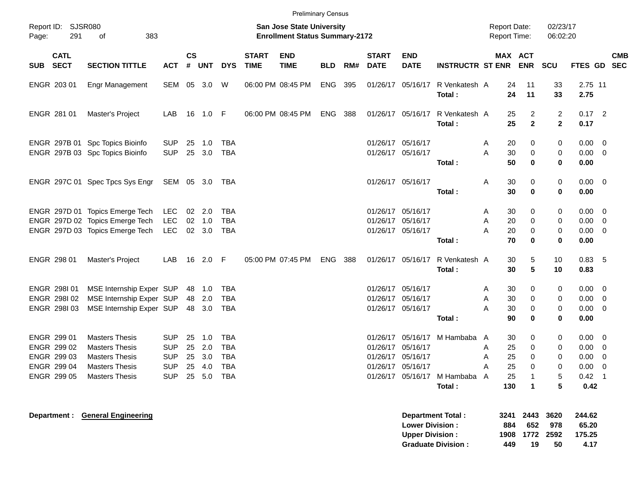|            |                                                                         |                                                                                                                           |                                                                    |                      |                                    |                                                             |                             | <b>Preliminary Census</b>                                          |            |     |                             |                                                             |                                                                      |                       |                                     |                                       |                                      |                                              |                                                                                                       |
|------------|-------------------------------------------------------------------------|---------------------------------------------------------------------------------------------------------------------------|--------------------------------------------------------------------|----------------------|------------------------------------|-------------------------------------------------------------|-----------------------------|--------------------------------------------------------------------|------------|-----|-----------------------------|-------------------------------------------------------------|----------------------------------------------------------------------|-----------------------|-------------------------------------|---------------------------------------|--------------------------------------|----------------------------------------------|-------------------------------------------------------------------------------------------------------|
| Page:      | Report ID: SJSR080<br>291                                               | 383<br>οf                                                                                                                 |                                                                    |                      |                                    |                                                             |                             | San Jose State University<br><b>Enrollment Status Summary-2172</b> |            |     |                             |                                                             |                                                                      |                       | <b>Report Date:</b><br>Report Time: |                                       | 02/23/17<br>06:02:20                 |                                              |                                                                                                       |
| <b>SUB</b> | <b>CATL</b><br><b>SECT</b>                                              | <b>SECTION TITTLE</b>                                                                                                     | <b>ACT</b>                                                         | $\mathsf{cs}$<br>#   | <b>UNT</b>                         | <b>DYS</b>                                                  | <b>START</b><br><b>TIME</b> | <b>END</b><br><b>TIME</b>                                          | <b>BLD</b> | RM# | <b>START</b><br><b>DATE</b> | <b>END</b><br><b>DATE</b>                                   | <b>INSTRUCTR ST ENR</b>                                              |                       | <b>MAX ACT</b><br><b>ENR</b>        |                                       | <b>SCU</b>                           | <b>FTES GD</b>                               | <b>CMB</b><br><b>SEC</b>                                                                              |
|            | ENGR 203 01                                                             | Engr Management                                                                                                           | <b>SEM</b>                                                         | 05                   | 3.0                                | W                                                           |                             | 06:00 PM 08:45 PM                                                  | <b>ENG</b> | 395 |                             | 01/26/17 05/16/17                                           | R Venkatesh A<br>Total:                                              |                       | 24<br>24                            | 11<br>11                              | 33<br>33                             | 2.75 11<br>2.75                              |                                                                                                       |
|            | ENGR 281 01                                                             | Master's Project                                                                                                          | LAB                                                                | 16                   | $1.0$ F                            |                                                             |                             | 06:00 PM 08:45 PM                                                  | ENG.       | 388 |                             | 01/26/17 05/16/17                                           | R Venkatesh A<br>Total:                                              |                       | 25<br>25                            | $\overline{2}$<br>$\overline{2}$      | 2<br>$\overline{2}$                  | $0.17$ 2<br>0.17                             |                                                                                                       |
|            |                                                                         | ENGR 297B 01 Spc Topics Bioinfo<br>ENGR 297B 03 Spc Topics Bioinfo                                                        | <b>SUP</b><br><b>SUP</b>                                           | 25<br>25             | 1.0<br>3.0                         | TBA<br><b>TBA</b>                                           |                             |                                                                    |            |     |                             | 01/26/17 05/16/17<br>01/26/17 05/16/17                      | Total:                                                               | Α<br>A                | 20<br>30<br>50                      | 0<br>0<br>$\bf{0}$                    | 0<br>0<br>$\bf{0}$                   | $0.00\,$<br>0.00<br>0.00                     | $\overline{\phantom{0}}$<br>$\overline{0}$                                                            |
|            |                                                                         | ENGR 297C 01 Spec Tpcs Sys Engr                                                                                           | SEM 05 3.0                                                         |                      |                                    | TBA                                                         |                             |                                                                    |            |     |                             | 01/26/17 05/16/17                                           | Total:                                                               | A                     | 30<br>30                            | $\mathbf 0$<br>$\bf{0}$               | $\mathbf 0$<br>$\bf{0}$              | 0.00<br>0.00                                 | $\overline{\mathbf{0}}$                                                                               |
|            |                                                                         | ENGR 297D 01 Topics Emerge Tech<br>ENGR 297D 02 Topics Emerge Tech<br>ENGR 297D 03 Topics Emerge Tech                     | <b>LEC</b><br><b>LEC</b><br><b>LEC</b>                             | 02                   | 02 2.0<br>1.0<br>$02 \quad 3.0$    | <b>TBA</b><br><b>TBA</b><br><b>TBA</b>                      |                             |                                                                    |            |     |                             | 01/26/17 05/16/17<br>01/26/17 05/16/17<br>01/26/17 05/16/17 | Total:                                                               | A<br>A<br>A           | 30<br>20<br>20<br>70                | 0<br>0<br>0<br>$\bf{0}$               | 0<br>0<br>0<br>0                     | 0.00<br>0.00<br>0.00<br>0.00                 | $\overline{0}$<br>$\overline{\mathbf{0}}$<br>$\mathbf 0$                                              |
|            | ENGR 298 01                                                             | Master's Project                                                                                                          | LAB                                                                | 16                   | $2.0$ F                            |                                                             |                             | 05:00 PM 07:45 PM                                                  | <b>ENG</b> | 388 |                             | 01/26/17 05/16/17                                           | R Venkatesh A<br>Total:                                              |                       | 30<br>30                            | 5<br>5                                | 10<br>10                             | 0.83<br>0.83                                 | - 5                                                                                                   |
|            | <b>ENGR 298101</b><br>ENGR 298102<br>ENGR 298103                        | MSE Internship Exper SUP<br>MSE Internship Exper SUP<br>MSE Internship Exper SUP                                          |                                                                    |                      | 48 1.0<br>48 2.0<br>48 3.0         | TBA<br><b>TBA</b><br>TBA                                    |                             |                                                                    |            |     |                             | 01/26/17 05/16/17<br>01/26/17 05/16/17<br>01/26/17 05/16/17 | Total:                                                               | Α<br>A<br>A           | 30<br>30<br>30<br>90                | 0<br>$\Omega$<br>0<br>$\bf{0}$        | 0<br>0<br>$\pmb{0}$<br>0             | 0.00<br>0.00<br>0.00<br>0.00                 | $\overline{\mathbf{0}}$<br>$\mathbf 0$<br>$\overline{\mathbf{0}}$                                     |
|            | ENGR 299 01<br>ENGR 299 02<br>ENGR 299 03<br>ENGR 299 04<br>ENGR 299 05 | <b>Masters Thesis</b><br><b>Masters Thesis</b><br><b>Masters Thesis</b><br><b>Masters Thesis</b><br><b>Masters Thesis</b> | <b>SUP</b><br><b>SUP</b><br><b>SUP</b><br><b>SUP</b><br><b>SUP</b> | 25<br>25<br>25<br>25 | 1.0<br>2.0<br>3.0<br>4.0<br>25 5.0 | <b>TBA</b><br><b>TBA</b><br><b>TBA</b><br><b>TBA</b><br>TBA |                             |                                                                    |            |     | 01/26/17                    | 01/26/17 05/16/17<br>01/26/17 05/16/17<br>05/16/17          | 01/26/17 05/16/17 M Hambaba<br>01/26/17 05/16/17 M Hambaba<br>Total: | A<br>Α<br>A<br>A<br>A | 30<br>25<br>25<br>25<br>25<br>130   | 0<br>0<br>0<br>$\mathbf 0$<br>-1<br>1 | 0<br>0<br>0<br>$\mathbf 0$<br>5<br>5 | 0.00<br>0.00<br>0.00<br>0.00<br>0.42<br>0.42 | $\mathbf 0$<br>$\overline{\mathbf{0}}$<br>$\overline{0}$<br>$\mathbf 0$<br>$\overline{\phantom{0}}$ 1 |
|            |                                                                         | Department: General Engineering                                                                                           |                                                                    |                      |                                    |                                                             |                             |                                                                    |            |     |                             | <b>Lower Division:</b>                                      | <b>Department Total:</b>                                             |                       | 3241<br>884                         | 2443<br>652                           | 3620<br>978                          | 244.62<br>65.20                              |                                                                                                       |

**Upper Division : 1908 1772 2592 175.25 Graduate Division : 449 19 50 4.17**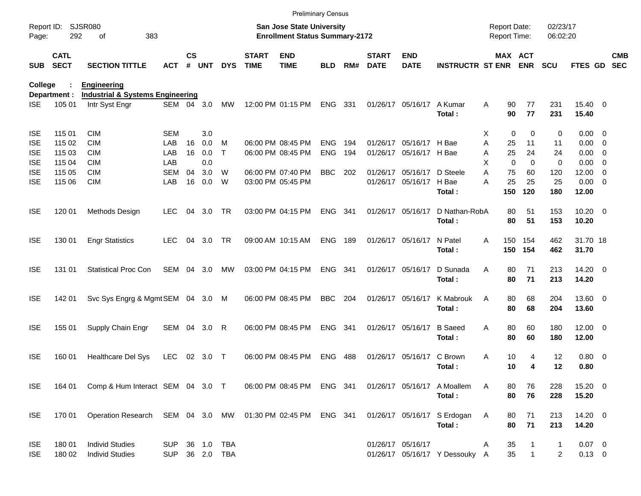|            |                            |                                                            |            |                    |            |            |                             | <b>Preliminary Census</b>                                                 |                |       |                             |                           |                                                       |   |             |                                     |                      |                       |                          |
|------------|----------------------------|------------------------------------------------------------|------------|--------------------|------------|------------|-----------------------------|---------------------------------------------------------------------------|----------------|-------|-----------------------------|---------------------------|-------------------------------------------------------|---|-------------|-------------------------------------|----------------------|-----------------------|--------------------------|
| Page:      | Report ID: SJSR080<br>292  | 383<br>οf                                                  |            |                    |            |            |                             | <b>San Jose State University</b><br><b>Enrollment Status Summary-2172</b> |                |       |                             |                           |                                                       |   |             | <b>Report Date:</b><br>Report Time: | 02/23/17<br>06:02:20 |                       |                          |
| <b>SUB</b> | <b>CATL</b><br><b>SECT</b> | <b>SECTION TITTLE</b>                                      | <b>ACT</b> | $\mathsf{cs}$<br># | <b>UNT</b> | <b>DYS</b> | <b>START</b><br><b>TIME</b> | <b>END</b><br><b>TIME</b>                                                 | <b>BLD</b>     | RM#   | <b>START</b><br><b>DATE</b> | <b>END</b><br><b>DATE</b> | <b>INSTRUCTR ST ENR ENR</b>                           |   |             | MAX ACT                             | <b>SCU</b>           | FTES GD               | <b>CMB</b><br><b>SEC</b> |
| College    |                            | <b>Engineering</b>                                         |            |                    |            |            |                             |                                                                           |                |       |                             |                           |                                                       |   |             |                                     |                      |                       |                          |
|            | Department :               | <b>Industrial &amp; Systems Engineering</b>                |            |                    |            |            |                             |                                                                           |                |       |                             |                           |                                                       |   |             |                                     |                      |                       |                          |
| <b>ISE</b> | 105 01                     | Intr Syst Engr                                             | SEM 04 3.0 |                    |            | MW         |                             | 12:00 PM 01:15 PM                                                         | ENG 331        |       |                             | 01/26/17 05/16/17         | A Kumar<br>Total:                                     | Α | 90<br>90    | 77<br>77                            | 231<br>231           | 15.40 0<br>15.40      |                          |
| <b>ISE</b> | 115 01                     | <b>CIM</b>                                                 | SEM        |                    | 3.0        |            |                             |                                                                           |                |       |                             |                           |                                                       | х | $\mathbf 0$ | $\mathbf 0$                         | 0                    | $0.00 \t 0$           |                          |
| <b>ISE</b> | 115 02                     | <b>CIM</b>                                                 | LAB        | 16                 | 0.0        | M          |                             | 06:00 PM 08:45 PM                                                         | <b>ENG</b>     | 194   | 01/26/17                    | 05/16/17 H Bae            |                                                       | A | 25          | 11                                  | 11                   | $0.00 \t 0$           |                          |
| <b>ISE</b> | 115 03                     | <b>CIM</b>                                                 | LAB        | 16                 | 0.0        | Τ          |                             | 06:00 PM 08:45 PM                                                         | <b>ENG</b>     | 194   |                             | 01/26/17 05/16/17 H Bae   |                                                       | Α | 25          | 24                                  | 24                   | $0.00 \t 0$           |                          |
| <b>ISE</b> | 115 04                     | <b>CIM</b>                                                 | LAB        |                    | 0.0        |            |                             |                                                                           |                |       |                             |                           |                                                       | X | $\Omega$    | $\Omega$                            | 0                    | $0.00 \t 0$           |                          |
| <b>ISE</b> | 115 05                     | <b>CIM</b>                                                 | <b>SEM</b> | 04                 | 3.0        | W          |                             | 06:00 PM 07:40 PM                                                         | <b>BBC</b>     | 202   | 01/26/17                    |                           | 05/16/17 D Steele                                     | A | 75          | 60                                  | 120                  | $12.00 \t 0$          |                          |
| <b>ISE</b> | 115 06                     | <b>CIM</b>                                                 | LAB        | 16                 | 0.0        | W          |                             | 03:00 PM 05:45 PM                                                         |                |       |                             | 01/26/17 05/16/17 H Bae   |                                                       | А | 25          | 25                                  | 25                   | $0.00 \t 0$           |                          |
|            |                            |                                                            |            |                    |            |            |                             |                                                                           |                |       |                             |                           | Total:                                                |   | 150         | 120                                 | 180                  | 12.00                 |                          |
| <b>ISE</b> | 120 01                     | Methods Design                                             | <b>LEC</b> | 04                 | 3.0        | TR         |                             | 03:00 PM 04:15 PM                                                         | <b>ENG</b>     | 341   |                             | 01/26/17 05/16/17         | D Nathan-RobA                                         |   | 80          | 51                                  | 153                  | $10.20 \t 0$          |                          |
|            |                            |                                                            |            |                    |            |            |                             |                                                                           |                |       |                             |                           | Total:                                                |   | 80          | 51                                  | 153                  | 10.20                 |                          |
| <b>ISE</b> | 130 01                     | <b>Engr Statistics</b>                                     | <b>LEC</b> | 04                 | 3.0        | TR         |                             | 09:00 AM 10:15 AM                                                         | <b>ENG 189</b> |       |                             | 01/26/17 05/16/17         | N Patel<br>Total:                                     | A |             | 150 154<br>150 154                  | 462<br>462           | 31.70 18<br>31.70     |                          |
| <b>ISE</b> | 131 01                     | <b>Statistical Proc Con</b>                                | SEM        | 04                 | 3.0        | МW         |                             | 03:00 PM 04:15 PM                                                         | ENG 341        |       |                             | 01/26/17 05/16/17         | D Sunada<br>Total:                                    | A | 80<br>80    | 71<br>71                            | 213<br>213           | $14.20 \t 0$<br>14.20 |                          |
| <b>ISE</b> | 142 01                     | Svc Sys Engrg & Mgmt SEM 04 3.0 M                          |            |                    |            |            |                             | 06:00 PM 08:45 PM                                                         | <b>BBC</b>     | 204   |                             | 01/26/17 05/16/17         | K Mabrouk<br>Total:                                   | A | 80<br>80    | 68<br>68                            | 204<br>204           | 13.60 0<br>13.60      |                          |
| <b>ISE</b> | 155 01                     | Supply Chain Engr                                          | SEM 04 3.0 |                    |            | R          |                             | 06:00 PM 08:45 PM                                                         | <b>ENG</b>     | - 341 |                             | 01/26/17 05/16/17         | <b>B</b> Saeed<br>Total:                              | A | 80<br>80    | 60<br>60                            | 180<br>180           | $12.00 \t 0$<br>12.00 |                          |
| <b>ISE</b> | 160 01                     | Healthcare Del Sys                                         | <b>LEC</b> | 02                 | 3.0        | $\top$     |                             | 06:00 PM 08:45 PM                                                         | <b>ENG</b>     | 488   |                             | 01/26/17 05/16/17         | C Brown                                               | Α | 10          | 4                                   | 12                   | 0.80 0                |                          |
|            |                            |                                                            |            |                    |            |            |                             |                                                                           |                |       |                             |                           | Total:                                                |   | 10          | 4                                   | 12                   | 0.80                  |                          |
| ISE.       |                            | 164 01 Comp & Hum Interact SEM 04 3.0 T                    |            |                    |            |            |                             |                                                                           |                |       |                             |                           | 06:00 PM 08:45 PM ENG 341 01/26/17 05/16/17 A Moallem | A | 80          | 76                                  | 228                  | 15.20 0               |                          |
|            |                            |                                                            |            |                    |            |            |                             |                                                                           |                |       |                             |                           | Total:                                                |   | 80          | 76                                  | 228                  | 15.20                 |                          |
| <b>ISE</b> | 170 01                     | Operation Research SEM 04 3.0 MW 01:30 PM 02:45 PM ENG 341 |            |                    |            |            |                             |                                                                           |                |       |                             |                           | 01/26/17 05/16/17 S Erdogan                           | A | 80          | 71                                  | 213                  | 14.20 0               |                          |
|            |                            |                                                            |            |                    |            |            |                             |                                                                           |                |       |                             |                           | Total:                                                |   | 80          | 71                                  | 213                  | 14.20                 |                          |
| <b>ISE</b> | 180 01                     | <b>Individ Studies</b>                                     | <b>SUP</b> |                    | 36 1.0     | <b>TBA</b> |                             |                                                                           |                |       |                             | 01/26/17 05/16/17         |                                                       | A | 35          |                                     | $\mathbf{1}$         | $0.07$ 0              |                          |
| <b>ISE</b> | 180 02                     | <b>Individ Studies</b>                                     | <b>SUP</b> |                    |            | 36 2.0 TBA |                             |                                                                           |                |       |                             |                           | 01/26/17 05/16/17 Y Dessouky A                        |   | 35          | $\mathbf{1}$                        | 2                    | $0.13 \ 0$            |                          |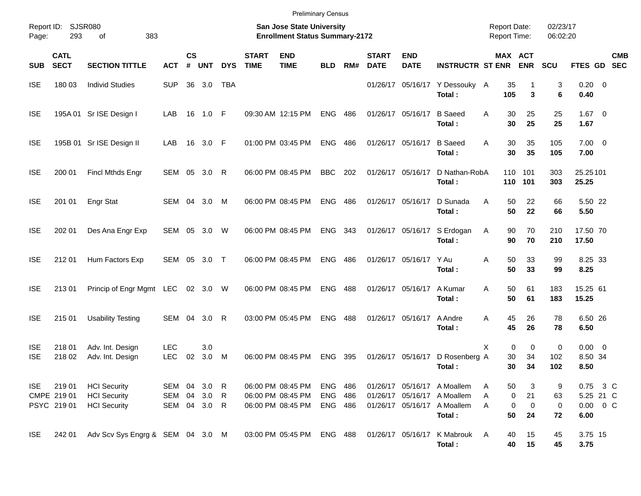|                                                                                                                                 |                                    |                                                                   |                          |                |                     |             |                             | <b>Preliminary Census</b>                                   |                              |                                            |                             |                           |                                                                                                     |                                   |                    |                    |                                |                           |
|---------------------------------------------------------------------------------------------------------------------------------|------------------------------------|-------------------------------------------------------------------|--------------------------|----------------|---------------------|-------------|-----------------------------|-------------------------------------------------------------|------------------------------|--------------------------------------------|-----------------------------|---------------------------|-----------------------------------------------------------------------------------------------------|-----------------------------------|--------------------|--------------------|--------------------------------|---------------------------|
| Report ID:<br>SJSR080<br><b>San Jose State University</b><br>293<br>383<br><b>Enrollment Status Summary-2172</b><br>Page:<br>οf |                                    |                                                                   |                          |                |                     |             |                             |                                                             |                              | <b>Report Date:</b><br><b>Report Time:</b> |                             | 02/23/17<br>06:02:20      |                                                                                                     |                                   |                    |                    |                                |                           |
| <b>SUB</b>                                                                                                                      | <b>CATL</b><br><b>SECT</b>         | <b>SECTION TITTLE</b>                                             | <b>ACT</b>               | <b>CS</b><br># | <b>UNT</b>          | <b>DYS</b>  | <b>START</b><br><b>TIME</b> | <b>END</b><br><b>TIME</b>                                   | <b>BLD</b>                   | RM#                                        | <b>START</b><br><b>DATE</b> | <b>END</b><br><b>DATE</b> | <b>INSTRUCTR ST ENR</b>                                                                             | MAX ACT                           | <b>ENR</b>         | SCU                |                                | <b>CMB</b><br>FTES GD SEC |
| <b>ISE</b>                                                                                                                      | 180 03                             | <b>Individ Studies</b>                                            | <b>SUP</b>               |                | 36 3.0              | <b>TBA</b>  |                             |                                                             |                              |                                            |                             |                           | 01/26/17 05/16/17 Y Dessouky A<br>Total:                                                            | 35<br>105                         | 3                  | 3<br>6             | $0.20 \ 0$<br>0.40             |                           |
| <b>ISE</b>                                                                                                                      |                                    | 195A 01 Sr ISE Design I                                           | LAB                      | 16             | 1.0 F               |             |                             | 09:30 AM 12:15 PM                                           | <b>ENG</b>                   | 486                                        |                             | 01/26/17 05/16/17         | <b>B</b> Saeed<br>Total:                                                                            | 30<br>A<br>30                     | 25<br>25           | 25<br>25           | $1.67$ 0<br>1.67               |                           |
| <b>ISE</b>                                                                                                                      |                                    | 195B 01 Sr ISE Design II                                          | LAB                      | 16             | 3.0 F               |             |                             | 01:00 PM 03:45 PM                                           | <b>ENG</b>                   | 486                                        |                             | 01/26/17 05/16/17         | <b>B</b> Saeed<br>Total:                                                                            | 30<br>A<br>30                     | 35<br>35           | 105<br>105         | $7.00 \t 0$<br>7.00            |                           |
| <b>ISE</b>                                                                                                                      | 200 01                             | <b>Fincl Mthds Engr</b>                                           |                          |                | SEM 05 3.0 R        |             |                             | 06:00 PM 08:45 PM                                           | <b>BBC</b>                   | 202                                        |                             | 01/26/17 05/16/17         | D Nathan-RobA<br>Total:                                                                             | 110<br>110                        | 101<br>101         | 303<br>303         | 25.25101<br>25.25              |                           |
| <b>ISE</b>                                                                                                                      | 201 01                             | Engr Stat                                                         |                          |                | SEM 04 3.0 M        |             |                             | 06:00 PM 08:45 PM                                           | <b>ENG</b>                   | 486                                        |                             | 01/26/17 05/16/17         | D Sunada<br>Total:                                                                                  | 50<br>A<br>50                     | 22<br>22           | 66<br>66           | 5.50 22<br>5.50                |                           |
| <b>ISE</b>                                                                                                                      | 202 01                             | Des Ana Engr Exp                                                  | SEM 05 3.0 W             |                |                     |             |                             | 06:00 PM 08:45 PM                                           | <b>ENG</b>                   | 343                                        |                             | 01/26/17 05/16/17         | S Erdogan<br>Total:                                                                                 | 90<br>Α<br>90                     | 70<br>70           | 210<br>210         | 17.50 70<br>17.50              |                           |
| <b>ISE</b>                                                                                                                      | 212 01                             | Hum Factors Exp                                                   | SEM 05 3.0 T             |                |                     |             |                             | 06:00 PM 08:45 PM                                           | <b>ENG</b>                   | 486                                        |                             | 01/26/17 05/16/17 Y Au    | Total:                                                                                              | A<br>50<br>50                     | 33<br>33           | 99<br>99           | 8.25 33<br>8.25                |                           |
| <b>ISE</b>                                                                                                                      | 213 01                             | Princip of Engr Mgmt LEC                                          |                          |                | 02 3.0              | W           |                             | 06:00 PM 08:45 PM                                           | <b>ENG</b>                   | 488                                        |                             | 01/26/17 05/16/17         | A Kumar<br>Total:                                                                                   | 50<br>A<br>50                     | 61<br>61           | 183<br>183         | 15.25 61<br>15.25              |                           |
| <b>ISE</b>                                                                                                                      | 215 01                             | <b>Usability Testing</b>                                          | SEM 04                   |                | 3.0                 | R           |                             | 03:00 PM 05:45 PM                                           | <b>ENG</b>                   | 488                                        |                             | 01/26/17 05/16/17         | A Andre<br>Total:                                                                                   | 45<br>A<br>45                     | 26<br>26           | 78<br>78           | 6.50 26<br>6.50                |                           |
| <b>ISE</b><br><b>ISE</b>                                                                                                        | 218 01<br>218 02                   | Adv. Int. Design<br>Adv. Int. Design                              | <b>LEC</b><br><b>LEC</b> | 02             | 3.0<br>3.0          | $M_{\odot}$ |                             | 06:00 PM 08:45 PM                                           | <b>ENG</b>                   | 395                                        |                             | 01/26/17 05/16/17         | D Rosenberg A<br>Total:                                                                             | X<br>0<br>30<br>30                | 0<br>34<br>34      | 0<br>102<br>102    | $0.00 \t 0$<br>8.50 34<br>8.50 |                           |
| ISE                                                                                                                             | 21901<br>CMPE 219 01<br>PSYC 21901 | <b>HCI</b> Security<br><b>HCI Security</b><br><b>HCI</b> Security | SEM 04 3.0<br>SEM        | 04             | 3.0<br>SEM 04 3.0 R | R<br>R      |                             | 06:00 PM 08:45 PM<br>06:00 PM 08:45 PM<br>06:00 PM 08:45 PM | ENG<br><b>ENG</b><br>ENG 486 | 486<br>486                                 |                             |                           | 01/26/17 05/16/17 A Moallem<br>01/26/17 05/16/17 A Moallem<br>01/26/17 05/16/17 A Moallem<br>Total: | 50<br>Α<br>0<br>Α<br>0<br>A<br>50 | 3<br>21<br>0<br>24 | 9<br>63<br>0<br>72 | 5.25 21 C<br>6.00              | 0.75 3 C<br>$0.00 \t 0 C$ |
| <b>ISE</b>                                                                                                                      | 242 01                             | Adv Scv Sys Engrg & SEM 04 3.0 M                                  |                          |                |                     |             |                             | 03:00 PM 05:45 PM                                           | ENG 488                      |                                            |                             |                           | 01/26/17 05/16/17 K Mabrouk<br>Total:                                                               | 40<br>A<br>40                     | 15<br>15           | 45<br>45           | 3.75 15<br>3.75                |                           |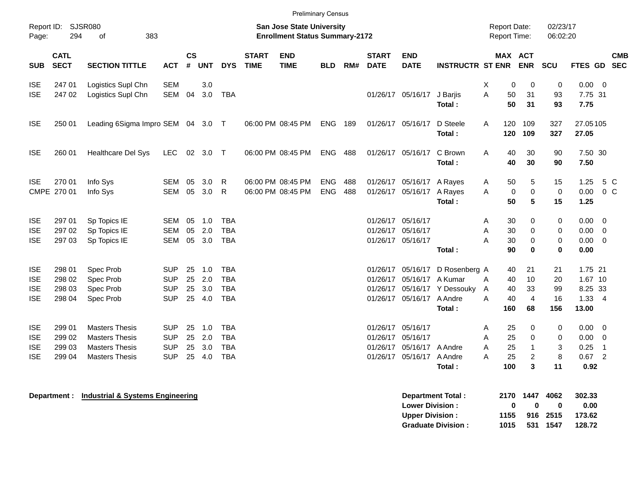|                                                      |                                                                                                                     |                                                                                                  |                                                      |                      |                                |                                                      |                             | <b>Preliminary Census</b>              |                          |            |                                                             |                                                                             |                                                         |                                     |                             |                                               |                             |                                                    |                                            |            |
|------------------------------------------------------|---------------------------------------------------------------------------------------------------------------------|--------------------------------------------------------------------------------------------------|------------------------------------------------------|----------------------|--------------------------------|------------------------------------------------------|-----------------------------|----------------------------------------|--------------------------|------------|-------------------------------------------------------------|-----------------------------------------------------------------------------|---------------------------------------------------------|-------------------------------------|-----------------------------|-----------------------------------------------|-----------------------------|----------------------------------------------------|--------------------------------------------|------------|
| Page:                                                | Report ID: SJSR080<br><b>San Jose State University</b><br>294<br>383<br><b>Enrollment Status Summary-2172</b><br>of |                                                                                                  |                                                      |                      |                                |                                                      |                             |                                        |                          |            |                                                             |                                                                             |                                                         | <b>Report Date:</b><br>Report Time: |                             | 02/23/17<br>06:02:20                          |                             |                                                    |                                            |            |
| <b>SUB</b>                                           | <b>CATL</b><br><b>SECT</b>                                                                                          | <b>SECTION TITTLE</b>                                                                            | <b>ACT</b>                                           | <b>CS</b><br>#       | <b>UNT</b>                     | <b>DYS</b>                                           | <b>START</b><br><b>TIME</b> | <b>END</b><br><b>TIME</b>              | <b>BLD</b>               | RM#        | <b>START</b><br><b>DATE</b>                                 | <b>END</b><br><b>DATE</b>                                                   | <b>INSTRUCTR ST ENR</b>                                 |                                     | <b>MAX ACT</b>              | <b>ENR</b>                                    | SCU                         | FTES GD SEC                                        |                                            | <b>CMB</b> |
| <b>ISE</b><br><b>ISE</b>                             | 247 01<br>247 02                                                                                                    | Logistics Supl Chn<br>Logistics Supl Chn                                                         | <b>SEM</b><br><b>SEM</b>                             | 04                   | 3.0<br>3.0                     | <b>TBA</b>                                           |                             |                                        |                          |            |                                                             | 01/26/17 05/16/17                                                           | J Barjis<br>Total:                                      | Χ<br>A                              | 0<br>50<br>50               | $\mathbf 0$<br>31<br>31                       | 0<br>93<br>93               | $0.00 \t 0$<br>7.75 31<br>7.75                     |                                            |            |
| <b>ISE</b>                                           | 250 01                                                                                                              | Leading 6Sigma Impro SEM 04 3.0 T                                                                |                                                      |                      |                                |                                                      |                             | 06:00 PM 08:45 PM                      | <b>ENG 189</b>           |            | 01/26/17 05/16/17                                           |                                                                             | D Steele<br>Total:                                      | A                                   | 120<br>120                  | 109<br>109                                    | 327<br>327                  | 27.05105<br>27.05                                  |                                            |            |
| <b>ISE</b>                                           | 260 01                                                                                                              | Healthcare Del Sys                                                                               | LEC                                                  |                      | 02 3.0 T                       |                                                      |                             | 06:00 PM 08:45 PM                      | <b>ENG 488</b>           |            |                                                             | 01/26/17 05/16/17                                                           | C Brown<br>Total:                                       | A                                   | 40<br>40                    | 30<br>30                                      | 90<br>90                    | 7.50 30<br>7.50                                    |                                            |            |
| <b>ISE</b>                                           | 270 01<br>CMPE 270 01                                                                                               | Info Sys<br>Info Sys                                                                             | SEM<br>SEM                                           | 05                   | 3.0<br>05 3.0                  | R<br>R                                               |                             | 06:00 PM 08:45 PM<br>06:00 PM 08:45 PM | <b>ENG</b><br><b>ENG</b> | 488<br>488 |                                                             | 01/26/17 05/16/17 A Rayes<br>01/26/17 05/16/17 A Rayes                      | Total:                                                  | A<br>A                              | 50<br>0<br>50               | 5<br>$\mathbf 0$<br>5                         | 15<br>$\mathbf 0$<br>15     | 1.25<br>0.00<br>1.25                               | 5 C<br>$0\,C$                              |            |
| <b>ISE</b><br><b>ISE</b><br><b>ISE</b>               | 297 01<br>297 02<br>297 03                                                                                          | Sp Topics IE<br>Sp Topics IE<br>Sp Topics IE                                                     | SEM<br><b>SEM</b><br>SEM                             | 05<br>05             | 1.0<br>2.0<br>05 3.0           | <b>TBA</b><br><b>TBA</b><br><b>TBA</b>               |                             |                                        |                          |            | 01/26/17 05/16/17<br>01/26/17 05/16/17<br>01/26/17 05/16/17 |                                                                             | Total:                                                  | Α<br>A<br>A                         | 30<br>30<br>30<br>90        | 0<br>0<br>$\mathbf 0$<br>$\bf{0}$             | 0<br>0<br>0<br>$\mathbf 0$  | 0.00<br>$0.00 \ 0$<br>$0.00 \t 0$<br>0.00          | - 0                                        |            |
| <b>ISE</b><br><b>ISE</b><br><b>ISE</b><br><b>ISE</b> | 298 01<br>298 02<br>298 03<br>298 04                                                                                | Spec Prob<br>Spec Prob<br>Spec Prob<br>Spec Prob                                                 | <b>SUP</b><br><b>SUP</b><br><b>SUP</b><br><b>SUP</b> | 25<br>25<br>25<br>25 | 1.0<br>2.0<br>3.0<br>4.0       | <b>TBA</b><br><b>TBA</b><br><b>TBA</b><br><b>TBA</b> |                             |                                        |                          |            |                                                             | 01/26/17 05/16/17<br>01/26/17 05/16/17 A Kumar<br>01/26/17 05/16/17 A Andre | D Rosenberg A<br>01/26/17 05/16/17 Y Dessouky<br>Total: | A<br>A<br>A                         | 40<br>40<br>40<br>40<br>160 | 21<br>10<br>33<br>$\overline{4}$<br>68        | 21<br>20<br>99<br>16<br>156 | 1.75 21<br>1.67 10<br>8.25 33<br>1.33 4<br>13.00   |                                            |            |
| <b>ISE</b><br><b>ISE</b><br><b>ISE</b><br><b>ISE</b> | 299 01<br>299 02<br>299 03<br>299 04                                                                                | <b>Masters Thesis</b><br><b>Masters Thesis</b><br><b>Masters Thesis</b><br><b>Masters Thesis</b> | <b>SUP</b><br><b>SUP</b><br><b>SUP</b><br><b>SUP</b> | 25<br>25             | 25 1.0<br>2.0<br>3.0<br>25 4.0 | TBA<br><b>TBA</b><br><b>TBA</b><br><b>TBA</b>        |                             |                                        |                          |            | 01/26/17 05/16/17<br>01/26/17 05/16/17<br>01/26/17          | 05/16/17 A Andre<br>01/26/17 05/16/17 A Andre                               | Total:                                                  | A<br>A<br>A<br>A                    | 25<br>25<br>25<br>25<br>100 | 0<br>0<br>$\mathbf{1}$<br>$\overline{c}$<br>3 | 0<br>0<br>3<br>8<br>11      | $0.00 \t 0$<br>$0.00 \t 0$<br>0.25<br>0.67<br>0.92 | $\overline{\phantom{1}}$<br>$\overline{2}$ |            |
|                                                      |                                                                                                                     | <b>Denartment :</b> Industrial & Systems Engineering                                             |                                                      |                      |                                |                                                      |                             |                                        |                          |            |                                                             |                                                                             | <b>Denartment Total .</b>                               |                                     |                             | 2170 1447 4062                                |                             | るしる ろろ                                             |                                            |            |

| Department Total:         | 2170         | 1447         | 4062     | 302.33 |
|---------------------------|--------------|--------------|----------|--------|
| <b>Lower Division:</b>    | $\mathbf{u}$ | $\mathbf{u}$ | 0        | 0.00   |
| <b>Upper Division:</b>    | 1155         |              | 916 2515 | 173.62 |
| <b>Graduate Division:</b> | 1015         |              | 531 1547 | 128.72 |

**Department : Industrial & Systems Engineering**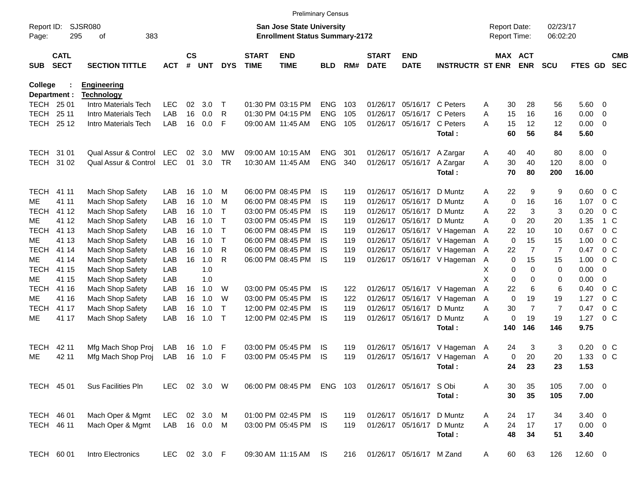|                |                                                                                                                        |                                           |            |                    |              |              |                             | <b>Preliminary Census</b> |            |     |                             |                                     |                               |   |                      |                |                |               |                         |                          |
|----------------|------------------------------------------------------------------------------------------------------------------------|-------------------------------------------|------------|--------------------|--------------|--------------|-----------------------------|---------------------------|------------|-----|-----------------------------|-------------------------------------|-------------------------------|---|----------------------|----------------|----------------|---------------|-------------------------|--------------------------|
| Page:          | SJSR080<br>Report ID:<br><b>San Jose State University</b><br>295<br>383<br><b>Enrollment Status Summary-2172</b><br>οf |                                           |            |                    |              |              |                             |                           |            |     |                             | <b>Report Date:</b><br>Report Time: |                               |   | 02/23/17<br>06:02:20 |                |                |               |                         |                          |
| SUB            | <b>CATL</b><br><b>SECT</b>                                                                                             | <b>SECTION TITTLE</b>                     | <b>ACT</b> | $\mathsf{cs}$<br># | <b>UNT</b>   | <b>DYS</b>   | <b>START</b><br><b>TIME</b> | <b>END</b><br><b>TIME</b> | <b>BLD</b> | RM# | <b>START</b><br><b>DATE</b> | <b>END</b><br><b>DATE</b>           | <b>INSTRUCTR ST ENR</b>       |   | MAX ACT              | <b>ENR</b>     | <b>SCU</b>     | FTES GD       |                         | <b>CMB</b><br><b>SEC</b> |
| <b>College</b> | Department :                                                                                                           | <b>Engineering</b>                        |            |                    |              |              |                             |                           |            |     |                             |                                     |                               |   |                      |                |                |               |                         |                          |
| TECH 25 01     |                                                                                                                        | <b>Technology</b><br>Intro Materials Tech | <b>LEC</b> | 02                 | 3.0          | $\top$       |                             | 01:30 PM 03:15 PM         | <b>ENG</b> | 103 | 01/26/17                    | 05/16/17                            | C Peters                      | A | 30                   | 28             | 56             | 5.60          | $\overline{\mathbf{0}}$ |                          |
| <b>TECH</b>    | 25 11                                                                                                                  | Intro Materials Tech                      | LAB        | 16                 | 0.0          | R            |                             | 01:30 PM 04:15 PM         | <b>ENG</b> | 105 | 01/26/17                    | 05/16/17                            | C Peters                      | A | 15                   | 16             | 16             | 0.00          | 0                       |                          |
| <b>TECH</b>    | 25 12                                                                                                                  | Intro Materials Tech                      | LAB        | 16                 | 0.0          | F            |                             | 09:00 AM 11:45 AM         | <b>ENG</b> | 105 | 01/26/17                    | 05/16/17                            | C Peters                      | A | 15                   | 12             | 12             | 0.00          | $\overline{\mathbf{0}}$ |                          |
|                |                                                                                                                        |                                           |            |                    |              |              |                             |                           |            |     |                             |                                     | Total:                        |   | 60                   | 56             | 84             | 5.60          |                         |                          |
| TECH 31 01     |                                                                                                                        | Qual Assur & Control                      | <b>LEC</b> | 02                 | 3.0          | MW           |                             | 09:00 AM 10:15 AM         | <b>ENG</b> | 301 |                             | 01/26/17 05/16/17                   | A Zargar                      | Α | 40                   | 40             | 80             | 8.00          | $\overline{\mathbf{0}}$ |                          |
| <b>TECH</b>    | 31 02                                                                                                                  | Qual Assur & Control                      | <b>LEC</b> | 01                 | 3.0          | <b>TR</b>    |                             | 10:30 AM 11:45 AM         | <b>ENG</b> | 340 | 01/26/17                    | 05/16/17                            | A Zargar<br>Total:            | A | 30<br>70             | 40<br>80       | 120<br>200     | 8.00<br>16.00 | $\overline{\mathbf{0}}$ |                          |
| <b>TECH</b>    | 41 11                                                                                                                  | Mach Shop Safety                          | LAB        | 16                 | 1.0          | M            |                             | 06:00 PM 08:45 PM         | IS         | 119 | 01/26/17                    | 05/16/17                            | D Muntz                       | A | 22                   | 9              | 9              | 0.60          | $0\,$ C                 |                          |
| ME             | 41 11                                                                                                                  | Mach Shop Safety                          | LAB        | 16                 | 1.0          | M            |                             | 06:00 PM 08:45 PM         | IS         | 119 | 01/26/17                    | 05/16/17                            | D Muntz                       | A | 0                    | 16             | 16             | 1.07          | 0 <sup>o</sup>          |                          |
| <b>TECH</b>    | 41 12                                                                                                                  | Mach Shop Safety                          | LAB        | 16                 | 1.0          | Τ            |                             | 03:00 PM 05:45 PM         | IS         | 119 | 01/26/17                    | 05/16/17                            | D Muntz                       | A | 22                   | 3              | 3              | 0.20          | 0 <sup>o</sup>          |                          |
| МE             | 41 12                                                                                                                  | Mach Shop Safety                          | LAB        | 16                 | 1.0          | Τ            |                             | 03:00 PM 05:45 PM         | IS         | 119 | 01/26/17                    | 05/16/17                            | D Muntz                       | A | 0                    | 20             | 20             | 1.35          | 1 C                     |                          |
| <b>TECH</b>    | 41 13                                                                                                                  | Mach Shop Safety                          | LAB        | 16                 | 1.0          | Τ            |                             | 06:00 PM 08:45 PM         | IS         | 119 |                             |                                     | 01/26/17 05/16/17 V Hageman   | A | 22                   | 10             | 10             | 0.67          | 0 <sup>o</sup>          |                          |
| ME             | 41 13                                                                                                                  | Mach Shop Safety                          | LAB        | 16                 | 1.0          | $\mathsf{T}$ |                             | 06:00 PM 08:45 PM         | IS         | 119 |                             |                                     | 01/26/17 05/16/17 V Hageman A |   | 0                    | 15             | 15             | 1.00          | 0 <sup>o</sup>          |                          |
| <b>TECH</b>    | 41 14                                                                                                                  | Mach Shop Safety                          | LAB        | 16                 | 1.0          | R            |                             | 06:00 PM 08:45 PM         | IS         | 119 |                             |                                     | 01/26/17 05/16/17 V Hageman   | A | 22                   | $\overline{7}$ | $\overline{7}$ | 0.47          | 0 <sup>o</sup>          |                          |
| ME             | 41 14                                                                                                                  | Mach Shop Safety                          | LAB        | 16                 | 1.0          | R            |                             | 06:00 PM 08:45 PM         | IS         | 119 |                             |                                     | 01/26/17 05/16/17 V Hageman   | A | 0                    | 15             | 15             | 1.00          | $0\,C$                  |                          |
| <b>TECH</b>    | 41 15                                                                                                                  | Mach Shop Safety                          | LAB        |                    | 1.0          |              |                             |                           |            |     |                             |                                     |                               | Χ | 0                    | $\mathbf 0$    | 0              | 0.00          | $\mathbf 0$             |                          |
| МE             | 41 15                                                                                                                  | Mach Shop Safety                          | LAB        |                    | 1.0          |              |                             |                           |            |     |                             |                                     |                               | X | $\mathbf 0$          | 0              | 0              | 0.00          | 0                       |                          |
| <b>TECH</b>    | 41 16                                                                                                                  | Mach Shop Safety                          | LAB        | 16                 | 1.0          | W            |                             | 03:00 PM 05:45 PM         | IS         | 122 |                             | 01/26/17 05/16/17                   | V Hageman                     | A | 22                   | 6              | 6              | 0.40          | $0\,$ C                 |                          |
| ME             | 41 16                                                                                                                  | Mach Shop Safety                          | LAB        | 16                 | 1.0          | W            |                             | 03:00 PM 05:45 PM         | IS         | 122 | 01/26/17                    | 05/16/17                            | V Hageman                     | A | $\mathbf 0$          | 19             | 19             | 1.27          | 0 <sup>o</sup>          |                          |
| <b>TECH</b>    | 41 17                                                                                                                  | Mach Shop Safety                          | LAB        | 16                 | 1.0          | $\mathsf{T}$ |                             | 12:00 PM 02:45 PM         | IS         | 119 | 01/26/17                    | 05/16/17                            | D Muntz                       | Α | 30                   | $\overline{7}$ | $\overline{7}$ | 0.47          |                         | 0 <sup>o</sup>           |
| МE             | 41 17                                                                                                                  | Mach Shop Safety                          | LAB        | 16                 | 1.0          | $\top$       |                             | 12:00 PM 02:45 PM         | IS         | 119 |                             | 01/26/17 05/16/17                   | D Muntz                       | A | 0                    | 19             | 19             | 1.27          | 0 <sup>o</sup>          |                          |
|                |                                                                                                                        |                                           |            |                    |              |              |                             |                           |            |     |                             |                                     | Total:                        |   | 140                  | 146            | 146            | 9.75          |                         |                          |
| <b>TECH</b>    | 42 11                                                                                                                  | Mfg Mach Shop Proj                        | LAB        | 16                 | 1.0          | F            |                             | 03:00 PM 05:45 PM         | IS.        | 119 |                             | 01/26/17 05/16/17                   | V Hageman A                   |   | 24                   | 3              | 3              | 0.20          |                         | $0\,$ C                  |
| MЕ             | 42 11                                                                                                                  | Mfg Mach Shop Proj                        | LAB        | 16                 | 1.0          | F            |                             | 03:00 PM 05:45 PM         | IS         | 119 | 01/26/17                    | 05/16/17                            | V Hageman A                   |   | 0                    | 20             | 20             | 1.33          |                         | 0 <sup>o</sup>           |
|                |                                                                                                                        |                                           |            |                    |              |              |                             |                           |            |     |                             |                                     | Total:                        |   | 24                   | 23             | 23             | 1.53          |                         |                          |
| TECH 45 01     |                                                                                                                        | Sus Facilities Pln                        | <b>LEC</b> |                    | 02 3.0 W     |              |                             | 06:00 PM 08:45 PM         | ENG 103    |     |                             | 01/26/17 05/16/17 S Obi             |                               | A | 30                   | 35             | 105            | $7.00 \t 0$   |                         |                          |
|                |                                                                                                                        |                                           |            |                    |              |              |                             |                           |            |     |                             |                                     | Total:                        |   | 30                   | 35             | 105            | 7.00          |                         |                          |
| TECH 46 01     |                                                                                                                        | Mach Oper & Mgmt                          | <b>LEC</b> |                    | 02 3.0       | M            |                             | 01:00 PM 02:45 PM         | IS.        | 119 |                             | 01/26/17 05/16/17                   | D Muntz                       | A | 24                   | 17             | 34             | $3.40 \ 0$    |                         |                          |
| TECH 46 11     |                                                                                                                        | Mach Oper & Mgmt                          | LAB        |                    | 16 0.0       | M            |                             | 03:00 PM 05:45 PM         | <b>IS</b>  | 119 |                             | 01/26/17 05/16/17                   | D Muntz                       | A | 24                   | 17             | 17             | $0.00 \t 0$   |                         |                          |
|                |                                                                                                                        |                                           |            |                    |              |              |                             |                           |            |     |                             |                                     | Total:                        |   | 48                   | 34             | 51             | 3.40          |                         |                          |
| TECH 60 01     |                                                                                                                        | Intro Electronics                         |            |                    | LEC 02 3.0 F |              |                             | 09:30 AM 11:15 AM         | <b>IS</b>  | 216 |                             | 01/26/17 05/16/17 M Zand            |                               | A | 60                   | 63             | 126            | 12.60 0       |                         |                          |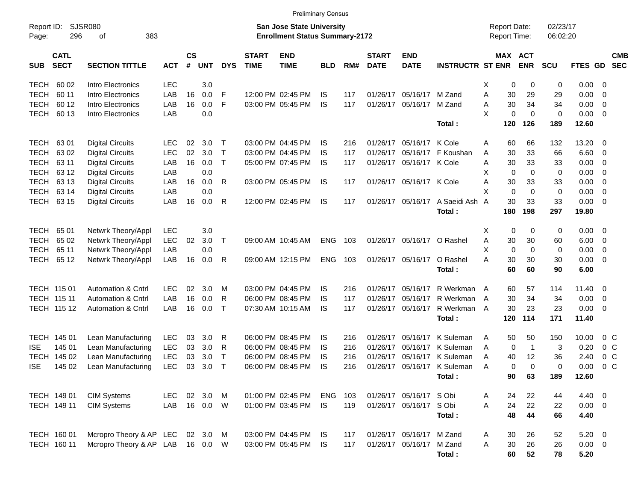TECH 60 02 Intro Electronics LEC 3.0 X 0 0 0 0.00 0 TECH 60 11 Intro Electronics LAB 16 0.0 F 12:00 PM 02:45 PM IS 117 01/26/17 05/16/17 M Zand A 30 29 29 0.00 0 TECH 60 12 Intro Electronics LAB 16 0.0 F 03:00 PM 05:45 PM IS 117 01/26/17 05/16/17 M Zand A 30 34 34 0.00 0 TECH 60 13 Intro Electronics LAB 0.0 X 0 0 0 0.00 0 **Total : 120 126 189 12.60** TECH 63 01 Digital Circuits LEC 02 3.0 T 03:00 PM 04:45 PM IS 216 01/26/17 05/16/17 K Cole A 60 66 132 13.20 0 TECH 63 02 Digital Circuits LEC 02 3.0 T 03:00 PM 04:45 PM IS 117 01/26/17 05/16/17 F Koushan A 30 33 66 6.60 0 TECH 63 11 Digital Circuits LAB 16 0.0 T 05:00 PM 07:45 PM IS 117 01/26/17 05/16/17 K Cole A 30 33 33 0.00 0 TECH 63 12 Digital Circuits LAB 0.0 X 0 0 0 0.00 0 TECH 63 13 Digital Circuits LAB 16 0.0 R 03:00 PM 05:45 PM IS 117 01/26/17 05/16/17 K Cole A 30 33 33 0.00 0 TECH 63 14 Digital Circuits LAB 0.0 X 0 0 0 0.00 0 TECH 63 15 Digital Circuits LAB 16 0.0 R 12:00 PM 02:45 PM IS 117 01/26/17 05/16/17 A Saeidi Ash A 30 33 33 0.00 0 **Total : 180 198 297 19.80** TECH 65 01 Netwrk Theory/Appl LEC 3.0 X 0 0 0 0.00 0 TECH 65 02 Netwrk Theory/Appl LEC 02 3.0 T 09:00 AM 10:45 AM ENG 103 01/26/17 05/16/17 O Rashel A 30 30 60 6.00 0 TECH 65 11 Netwrk Theory/Appl LAB 0.0 X 0 0 0 0.00 0 TECH 65 12 Netwrk Theory/Appl LAB 16 0.0 R 09:00 AM 12:15 PM ENG 103 01/26/17 05/16/17 O Rashel A 30 30 30 0.00 0 **Total : 60 60 90 6.00** TECH 115 01 Automation & Cntrl LEC 02 3.0 M 03:00 PM 04:45 PM IS 216 01/26/17 05/16/17 R Werkman A 60 57 114 11.40 0 TECH 115 11 Automation & Cntrl LAB 16 0.0 R 06:00 PM 08:45 PM IS 117 01/26/17 05/16/17 R Werkman A 30 34 34 0.00 0 TECH 115 12 Automation & Cntrl LAB 16 0.0 T 07:30 AM 10:15 AM IS 117 01/26/17 05/16/17 R Werkman A 30 23 23 0.00 0 **Total : 120 114 171 11.40** TECH 145 01 Lean Manufacturing LEC 03 3.0 R 06:00 PM 08:45 PM IS 216 01/26/17 05/16/17 K Suleman A 50 50 150 10.00 0 C ISE 145 01 Lean Manufacturing LEC 03 3.0 R 06:00 PM 08:45 PM IS 216 01/26/17 05/16/17 K Suleman A 0 1 3 0.20 0 C TECH 145 02 Lean Manufacturing LEC 03 3.0 T 06:00 PM 08:45 PM IS 216 01/26/17 05/16/17 K Suleman A 40 12 36 2.40 0 C ISE 145 02 Lean Manufacturing LEC 03 3.0 T 06:00 PM 08:45 PM IS 216 01/26/17 05/16/17 K Suleman A 0 0 0 0.00 0 C **Total : 90 63 189 12.60** TECH 149 01 CIM Systems LEC 02 3.0 M 01:00 PM 02:45 PM ENG 103 01/26/17 05/16/17 S Obi A 24 22 44 4.40 0 TECH 149 11 CIM Systems LAB 16 0.0 W 01:00 PM 03:45 PM IS 119 01/26/17 05/16/17 S Obi A 24 22 22 0.00 0 **Total : 48 44 66 4.40** TECH 160 01 Mcropro Theory & AP LEC 02 3.0 M 03:00 PM 04:45 PM IS 117 01/26/17 05/16/17 M Zand A 30 26 52 5.20 0 TECH 160 11 Mcropro Theory & AP LAB 16 0.0 W 03:00 PM 05:45 PM IS 117 01/26/17 05/16/17 M Zand A 30 26 26 0.00 0 Report ID: SJSR080 **San Jose State University San Jose State University San Jose State University Report Date:** 02/23/17 Page: 296 of 383 **Enrollment Status Summary-2172** Report Time: 06:02:20 **CATL CS START END START END MAX ACT CMB** SUB SECT SECTION TITTLE ACT # UNT DYS TIME TIME BLD RM# DATE DATE INSTRUCTR STENR ENR SCU FTES GD SEC Preliminary Census

**Total : 60 52 78 5.20**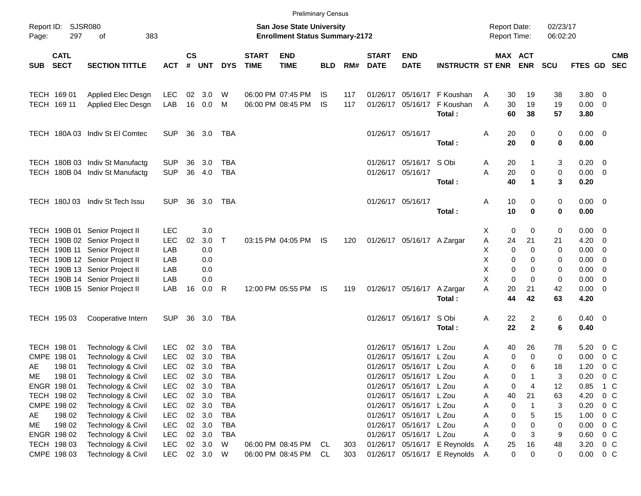|                                                                                                                              |                            |                                          |                   |               |            |              |                             | <b>Preliminary Census</b>              |                  |            |                                     |                            |                                 |                      |             |                       |                |                       |                          |            |
|------------------------------------------------------------------------------------------------------------------------------|----------------------------|------------------------------------------|-------------------|---------------|------------|--------------|-----------------------------|----------------------------------------|------------------|------------|-------------------------------------|----------------------------|---------------------------------|----------------------|-------------|-----------------------|----------------|-----------------------|--------------------------|------------|
| Report ID: SJSR080<br><b>San Jose State University</b><br>383<br><b>Enrollment Status Summary-2172</b><br>Page:<br>297<br>οf |                            |                                          |                   |               |            |              |                             |                                        |                  |            | <b>Report Date:</b><br>Report Time: |                            |                                 | 02/23/17<br>06:02:20 |             |                       |                |                       |                          |            |
| <b>SUB</b>                                                                                                                   | <b>CATL</b><br><b>SECT</b> | <b>SECTION TITTLE</b>                    | <b>ACT</b>        | $\mathsf{cs}$ | # UNT      | <b>DYS</b>   | <b>START</b><br><b>TIME</b> | <b>END</b><br><b>TIME</b>              | <b>BLD</b>       | RM#        | <b>START</b><br><b>DATE</b>         | <b>END</b><br><b>DATE</b>  | <b>INSTRUCTR ST ENR</b>         |                      |             | MAX ACT<br><b>ENR</b> | <b>SCU</b>     | FTES GD SEC           |                          | <b>CMB</b> |
| TECH 169 01                                                                                                                  | TECH 169 11                | Applied Elec Desgn<br>Applied Elec Desgn | <b>LEC</b><br>LAB | 02<br>16      | 3.0<br>0.0 | W<br>M       |                             | 06:00 PM 07:45 PM<br>06:00 PM 08:45 PM | IS.<br><b>IS</b> | 117<br>117 | 01/26/17<br>01/26/17                | 05/16/17                   | 05/16/17 F Koushan<br>F Koushan | Α<br>A               | 30<br>30    | 19<br>19              | 38<br>19       | 3.80 0<br>$0.00 \t 0$ |                          |            |
|                                                                                                                              |                            |                                          |                   |               |            |              |                             |                                        |                  |            |                                     |                            | Total:                          |                      | 60          | 38                    | 57             | 3.80                  |                          |            |
|                                                                                                                              |                            | TECH 180A 03 Indiv St El Comtec          | <b>SUP</b>        | 36            | 3.0        | TBA          |                             |                                        |                  |            | 01/26/17 05/16/17                   |                            | Total:                          | Α                    | 20<br>20    | 0<br>$\mathbf 0$      | 0<br>0         | $0.00 \t 0$<br>0.00   |                          |            |
|                                                                                                                              |                            | TECH 180B 03 Indiv St Manufactg          | <b>SUP</b>        | 36            | 3.0        | <b>TBA</b>   |                             |                                        |                  |            |                                     | 01/26/17 05/16/17 S Obi    |                                 | A                    | 20          | $\mathbf 1$           | 3              | $0.20 \ 0$            |                          |            |
|                                                                                                                              |                            | TECH 180B 04 Indiv St Manufactg          | <b>SUP</b>        | 36            | 4.0        | <b>TBA</b>   |                             |                                        |                  |            | 01/26/17 05/16/17                   |                            | Total:                          | A                    | 20<br>40    | 0<br>$\mathbf 1$      | $\pmb{0}$<br>3 | $0.00 \t 0$<br>0.20   |                          |            |
|                                                                                                                              |                            | TECH 180J 03 Indiv St Tech Issu          | SUP.              | 36            | 3.0        | TBA          |                             |                                        |                  |            | 01/26/17 05/16/17                   |                            | Total:                          | Α                    | 10<br>10    | 0<br>$\mathbf 0$      | 0<br>0         | $0.00 \t 0$<br>0.00   |                          |            |
|                                                                                                                              |                            | TECH 190B 01 Senior Project II           | <b>LEC</b>        |               | 3.0        |              |                             |                                        |                  |            |                                     |                            |                                 | X                    | 0           | 0                     | 0              | $0.00 \quad 0$        |                          |            |
|                                                                                                                              |                            | TECH 190B 02 Senior Project II           | <b>LEC</b>        | 02            | 3.0        | $\mathsf{T}$ |                             | 03:15 PM 04:05 PM                      | IS.              | 120        |                                     | 01/26/17 05/16/17 A Zargar |                                 | Α                    | 24          | 21                    | 21             | 4.20                  | - 0                      |            |
|                                                                                                                              | TECH 190B 11               | Senior Project II                        | LAB               |               | 0.0        |              |                             |                                        |                  |            |                                     |                            |                                 | Χ                    | 0           | $\mathbf 0$           | 0              | 0.00                  | $\overline{\phantom{0}}$ |            |
|                                                                                                                              |                            | TECH 190B 12 Senior Project II           | LAB               |               | 0.0        |              |                             |                                        |                  |            |                                     |                            |                                 | X                    | 0           | 0                     | 0              | 0.00                  | $\overline{\phantom{0}}$ |            |
|                                                                                                                              |                            | TECH 190B 13 Senior Project II           | LAB               |               | 0.0        |              |                             |                                        |                  |            |                                     |                            |                                 | Χ                    | 0           | 0                     | 0              | 0.00                  | $\overline{\phantom{0}}$ |            |
|                                                                                                                              |                            | TECH 190B 14 Senior Project II           | LAB               |               | 0.0        |              |                             |                                        |                  |            |                                     |                            |                                 | X                    | $\Omega$    | $\mathbf 0$           | 0              | 0.00                  | $\overline{\phantom{0}}$ |            |
|                                                                                                                              |                            | TECH 190B 15 Senior Project II           | LAB               | 16            | 0.0        | R            |                             | 12:00 PM 05:55 PM                      | IS.              | 119        |                                     | 01/26/17 05/16/17          | A Zargar<br>Total:              | A                    | 20<br>44    | 21<br>42              | 42<br>63       | $0.00 \t 0$<br>4.20   |                          |            |
|                                                                                                                              | TECH 195 03                | Cooperative Intern                       | <b>SUP</b>        | 36            | 3.0        | TBA          |                             |                                        |                  |            |                                     | 01/26/17 05/16/17          | S Obi<br>Total:                 | Α                    | 22<br>22    | 2<br>$\mathbf{2}$     | 6<br>6         | $0.40 \ 0$<br>0.40    |                          |            |
|                                                                                                                              |                            |                                          |                   |               |            |              |                             |                                        |                  |            |                                     |                            |                                 |                      |             |                       |                |                       |                          |            |
| TECH 198 01                                                                                                                  |                            | Technology & Civil                       | <b>LEC</b>        | 02            | 3.0        | <b>TBA</b>   |                             |                                        |                  |            | 01/26/17                            | 05/16/17 L Zou             |                                 | A                    | 40          | 26                    | 78             | 5.20                  | $0\,$ C                  |            |
| CMPE 198 01                                                                                                                  |                            | Technology & Civil                       | <b>LEC</b>        | 02            | 3.0        | <b>TBA</b>   |                             |                                        |                  |            | 01/26/17                            | 05/16/17 L Zou             |                                 | A                    | 0           | 0                     | 0              | 0.00                  | 0 <sup>C</sup>           |            |
| AE                                                                                                                           | 198 01                     | Technology & Civil                       | <b>LEC</b>        |               | 02 3.0     | <b>TBA</b>   |                             |                                        |                  |            |                                     | 01/26/17 05/16/17 L Zou    |                                 | Α                    | 0           | 6                     | 18             | 1.20                  | $0\,C$                   |            |
| ME                                                                                                                           | 198 01                     | Technology & Civil                       | <b>LEC</b>        | 02            | 3.0        | <b>TBA</b>   |                             |                                        |                  |            |                                     | 01/26/17 05/16/17 L Zou    |                                 | A                    | 0           |                       | 3              | 0.20                  | $0\,$ C                  |            |
|                                                                                                                              | ENGR 198 01                | Technology & Civil                       | LEC               |               | 02 3.0     | TBA          |                             |                                        |                  |            |                                     | 01/26/17 05/16/17 L Zou    |                                 | Α                    | 0           | 4                     | 12             | 0.85                  | 1 C                      |            |
|                                                                                                                              | TECH 198 02                | Technology & Civil                       | <b>LEC</b>        |               | 02 3.0     | <b>TBA</b>   |                             |                                        |                  |            |                                     | 01/26/17 05/16/17 L Zou    |                                 | Α                    | 40          | 21                    | 63             | 4.20                  | $0\,C$                   |            |
|                                                                                                                              | CMPE 198 02                | Technology & Civil                       | <b>LEC</b>        |               | 02 3.0     | TBA          |                             |                                        |                  |            |                                     | 01/26/17 05/16/17 L Zou    |                                 | A                    | $\mathbf 0$ | -1                    | 3              | 0.20                  | 0 <sup>C</sup>           |            |
| AE                                                                                                                           | 198 02                     | Technology & Civil                       | <b>LEC</b>        |               | 02 3.0     | <b>TBA</b>   |                             |                                        |                  |            |                                     | 01/26/17 05/16/17 L Zou    |                                 | Α                    | 0           | 5                     | 15             | 1.00                  | $0\,C$                   |            |
| ME                                                                                                                           | 198 02                     | Technology & Civil                       | <b>LEC</b>        |               | 02 3.0     | <b>TBA</b>   |                             |                                        |                  |            |                                     | 01/26/17 05/16/17 L Zou    |                                 | Α                    | 0           | 0                     | 0              | 0.00                  | $0\,C$                   |            |
|                                                                                                                              | ENGR 198 02                | Technology & Civil                       | <b>LEC</b>        |               | 02 3.0     | TBA          |                             |                                        |                  |            |                                     | 01/26/17 05/16/17 L Zou    |                                 | A                    | $\mathbf 0$ | 3                     | 9              | 0.60                  | 0 <sup>C</sup>           |            |
|                                                                                                                              | TECH 198 03                | Technology & Civil                       | <b>LEC</b>        |               | 02 3.0     | W            |                             | 06:00 PM 08:45 PM CL                   |                  | 303        |                                     |                            | 01/26/17 05/16/17 E Reynolds    | Α                    | 25          | 16                    | 48             | 3.20                  | $0\,C$                   |            |
|                                                                                                                              | CMPE 198 03                | Technology & Civil                       | <b>LEC</b>        |               | 02 3.0 W   |              |                             | 06:00 PM 08:45 PM                      | CL               | 303        |                                     |                            | 01/26/17 05/16/17 E Reynolds    | A                    | 0           | 0                     | 0              | 0.00                  | $0\,C$                   |            |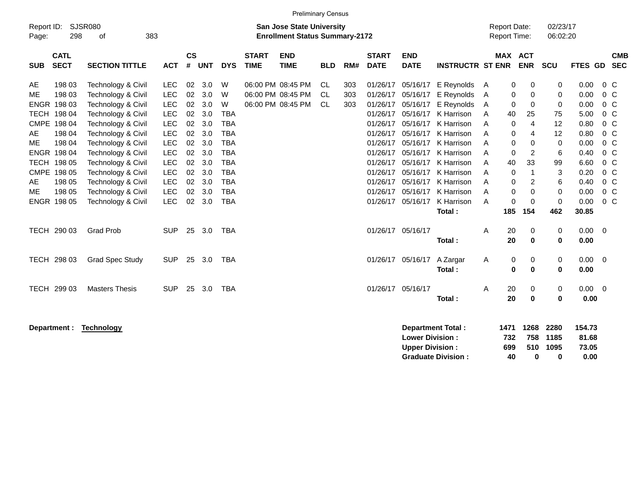|            |              |                        |            |           |            |            |              | <b>Preliminary Census</b>             |            |     |              |                        |                          |                     |             |            |            |                |                |            |
|------------|--------------|------------------------|------------|-----------|------------|------------|--------------|---------------------------------------|------------|-----|--------------|------------------------|--------------------------|---------------------|-------------|------------|------------|----------------|----------------|------------|
| Report ID: |              | <b>SJSR080</b>         |            |           |            |            |              | <b>San Jose State University</b>      |            |     |              |                        |                          | <b>Report Date:</b> |             |            | 02/23/17   |                |                |            |
| Page:      | 298          | 383<br>οf              |            |           |            |            |              | <b>Enrollment Status Summary-2172</b> |            |     |              |                        |                          | <b>Report Time:</b> |             |            | 06:02:20   |                |                |            |
|            | <b>CATL</b>  |                        |            | <b>CS</b> |            |            | <b>START</b> | <b>END</b>                            |            |     | <b>START</b> | <b>END</b>             |                          |                     | MAX ACT     |            |            |                |                | <b>CMB</b> |
| <b>SUB</b> | <b>SECT</b>  | <b>SECTION TITTLE</b>  | <b>ACT</b> | #         | <b>UNT</b> | <b>DYS</b> | <b>TIME</b>  | <b>TIME</b>                           | <b>BLD</b> | RM# | <b>DATE</b>  | <b>DATE</b>            | <b>INSTRUCTR ST ENR</b>  |                     |             | <b>ENR</b> | <b>SCU</b> | FTES GD        |                | <b>SEC</b> |
| AE         | 198 03       | Technology & Civil     | <b>LEC</b> | 02        | 3.0        | W          |              | 06:00 PM 08:45 PM                     | CL.        | 303 | 01/26/17     |                        | 05/16/17 E Reynolds      | A                   | 0           | 0          | 0          | 0.00           | 0 C            |            |
| <b>ME</b>  | 198 03       | Technology & Civil     | <b>LEC</b> | 02        | 3.0        | W          |              | 06:00 PM 08:45 PM                     | <b>CL</b>  | 303 | 01/26/17     | 05/16/17               | E Reynolds               | Α                   | 0           | 0          | 0          | 0.00           | 0 <sup>o</sup> |            |
|            | ENGR 198 03  | Technology & Civil     | <b>LEC</b> | 02        | 3.0        | W          |              | 06:00 PM 08:45 PM                     | CL.        | 303 | 01/26/17     | 05/16/17               | E Reynolds               | A                   | $\mathbf 0$ | 0          | 0          | 0.00           | $0\,C$         |            |
|            | TECH 198 04  | Technology & Civil     | <b>LEC</b> | 02        | 3.0        | <b>TBA</b> |              |                                       |            |     | 01/26/17     |                        | 05/16/17 K Harrison      | A                   | 40          | 25         | 75         | 5.00           | $0\,$ C        |            |
|            | CMPE 198 04  | Technology & Civil     | LEC        | 02        | 3.0        | <b>TBA</b> |              |                                       |            |     | 01/26/17     |                        | 05/16/17 K Harrison      | A                   | 0           | 4          | 12         | 0.80           | $0\,$ C        |            |
| AE         | 198 04       | Technology & Civil     | <b>LEC</b> | 02        | 3.0        | <b>TBA</b> |              |                                       |            |     | 01/26/17     | 05/16/17               | K Harrison               | Α                   | 0           | 4          | 12         | 0.80           | 0 <sup>o</sup> |            |
| ME.        | 198 04       | Technology & Civil     | <b>LEC</b> | 02        | 3.0        | <b>TBA</b> |              |                                       |            |     | 01/26/17     | 05/16/17               | K Harrison               | Α                   | 0           | 0          | 0          | 0.00           | $0\,$ C        |            |
|            | ENGR 198 04  | Technology & Civil     | LEC        | 02        | 3.0        | <b>TBA</b> |              |                                       |            |     | 01/26/17     | 05/16/17               | K Harrison               | Α                   | 0           | 2          | 6          | 0.40           | $0\,C$         |            |
|            | TECH 198 05  | Technology & Civil     | LEC        | 02        | 3.0        | <b>TBA</b> |              |                                       |            |     | 01/26/17     |                        | 05/16/17 K Harrison      | Α                   | 40          | 33         | 99         | 6.60           | 0 <sup>o</sup> |            |
|            | CMPE 198 05  | Technology & Civil     | <b>LEC</b> | 02        | 3.0        | <b>TBA</b> |              |                                       |            |     | 01/26/17     | 05/16/17               | K Harrison               | A                   | 0           | 1          | 3          | 0.20           | $0\,$ C        |            |
| AE         | 198 05       | Technology & Civil     | <b>LEC</b> | 02        | 3.0        | <b>TBA</b> |              |                                       |            |     | 01/26/17     | 05/16/17               | K Harrison               | Α                   | 0           | 2          | 6          | 0.40           | $0\,C$         |            |
| ME         | 198 05       | Technology & Civil     | <b>LEC</b> | 02        | 3.0        | <b>TBA</b> |              |                                       |            |     | 01/26/17     | 05/16/17               | K Harrison               | Α                   | 0           | 0          | 0          | 0.00           | $0\,$ C        |            |
|            | ENGR 198 05  | Technology & Civil     | <b>LEC</b> | 02        | 3.0        | <b>TBA</b> |              |                                       |            |     | 01/26/17     | 05/16/17               | K Harrison               | A                   | 0           | 0          | 0          | 0.00           | 0 <sup>o</sup> |            |
|            |              |                        |            |           |            |            |              |                                       |            |     |              |                        | Total:                   |                     | 185         | 154        | 462        | 30.85          |                |            |
|            | TECH 290 03  | <b>Grad Prob</b>       | <b>SUP</b> | 25        | 3.0        | <b>TBA</b> |              |                                       |            |     |              | 01/26/17 05/16/17      |                          | A                   | 20          | 0          | 0          | $0.00 \t 0$    |                |            |
|            |              |                        |            |           |            |            |              |                                       |            |     |              |                        | Total:                   |                     | 20          | 0          | 0          | 0.00           |                |            |
|            | TECH 298 03  | <b>Grad Spec Study</b> | <b>SUP</b> | 25        | 3.0        | <b>TBA</b> |              |                                       |            |     |              | 01/26/17 05/16/17      | A Zargar                 | Α                   | 0           | 0          | 0          | $0.00 \t 0$    |                |            |
|            |              |                        |            |           |            |            |              |                                       |            |     |              |                        | Total:                   |                     | 0           | 0          | 0          | 0.00           |                |            |
|            | TECH 299 03  | <b>Masters Thesis</b>  | <b>SUP</b> | 25        | 3.0        | <b>TBA</b> |              |                                       |            |     |              | 01/26/17 05/16/17      |                          | A                   | 20          | 0          | 0          | $0.00 \quad 0$ |                |            |
|            |              |                        |            |           |            |            |              |                                       |            |     |              |                        | Total:                   |                     | 20          | 0          | 0          | 0.00           |                |            |
|            |              |                        |            |           |            |            |              |                                       |            |     |              |                        |                          |                     |             |            |            |                |                |            |
|            | Department : | <b>Technology</b>      |            |           |            |            |              |                                       |            |     |              |                        | <b>Department Total:</b> | 1471                |             | 1268       | 2280       | 154.73         |                |            |
|            |              |                        |            |           |            |            |              |                                       |            |     |              | <b>Lower Division:</b> |                          |                     | 732         | 758        | 1185       | 81.68          |                |            |

**Upper Division : 699 510 1095 73.05** Graduate Division : **40** 0 0 0.00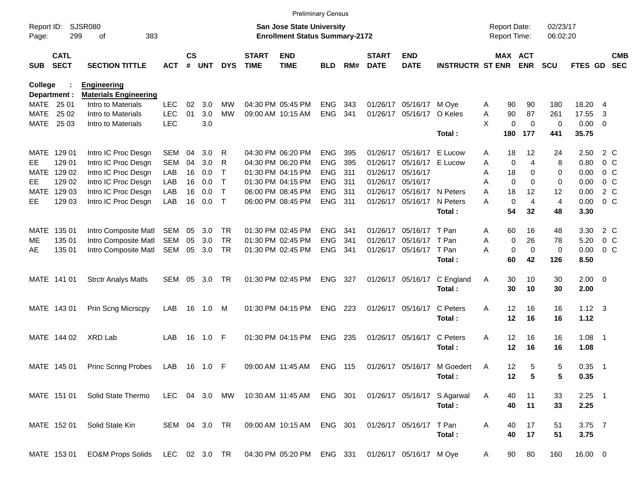|                     |                                                                                                                 |                                                    |               |                    |            |              |                             | <b>Preliminary Census</b>                         |                |     |                             |                           |                             |                                     |             |                      |                |                |                          |                          |
|---------------------|-----------------------------------------------------------------------------------------------------------------|----------------------------------------------------|---------------|--------------------|------------|--------------|-----------------------------|---------------------------------------------------|----------------|-----|-----------------------------|---------------------------|-----------------------------|-------------------------------------|-------------|----------------------|----------------|----------------|--------------------------|--------------------------|
| Report ID:<br>Page: | <b>SJSR080</b><br><b>San Jose State University</b><br>299<br>383<br><b>Enrollment Status Summary-2172</b><br>οf |                                                    |               |                    |            |              |                             |                                                   |                |     |                             |                           |                             | <b>Report Date:</b><br>Report Time: |             | 02/23/17<br>06:02:20 |                |                |                          |                          |
| <b>SUB</b>          | <b>CATL</b><br><b>SECT</b>                                                                                      | <b>SECTION TITTLE</b>                              | <b>ACT</b>    | $\mathsf{cs}$<br># | <b>UNT</b> | <b>DYS</b>   | <b>START</b><br><b>TIME</b> | <b>END</b><br><b>TIME</b>                         | <b>BLD</b>     | RM# | <b>START</b><br><b>DATE</b> | <b>END</b><br><b>DATE</b> | <b>INSTRUCTR ST ENR</b>     |                                     | MAX ACT     | <b>ENR</b>           | <b>SCU</b>     | FTES GD        |                          | <b>CMB</b><br><b>SEC</b> |
| <b>College</b>      |                                                                                                                 | <b>Engineering</b><br><b>Materials Engineering</b> |               |                    |            |              |                             |                                                   |                |     |                             |                           |                             |                                     |             |                      |                |                |                          |                          |
|                     | Department :<br>MATE 25 01                                                                                      | Intro to Materials                                 | <b>LEC</b>    | 02                 | 3.0        | MW           |                             | 04:30 PM 05:45 PM                                 | <b>ENG</b>     | 343 | 01/26/17                    | 05/16/17                  | M Ove                       | A                                   | 90          | 90                   | 180            | 18.20 4        |                          |                          |
| MATE                | 25 02                                                                                                           | Intro to Materials                                 | <b>LEC</b>    | 01                 | 3.0        | <b>MW</b>    |                             | 09:00 AM 10:15 AM                                 | ENG            | 341 | 01/26/17                    | 05/16/17                  | O Keles                     | Α                                   | 90          | 87                   | 261            | 17.55          | 3                        |                          |
| MATE                | 25 03                                                                                                           | Intro to Materials                                 | <b>LEC</b>    |                    | 3.0        |              |                             |                                                   |                |     |                             |                           |                             | X                                   | $\mathbf 0$ | $\mathbf 0$          | 0              | $0.00 \t 0$    |                          |                          |
|                     |                                                                                                                 |                                                    |               |                    |            |              |                             |                                                   |                |     |                             |                           | Total:                      |                                     | 180         | 177                  | 441            | 35.75          |                          |                          |
|                     | MATE 129 01                                                                                                     | Intro IC Proc Desgn                                | SEM           | 04                 | 3.0        | R            |                             | 04:30 PM 06:20 PM                                 | <b>ENG</b>     | 395 | 01/26/17                    | 05/16/17                  | E Lucow                     | A                                   | 18          | 12                   | 24             | 2.50           | 2 C                      |                          |
| <b>EE</b>           | 129 01                                                                                                          | Intro IC Proc Desgn                                | <b>SEM</b>    | 04                 | 3.0        | R            |                             | 04:30 PM 06:20 PM                                 | <b>ENG</b>     | 395 | 01/26/17                    | 05/16/17                  | E Lucow                     | Α                                   | 0           | 4                    | 8              | 0.80           | 0 <sup>o</sup>           |                          |
| MATE                | 129 02                                                                                                          | Intro IC Proc Desgn                                | LAB           | 16                 | 0.0        | Τ            |                             | 01:30 PM 04:15 PM                                 | <b>ENG</b>     | 311 | 01/26/17                    | 05/16/17                  |                             | Α                                   | 18          | 0                    | 0              | 0.00           | 0 <sup>o</sup>           |                          |
| <b>EE</b>           | 129 02                                                                                                          | Intro IC Proc Desgn                                | LAB           | 16                 | 0.0        | $\mathsf{T}$ |                             | 01:30 PM 04:15 PM                                 | <b>ENG</b>     | 311 | 01/26/17                    | 05/16/17                  |                             | Α                                   | 0           | 0                    | 0              | 0.00           | 0 <sup>o</sup>           |                          |
| MATE                | 129 03                                                                                                          | Intro IC Proc Desgn                                | LAB           | 16                 | 0.0        | $\mathsf{T}$ |                             | 06:00 PM 08:45 PM                                 | <b>ENG</b>     | 311 | 01/26/17                    | 05/16/17                  | N Peters                    | Α                                   | 18          | 12                   | 12             | 0.00           |                          | 2 C                      |
| EE                  | 129 03                                                                                                          | Intro IC Proc Desgn                                | LAB           | 16                 | 0.0        | $\mathsf{T}$ |                             | 06:00 PM 08:45 PM                                 | <b>ENG</b>     | 311 | 01/26/17                    | 05/16/17                  | N Peters                    | Α                                   | $\mathbf 0$ | $\overline{4}$       | $\overline{4}$ | 0.00           | 0 <sup>o</sup>           |                          |
|                     |                                                                                                                 |                                                    |               |                    |            |              |                             |                                                   |                |     |                             |                           | Total:                      |                                     | 54          | 32                   | 48             | 3.30           |                          |                          |
| MATE                | 135 01                                                                                                          | Intro Composite Matl                               | SEM           | 05                 | 3.0        | <b>TR</b>    |                             | 01:30 PM 02:45 PM                                 | <b>ENG</b>     | 341 | 01/26/17                    | 05/16/17                  | T Pan                       | Α                                   | 60          | 16                   | 48             | 3.30           | 2 C                      |                          |
| ME                  | 135 01                                                                                                          | Intro Composite Matl                               | SEM           | 05                 | 3.0        | <b>TR</b>    |                             | 01:30 PM 02:45 PM                                 | <b>ENG</b>     | 341 | 01/26/17                    | 05/16/17                  | T Pan                       | Α                                   | 0           | 26                   | 78             | 5.20           |                          | 0 C                      |
| AE                  | 135 01                                                                                                          | Intro Composite Matl                               | SEM           | 05                 | 3.0        | <b>TR</b>    |                             | 01:30 PM 02:45 PM                                 | <b>ENG</b>     | 341 | 01/26/17                    | 05/16/17                  | T Pan                       | A                                   | $\mathbf 0$ | 0                    | $\mathbf 0$    | 0.00           | 0 <sup>o</sup>           |                          |
|                     |                                                                                                                 |                                                    |               |                    |            |              |                             |                                                   |                |     |                             |                           | Total:                      |                                     | 60          | 42                   | 126            | 8.50           |                          |                          |
|                     | MATE 141 01                                                                                                     | <b>Strctr Analys Matls</b>                         | SEM           | 05                 | 3.0        | <b>TR</b>    |                             | 01:30 PM 02:45 PM                                 | <b>ENG</b>     | 327 |                             | 01/26/17 05/16/17         | C England                   | Α                                   | 30          | 10                   | 30             | $2.00 \t 0$    |                          |                          |
|                     |                                                                                                                 |                                                    |               |                    |            |              |                             |                                                   |                |     |                             |                           | Total:                      |                                     | 30          | 10                   | 30             | 2.00           |                          |                          |
|                     |                                                                                                                 |                                                    |               |                    |            |              |                             |                                                   |                |     |                             | 01/26/17 05/16/17         | C Peters                    |                                     |             | 16                   | 16             | $1.12 \quad 3$ |                          |                          |
|                     | MATE 143 01                                                                                                     | Prin Scng Micrscpy                                 | LAB           | 16                 | 1.0        | M            |                             | 01:30 PM 04:15 PM                                 | <b>ENG</b>     | 223 |                             |                           | Total:                      | A                                   | 12<br>12    | 16                   | 16             | 1.12           |                          |                          |
|                     |                                                                                                                 |                                                    |               |                    |            |              |                             |                                                   |                |     |                             |                           |                             |                                     |             |                      |                |                |                          |                          |
|                     | MATE 144 02                                                                                                     | XRD Lab                                            | LAB           | 16                 | 1.0        | -F           |                             | 01:30 PM 04:15 PM                                 | <b>ENG</b>     | 235 |                             | 01/26/17 05/16/17         | C Peters                    | A                                   | 12          | 16                   | 16             | 1.08           | $\overline{\phantom{1}}$ |                          |
|                     |                                                                                                                 |                                                    |               |                    |            |              |                             |                                                   |                |     |                             |                           | Total:                      |                                     | 12          | 16                   | 16             | 1.08           |                          |                          |
|                     | MATE 145 01                                                                                                     | <b>Princ Scnng Probes</b>                          | LAB           | 16                 | 1.0        | -F           |                             | 09:00 AM 11:45 AM                                 | <b>ENG 115</b> |     |                             | 01/26/17 05/16/17         | M Goedert                   | A                                   | 12          | 5                    | 5              | 0.35           | $\overline{\phantom{1}}$ |                          |
|                     |                                                                                                                 |                                                    |               |                    |            |              |                             |                                                   |                |     |                             |                           | Total:                      |                                     | 12          | $5\phantom{.0}$      | 5              | 0.35           |                          |                          |
|                     | MATE 151 01                                                                                                     | Solid State Thermo                                 | LEC 04 3.0 MW |                    |            |              |                             | 10:30 AM 11:45 AM ENG 301                         |                |     |                             |                           | 01/26/17 05/16/17 S Agarwal | A                                   | 40          | 11                   | 33             | $2.25$ 1       |                          |                          |
|                     |                                                                                                                 |                                                    |               |                    |            |              |                             |                                                   |                |     |                             |                           | Total:                      |                                     | 40          | 11                   | 33             | 2.25           |                          |                          |
|                     |                                                                                                                 |                                                    |               |                    |            |              |                             |                                                   |                |     |                             |                           |                             |                                     |             |                      |                |                |                          |                          |
|                     | MATE 152 01                                                                                                     | Solid State Kin                                    | SEM 04 3.0 TR |                    |            |              |                             | 09:00 AM 10:15 AM                                 | ENG 301        |     |                             | 01/26/17 05/16/17 T Pan   |                             | A                                   | 40          | 17                   | 51             | $3.75$ 7       |                          |                          |
|                     |                                                                                                                 |                                                    |               |                    |            |              |                             |                                                   |                |     |                             |                           | Total:                      |                                     | 40          | 17                   | 51             | 3.75           |                          |                          |
|                     | MATE 153 01                                                                                                     | EO&M Props Solids LEC 02 3.0 TR                    |               |                    |            |              |                             | 04:30 PM 05:20 PM ENG 331 01/26/17 05/16/17 M Oye |                |     |                             |                           |                             | $\mathsf{A}$                        | 90          | 80                   | 160            | 16.00 0        |                          |                          |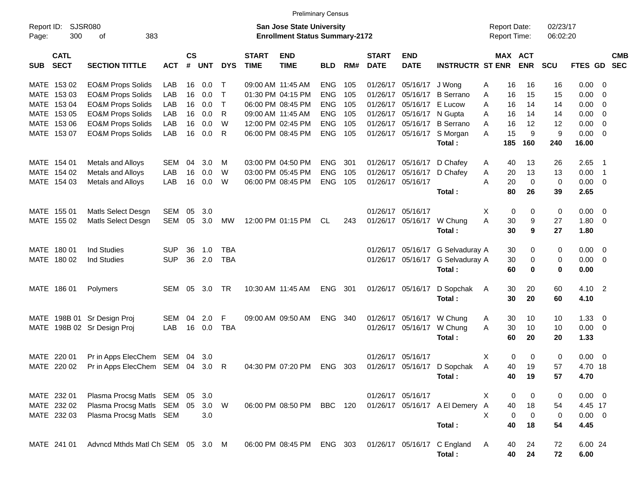|                                                                                                                                 |                                   |            |                    |            |              |                             | <b>Preliminary Census</b> |            |     |                             |                           |                                            |     |                       |             |                |                          |                          |
|---------------------------------------------------------------------------------------------------------------------------------|-----------------------------------|------------|--------------------|------------|--------------|-----------------------------|---------------------------|------------|-----|-----------------------------|---------------------------|--------------------------------------------|-----|-----------------------|-------------|----------------|--------------------------|--------------------------|
| SJSR080<br><b>San Jose State University</b><br>Report ID:<br>300<br>383<br><b>Enrollment Status Summary-2172</b><br>οf<br>Page: |                                   |            |                    |            |              |                             |                           |            |     |                             |                           | <b>Report Date:</b><br><b>Report Time:</b> |     | 02/23/17<br>06:02:20  |             |                |                          |                          |
| <b>CATL</b><br><b>SECT</b><br><b>SUB</b>                                                                                        | <b>SECTION TITTLE</b>             | <b>ACT</b> | $\mathsf{cs}$<br># | <b>UNT</b> | <b>DYS</b>   | <b>START</b><br><b>TIME</b> | <b>END</b><br><b>TIME</b> | <b>BLD</b> | RM# | <b>START</b><br><b>DATE</b> | <b>END</b><br><b>DATE</b> | <b>INSTRUCTR ST ENR</b>                    |     | MAX ACT<br><b>ENR</b> | SCU         | FTES GD        |                          | <b>CMB</b><br><b>SEC</b> |
| MATE 153 02                                                                                                                     | <b>EO&amp;M Props Solids</b>      | LAB        | 16                 | 0.0        | $\top$       | 09:00 AM 11:45 AM           |                           | <b>ENG</b> | 105 |                             | 01/26/17 05/16/17 J Wong  |                                            | Α   | 16<br>16              | 16          | $0.00 \t 0$    |                          |                          |
| MATE 153 03                                                                                                                     | <b>EO&amp;M Props Solids</b>      | LAB        | 16                 | 0.0        | $\top$       |                             | 01:30 PM 04:15 PM         | <b>ENG</b> | 105 | 01/26/17                    |                           | 05/16/17 B Serrano                         | A   | 16<br>15              | 15          | 0.00           | $\overline{0}$           |                          |
| MATE 153 04                                                                                                                     | <b>EO&amp;M Props Solids</b>      | LAB        | 16                 | 0.0        | $\top$       |                             | 06:00 PM 08:45 PM         | <b>ENG</b> | 105 | 01/26/17                    | 05/16/17 E Lucow          |                                            | A   | 16<br>14              | 14          | 0.00           | $\overline{\mathbf{0}}$  |                          |
| MATE 153 05                                                                                                                     | <b>EO&amp;M Props Solids</b>      | LAB        | 16                 | 0.0        | $\mathsf{R}$ | 09:00 AM 11:45 AM           |                           | <b>ENG</b> | 105 | 01/26/17                    | 05/16/17 N Gupta          |                                            | A   | 16<br>14              | 14          | 0.00           | $\overline{0}$           |                          |
| MATE 153 06                                                                                                                     | <b>EO&amp;M Props Solids</b>      | LAB        | 16                 | 0.0        | W            |                             | 12:00 PM 02:45 PM         | <b>ENG</b> | 105 | 01/26/17                    |                           | 05/16/17 B Serrano                         | A   | 16<br>12              | 12          | 0.00           | $\overline{0}$           |                          |
| MATE 153 07                                                                                                                     | <b>EO&amp;M Props Solids</b>      | LAB        | 16                 | 0.0        | $\mathsf{R}$ |                             | 06:00 PM 08:45 PM         | <b>ENG</b> | 105 |                             |                           | 01/26/17 05/16/17 S Morgan                 | A   | 15<br>9               | 9           | $0.00 \t 0$    |                          |                          |
|                                                                                                                                 |                                   |            |                    |            |              |                             |                           |            |     |                             |                           | Total:                                     | 185 | 160                   | 240         | 16.00          |                          |                          |
| MATE 154 01                                                                                                                     | Metals and Alloys                 | SEM        | 04                 | 3.0        | M            |                             | 03:00 PM 04:50 PM         | <b>ENG</b> | 301 |                             |                           | 01/26/17 05/16/17 D Chafey                 | Α   | 13<br>40              | 26          | 2.65           | $\overline{\phantom{1}}$ |                          |
| MATE 154 02                                                                                                                     | Metals and Alloys                 | LAB        | 16                 | 0.0        | W            |                             | 03:00 PM 05:45 PM         | <b>ENG</b> | 105 | 01/26/17                    | 05/16/17                  | D Chafey                                   | Α   | 20<br>13              | 13          | 0.00           | $\overline{\phantom{1}}$ |                          |
| MATE 154 03                                                                                                                     | Metals and Alloys                 | LAB        | 16                 | 0.0        | W            |                             | 06:00 PM 08:45 PM         | <b>ENG</b> | 105 |                             | 01/26/17 05/16/17         |                                            | A   | 20<br>0               | $\mathbf 0$ | $0.00 \t 0$    |                          |                          |
|                                                                                                                                 |                                   |            |                    |            |              |                             |                           |            |     |                             |                           | Total:                                     |     | 80<br>26              | 39          | 2.65           |                          |                          |
|                                                                                                                                 |                                   |            |                    |            |              |                             |                           |            |     |                             |                           |                                            |     |                       |             |                |                          |                          |
| MATE 155 01                                                                                                                     | Matls Select Desgn                | SEM        | 05                 | 3.0        |              |                             |                           |            |     |                             | 01/26/17 05/16/17         |                                            | X   | 0                     | 0<br>0      | $0.00 \t 0$    |                          |                          |
| MATE 155 02                                                                                                                     | Matls Select Desgn                | <b>SEM</b> | 05                 | 3.0        | MW           |                             | 12:00 PM 01:15 PM         | CL         | 243 |                             | 01/26/17 05/16/17         | W Chung                                    | A   | 30<br>9               | 27          | 1.80           | $\overline{\mathbf{0}}$  |                          |
|                                                                                                                                 |                                   |            |                    |            |              |                             |                           |            |     |                             |                           | Total:                                     |     | 30<br>9               | 27          | 1.80           |                          |                          |
| MATE 180 01                                                                                                                     | Ind Studies                       | <b>SUP</b> | 36                 | 1.0        | <b>TBA</b>   |                             |                           |            |     |                             |                           | 01/26/17 05/16/17 G Selvaduray A           |     | 0<br>30               | $\mathbf 0$ | 0.00           | $\overline{\mathbf{0}}$  |                          |
| MATE 180 02                                                                                                                     | <b>Ind Studies</b>                | <b>SUP</b> | 36                 | 2.0        | <b>TBA</b>   |                             |                           |            |     |                             |                           | 01/26/17 05/16/17 G Selvaduray A           |     | 30<br>0               | $\mathbf 0$ | $0.00 \t 0$    |                          |                          |
|                                                                                                                                 |                                   |            |                    |            |              |                             |                           |            |     |                             |                           | Total:                                     |     | 60<br>0               | 0           | 0.00           |                          |                          |
| MATE 186 01                                                                                                                     |                                   | SEM        | 05                 | 3.0        | <b>TR</b>    |                             | 10:30 AM 11:45 AM         | <b>ENG</b> | 301 |                             | 01/26/17 05/16/17         | D Sopchak                                  |     | 30<br>20              | 60          | $4.10 \quad 2$ |                          |                          |
|                                                                                                                                 | Polymers                          |            |                    |            |              |                             |                           |            |     |                             |                           | Total:                                     | A   | 30<br>20              | 60          | 4.10           |                          |                          |
|                                                                                                                                 |                                   |            |                    |            |              |                             |                           |            |     |                             |                           |                                            |     |                       |             |                |                          |                          |
| MATE 198B 01 Sr Design Proj                                                                                                     |                                   | SEM        | 04                 | 2.0        | F            |                             | 09:00 AM 09:50 AM         | <b>ENG</b> | 340 |                             | 01/26/17 05/16/17         | W Chung                                    | Α   | 30<br>10              | 10          | 1.33           | $\overline{\phantom{0}}$ |                          |
| MATE                                                                                                                            | 198B 02 Sr Design Proj            | LAB        | 16                 | 0.0        | <b>TBA</b>   |                             |                           |            |     |                             | 01/26/17 05/16/17         | W Chung                                    | A   | 30<br>10              | 10          | $0.00 \ 0$     |                          |                          |
|                                                                                                                                 |                                   |            |                    |            |              |                             |                           |            |     |                             |                           | Total:                                     |     | 60<br>20              | 20          | 1.33           |                          |                          |
| MATE 220 01                                                                                                                     | Pr in Apps ElecChem               | SEM        | 04                 | 3.0        |              |                             |                           |            |     | 01/26/17                    | 05/16/17                  |                                            | X   | 0<br>0                | $\mathbf 0$ | $0.00 \t 0$    |                          |                          |
| MATE 220 02                                                                                                                     | Pr in Apps ElecChem SEM 04        |            |                    | 3.0        | R            |                             | 04:30 PM 07:20 PM         | <b>ENG</b> | 303 |                             |                           | 01/26/17 05/16/17 D Sopchak                | A   | 40<br>19              | 57          | 4.70 18        |                          |                          |
|                                                                                                                                 |                                   |            |                    |            |              |                             |                           |            |     |                             |                           | Total:                                     |     | 40<br>19              | 57          | 4.70           |                          |                          |
|                                                                                                                                 |                                   |            |                    |            |              |                             |                           |            |     |                             |                           |                                            |     |                       |             |                |                          |                          |
| MATE 232 01                                                                                                                     | Plasma Procsg Matls SEM 05 3.0    |            |                    |            |              |                             |                           |            |     |                             | 01/26/17 05/16/17         |                                            | X   | 0<br>0                | 0           | $0.00 \t 0$    |                          |                          |
| MATE 232 02                                                                                                                     | Plasma Procsg Matls SEM 05 3.0 W  |            |                    |            |              |                             | 06:00 PM 08:50 PM         | <b>BBC</b> | 120 |                             |                           | 01/26/17 05/16/17 A El Demery A            |     | 40<br>18              | 54          | 4.45 17        |                          |                          |
| MATE 232 03                                                                                                                     | Plasma Procsg Matls SEM           |            |                    | 3.0        |              |                             |                           |            |     |                             |                           |                                            | X   | 0<br>0                | 0           | $0.00 \t 0$    |                          |                          |
|                                                                                                                                 |                                   |            |                    |            |              |                             |                           |            |     |                             |                           | Total:                                     |     | 40<br>18              | 54          | 4.45           |                          |                          |
| MATE 241 01                                                                                                                     | Advncd Mthds Matl Ch SEM 05 3.0 M |            |                    |            |              |                             | 06:00 PM 08:45 PM         | ENG 303    |     |                             |                           | 01/26/17 05/16/17 C England                | A   | 40<br>24              | 72          | 6.00 24        |                          |                          |
|                                                                                                                                 |                                   |            |                    |            |              |                             |                           |            |     |                             |                           | Total:                                     |     | 24<br>40              | 72          | 6.00           |                          |                          |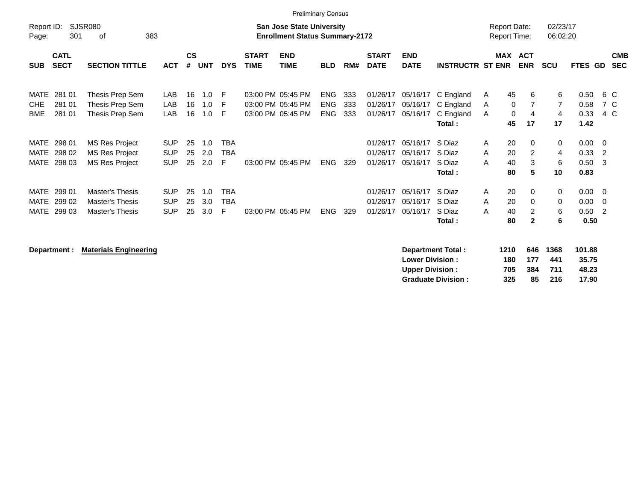|             |             |                       |            |           |     |            |              | <b>Preliminary Census</b>             |            |     |              |             |                         |                     |                |                |             |                            |            |
|-------------|-------------|-----------------------|------------|-----------|-----|------------|--------------|---------------------------------------|------------|-----|--------------|-------------|-------------------------|---------------------|----------------|----------------|-------------|----------------------------|------------|
| Report ID:  |             | SJSR080               |            |           |     |            |              | <b>San Jose State University</b>      |            |     |              |             |                         | <b>Report Date:</b> |                | 02/23/17       |             |                            |            |
| Page:       | 301         | 383<br>οf             |            |           |     |            |              | <b>Enrollment Status Summary-2172</b> |            |     |              |             |                         | <b>Report Time:</b> |                | 06:02:20       |             |                            |            |
|             | <b>CATL</b> |                       |            | <b>CS</b> |     |            | <b>START</b> | <b>END</b>                            |            |     | <b>START</b> | <b>END</b>  |                         | <b>MAX</b>          | <b>ACT</b>     |                |             |                            | <b>CMB</b> |
| <b>SUB</b>  | <b>SECT</b> | <b>SECTION TITTLE</b> | <b>ACT</b> | #         | UNT | <b>DYS</b> | <b>TIME</b>  | TIME                                  | <b>BLD</b> | RM# | <b>DATE</b>  | <b>DATE</b> | <b>INSTRUCTR ST ENR</b> |                     | <b>ENR</b>     | <b>SCU</b>     | FTES GD     |                            | <b>SEC</b> |
|             |             |                       |            |           |     |            |              |                                       |            |     |              |             |                         |                     |                |                |             |                            |            |
| MATE        | 281 01      | Thesis Prep Sem       | LAB        | 16        | 1.0 | F          |              | 03:00 PM 05:45 PM                     | ENG        | 333 | 01/26/17     | 05/16/17    | C England               | 45<br>A             | 6              | 6              | 0.50        | 6 C                        |            |
| <b>CHE</b>  | 281 01      | Thesis Prep Sem       | LAB        | 16        | 1.0 | F          |              | 03:00 PM 05:45 PM                     | <b>ENG</b> | 333 | 01/26/17     | 05/16/17    | C England               | A                   | 0              | $\overline{7}$ | 0.58        | 7 C                        |            |
| <b>BME</b>  | 281 01      | Thesis Prep Sem       | LAB        | 16        | 1.0 | -F         |              | 03:00 PM 05:45 PM                     | <b>ENG</b> | 333 | 01/26/17     | 05/16/17    | C England               | A                   | 0<br>4         | 4              | 0.33        | 4 C                        |            |
|             |             |                       |            |           |     |            |              |                                       |            |     |              |             | Total:                  | 45                  | 17             | 17             | 1.42        |                            |            |
|             | MATE 298 01 | <b>MS Res Project</b> | <b>SUP</b> | 25        | 1.0 | TBA        |              |                                       |            |     | 01/26/17     | 05/16/17    | S Diaz                  | 20<br>A             | 0              | 0              | $0.00 \t 0$ |                            |            |
| MATE        | 298 02      | MS Res Project        | <b>SUP</b> | 25        | 2.0 | <b>TBA</b> |              |                                       |            |     | 01/26/17     | 05/16/17    | S Diaz                  | A<br>20             | $\overline{2}$ | 4              | 0.33        | $\overline{\phantom{0}}^2$ |            |
| MATE        | 298 03      | <b>MS Res Project</b> | <b>SUP</b> | 25        | 2.0 | F          |              | 03:00 PM 05:45 PM                     | <b>ENG</b> | 329 | 01/26/17     | 05/16/17    | S Diaz                  | 40<br>A             | 3              | 6              | 0.50        | - 3                        |            |
|             |             |                       |            |           |     |            |              |                                       |            |     |              |             | Total:                  | 80                  | 5              | 10             | 0.83        |                            |            |
| MATE        | 299 01      | Master's Thesis       | <b>SUP</b> | 25        | 1.0 | <b>TBA</b> |              |                                       |            |     | 01/26/17     | 05/16/17    | S Diaz                  | 20<br>A             | $\Omega$       | $\mathbf 0$    | $0.00 \t 0$ |                            |            |
| <b>MATE</b> | 299 02      | Master's Thesis       | <b>SUP</b> | 25        | 3.0 | <b>TBA</b> |              |                                       |            |     | 01/26/17     | 05/16/17    | S Diaz                  | A<br>20             | $\Omega$       | $\mathbf 0$    | $0.00 \t 0$ |                            |            |
|             | MATE 299 03 | Master's Thesis       | <b>SUP</b> | 25        | 3.0 | F          |              | 03:00 PM 05:45 PM                     | <b>ENG</b> | 329 | 01/26/17     | 05/16/17    | S Diaz                  | A<br>40             | 2              | 6              | $0.50 \t 2$ |                            |            |
|             |             |                       |            |           |     |            |              |                                       |            |     |              |             | Total:                  | 80                  | $\mathbf{2}$   | 6              | 0.50        |                            |            |

**Department : Materials Engineering** 

| Department Total:         | 1210 |     | 646 1368 | 101.88 |
|---------------------------|------|-----|----------|--------|
| <b>Lower Division:</b>    | 180  | 177 | 441      | 35.75  |
| <b>Upper Division:</b>    | 705  | 384 | 711      | 48.23  |
| <b>Graduate Division:</b> | 325  | 85  | 216      | 17.90  |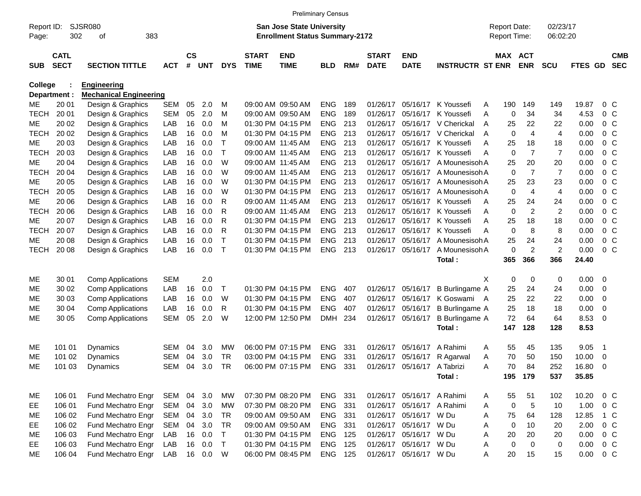| <b>Preliminary Census</b> |                                                                                                                 |                               |            |                    |            |            |                             |                           |                |     |                             |                            |                                     |                  |                              |                |               |                          |                          |
|---------------------------|-----------------------------------------------------------------------------------------------------------------|-------------------------------|------------|--------------------|------------|------------|-----------------------------|---------------------------|----------------|-----|-----------------------------|----------------------------|-------------------------------------|------------------|------------------------------|----------------|---------------|--------------------------|--------------------------|
| Page:                     | SJSR080<br>San Jose State University<br>Report ID:<br>302<br>383<br><b>Enrollment Status Summary-2172</b><br>of |                               |            |                    |            |            |                             |                           |                |     |                             |                            | <b>Report Date:</b><br>Report Time: |                  | 02/23/17<br>06:02:20         |                |               |                          |                          |
|                           |                                                                                                                 |                               |            |                    |            |            |                             |                           |                |     |                             |                            |                                     |                  |                              |                |               |                          |                          |
| <b>SUB</b>                | <b>CATL</b><br><b>SECT</b>                                                                                      | <b>SECTION TITTLE</b>         | <b>ACT</b> | $\mathsf{cs}$<br># | <b>UNT</b> | <b>DYS</b> | <b>START</b><br><b>TIME</b> | <b>END</b><br><b>TIME</b> | <b>BLD</b>     | RM# | <b>START</b><br><b>DATE</b> | <b>END</b><br><b>DATE</b>  | <b>INSTRUCTR ST ENR</b>             |                  | <b>MAX ACT</b><br><b>ENR</b> | <b>SCU</b>     | FTES GD       |                          | <b>CMB</b><br><b>SEC</b> |
| <b>College</b>            |                                                                                                                 | Engineering                   |            |                    |            |            |                             |                           |                |     |                             |                            |                                     |                  |                              |                |               |                          |                          |
|                           | Department :                                                                                                    | <b>Mechanical Engineering</b> |            |                    |            |            |                             |                           |                |     |                             |                            |                                     |                  |                              |                |               |                          |                          |
| МE                        | 20 01                                                                                                           | Design & Graphics             | SEM        | 05                 | 2.0        | M          |                             | 09:00 AM 09:50 AM         | <b>ENG</b>     | 189 |                             | 01/26/17 05/16/17          | K Youssefi                          | 190<br>A         | 149                          | 149            | 19.87         | $0\,$ C                  |                          |
| <b>TECH</b>               | 20 01                                                                                                           | Design & Graphics             | <b>SEM</b> | 05                 | 2.0        | M          |                             | 09:00 AM 09:50 AM         | <b>ENG</b>     | 189 | 01/26/17                    | 05/16/17                   | K Youssefi                          | 0<br>Α           | 34                           | 34             | 4.53          | 0 <sup>o</sup>           |                          |
| МE                        | 20 02                                                                                                           | Design & Graphics             | LAB        | 16                 | 0.0        | M          |                             | 01:30 PM 04:15 PM         | <b>ENG</b>     | 213 | 01/26/17                    | 05/16/17                   | V Cherickal                         | 25<br>A          | 22                           | 22             | 0.00          | 0 <sup>o</sup>           |                          |
| <b>TECH</b>               | 20 02                                                                                                           | Design & Graphics             | LAB        | 16                 | 0.0        | M          |                             | 01:30 PM 04:15 PM         | <b>ENG</b>     | 213 | 01/26/17                    | 05/16/17                   | V Cherickal                         | $\mathbf 0$<br>A | 4                            | $\overline{4}$ | 0.00          | 0 <sup>o</sup>           |                          |
| МE                        | 20 03                                                                                                           | Design & Graphics             | LAB        | 16                 | 0.0        | т          |                             | 09:00 AM 11:45 AM         | <b>ENG</b>     | 213 | 01/26/17                    | 05/16/17                   | K Youssefi                          | 25<br>Α          | 18                           | 18             | 0.00          | 0 <sup>o</sup>           |                          |
| <b>TECH</b>               | 20 03                                                                                                           | Design & Graphics             | LAB        | 16                 | 0.0        | T          |                             | 09:00 AM 11:45 AM         | <b>ENG</b>     | 213 | 01/26/17                    | 05/16/17                   | K Youssefi                          | $\mathbf 0$<br>Α | $\overline{7}$               | $\overline{7}$ | 0.00          | 0 <sup>o</sup>           |                          |
| МE                        | 20 04                                                                                                           | Design & Graphics             | LAB        | 16                 | 0.0        | W          |                             | 09:00 AM 11:45 AM         | <b>ENG</b>     | 213 | 01/26/17                    | 05/16/17                   | A Mounesisoh A                      | 25               | 20                           | 20             | 0.00          | 0 <sup>o</sup>           |                          |
| <b>TECH</b>               | 20 04                                                                                                           | Design & Graphics             | LAB        | 16                 | 0.0        | W          |                             | 09:00 AM 11:45 AM         | <b>ENG</b>     | 213 | 01/26/17                    | 05/16/17                   | A Mounesisoh A                      | 0                | $\overline{7}$               | $\overline{7}$ | 0.00          | 0 <sup>o</sup>           |                          |
| МE                        | 20 05                                                                                                           | Design & Graphics             | LAB        | 16                 | 0.0        | W          |                             | 01:30 PM 04:15 PM         | <b>ENG</b>     | 213 | 01/26/17                    | 05/16/17                   | A Mounesisoh A                      | 25               | 23                           | 23             | 0.00          | 0 <sup>o</sup>           |                          |
| <b>TECH</b>               | 20 05                                                                                                           | Design & Graphics             | LAB        | 16                 | 0.0        | W          |                             | 01:30 PM 04:15 PM         | <b>ENG</b>     | 213 | 01/26/17                    | 05/16/17                   | A Mounesisoh A                      | 0                | 4                            | 4              | 0.00          | 0 <sup>o</sup>           |                          |
| МE                        | 20 06                                                                                                           | Design & Graphics             | LAB        | 16                 | 0.0        | R          |                             | 09:00 AM 11:45 AM         | <b>ENG</b>     | 213 | 01/26/17                    | 05/16/17                   | K Youssefi                          | 25<br>A          | 24                           | 24             | 0.00          | 0 <sup>o</sup>           |                          |
| <b>TECH</b>               | 20 06                                                                                                           | Design & Graphics             | LAB        | 16                 | 0.0        | R          |                             | 09:00 AM 11:45 AM         | <b>ENG</b>     | 213 | 01/26/17                    | 05/16/17                   | K Youssefi                          | $\mathbf 0$<br>Α | $\overline{c}$               | $\overline{c}$ | 0.00          | 0 <sup>o</sup>           |                          |
| МE                        | 20 07                                                                                                           | Design & Graphics             | LAB        | 16                 | 0.0        | R          |                             | 01:30 PM 04:15 PM         | <b>ENG</b>     | 213 | 01/26/17                    | 05/16/17                   | K Youssefi                          | 25<br>Α          | 18                           | 18             | 0.00          | 0 <sup>o</sup>           |                          |
| <b>TECH</b>               | 20 07                                                                                                           | Design & Graphics             | LAB        | 16                 | 0.0        | R          |                             | 01:30 PM 04:15 PM         | <b>ENG</b>     | 213 | 01/26/17                    | 05/16/17                   | K Youssefi                          | 0<br>Α           | 8                            | 8              | 0.00          | 0 <sup>o</sup>           |                          |
| МE                        | 20 08                                                                                                           | Design & Graphics             | LAB        | 16                 | 0.0        | T          |                             | 01:30 PM 04:15 PM         | <b>ENG</b>     | 213 | 01/26/17                    | 05/16/17                   | A Mounesisoh A                      | 25               | 24                           | 24             | 0.00          | 0 <sup>o</sup>           |                          |
| <b>TECH</b>               | 20 08                                                                                                           | Design & Graphics             | LAB        | 16                 | 0.0        | Т          |                             | 01:30 PM 04:15 PM         | <b>ENG</b>     | 213 | 01/26/17                    | 05/16/17                   | A Mounesisoh A                      | 0                | $\overline{c}$               | $\overline{c}$ | 0.00          | 0 <sup>o</sup>           |                          |
|                           |                                                                                                                 |                               |            |                    |            |            |                             |                           |                |     |                             |                            | Total:                              | 365              | 366                          | 366            | 24.40         |                          |                          |
| ME                        | 30 01                                                                                                           | <b>Comp Applications</b>      | <b>SEM</b> |                    | 2.0        |            |                             |                           |                |     |                             |                            |                                     | X<br>0           | 0                            | 0              | 0.00          | $\overline{\phantom{0}}$ |                          |
| МE                        | 30 02                                                                                                           | <b>Comp Applications</b>      | LAB        | 16                 | 0.0        | Т          |                             | 01:30 PM 04:15 PM         | <b>ENG</b>     | 407 |                             | 01/26/17 05/16/17          | <b>B</b> Burlingame A               | 25               | 24                           | 24             | 0.00          | $\overline{0}$           |                          |
| МE                        | 30 03                                                                                                           | <b>Comp Applications</b>      | LAB        | 16                 | 0.0        | W          |                             | 01:30 PM 04:15 PM         | <b>ENG</b>     | 407 | 01/26/17                    | 05/16/17                   | K Goswami A                         | 25               | 22                           | 22             | 0.00          | $\overline{0}$           |                          |
| МE                        | 30 04                                                                                                           | <b>Comp Applications</b>      | LAB        | 16                 | 0.0        | R          |                             | 01:30 PM 04:15 PM         | <b>ENG</b>     | 407 |                             | 01/26/17 05/16/17          | <b>B</b> Burlingame A               | 25               | 18                           | 18             | 0.00          | 0                        |                          |
| MЕ                        | 30 05                                                                                                           | <b>Comp Applications</b>      | <b>SEM</b> | 05                 | 2.0        | W          |                             | 12:00 PM 12:50 PM         | <b>DMH</b>     | 234 |                             | 01/26/17 05/16/17          | <b>B</b> Burlingame A               | 72               | 64                           | 64             | 8.53          | - 0                      |                          |
|                           |                                                                                                                 |                               |            |                    |            |            |                             |                           |                |     |                             |                            | Total:                              | 147              | 128                          | 128            | 8.53          |                          |                          |
| ME                        | 101 01                                                                                                          | Dynamics                      | <b>SEM</b> | 04                 | 3.0        | MW         |                             | 06:00 PM 07:15 PM         | <b>ENG</b>     | 331 | 01/26/17                    | 05/16/17                   | A Rahimi                            | 55<br>Α          | 45                           | 135            | 9.05          | - 1                      |                          |
| MЕ                        | 101 02                                                                                                          | Dynamics                      | <b>SEM</b> | 04                 | 3.0        | <b>TR</b>  |                             | 03:00 PM 04:15 PM         | <b>ENG</b>     | 331 | 01/26/17                    | 05/16/17                   | R Agarwal                           | 70<br>Α          | 50                           | 150            | 10.00         | 0                        |                          |
| <b>ME</b>                 | 101 03                                                                                                          | Dynamics                      | <b>SEM</b> | 04                 | 3.0        | <b>TR</b>  |                             | 06:00 PM 07:15 PM         | <b>ENG</b>     | 331 |                             | 01/26/17 05/16/17          | A Tabrizi                           | 70<br>Α          | 84                           | 252            | 16.80         | - 0                      |                          |
|                           |                                                                                                                 |                               |            |                    |            |            |                             |                           |                |     |                             |                            | Total:                              |                  | 195 179                      | 537            | 35.85         |                          |                          |
| ME                        | 106 01                                                                                                          | Fund Mechatro Engr            | SEM        | 04                 | 3.0        | MW         |                             | 07:30 PM 08:20 PM         | ENG 331        |     |                             | 01/26/17 05/16/17 A Rahimi |                                     | 55<br>A          | 51                           | 102            | 10.20         | $0\,C$                   |                          |
| EE.                       | 106 01                                                                                                          | Fund Mechatro Engr            | SEM        | 04                 | 3.0        | МW         |                             | 07:30 PM 08:20 PM         | ENG 331        |     |                             | 01/26/17 05/16/17 A Rahimi |                                     | 0<br>A           | $\,$ 5 $\,$                  | 10             | 1.00          | $0\,C$                   |                          |
| ME                        | 106 02                                                                                                          | Fund Mechatro Engr            | SEM        | 04                 | 3.0        | TR         |                             | 09:00 AM 09:50 AM         | ENG 331        |     |                             | 01/26/17 05/16/17          | W Du                                | 75<br>A          | 64                           | 128            | 12.85         | 1 C                      |                          |
| EE                        | 106 02                                                                                                          | Fund Mechatro Engr            | <b>SEM</b> | 04                 | 3.0        | <b>TR</b>  |                             | 09:00 AM 09:50 AM         | ENG 331        |     |                             | 01/26/17 05/16/17          | W Du                                | 0<br>Α           | 10                           | 20             | 2.00          | $0\,C$                   |                          |
| ME                        | 106 03                                                                                                          | Fund Mechatro Engr            | LAB        |                    | 16 0.0     | T          |                             | 01:30 PM 04:15 PM         | <b>ENG 125</b> |     |                             | 01/26/17 05/16/17          | W Du                                | 20<br>Α          | 20                           | 20             | 0.00          | $0\,C$                   |                          |
| EE.                       | 106 03                                                                                                          | Fund Mechatro Engr            | LAB        |                    | 16 0.0     | $\top$     |                             | 01:30 PM 04:15 PM         | <b>ENG 125</b> |     |                             | 01/26/17 05/16/17          | W Du                                | $\mathbf 0$<br>Α | 0                            | 0              | 0.00          | $0\,C$                   |                          |
| ME                        | 106 04                                                                                                          | Fund Mechatro Engr            | LAB        |                    | 16 0.0     | W          |                             | 06:00 PM 08:45 PM         | <b>ENG 125</b> |     |                             | 01/26/17 05/16/17 W Du     |                                     | Α<br>20          | 15                           | 15             | $0.00 \t 0 C$ |                          |                          |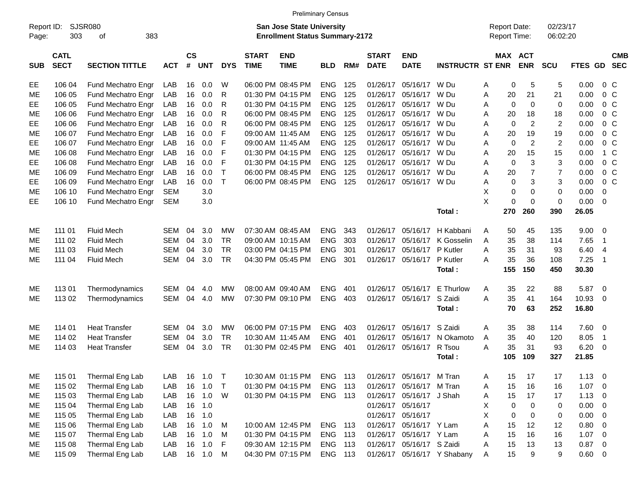|                     | <b>Preliminary Census</b>  |                             |            |                                                                           |            |              |                             |                           |            |     |                             |                           |                             |                                     |              |                       |                      |             |                          |                          |
|---------------------|----------------------------|-----------------------------|------------|---------------------------------------------------------------------------|------------|--------------|-----------------------------|---------------------------|------------|-----|-----------------------------|---------------------------|-----------------------------|-------------------------------------|--------------|-----------------------|----------------------|-------------|--------------------------|--------------------------|
| Report ID:<br>Page: | 303                        | <b>SJSR080</b><br>383<br>of |            | <b>San Jose State University</b><br><b>Enrollment Status Summary-2172</b> |            |              |                             |                           |            |     |                             |                           |                             | <b>Report Date:</b><br>Report Time: |              |                       | 02/23/17<br>06:02:20 |             |                          |                          |
| <b>SUB</b>          | <b>CATL</b><br><b>SECT</b> | <b>SECTION TITTLE</b>       | <b>ACT</b> | <b>CS</b><br>$\pmb{\#}$                                                   | <b>UNT</b> | <b>DYS</b>   | <b>START</b><br><b>TIME</b> | <b>END</b><br><b>TIME</b> | <b>BLD</b> | RM# | <b>START</b><br><b>DATE</b> | <b>END</b><br><b>DATE</b> | <b>INSTRUCTR ST ENR</b>     |                                     |              | MAX ACT<br><b>ENR</b> | <b>SCU</b>           | FTES GD     |                          | <b>CMB</b><br><b>SEC</b> |
| EE                  | 106 04                     | Fund Mechatro Engr          | LAB        | 16                                                                        | 0.0        | W            |                             | 06:00 PM 08:45 PM         | <b>ENG</b> | 125 | 01/26/17                    | 05/16/17                  | W Du                        | Α                                   | $\mathbf 0$  | 5                     | 5                    | 0.00        | 0 <sup>o</sup>           |                          |
| МE                  | 106 05                     | Fund Mechatro Engr          | LAB        | 16                                                                        | 0.0        | R            |                             | 01:30 PM 04:15 PM         | <b>ENG</b> | 125 | 01/26/17                    | 05/16/17                  | W Du                        | A                                   | 20           | 21                    | 21                   | 0.00        | 0 <sup>o</sup>           |                          |
| EE                  | 106 05                     | Fund Mechatro Engr          | LAB        | 16                                                                        | 0.0        | R            |                             | 01:30 PM 04:15 PM         | <b>ENG</b> | 125 | 01/26/17                    | 05/16/17                  | W Du                        | A                                   | $\mathbf{0}$ | $\Omega$              | $\mathbf 0$          | 0.00        | 0 <sup>o</sup>           |                          |
| ME                  | 106 06                     | Fund Mechatro Engr          | LAB        | 16                                                                        | 0.0        | R            |                             | 06:00 PM 08:45 PM         | <b>ENG</b> | 125 | 01/26/17                    | 05/16/17                  | W Du                        | A                                   | 20           | 18                    | 18                   | 0.00        | 0 <sup>o</sup>           |                          |
| EE                  | 106 06                     | Fund Mechatro Engr          | LAB        | 16                                                                        | 0.0        | R            |                             | 06:00 PM 08:45 PM         | <b>ENG</b> | 125 | 01/26/17                    | 05/16/17                  | W Du                        | A                                   | $\mathbf 0$  | 2                     | $\overline{2}$       | 0.00        | 0 <sup>o</sup>           |                          |
| ME                  | 106 07                     | Fund Mechatro Engr          | LAB        | 16                                                                        | 0.0        | F            |                             | 09:00 AM 11:45 AM         | <b>ENG</b> | 125 | 01/26/17                    | 05/16/17                  | W Du                        | A                                   | 20           | 19                    | 19                   | 0.00        | 0 <sup>o</sup>           |                          |
| EE                  | 106 07                     | Fund Mechatro Engr          | LAB        | 16                                                                        | 0.0        | F            |                             | 09:00 AM 11:45 AM         | <b>ENG</b> | 125 | 01/26/17                    | 05/16/17                  | W Du                        | Α                                   | $\mathbf 0$  | $\overline{2}$        | $\overline{2}$       | 0.00        | 0 <sup>o</sup>           |                          |
| ME                  | 106 08                     | Fund Mechatro Engr          | LAB        | 16                                                                        | 0.0        | F            |                             | 01:30 PM 04:15 PM         | <b>ENG</b> | 125 | 01/26/17                    | 05/16/17                  | W Du                        | A                                   | 20           | 15                    | 15                   | 0.00        | 1 C                      |                          |
| EE                  | 106 08                     | Fund Mechatro Engr          | LAB        | 16                                                                        | 0.0        | F            |                             | 01:30 PM 04:15 PM         | <b>ENG</b> | 125 | 01/26/17                    | 05/16/17                  | W Du                        | A                                   | $\mathbf 0$  | 3                     | 3                    | 0.00        | 0 <sup>o</sup>           |                          |
| ME                  | 106 09                     | Fund Mechatro Engr          | LAB        | 16                                                                        | 0.0        | т            |                             | 06:00 PM 08:45 PM         | <b>ENG</b> | 125 | 01/26/17                    | 05/16/17                  | W Du                        | A                                   | 20           | $\overline{7}$        | $\overline{7}$       | 0.00        | 0 <sup>o</sup>           |                          |
| EE                  | 106 09                     | Fund Mechatro Engr          | LAB        | 16                                                                        | 0.0        | $\mathsf{T}$ |                             | 06:00 PM 08:45 PM         | <b>ENG</b> | 125 |                             | 01/26/17 05/16/17 W Du    |                             | A                                   | $\mathbf 0$  | 3                     | 3                    | 0.00        | $0\,C$                   |                          |
| МE                  | 106 10                     | Fund Mechatro Engr          | <b>SEM</b> |                                                                           | 3.0        |              |                             |                           |            |     |                             |                           |                             | X                                   | $\mathbf 0$  | $\Omega$              | $\mathbf 0$          | 0.00        | 0                        |                          |
| EE                  | 106 10                     | Fund Mechatro Engr          | <b>SEM</b> |                                                                           | 3.0        |              |                             |                           |            |     |                             |                           |                             | X                                   | $\mathbf 0$  | $\Omega$              | $\mathbf 0$          | 0.00        | $\overline{\phantom{0}}$ |                          |
|                     |                            |                             |            |                                                                           |            |              |                             |                           |            |     |                             |                           | Total:                      |                                     | 270          | 260                   | 390                  | 26.05       |                          |                          |
| ME                  | 111 01                     | <b>Fluid Mech</b>           | <b>SEM</b> | 04                                                                        | 3.0        | MW           |                             | 07:30 AM 08:45 AM         | <b>ENG</b> | 343 | 01/26/17                    | 05/16/17                  | H Kabbani                   | A                                   | 50           | 45                    | 135                  | 9.00        | $\overline{\phantom{0}}$ |                          |
| ME                  | 111 02                     | <b>Fluid Mech</b>           | <b>SEM</b> | 04                                                                        | 3.0        | <b>TR</b>    |                             | 09:00 AM 10:15 AM         | <b>ENG</b> | 303 | 01/26/17                    | 05/16/17                  | K Gosselin                  | A                                   | 35           | 38                    | 114                  | 7.65        | $\overline{1}$           |                          |
| МE                  | 111 03                     | <b>Fluid Mech</b>           | <b>SEM</b> | 04                                                                        | 3.0        | <b>TR</b>    |                             | 03:00 PM 04:15 PM         | <b>ENG</b> | 301 | 01/26/17                    | 05/16/17                  | P Kutler                    | A                                   | 35           | 31                    | 93                   | 6.40        | -4                       |                          |
| ME                  | 111 04                     | <b>Fluid Mech</b>           | <b>SEM</b> | 04                                                                        | 3.0        | <b>TR</b>    |                             | 04:30 PM 05:45 PM         | ENG        | 301 |                             | 01/26/17 05/16/17         | P Kutler                    | A                                   | 35           | 36                    | 108                  | 7.25        | $\overline{1}$           |                          |
|                     |                            |                             |            |                                                                           |            |              |                             |                           |            |     |                             |                           | Total:                      |                                     | 155          | 150                   | 450                  | 30.30       |                          |                          |
| ME                  | 11301                      | Thermodynamics              | <b>SEM</b> | 04                                                                        | 4.0        | MW           |                             | 08:00 AM 09:40 AM         | <b>ENG</b> | 401 | 01/26/17                    | 05/16/17                  | E Thurlow                   | Α                                   | 35           | 22                    | 88                   | 5.87        | $\overline{\phantom{0}}$ |                          |
| ME                  | 113 02                     | Thermodynamics              | <b>SEM</b> | 04                                                                        | 4.0        | <b>MW</b>    |                             | 07:30 PM 09:10 PM         | <b>ENG</b> | 403 |                             | 01/26/17 05/16/17         | S Zaidi                     | A                                   | 35           | 41                    | 164                  | 10.93       | - 0                      |                          |
|                     |                            |                             |            |                                                                           |            |              |                             |                           |            |     |                             |                           | Total:                      |                                     | 70           | 63                    | 252                  | 16.80       |                          |                          |
| ME                  | 114 01                     | <b>Heat Transfer</b>        | <b>SEM</b> | 04                                                                        | 3.0        | МW           |                             | 06:00 PM 07:15 PM         | <b>ENG</b> | 403 | 01/26/17                    | 05/16/17                  | S Zaidi                     | A                                   | 35           | 38                    | 114                  | 7.60 0      |                          |                          |
| ME                  | 114 02                     | <b>Heat Transfer</b>        | <b>SEM</b> | 04                                                                        | 3.0        | <b>TR</b>    |                             | 10:30 AM 11:45 AM         | <b>ENG</b> | 401 | 01/26/17                    | 05/16/17                  | N Okamoto                   | A                                   | 35           | 40                    | 120                  | 8.05        | $\overline{1}$           |                          |
| МE                  | 114 03                     | <b>Heat Transfer</b>        | <b>SEM</b> | 04                                                                        | 3.0        | <b>TR</b>    |                             | 01:30 PM 02:45 PM         | <b>ENG</b> | 401 |                             | 01/26/17 05/16/17         | R Tsou                      | A                                   | 35           | 31                    | 93                   | 6.20        | $\overline{\mathbf{0}}$  |                          |
|                     |                            |                             |            |                                                                           |            |              |                             |                           |            |     |                             |                           | Total:                      |                                     | 105          | 109                   | 327                  | 21.85       |                          |                          |
| ME                  | 115 01                     | Thermal Eng Lab             | LAB        | 16                                                                        | 1.0        |              |                             | 10:30 AM 01:15 PM         | ENG 113    |     |                             | 01/26/17 05/16/17 M Tran  |                             | A                                   | 15           | 17                    | 17                   | 1.13        | $\overline{\phantom{0}}$ |                          |
| ME                  | 115 02                     | Thermal Eng Lab             | LAB        | 16                                                                        | 1.0        | $\top$       |                             | 01:30 PM 04:15 PM         | ENG 113    |     |                             | 01/26/17 05/16/17 M Tran  |                             | Α                                   | 15           | 16                    | 16                   | $1.07 \t 0$ |                          |                          |
| ME                  | 115 03                     | Thermal Eng Lab             | LAB        |                                                                           | 16 1.0     | W            |                             | 01:30 PM 04:15 PM         | ENG 113    |     |                             | 01/26/17 05/16/17 J Shah  |                             | A                                   | 15           | 17                    | 17                   | $1.13 \ 0$  |                          |                          |
| ME                  | 115 04                     | Thermal Eng Lab             | LAB        | 16                                                                        | 1.0        |              |                             |                           |            |     |                             | 01/26/17 05/16/17         |                             | X                                   | 0            | $\mathbf 0$           | 0                    | $0.00 \t 0$ |                          |                          |
| ME                  | 115 05                     | Thermal Eng Lab             | LAB        | 16                                                                        | 1.0        |              |                             |                           |            |     |                             | 01/26/17 05/16/17         |                             | X                                   | 0            | $\mathbf 0$           | 0                    | $0.00 \t 0$ |                          |                          |
| ME                  | 115 06                     | Thermal Eng Lab             | LAB        | 16                                                                        | 1.0        | M            |                             | 10:00 AM 12:45 PM         | ENG 113    |     |                             | 01/26/17 05/16/17 Y Lam   |                             | Α                                   | 15           | 12                    | 12                   | 0.80 0      |                          |                          |
| ME                  | 115 07                     | Thermal Eng Lab             | LAB        | 16                                                                        | 1.0        | M            |                             | 01:30 PM 04:15 PM         | ENG 113    |     |                             | 01/26/17 05/16/17 Y Lam   |                             | A                                   | 15           | 16                    | 16                   | $1.07 \t 0$ |                          |                          |
| ME                  | 115 08                     | Thermal Eng Lab             | LAB        |                                                                           | 16 1.0     | -F           |                             | 09:30 AM 12:15 PM         | ENG 113    |     |                             | 01/26/17 05/16/17 S Zaidi |                             | Α                                   | 15           | 13                    | 13                   | $0.87$ 0    |                          |                          |
| ME                  | 115 09                     | Thermal Eng Lab             | LAB        |                                                                           | 16  1.0  M |              |                             | 04:30 PM 07:15 PM         | ENG 113    |     |                             |                           | 01/26/17 05/16/17 Y Shabany | Α                                   | 15           | 9                     | 9                    | $0.60 \t 0$ |                          |                          |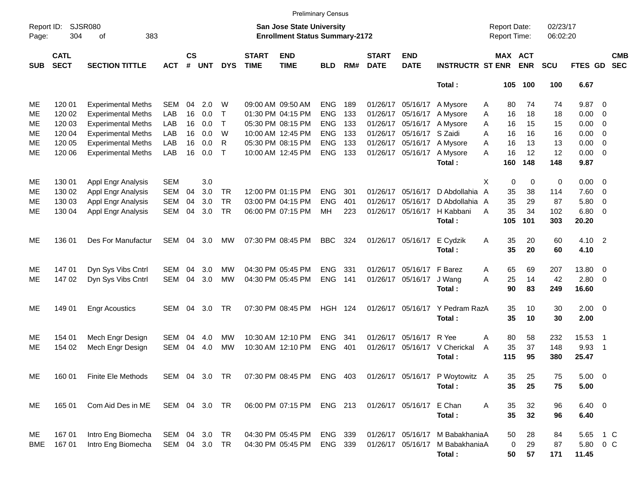|                                                                                                                                        | <b>Preliminary Census</b>  |                           |               |                   |            |            |                             |                           |            |     |                             |                           |                                            |                |                      |             |           |               |                          |                          |
|----------------------------------------------------------------------------------------------------------------------------------------|----------------------------|---------------------------|---------------|-------------------|------------|------------|-----------------------------|---------------------------|------------|-----|-----------------------------|---------------------------|--------------------------------------------|----------------|----------------------|-------------|-----------|---------------|--------------------------|--------------------------|
| <b>SJSR080</b><br>Report ID:<br><b>San Jose State University</b><br>304<br>383<br><b>Enrollment Status Summary-2172</b><br>Page:<br>оf |                            |                           |               |                   |            |            |                             |                           |            |     |                             |                           | <b>Report Date:</b><br><b>Report Time:</b> |                | 02/23/17<br>06:02:20 |             |           |               |                          |                          |
| <b>SUB</b>                                                                                                                             | <b>CATL</b><br><b>SECT</b> | <b>SECTION TITTLE</b>     | <b>ACT</b>    | <b>CS</b><br>$\#$ | <b>UNT</b> | <b>DYS</b> | <b>START</b><br><b>TIME</b> | <b>END</b><br><b>TIME</b> | <b>BLD</b> | RM# | <b>START</b><br><b>DATE</b> | <b>END</b><br><b>DATE</b> | <b>INSTRUCTR ST ENR</b>                    |                | MAX ACT              | <b>ENR</b>  | SCU       | FTES GD       |                          | <b>CMB</b><br><b>SEC</b> |
|                                                                                                                                        |                            |                           |               |                   |            |            |                             |                           |            |     |                             |                           | Total:                                     |                | 105                  | 100         | 100       | 6.67          |                          |                          |
| ME                                                                                                                                     | 120 01                     | <b>Experimental Meths</b> | <b>SEM</b>    | 04                | 2.0        | W          |                             | 09:00 AM 09:50 AM         | <b>ENG</b> | 189 |                             | 01/26/17 05/16/17         | A Mysore                                   | A              | 80                   | 74          | 74        | 9.87          | - 0                      |                          |
| МE                                                                                                                                     | 120 02                     | <b>Experimental Meths</b> | LAB           | 16                | 0.0        | $\top$     |                             | 01:30 PM 04:15 PM         | <b>ENG</b> | 133 | 01/26/17                    | 05/16/17                  | A Mysore                                   | A              | 16                   | 18          | 18        | 0.00          | $\overline{0}$           |                          |
| МE                                                                                                                                     | 120 03                     | <b>Experimental Meths</b> | LAB           | 16                | 0.0        | $\top$     |                             | 05:30 PM 08:15 PM         | <b>ENG</b> | 133 | 01/26/17                    | 05/16/17                  | A Mysore                                   | A              | 16                   | 15          | 15        | 0.00          | $\overline{0}$           |                          |
| МE                                                                                                                                     | 120 04                     | <b>Experimental Meths</b> | LAB           | 16                | 0.0        | W          |                             | 10:00 AM 12:45 PM         | <b>ENG</b> | 133 | 01/26/17                    | 05/16/17                  | S Zaidi                                    | A              | 16                   | 16          | 16        | 0.00          | $\overline{0}$           |                          |
| МE                                                                                                                                     | 120 05                     | <b>Experimental Meths</b> | LAB           | 16                | 0.0        | R          |                             | 05:30 PM 08:15 PM         | <b>ENG</b> | 133 | 01/26/17                    | 05/16/17                  | A Mysore                                   | A              | 16                   | 13          | 13        | 0.00          | $\overline{0}$           |                          |
| МE                                                                                                                                     | 120 06                     | <b>Experimental Meths</b> | LAB           | 16                | 0.0        | $\top$     |                             | 10:00 AM 12:45 PM         | <b>ENG</b> | 133 |                             | 01/26/17 05/16/17         | A Mysore                                   | A              | 16                   | 12          | 12        | 0.00          | $\overline{\phantom{0}}$ |                          |
|                                                                                                                                        |                            |                           |               |                   |            |            |                             |                           |            |     |                             |                           | Total:                                     |                | 160                  | 148         | 148       | 9.87          |                          |                          |
| ME                                                                                                                                     | 130 01                     | Appl Engr Analysis        | <b>SEM</b>    |                   | 3.0        |            |                             |                           |            |     |                             |                           |                                            | X              | 0                    | $\mathbf 0$ | $\pmb{0}$ | 0.00          | $\overline{\phantom{0}}$ |                          |
| МE                                                                                                                                     | 130 02                     | Appl Engr Analysis        | <b>SEM</b>    | 04                | 3.0        | <b>TR</b>  |                             | 12:00 PM 01:15 PM         | <b>ENG</b> | 301 |                             | 01/26/17 05/16/17         | D Abdollahia A                             |                | 35                   | 38          | 114       | 7.60          | $\overline{0}$           |                          |
| МE                                                                                                                                     | 130 03                     | Appl Engr Analysis        | <b>SEM</b>    | 04                | 3.0        | <b>TR</b>  |                             | 03:00 PM 04:15 PM         | <b>ENG</b> | 401 | 01/26/17                    | 05/16/17                  | D Abdollahia A                             |                | 35                   | 29          | 87        | 5.80          | $\overline{0}$           |                          |
| МE                                                                                                                                     | 130 04                     | Appl Engr Analysis        | <b>SEM</b>    | 04                | 3.0        | <b>TR</b>  |                             | 06:00 PM 07:15 PM         | MH         | 223 | 01/26/17                    | 05/16/17                  | H Kabbani                                  | A              | 35                   | 34          | 102       | 6.80          | $\overline{\mathbf{0}}$  |                          |
|                                                                                                                                        |                            |                           |               |                   |            |            |                             |                           |            |     |                             |                           | Total:                                     |                | 105                  | 101         | 303       | 20.20         |                          |                          |
| МE                                                                                                                                     | 136 01                     | Des For Manufactur        | <b>SEM</b>    | 04                | 3.0        | <b>MW</b>  |                             | 07:30 PM 08:45 PM         | <b>BBC</b> | 324 |                             | 01/26/17 05/16/17         | E Cydzik                                   | Α              | 35                   | 20          | 60        | 4.10 2        |                          |                          |
|                                                                                                                                        |                            |                           |               |                   |            |            |                             |                           |            |     |                             |                           | Total:                                     |                | 35                   | 20          | 60        | 4.10          |                          |                          |
| ME                                                                                                                                     | 14701                      | Dyn Sys Vibs Cntrl        | <b>SEM</b>    | 04                | 3.0        | <b>MW</b>  |                             | 04:30 PM 05:45 PM         | <b>ENG</b> | 331 | 01/26/17                    | 05/16/17                  | F Barez                                    | A              | 65                   | 69          | 207       | 13.80 0       |                          |                          |
| МE                                                                                                                                     | 147 02                     | Dyn Sys Vibs Cntrl        | SEM           | 04                | 3.0        | <b>MW</b>  |                             | 04:30 PM 05:45 PM         | <b>ENG</b> | 141 |                             | 01/26/17 05/16/17         | J Wang                                     | A              | 25                   | 14          | 42        | 2.80          | $\overline{0}$           |                          |
|                                                                                                                                        |                            |                           |               |                   |            |            |                             |                           |            |     |                             |                           | Total:                                     |                | 90                   | 83          | 249       | 16.60         |                          |                          |
| МE                                                                                                                                     | 149 01                     | <b>Engr Acoustics</b>     | <b>SEM</b>    | 04                | 3.0        | <b>TR</b>  |                             | 07:30 PM 08:45 PM         | <b>HGH</b> | 124 |                             | 01/26/17 05/16/17         | Y Pedram RazA                              |                | 35                   | 10          | 30        | $2.00 \t 0$   |                          |                          |
|                                                                                                                                        |                            |                           |               |                   |            |            |                             |                           |            |     |                             |                           | Total:                                     |                | 35                   | 10          | 30        | 2.00          |                          |                          |
| ME                                                                                                                                     | 154 01                     | Mech Engr Design          | SEM           | 04                | 4.0        | MW         |                             | 10:30 AM 12:10 PM         | <b>ENG</b> | 341 | 01/26/17                    | 05/16/17                  | R Yee                                      | A              | 80                   | 58          | 232       | 15.53         | $\overline{\phantom{1}}$ |                          |
| МE                                                                                                                                     | 154 02                     | Mech Engr Design          | <b>SEM</b>    | 04                | 4.0        | <b>MW</b>  |                             | 10:30 AM 12:10 PM         | <b>ENG</b> | 401 | 01/26/17                    | 05/16/17                  | V Cherickal                                | $\overline{A}$ | 35                   | 37          | 148       | 9.93          | $\overline{1}$           |                          |
|                                                                                                                                        |                            |                           |               |                   |            |            |                             |                           |            |     |                             |                           | Total:                                     |                | 115                  | 95          | 380       | 25.47         |                          |                          |
| ME                                                                                                                                     | 160 01                     | <b>Finite Ele Methods</b> | SEM 04 3.0 TR |                   |            |            |                             | 07:30 PM 08:45 PM ENG 403 |            |     |                             |                           | 01/26/17 05/16/17 P Woytowitz A            |                | 35                   | 25          | 75        | $5.00 \t 0$   |                          |                          |
|                                                                                                                                        |                            |                           |               |                   |            |            |                             |                           |            |     |                             |                           | Total:                                     |                | 35                   | 25          | 75        | 5.00          |                          |                          |
| ME                                                                                                                                     | 165 01                     | Com Aid Des in ME         | SEM 04 3.0 TR |                   |            |            |                             | 06:00 PM 07:15 PM         | ENG 213    |     |                             | 01/26/17 05/16/17         | E Chan                                     | Α              | 35                   | 32          | 96        | $6.40\quad 0$ |                          |                          |
|                                                                                                                                        |                            |                           |               |                   |            |            |                             |                           |            |     |                             |                           | Total:                                     |                | 35                   | 32          | 96        | 6.40          |                          |                          |
| ME                                                                                                                                     | 167 01                     | Intro Eng Biomecha        | SEM 04 3.0    |                   |            | TR         |                             | 04:30 PM 05:45 PM         | ENG 339    |     |                             | 01/26/17 05/16/17         | M BabakhaniaA                              |                | 50                   | 28          | 84        | 5.65          | 1 C                      |                          |
| <b>BME</b>                                                                                                                             | 16701                      | Intro Eng Biomecha        | SEM 04 3.0 TR |                   |            |            |                             | 04:30 PM 05:45 PM         | ENG 339    |     |                             | 01/26/17 05/16/17         | M BabakhaniaA                              |                | 0                    | 29          | 87        | 5.80 0 C      |                          |                          |
|                                                                                                                                        |                            |                           |               |                   |            |            |                             |                           |            |     |                             |                           | Total:                                     |                | 50                   | 57          | 171       | 11.45         |                          |                          |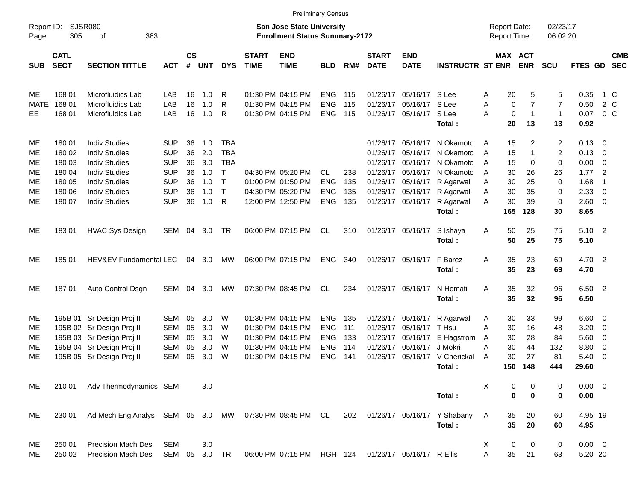|                     | <b>Preliminary Census</b>  |                                                       |            |                                                                    |            |              |                             |                           |            |     |                             |                           |                               |                                            |             |                       |                      |                |                          |                          |
|---------------------|----------------------------|-------------------------------------------------------|------------|--------------------------------------------------------------------|------------|--------------|-----------------------------|---------------------------|------------|-----|-----------------------------|---------------------------|-------------------------------|--------------------------------------------|-------------|-----------------------|----------------------|----------------|--------------------------|--------------------------|
| Report ID:<br>Page: | <b>SJSR080</b><br>305      | 383<br>оf                                             |            | San Jose State University<br><b>Enrollment Status Summary-2172</b> |            |              |                             |                           |            |     |                             |                           |                               | <b>Report Date:</b><br><b>Report Time:</b> |             |                       | 02/23/17<br>06:02:20 |                |                          |                          |
| <b>SUB</b>          | <b>CATL</b><br><b>SECT</b> | <b>SECTION TITTLE</b>                                 | <b>ACT</b> | $\mathsf{cs}$<br>#                                                 | <b>UNT</b> | <b>DYS</b>   | <b>START</b><br><b>TIME</b> | <b>END</b><br><b>TIME</b> | <b>BLD</b> | RM# | <b>START</b><br><b>DATE</b> | <b>END</b><br><b>DATE</b> | <b>INSTRUCTR ST ENR</b>       |                                            |             | MAX ACT<br><b>ENR</b> | <b>SCU</b>           | FTES GD        |                          | <b>CMB</b><br><b>SEC</b> |
| ME                  | 168 01                     | Microfluidics Lab                                     | LAB        | 16                                                                 | 1.0        | R            |                             | 01:30 PM 04:15 PM         | <b>ENG</b> | 115 | 01/26/17                    | 05/16/17 S Lee            |                               | A                                          | 20          | 5                     | 5                    | 0.35           |                          | 1 C                      |
| MATE                | 168 01                     | Microfluidics Lab                                     | LAB        | 16                                                                 | 1.0        | R            |                             | 01:30 PM 04:15 PM         | <b>ENG</b> | 115 | 01/26/17                    | 05/16/17 S Lee            |                               | Α                                          | 0           | $\overline{7}$        | $\overline{7}$       | 0.50           |                          | 2 C                      |
| EE                  | 168 01                     | Microfluidics Lab                                     | LAB        | 16                                                                 | 1.0        | R            |                             | 01:30 PM 04:15 PM         | <b>ENG</b> | 115 |                             | 01/26/17 05/16/17 S Lee   |                               | A                                          | $\mathbf 0$ | $\mathbf{1}$          | $\mathbf{1}$         | 0.07           | $0\,$ C                  |                          |
|                     |                            |                                                       |            |                                                                    |            |              |                             |                           |            |     |                             |                           | Total:                        |                                            | 20          | 13                    | 13                   | 0.92           |                          |                          |
| MЕ                  | 180 01                     | <b>Indiv Studies</b>                                  | <b>SUP</b> | 36                                                                 | 1.0        | <b>TBA</b>   |                             |                           |            |     |                             | 01/26/17 05/16/17         | N Okamoto                     | A                                          | 15          | 2                     | 2                    | $0.13 \quad 0$ |                          |                          |
| МE                  | 180 02                     | <b>Indiv Studies</b>                                  | <b>SUP</b> | 36                                                                 | 2.0        | <b>TBA</b>   |                             |                           |            |     | 01/26/17                    | 05/16/17                  | N Okamoto                     | A                                          | 15          | 1                     | 2                    | $0.13 \quad 0$ |                          |                          |
| ME                  | 180 03                     | <b>Indiv Studies</b>                                  | <b>SUP</b> | 36                                                                 | 3.0        | <b>TBA</b>   |                             |                           |            |     | 01/26/17                    | 05/16/17                  | N Okamoto                     | A                                          | 15          | 0                     | 0                    | 0.00           | $\overline{\phantom{0}}$ |                          |
| МE                  | 180 04                     | <b>Indiv Studies</b>                                  | <b>SUP</b> | 36                                                                 | 1.0        | $\top$       |                             | 04:30 PM 05:20 PM         | CL.        | 238 |                             | 01/26/17 05/16/17         | N Okamoto                     | A                                          | 30          | 26                    | 26                   | 1.77           | $\overline{2}$           |                          |
| МE                  | 180 05                     | <b>Indiv Studies</b>                                  | <b>SUP</b> | 36                                                                 | 1.0        | $\mathsf{T}$ |                             | 01:00 PM 01:50 PM         | <b>ENG</b> | 135 |                             | 01/26/17 05/16/17         | R Agarwal                     | A                                          | 30          | 25                    | 0                    | 1.68           | $\overline{1}$           |                          |
| МE                  | 180 06                     | <b>Indiv Studies</b>                                  | <b>SUP</b> | 36                                                                 | 1.0        | $\mathsf{T}$ |                             | 04:30 PM 05:20 PM         | <b>ENG</b> | 135 |                             | 01/26/17 05/16/17         | R Agarwal                     | A                                          | 30          | 35                    | 0                    | 2.33           | - 0                      |                          |
| ME                  | 180 07                     | <b>Indiv Studies</b>                                  | <b>SUP</b> | 36                                                                 | 1.0        | R            |                             | 12:00 PM 12:50 PM         | <b>ENG</b> | 135 |                             | 01/26/17 05/16/17         | R Agarwal                     | Α                                          | 30          | 39                    | 0                    | 2.60 0         |                          |                          |
|                     |                            |                                                       |            |                                                                    |            |              |                             |                           |            |     |                             |                           | Total:                        |                                            | 165         | 128                   | 30                   | 8.65           |                          |                          |
| ME                  | 18301                      | <b>HVAC Sys Design</b>                                | SEM        | 04                                                                 | 3.0        | TR           |                             | 06:00 PM 07:15 PM         | CL         | 310 |                             | 01/26/17 05/16/17         | S Ishaya                      | Α                                          | 50          | 25                    | 75                   | 5.10 2         |                          |                          |
|                     |                            |                                                       |            |                                                                    |            |              |                             |                           |            |     |                             |                           | Total:                        |                                            | 50          | 25                    | 75                   | 5.10           |                          |                          |
| ME                  | 18501                      | HEV&EV Fundamental LEC                                |            |                                                                    | 04 3.0     | МW           |                             | 06:00 PM 07:15 PM         | <b>ENG</b> | 340 |                             | 01/26/17 05/16/17         | F Barez                       | Α                                          | 35          | 23                    | 69                   | 4.70 2         |                          |                          |
|                     |                            |                                                       |            |                                                                    |            |              |                             |                           |            |     |                             |                           | Total:                        |                                            | 35          | 23                    | 69                   | 4.70           |                          |                          |
| ME                  | 18701                      | Auto Control Dsgn                                     | SEM        |                                                                    | 04 3.0     | МW           |                             | 07:30 PM 08:45 PM         | CL         | 234 |                             | 01/26/17 05/16/17         | N Hemati                      | Α                                          | 35          | 32                    | 96                   | 6.50 2         |                          |                          |
|                     |                            |                                                       |            |                                                                    |            |              |                             |                           |            |     |                             |                           | Total:                        |                                            | 35          | 32                    | 96                   | 6.50           |                          |                          |
| ME                  |                            | 195B 01 Sr Design Proj II                             | SEM        | 05                                                                 | 3.0        | W            |                             | 01:30 PM 04:15 PM         | <b>ENG</b> | 135 |                             | 01/26/17 05/16/17         | R Agarwal                     | A                                          | 30          | 33                    | 99                   | $6.60 \quad 0$ |                          |                          |
| MЕ                  |                            | 195B 02 Sr Design Proj II                             | <b>SEM</b> | 05                                                                 | 3.0        | W            |                             | 01:30 PM 04:15 PM         | <b>ENG</b> | 111 | 01/26/17                    | 05/16/17 T Hsu            |                               | A                                          | 30          | 16                    | 48                   | 3.20           | $\overline{\phantom{0}}$ |                          |
| MЕ                  |                            | 195B 03 Sr Design Proj II                             | <b>SEM</b> | 05                                                                 | 3.0        | W            |                             | 01:30 PM 04:15 PM         | <b>ENG</b> | 133 | 01/26/17                    | 05/16/17                  | E Hagstrom                    | A                                          | 30          | 28                    | 84                   | 5.60           | $\overline{\phantom{0}}$ |                          |
| MЕ                  |                            | 195B 04 Sr Design Proj II                             | <b>SEM</b> | 05                                                                 | 3.0        | W            |                             | 01:30 PM 04:15 PM         | <b>ENG</b> | 114 | 01/26/17                    | 05/16/17 J Mokri          |                               | А                                          | 30          | 44                    | 132                  | 8.80           | 0                        |                          |
| ME                  |                            | 195B 05 Sr Design Proj II                             | <b>SEM</b> | 05                                                                 | 3.0        | W            |                             | 01:30 PM 04:15 PM         | <b>ENG</b> | 141 |                             |                           | 01/26/17 05/16/17 V Cherickal | A                                          | 30          | 27                    | 81                   | 5.40           | $\overline{\phantom{0}}$ |                          |
|                     |                            |                                                       |            |                                                                    |            |              |                             |                           |            |     |                             |                           | Total:                        |                                            | 150         | 148                   | 444                  | 29.60          |                          |                          |
| MЕ                  | 210 01                     | Adv Thermodynamics SEM                                |            |                                                                    | 3.0        |              |                             |                           |            |     |                             |                           |                               | X                                          | 0           | 0                     | 0                    | $0.00 \t 0$    |                          |                          |
|                     |                            |                                                       |            |                                                                    |            |              |                             |                           |            |     |                             |                           | Total:                        |                                            | $\mathbf 0$ | $\bf{0}$              | 0                    | 0.00           |                          |                          |
| ME                  | 230 01                     | Ad Mech Eng Analys SEM 05 3.0 MW 07:30 PM 08:45 PM CL |            |                                                                    |            |              |                             |                           |            | 202 |                             |                           | 01/26/17 05/16/17 Y Shabany   | A                                          | 35          | 20                    | 60                   | 4.95 19        |                          |                          |
|                     |                            |                                                       |            |                                                                    |            |              |                             |                           |            |     |                             |                           | Total:                        |                                            | 35          | 20                    | 60                   | 4.95           |                          |                          |
| ME                  | 250 01                     | <b>Precision Mach Des</b>                             | <b>SEM</b> |                                                                    | $3.0\,$    |              |                             |                           |            |     |                             |                           |                               | X                                          | 0           | 0                     | 0                    | $0.00 \t 0$    |                          |                          |
| ME                  | 250 02                     | Precision Mach Des                                    | SEM 05     |                                                                    | 3.0 TR     |              |                             | 06:00 PM 07:15 PM HGH 124 |            |     |                             | 01/26/17 05/16/17 R Ellis |                               | A                                          | 35          | 21                    | 63                   | 5.20 20        |                          |                          |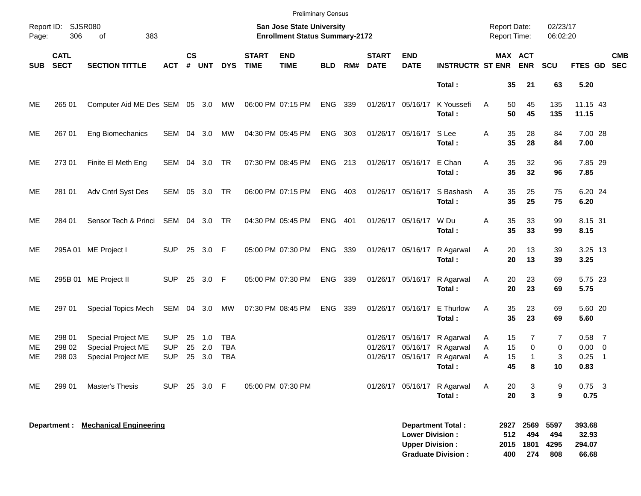|                 | <b>Preliminary Census</b>                                 |                                                                |                                        |                |                         |                                                                    |                             |                           |            |       |                             |                                                  |                                                                                                     |                                     |                                      |                            |                                         |                |
|-----------------|-----------------------------------------------------------|----------------------------------------------------------------|----------------------------------------|----------------|-------------------------|--------------------------------------------------------------------|-----------------------------|---------------------------|------------|-------|-----------------------------|--------------------------------------------------|-----------------------------------------------------------------------------------------------------|-------------------------------------|--------------------------------------|----------------------------|-----------------------------------------|----------------|
|                 | Report ID:<br><b>SJSR080</b><br>306<br>383<br>Page:<br>οf |                                                                |                                        |                |                         | San Jose State University<br><b>Enrollment Status Summary-2172</b> |                             |                           |            |       |                             |                                                  |                                                                                                     |                                     |                                      | 02/23/17<br>06:02:20       |                                         |                |
| <b>SUB</b>      | <b>CATL</b><br><b>SECT</b>                                | <b>SECTION TITTLE</b>                                          | <b>ACT</b>                             | <b>CS</b><br># | UNT                     | <b>DYS</b>                                                         | <b>START</b><br><b>TIME</b> | <b>END</b><br><b>TIME</b> | <b>BLD</b> | RM#   | <b>START</b><br><b>DATE</b> | <b>END</b><br><b>DATE</b>                        | <b>INSTRUCTR ST ENR ENR</b>                                                                         |                                     | MAX ACT                              | <b>SCU</b>                 | FTES GD SEC                             | <b>CMB</b>     |
|                 |                                                           |                                                                |                                        |                |                         |                                                                    |                             |                           |            |       |                             |                                                  | Total:                                                                                              | 35                                  | 21                                   | 63                         | 5.20                                    |                |
| ME              | 265 01                                                    | Computer Aid ME Des SEM 05 3.0 MW                              |                                        |                |                         |                                                                    |                             | 06:00 PM 07:15 PM         | ENG 339    |       |                             | 01/26/17 05/16/17                                | K Youssefi<br>Total:                                                                                | 50<br>A<br>50                       | 45<br>45                             | 135<br>135                 | 11.15 43<br>11.15                       |                |
| ME              | 267 01                                                    | Eng Biomechanics                                               | SEM 04 3.0                             |                |                         | MW                                                                 |                             | 04:30 PM 05:45 PM         | ENG        | - 303 |                             | 01/26/17 05/16/17 S Lee                          | Total:                                                                                              | 35<br>A<br>35                       | 28<br>28                             | 84<br>84                   | 7.00 28<br>7.00                         |                |
| ME              | 273 01                                                    | Finite El Meth Eng                                             | SEM 04 3.0 TR                          |                |                         |                                                                    |                             | 07:30 PM 08:45 PM         | ENG 213    |       |                             | 01/26/17 05/16/17 E Chan                         | Total:                                                                                              | 35<br>A<br>35                       | 32<br>32                             | 96<br>96                   | 7.85 29<br>7.85                         |                |
| ME              | 281 01                                                    | Adv Cntrl Syst Des                                             | SEM 05 3.0 TR                          |                |                         |                                                                    |                             | 06:00 PM 07:15 PM         | ENG 403    |       |                             |                                                  | 01/26/17 05/16/17 S Bashash<br>Total:                                                               | 35<br>A<br>35                       | 25<br>25                             | 75<br>75                   | 6.20 24<br>6.20                         |                |
| ME              | 284 01                                                    | Sensor Tech & Princi SEM 04 3.0 TR                             |                                        |                |                         |                                                                    |                             | 04:30 PM 05:45 PM         | <b>ENG</b> | 401   |                             | 01/26/17 05/16/17 W Du                           | Total:                                                                                              | 35<br>Α<br>35                       | 33<br>33                             | 99<br>99                   | 8.15 31<br>8.15                         |                |
| ME              |                                                           | 295A 01 ME Project I                                           | <b>SUP</b>                             |                | 25 3.0 F                |                                                                    |                             | 05:00 PM 07:30 PM         | ENG 339    |       |                             |                                                  | 01/26/17 05/16/17 R Agarwal<br>Total:                                                               | 20<br>Α<br>20                       | 13<br>13                             | 39<br>39                   | 3.25 13<br>3.25                         |                |
| ME              |                                                           | 295B 01 ME Project II                                          | SUP 25 3.0 F                           |                |                         |                                                                    |                             | 05:00 PM 07:30 PM         | ENG 339    |       |                             |                                                  | 01/26/17 05/16/17 R Agarwal<br>Total:                                                               | 20<br>Α<br>20                       | 23<br>23                             | 69<br>69                   | 5.75 23<br>5.75                         |                |
| ME              | 297 01                                                    | Special Topics Mech                                            | SEM 04 3.0                             |                |                         | MW                                                                 |                             | 07:30 PM 08:45 PM         | ENG        | 339   |                             |                                                  | 01/26/17 05/16/17 E Thurlow<br>Total:                                                               | 35<br>A<br>35                       | 23<br>23                             | 69<br>69                   | 5.60 20<br>5.60                         |                |
| ME.<br>MЕ<br>ME | 298 01<br>298 02<br>298 03                                | Special Project ME<br>Special Project ME<br>Special Project ME | <b>SUP</b><br><b>SUP</b><br><b>SUP</b> | 25<br>25       | $-1.0$<br>25 2.0<br>3.0 | TBA<br><b>TBA</b><br><b>TBA</b>                                    |                             |                           |            |       |                             |                                                  | 01/26/17 05/16/17 R Agarwal<br>01/26/17 05/16/17 R Agarwal<br>01/26/17 05/16/17 R Agarwal<br>Total: | 15<br>A<br>15<br>Α<br>15<br>Α<br>45 | 7<br>$\mathbf 0$<br>$\mathbf 1$<br>8 | 7<br>0<br>3<br>10          | $0.58$ 7<br>$0.00 \t 0$<br>0.25<br>0.83 | $\overline{1}$ |
| ME              | 299 01                                                    | Master's Thesis                                                | SUP.                                   |                | 25 3.0 F                |                                                                    |                             | 05:00 PM 07:30 PM         |            |       |                             |                                                  | 01/26/17 05/16/17 R Agarwal<br>Total:                                                               | 20<br>A<br>20                       | 3<br>3                               | 9<br>9                     | $0.75$ 3<br>0.75                        |                |
|                 | Department :                                              | <b>Mechanical Engineering</b>                                  |                                        |                |                         |                                                                    |                             |                           |            |       |                             | <b>Lower Division:</b><br><b>Upper Division:</b> | <b>Department Total:</b><br><b>Graduate Division:</b>                                               | 2927<br>512<br>2015<br>400          | 2569<br>494<br>1801<br>274           | 5597<br>494<br>4295<br>808 | 393.68<br>32.93<br>294.07<br>66.68      |                |